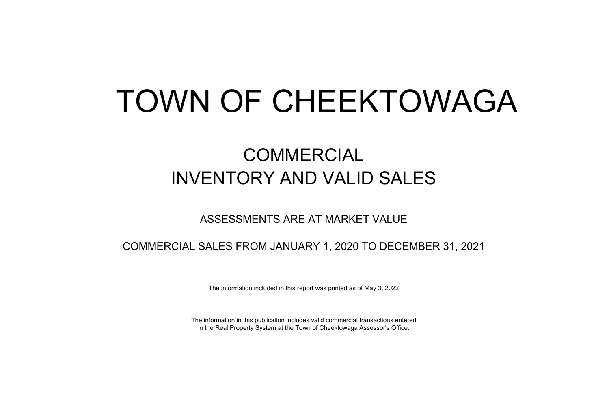# TOWN OF CHEEKTOWAGA

## COMMERCIAL INVENTORY AND VALID SALES

### ASSESSMENTS ARE AT MARKET VALUE

COMMERCIAL SALES FROM JANUARY 1, 2020 TO DECEMBER 31, 2021

The information included in this report was printed as of May 3, 2022

The information in this publication includes valid commercial transactions entered in the Real Property System at the Town of Cheektowaga Assessor's Office.

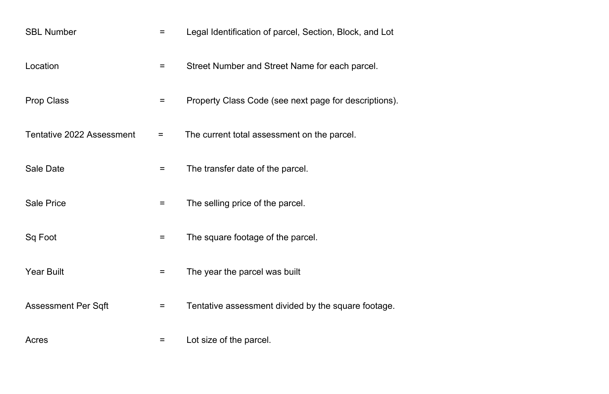| <b>SBL Number</b>                | =        | Legal Identification of parcel, Section, Block, and Lot |
|----------------------------------|----------|---------------------------------------------------------|
| Location                         | $=$      | Street Number and Street Name for each parcel.          |
| <b>Prop Class</b>                | $=$      | Property Class Code (see next page for descriptions).   |
| <b>Tentative 2022 Assessment</b> | =        | The current total assessment on the parcel.             |
| <b>Sale Date</b>                 | $=$      | The transfer date of the parcel.                        |
| <b>Sale Price</b>                | $\equiv$ | The selling price of the parcel.                        |
| Sq Foot                          | =        | The square footage of the parcel.                       |
| <b>Year Built</b>                | $=$      | The year the parcel was built                           |
| <b>Assessment Per Sqft</b>       |          | Tentative assessment divided by the square footage.     |
| Acres                            | $=$      | Lot size of the parcel.                                 |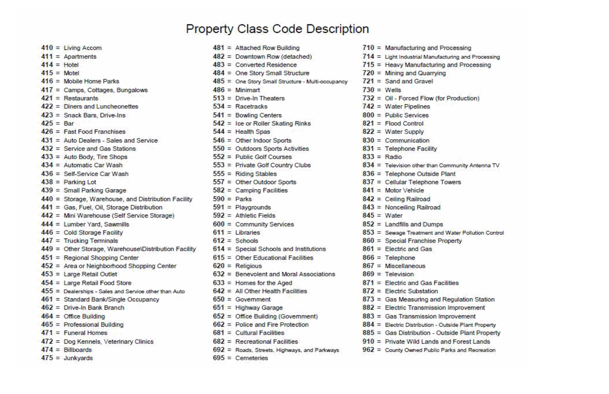### **Property Class Code Description**

| $410 =$ Living Accom                                    | $481$ = Attached Row Building                     | $710 =$ Manufacturing and Pro        |
|---------------------------------------------------------|---------------------------------------------------|--------------------------------------|
| $411 =$ Apartments                                      | $482$ = Downtown Row (detached)                   | $714 =$ Light Industrial Manufactu   |
| $414 =$ Hotel                                           | $483 =$ Converted Residence                       | $715 =$ Heavy Manufacturing a        |
| $415 =$ Motel                                           | $484 =$ One Story Small Structure                 | $720 =$ Mining and Quarrying         |
| $416$ = Mobile Home Parks                               | 485 = One Story Small Structure - Multi-occupancy | $721 =$ Sand and Gravel              |
| $417 =$ Camps, Cottages, Bungalows                      | $486 =$ Minimart                                  | $730 = Wells$                        |
| $421$ = Restaurants                                     | $513$ = Drive-In Theaters                         | $732 =$ Oil - Forced Flow (for F     |
| $422 =$ Diners and Luncheonettes                        | $534$ = Racetracks                                | $742 = Water$ Pipelines              |
| $423 =$ Snack Bars, Drive-Ins                           | $541 =$ Bowling Centers                           | $800 =$ Public Services              |
| $425 = Bar$                                             | $542 =$ Ice or Roller Skating Rinks               | $821 =$ Flood Control                |
| $426 =$ Fast Food Franchises                            | $544 =$ Health Spas                               | $822 =$ Water Supply                 |
| $431 =$ Auto Dealers - Sales and Service                | $546 =$ Other Indoor Sports                       | $830 =$ Communication                |
| $432 =$ Service and Gas Stations                        | $550 =$ Outdoors Sports Activities                | $831 =$ Telephone Facility           |
| $433 =$ Auto Body, Tire Shops                           | $552$ = Public Golf Courses                       | $833 = R$ adio                       |
| $434 =$ Automatic Car Wash                              | $553$ = Private Golf Country Clubs                | $834 =$ Television other than Con    |
| $436 =$ Self-Service Car Wash                           | $555 =$ Riding Stables                            | $836$ = Telephone Outside Pla        |
| $438 =$ Parking Lot                                     | $557 =$ Other Outdoor Sports                      | $837 =$ Cellular Telephone Tow       |
| $439 =$ Small Parking Garage                            | $582 =$ Camping Facilities                        | $841$ = Motor Vehicle                |
| 440 = Storage, Warehouse, and Distribution Facility     | $590 =$ Parks                                     | $842 =$ Ceiling Railroad             |
| 441 = Gas, Fuel, Oil, Storage Distribution              | $591$ = Playgrounds                               | $843$ = Nonceiling Railroad          |
| $442$ = Mini Warehouse (Self Service Storage)           | $592 =$ Athletic Fields                           | $845 = Water$                        |
| $444 =$ Lumber Yard, Sawmills                           | $600 =$ Community Services                        | $852 =$ Landfills and Dumps          |
| $446 =$ Cold Storage Facility                           | $611$ = Libraries                                 | $853 =$ Sewage Treatment and W       |
| $447 =$ Trucking Terminals                              | $612 =$ Schools                                   | 860 = Special Franchise Prop         |
| $449$ = Other Storage, Warehouse\Distribution Facility  | $614 =$ Special Schools and Institutions          | $861$ = Electric and Gas             |
| $451 =$ Regional Shopping Center                        | $615 =$ Other Educational Facilities              | $866 =$ Telephone                    |
| $452 =$ Area or Neighborhood Shopping Center            | $620 =$ Religious                                 | $867 =$ Miscellaneous                |
| $453 =$ Large Retail Outlet                             | $632$ = Benevolent and Moral Associations         | $869 =$ Television                   |
| $454 =$ Large Retail Food Store                         | $633 =$ Homes for the Aged                        | $871 =$ Electric and Gas Facili      |
| $455$ = Dealerships - Sales and Service other than Auto | $642$ = All Other Health Facilities               | $872$ = Electric Substation          |
| 461 = Standard Bank/Single Occupancy                    | $650 = Government$                                | $873 =$ Gas Measuring and Re         |
| $462 =$ Drive-In Bank Branch                            | $651 =$ Highway Garage                            | $882 =$ Electric Transmission I      |
| $464 =$ Office Building                                 | $652 =$ Office Building (Government)              | $883 =$ Gas Transmission Imp         |
| $465 =$ Professional Building                           | $662$ = Police and Fire Protection                | $884 =$ Electric Distribution - Outs |
| $471 =$ Funeral Homes                                   | $681 =$ Cultural Facilities                       | $885 =$ Gas Distribution - Outs      |
| 472 = Dog Kennels, Veterinary Clinics                   | $682$ = Recreational Facilities                   | $910 =$ Private Wild Lands and       |
| $474 =$ Billboards                                      | $692 =$ Roads, Streets, Highways, and Parkways    | $962 =$ County Owned Public Par      |
| $475 =$ Junkyards                                       | $695 =$ Cemeteries                                |                                      |

cessing uring and Processing and Processing

Production)

mmunity Antenna TV ant wers.

**Vater Pollution Control** perty

ities

egulation Station **Improvement** wovement side Plant Property side Plant Property d Forest Lands rks and Recreation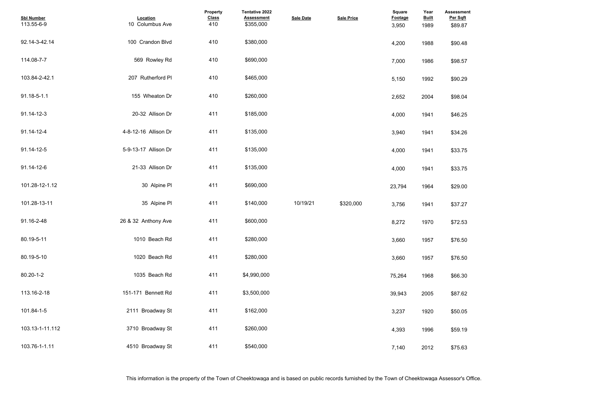| <b>Assessment</b><br>Per Sqft |  |  |  |
|-------------------------------|--|--|--|
| \$89.87                       |  |  |  |
| \$90.48                       |  |  |  |
| \$98.57                       |  |  |  |
| \$90.29                       |  |  |  |
| \$98.04                       |  |  |  |
| \$46.25                       |  |  |  |
| \$34.26                       |  |  |  |
| \$33.75                       |  |  |  |
| \$33.75                       |  |  |  |
| \$29.00                       |  |  |  |
| \$37.27                       |  |  |  |
| \$72.53                       |  |  |  |
| \$76.50                       |  |  |  |
| \$76.50                       |  |  |  |
| \$66.30                       |  |  |  |
| \$87.62                       |  |  |  |
| \$50.05                       |  |  |  |
| \$59.19                       |  |  |  |
| \$75.63                       |  |  |  |

| <b>Sbl Number</b><br>113.55-6-9 | Location<br>10 Columbus Ave | Property<br><b>Class</b><br>410 | Tentative 2022<br><b>Assessment</b><br>\$355,000 | <b>Sale Date</b> | <b>Sale Price</b> | Square<br>Footage<br>3,950 | Year<br><b>Built</b><br>1989 | <b>Assessme</b><br>Per Sqft<br>\$89.87 |
|---------------------------------|-----------------------------|---------------------------------|--------------------------------------------------|------------------|-------------------|----------------------------|------------------------------|----------------------------------------|
| 92.14-3-42.14                   | 100 Crandon Blvd            | 410                             | \$380,000                                        |                  |                   | 4,200                      | 1988                         | \$90.48                                |
| 114.08-7-7                      | 569 Rowley Rd               | 410                             | \$690,000                                        |                  |                   | 7,000                      | 1986                         | \$98.57                                |
| 103.84-2-42.1                   | 207 Rutherford PI           | 410                             | \$465,000                                        |                  |                   | 5,150                      | 1992                         | \$90.29                                |
| 91.18-5-1.1                     | 155 Wheaton Dr              | 410                             | \$260,000                                        |                  |                   | 2,652                      | 2004                         | \$98.04                                |
| 91.14-12-3                      | 20-32 Allison Dr            | 411                             | \$185,000                                        |                  |                   | 4,000                      | 1941                         | \$46.25                                |
| 91.14-12-4                      | 4-8-12-16 Allison Dr        | 411                             | \$135,000                                        |                  |                   | 3,940                      | 1941                         | \$34.26                                |
| 91.14-12-5                      | 5-9-13-17 Allison Dr        | 411                             | \$135,000                                        |                  |                   | 4,000                      | 1941                         | \$33.75                                |
| 91.14-12-6                      | 21-33 Allison Dr            | 411                             | \$135,000                                        |                  |                   | 4,000                      | 1941                         | \$33.75                                |
| 101.28-12-1.12                  | 30 Alpine PI                | 411                             | \$690,000                                        |                  |                   | 23,794                     | 1964                         | \$29.00                                |
| 101.28-13-11                    | 35 Alpine PI                | 411                             | \$140,000                                        | 10/19/21         | \$320,000         | 3,756                      | 1941                         | \$37.27                                |
| 91.16-2-48                      | 26 & 32 Anthony Ave         | 411                             | \$600,000                                        |                  |                   | 8,272                      | 1970                         | \$72.53                                |
| 80.19-5-11                      | 1010 Beach Rd               | 411                             | \$280,000                                        |                  |                   | 3,660                      | 1957                         | \$76.50                                |
| 80.19-5-10                      | 1020 Beach Rd               | 411                             | \$280,000                                        |                  |                   | 3,660                      | 1957                         | \$76.50                                |
| 80.20-1-2                       | 1035 Beach Rd               | 411                             | \$4,990,000                                      |                  |                   | 75,264                     | 1968                         | \$66.30                                |
| 113.16-2-18                     | 151-171 Bennett Rd          | 411                             | \$3,500,000                                      |                  |                   | 39,943                     | 2005                         | \$87.62                                |
| 101.84-1-5                      | 2111 Broadway St            | 411                             | \$162,000                                        |                  |                   | 3,237                      | 1920                         | \$50.05                                |
| 103.13-1-11.112                 | 3710 Broadway St            | 411                             | \$260,000                                        |                  |                   | 4,393                      | 1996                         | \$59.19                                |
| 103.76-1-1.11                   | 4510 Broadway St            | 411                             | \$540,000                                        |                  |                   | 7,140                      | 2012                         | \$75.63                                |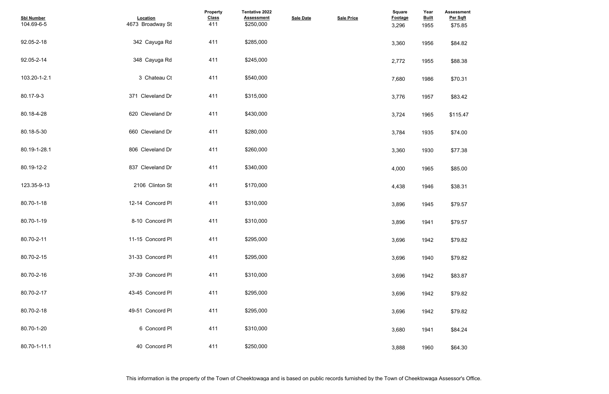| <b>Assessment</b><br>Per Sqft |  |  |  |
|-------------------------------|--|--|--|
| \$75.85                       |  |  |  |
|                               |  |  |  |
| \$84.82                       |  |  |  |
|                               |  |  |  |
| \$88.38                       |  |  |  |
|                               |  |  |  |
| \$70.31                       |  |  |  |
| \$83.42                       |  |  |  |
|                               |  |  |  |
| \$115.47                      |  |  |  |
|                               |  |  |  |
| \$74.00                       |  |  |  |
|                               |  |  |  |
| \$77.38                       |  |  |  |
|                               |  |  |  |
| \$85.00                       |  |  |  |
| \$38.31                       |  |  |  |
|                               |  |  |  |
| \$79.57                       |  |  |  |
|                               |  |  |  |
| \$79.57                       |  |  |  |
|                               |  |  |  |
| \$79.82                       |  |  |  |
|                               |  |  |  |
| \$79.82                       |  |  |  |
| \$83.87                       |  |  |  |
|                               |  |  |  |
| \$79.82                       |  |  |  |
|                               |  |  |  |
| \$79.82                       |  |  |  |
|                               |  |  |  |
| \$84.24                       |  |  |  |
| \$64.30                       |  |  |  |
|                               |  |  |  |

| <b>Sbl Number</b><br>104.69-6-5 | Location<br>4673 Broadway St | Property<br><b>Class</b><br>411 | <b>Tentative 2022</b><br><b>Assessment</b><br>\$250,000 | <b>Sale Date</b> | <b>Sale Price</b> | Square<br>Footage<br>3,296 | Year<br><b>Built</b><br>1955 | <b>Assessmer</b><br>Per Sqft<br>\$75.85 |
|---------------------------------|------------------------------|---------------------------------|---------------------------------------------------------|------------------|-------------------|----------------------------|------------------------------|-----------------------------------------|
| 92.05-2-18                      | 342 Cayuga Rd                | 411                             | \$285,000                                               |                  |                   | 3,360                      | 1956                         | \$84.82                                 |
| 92.05-2-14                      | 348 Cayuga Rd                | 411                             | \$245,000                                               |                  |                   | 2,772                      | 1955                         | \$88.38                                 |
| 103.20-1-2.1                    | 3 Chateau Ct                 | 411                             | \$540,000                                               |                  |                   | 7,680                      | 1986                         | \$70.31                                 |
| 80.17-9-3                       | 371 Cleveland Dr             | 411                             | \$315,000                                               |                  |                   | 3,776                      | 1957                         | \$83.42                                 |
| 80.18-4-28                      | 620 Cleveland Dr             | 411                             | \$430,000                                               |                  |                   | 3,724                      | 1965                         | \$115.47                                |
| 80.18-5-30                      | 660 Cleveland Dr             | 411                             | \$280,000                                               |                  |                   | 3,784                      | 1935                         | \$74.00                                 |
| 80.19-1-28.1                    | 806 Cleveland Dr             | 411                             | \$260,000                                               |                  |                   | 3,360                      | 1930                         | \$77.38                                 |
| 80.19-12-2                      | 837 Cleveland Dr             | 411                             | \$340,000                                               |                  |                   | 4,000                      | 1965                         | \$85.00                                 |
| 123.35-9-13                     | 2106 Clinton St              | 411                             | \$170,000                                               |                  |                   | 4,438                      | 1946                         | \$38.31                                 |
| 80.70-1-18                      | 12-14 Concord PI             | 411                             | \$310,000                                               |                  |                   | 3,896                      | 1945                         | \$79.57                                 |
| 80.70-1-19                      | 8-10 Concord PI              | 411                             | \$310,000                                               |                  |                   | 3,896                      | 1941                         | \$79.57                                 |
| 80.70-2-11                      | 11-15 Concord PI             | 411                             | \$295,000                                               |                  |                   | 3,696                      | 1942                         | \$79.82                                 |
| 80.70-2-15                      | 31-33 Concord PI             | 411                             | \$295,000                                               |                  |                   | 3,696                      | 1940                         | \$79.82                                 |
| 80.70-2-16                      | 37-39 Concord PI             | 411                             | \$310,000                                               |                  |                   | 3,696                      | 1942                         | \$83.87                                 |
| 80.70-2-17                      | 43-45 Concord PI             | 411                             | \$295,000                                               |                  |                   | 3,696                      | 1942                         | \$79.82                                 |
| 80.70-2-18                      | 49-51 Concord PI             | 411                             | \$295,000                                               |                  |                   | 3,696                      | 1942                         | \$79.82                                 |
| 80.70-1-20                      | 6 Concord PI                 | 411                             | \$310,000                                               |                  |                   | 3,680                      | 1941                         | \$84.24                                 |
| 80.70-1-11.1                    | 40 Concord PI                | 411                             | \$250,000                                               |                  |                   | 3,888                      | 1960                         | \$64.30                                 |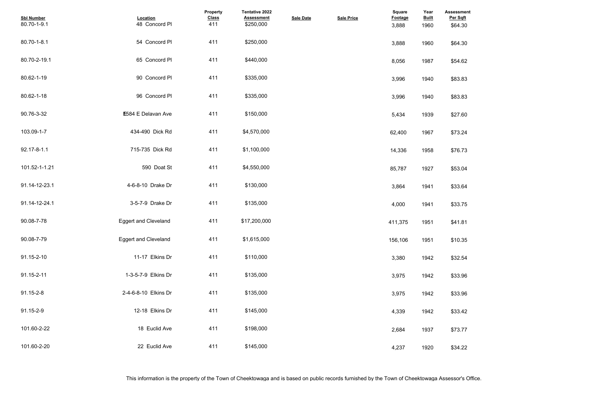| <b>Assessment</b><br>Per Sqft |  |  |  |
|-------------------------------|--|--|--|
| \$64.30                       |  |  |  |
|                               |  |  |  |
| \$64.30                       |  |  |  |
|                               |  |  |  |
| \$54.62                       |  |  |  |
|                               |  |  |  |
| \$83.83                       |  |  |  |
| \$83.83                       |  |  |  |
|                               |  |  |  |
| \$27.60                       |  |  |  |
|                               |  |  |  |
| \$73.24                       |  |  |  |
|                               |  |  |  |
| \$76.73                       |  |  |  |
|                               |  |  |  |
| \$53.04                       |  |  |  |
| \$33.64                       |  |  |  |
|                               |  |  |  |
| \$33.75                       |  |  |  |
|                               |  |  |  |
| \$41.81                       |  |  |  |
|                               |  |  |  |
| \$10.35                       |  |  |  |
| \$32.54                       |  |  |  |
|                               |  |  |  |
| \$33.96                       |  |  |  |
|                               |  |  |  |
| \$33.96                       |  |  |  |
|                               |  |  |  |
| \$33.42                       |  |  |  |
| \$73.77                       |  |  |  |
|                               |  |  |  |
| \$34.22                       |  |  |  |
|                               |  |  |  |

| <b>Sbl Number</b><br>80.70-1-9.1 | Location<br>48 Concord PI   | <b>Property</b><br><b>Class</b><br>411 | Tentative 2022<br><b>Assessment</b><br>\$250,000 | <b>Sale Date</b> | <b>Sale Price</b> | <b>Square</b><br>Footage<br>3,888 | Year<br><b>Built</b><br>1960 | <b>Assessme</b><br>Per Sqft<br>\$64.30 |
|----------------------------------|-----------------------------|----------------------------------------|--------------------------------------------------|------------------|-------------------|-----------------------------------|------------------------------|----------------------------------------|
| 80.70-1-8.1                      | 54 Concord PI               | 411                                    | \$250,000                                        |                  |                   | 3,888                             | 1960                         | \$64.30                                |
| 80.70-2-19.1                     | 65 Concord PI               | 411                                    | \$440,000                                        |                  |                   | 8,056                             | 1987                         | \$54.62                                |
| 80.62-1-19                       | 90 Concord PI               | 411                                    | \$335,000                                        |                  |                   | 3,996                             | 1940                         | \$83.83                                |
| 80.62-1-18                       | 96 Concord PI               | 411                                    | \$335,000                                        |                  |                   | 3,996                             | 1940                         | \$83.83                                |
| 90.76-3-32                       | <b>E584 E Delavan Ave</b>   | 411                                    | \$150,000                                        |                  |                   | 5,434                             | 1939                         | \$27.60                                |
| 103.09-1-7                       | 434-490 Dick Rd             | 411                                    | \$4,570,000                                      |                  |                   | 62,400                            | 1967                         | \$73.24                                |
| 92.17-8-1.1                      | 715-735 Dick Rd             | 411                                    | \$1,100,000                                      |                  |                   | 14,336                            | 1958                         | \$76.73                                |
| 101.52-1-1.21                    | 590 Doat St                 | 411                                    | \$4,550,000                                      |                  |                   | 85,787                            | 1927                         | \$53.04                                |
| 91.14-12-23.1                    | 4-6-8-10 Drake Dr           | 411                                    | \$130,000                                        |                  |                   | 3,864                             | 1941                         | \$33.64                                |
| 91.14-12-24.1                    | 3-5-7-9 Drake Dr            | 411                                    | \$135,000                                        |                  |                   | 4,000                             | 1941                         | \$33.75                                |
| 90.08-7-78                       | <b>Eggert and Cleveland</b> | 411                                    | \$17,200,000                                     |                  |                   | 411,375                           | 1951                         | \$41.81                                |
| 90.08-7-79                       | <b>Eggert and Cleveland</b> | 411                                    | \$1,615,000                                      |                  |                   | 156,106                           | 1951                         | \$10.35                                |
| 91.15-2-10                       | 11-17 Elkins Dr             | 411                                    | \$110,000                                        |                  |                   | 3,380                             | 1942                         | \$32.54                                |
| 91.15-2-11                       | 1-3-5-7-9 Elkins Dr         | 411                                    | \$135,000                                        |                  |                   | 3,975                             | 1942                         | \$33.96                                |
| 91.15-2-8                        | 2-4-6-8-10 Elkins Dr        | 411                                    | \$135,000                                        |                  |                   | 3,975                             | 1942                         | \$33.96                                |
| 91.15-2-9                        | 12-18 Elkins Dr             | 411                                    | \$145,000                                        |                  |                   | 4,339                             | 1942                         | \$33.42                                |
| 101.60-2-22                      | 18 Euclid Ave               | 411                                    | \$198,000                                        |                  |                   | 2,684                             | 1937                         | \$73.77                                |
| 101.60-2-20                      | 22 Euclid Ave               | 411                                    | \$145,000                                        |                  |                   | 4,237                             | 1920                         | \$34.22                                |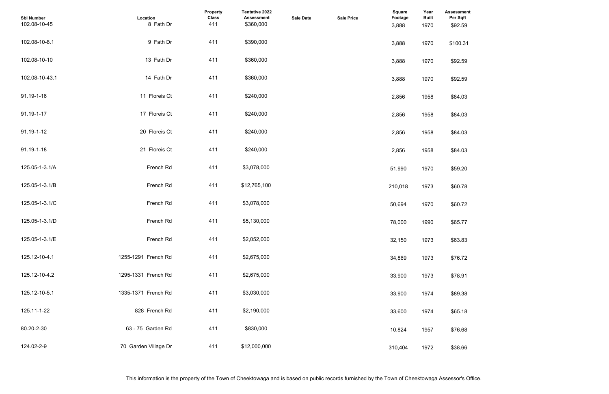| <b>Assessment</b>   |  |  |  |
|---------------------|--|--|--|
| Per Sqft<br>\$92.59 |  |  |  |
|                     |  |  |  |
| \$100.31            |  |  |  |
|                     |  |  |  |
| \$92.59             |  |  |  |
|                     |  |  |  |
| \$92.59             |  |  |  |
|                     |  |  |  |
| \$84.03             |  |  |  |
|                     |  |  |  |
| \$84.03             |  |  |  |
|                     |  |  |  |
| \$84.03             |  |  |  |
|                     |  |  |  |
| \$84.03             |  |  |  |
|                     |  |  |  |
| \$59.20             |  |  |  |
|                     |  |  |  |
| \$60.78             |  |  |  |
|                     |  |  |  |
| \$60.72             |  |  |  |
|                     |  |  |  |
| \$65.77             |  |  |  |
|                     |  |  |  |
| \$63.83             |  |  |  |
|                     |  |  |  |
| \$76.72             |  |  |  |
|                     |  |  |  |
| \$78.91             |  |  |  |
|                     |  |  |  |
| \$89.38             |  |  |  |
|                     |  |  |  |
| \$65.18             |  |  |  |
|                     |  |  |  |
| \$76.68             |  |  |  |
|                     |  |  |  |
| \$38.66             |  |  |  |
|                     |  |  |  |

| <b>Sbl Number</b><br>102.08-10-45 | Location<br>8 Fath Dr | Property<br><b>Class</b><br>411 | Tentative 2022<br><b>Assessment</b><br>\$360,000 | <b>Sale Date</b> | <b>Sale Price</b> | Square<br><b>Footage</b><br>3,888 | Year<br><b>Built</b><br>1970 | <b>Assessmer</b><br>Per Sqft<br>\$92.59 |
|-----------------------------------|-----------------------|---------------------------------|--------------------------------------------------|------------------|-------------------|-----------------------------------|------------------------------|-----------------------------------------|
| 102.08-10-8.1                     | 9 Fath Dr             | 411                             | \$390,000                                        |                  |                   | 3,888                             | 1970                         | \$100.31                                |
| 102.08-10-10                      | 13 Fath Dr            | 411                             | \$360,000                                        |                  |                   | 3,888                             | 1970                         | \$92.59                                 |
| 102.08-10-43.1                    | 14 Fath Dr            | 411                             | \$360,000                                        |                  |                   | 3,888                             | 1970                         | \$92.59                                 |
| 91.19-1-16                        | 11 Floreis Ct         | 411                             | \$240,000                                        |                  |                   | 2,856                             | 1958                         | \$84.03                                 |
| 91.19-1-17                        | 17 Floreis Ct         | 411                             | \$240,000                                        |                  |                   | 2,856                             | 1958                         | \$84.03                                 |
| 91.19-1-12                        | 20 Floreis Ct         | 411                             | \$240,000                                        |                  |                   | 2,856                             | 1958                         | \$84.03                                 |
| 91.19-1-18                        | 21 Floreis Ct         | 411                             | \$240,000                                        |                  |                   | 2,856                             | 1958                         | \$84.03                                 |
| 125.05-1-3.1/A                    | French Rd             | 411                             | \$3,078,000                                      |                  |                   | 51,990                            | 1970                         | \$59.20                                 |
| 125.05-1-3.1/B                    | French Rd             | 411                             | \$12,765,100                                     |                  |                   | 210,018                           | 1973                         | \$60.78                                 |
| 125.05-1-3.1/C                    | French Rd             | 411                             | \$3,078,000                                      |                  |                   | 50,694                            | 1970                         | \$60.72                                 |
| 125.05-1-3.1/D                    | French Rd             | 411                             | \$5,130,000                                      |                  |                   | 78,000                            | 1990                         | \$65.77                                 |
| 125.05-1-3.1/E                    | French Rd             | 411                             | \$2,052,000                                      |                  |                   | 32,150                            | 1973                         | \$63.83                                 |
| 125.12-10-4.1                     | 1255-1291 French Rd   | 411                             | \$2,675,000                                      |                  |                   | 34,869                            | 1973                         | \$76.72                                 |
| 125.12-10-4.2                     | 1295-1331 French Rd   | 411                             | \$2,675,000                                      |                  |                   | 33,900                            | 1973                         | \$78.91                                 |
| 125.12-10-5.1                     | 1335-1371 French Rd   | 411                             | \$3,030,000                                      |                  |                   | 33,900                            | 1974                         | \$89.38                                 |
| 125.11-1-22                       | 828 French Rd         | 411                             | \$2,190,000                                      |                  |                   | 33,600                            | 1974                         | \$65.18                                 |
| 80.20-2-30                        | 63 - 75 Garden Rd     | 411                             | \$830,000                                        |                  |                   | 10,824                            | 1957                         | \$76.68                                 |
| 124.02-2-9                        | 70 Garden Village Dr  | 411                             | \$12,000,000                                     |                  |                   | 310,404                           | 1972                         | \$38.66                                 |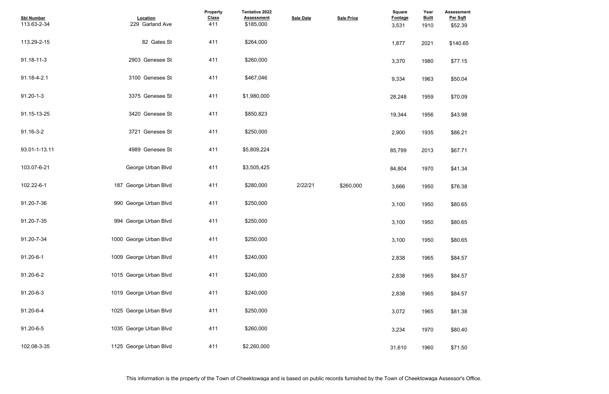| <b>Assessment</b><br>Per Sqft<br>\$52.39 |  |  |  |
|------------------------------------------|--|--|--|
| \$140.65                                 |  |  |  |
| \$77.15                                  |  |  |  |
| \$50.04                                  |  |  |  |
| \$70.09                                  |  |  |  |
| \$43.98                                  |  |  |  |
| \$86.21                                  |  |  |  |
| \$67.71                                  |  |  |  |
| \$41.34                                  |  |  |  |
| \$76.38                                  |  |  |  |
| \$80.65                                  |  |  |  |
| \$80.65                                  |  |  |  |
| \$80.65                                  |  |  |  |
| \$84.57                                  |  |  |  |
| \$84.57                                  |  |  |  |
| \$84.57                                  |  |  |  |
| \$81.38                                  |  |  |  |
| \$80.40                                  |  |  |  |
| \$71.50                                  |  |  |  |

| <b>Sbl Number</b><br>113.63-2-34 | Location<br>229 Garland Ave | Property<br><b>Class</b><br>411 | Tentative 2022<br><b>Assessment</b><br>\$185,000 | <b>Sale Date</b> | <b>Sale Price</b> | <b>Square</b><br>Footage<br>3,531 | Year<br><b>Built</b><br>1910 | <b>Assessmer</b><br>Per Sqft<br>\$52.39 |
|----------------------------------|-----------------------------|---------------------------------|--------------------------------------------------|------------------|-------------------|-----------------------------------|------------------------------|-----------------------------------------|
| 113.29-2-15                      | 82 Gates St                 | 411                             | \$264,000                                        |                  |                   | 1,877                             | 2021                         | \$140.65                                |
| 91.18-11-3                       | 2903 Genesee St             | 411                             | \$260,000                                        |                  |                   | 3,370                             | 1980                         | \$77.15                                 |
| 91.18-4-2.1                      | 3100 Genesee St             | 411                             | \$467,046                                        |                  |                   | 9,334                             | 1963                         | \$50.04                                 |
| $91.20 - 1 - 3$                  | 3375 Genesee St             | 411                             | \$1,980,000                                      |                  |                   | 28,248                            | 1959                         | \$70.09                                 |
| 91.15-13-25                      | 3420 Genesee St             | 411                             | \$850,823                                        |                  |                   | 19,344                            | 1956                         | \$43.98                                 |
| 91.16-3-2                        | 3721 Genesee St             | 411                             | \$250,000                                        |                  |                   | 2,900                             | 1935                         | \$86.21                                 |
| 93.01-1-13.11                    | 4989 Genesee St             | 411                             | \$5,809,224                                      |                  |                   | 85,799                            | 2013                         | \$67.71                                 |
| 103.07-6-21                      | George Urban Blvd           | 411                             | \$3,505,425                                      |                  |                   | 84,804                            | 1970                         | \$41.34                                 |
| 102.22-6-1                       | 187 George Urban Blvd       | 411                             | \$280,000                                        | 2/22/21          | \$260,000         | 3,666                             | 1950                         | \$76.38                                 |
| 91.20-7-36                       | 990 George Urban Blvd       | 411                             | \$250,000                                        |                  |                   | 3,100                             | 1950                         | \$80.65                                 |
| 91.20-7-35                       | 994 George Urban Blvd       | 411                             | \$250,000                                        |                  |                   | 3,100                             | 1950                         | \$80.65                                 |
| 91.20-7-34                       | 1000 George Urban Blvd      | 411                             | \$250,000                                        |                  |                   | 3,100                             | 1950                         | \$80.65                                 |
| 91.20-6-1                        | 1009 George Urban Blvd      | 411                             | \$240,000                                        |                  |                   | 2,838                             | 1965                         | \$84.57                                 |
| 91.20-6-2                        | 1015 George Urban Blvd      | 411                             | \$240,000                                        |                  |                   | 2,838                             | 1965                         | \$84.57                                 |
| 91.20-6-3                        | 1019 George Urban Blvd      | 411                             | \$240,000                                        |                  |                   | 2,838                             | 1965                         | \$84.57                                 |
| 91.20-6-4                        | 1025 George Urban Blvd      | 411                             | \$250,000                                        |                  |                   | 3,072                             | 1965                         | \$81.38                                 |
| 91.20-6-5                        | 1035 George Urban Blvd      | 411                             | \$260,000                                        |                  |                   | 3,234                             | 1970                         | \$80.40                                 |
| 102.08-3-35                      | 1125 George Urban Blvd      | 411                             | \$2,260,000                                      |                  |                   | 31,610                            | 1960                         | \$71.50                                 |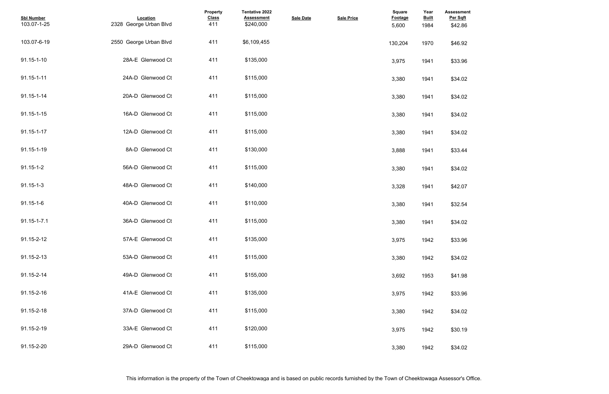| <b>Assessment</b><br>Per Sqft |  |  |  |
|-------------------------------|--|--|--|
| \$42.86                       |  |  |  |
| \$46.92                       |  |  |  |
| \$33.96                       |  |  |  |
| \$34.02                       |  |  |  |
| \$34.02                       |  |  |  |
| \$34.02                       |  |  |  |
| \$34.02                       |  |  |  |
| \$33.44                       |  |  |  |
| \$34.02                       |  |  |  |
| \$42.07                       |  |  |  |
| \$32.54                       |  |  |  |
| \$34.02                       |  |  |  |
| \$33.96                       |  |  |  |
| \$34.02                       |  |  |  |
| \$41.98                       |  |  |  |
| \$33.96                       |  |  |  |
| \$34.02                       |  |  |  |
| \$30.19                       |  |  |  |
| \$34.02                       |  |  |  |

| <b>Sbl Number</b><br>103.07-1-25 | Location<br>2328 George Urban Blvd | Property<br><b>Class</b><br>411 | Tentative 2022<br><b>Assessment</b><br>\$240,000 | <b>Sale Date</b> | <b>Sale Price</b> | <b>Square</b><br><b>Footage</b><br>5,600 | Year<br><b>Built</b><br>1984 | <b>Assessme</b><br>Per Sqft<br>\$42.86 |
|----------------------------------|------------------------------------|---------------------------------|--------------------------------------------------|------------------|-------------------|------------------------------------------|------------------------------|----------------------------------------|
| 103.07-6-19                      | 2550 George Urban Blvd             | 411                             | \$6,109,455                                      |                  |                   | 130,204                                  | 1970                         | \$46.92                                |
| 91.15-1-10                       | 28A-E Glenwood Ct                  | 411                             | \$135,000                                        |                  |                   | 3,975                                    | 1941                         | \$33.96                                |
| 91.15-1-11                       | 24A-D Glenwood Ct                  | 411                             | \$115,000                                        |                  |                   | 3,380                                    | 1941                         | \$34.02                                |
| 91.15-1-14                       | 20A-D Glenwood Ct                  | 411                             | \$115,000                                        |                  |                   | 3,380                                    | 1941                         | \$34.02                                |
| 91.15-1-15                       | 16A-D Glenwood Ct                  | 411                             | \$115,000                                        |                  |                   | 3,380                                    | 1941                         | \$34.02                                |
| 91.15-1-17                       | 12A-D Glenwood Ct                  | 411                             | \$115,000                                        |                  |                   | 3,380                                    | 1941                         | \$34.02                                |
| 91.15-1-19                       | 8A-D Glenwood Ct                   | 411                             | \$130,000                                        |                  |                   | 3,888                                    | 1941                         | \$33.44                                |
| $91.15 - 1 - 2$                  | 56A-D Glenwood Ct                  | 411                             | \$115,000                                        |                  |                   | 3,380                                    | 1941                         | \$34.02                                |
| $91.15 - 1 - 3$                  | 48A-D Glenwood Ct                  | 411                             | \$140,000                                        |                  |                   | 3,328                                    | 1941                         | \$42.07                                |
| $91.15 - 1 - 6$                  | 40A-D Glenwood Ct                  | 411                             | \$110,000                                        |                  |                   | 3,380                                    | 1941                         | \$32.54                                |
| 91.15-1-7.1                      | 36A-D Glenwood Ct                  | 411                             | \$115,000                                        |                  |                   | 3,380                                    | 1941                         | \$34.02                                |
| 91.15-2-12                       | 57A-E Glenwood Ct                  | 411                             | \$135,000                                        |                  |                   | 3,975                                    | 1942                         | \$33.96                                |
| 91.15-2-13                       | 53A-D Glenwood Ct                  | 411                             | \$115,000                                        |                  |                   | 3,380                                    | 1942                         | \$34.02                                |
| 91.15-2-14                       | 49A-D Glenwood Ct                  | 411                             | \$155,000                                        |                  |                   | 3,692                                    | 1953                         | \$41.98                                |
| 91.15-2-16                       | 41A-E Glenwood Ct                  | 411                             | \$135,000                                        |                  |                   | 3,975                                    | 1942                         | \$33.96                                |
| 91.15-2-18                       | 37A-D Glenwood Ct                  | 411                             | \$115,000                                        |                  |                   | 3,380                                    | 1942                         | \$34.02                                |
| 91.15-2-19                       | 33A-E Glenwood Ct                  | 411                             | \$120,000                                        |                  |                   | 3,975                                    | 1942                         | \$30.19                                |
| 91.15-2-20                       | 29A-D Glenwood Ct                  | 411                             | \$115,000                                        |                  |                   | 3,380                                    | 1942                         | \$34.02                                |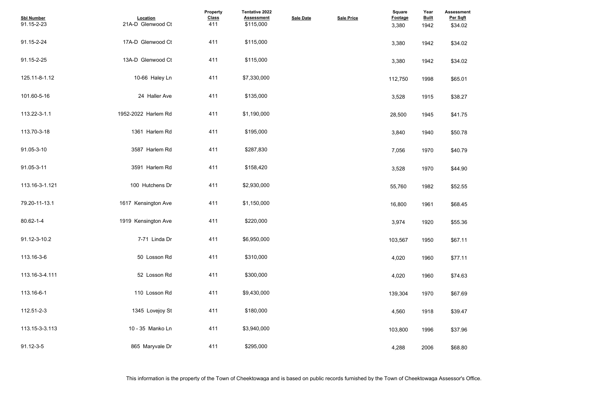| <b>Assessment</b><br>Per Sqft |  |  |  |
|-------------------------------|--|--|--|
| \$34.02                       |  |  |  |
| \$34.02                       |  |  |  |
| \$34.02                       |  |  |  |
| \$65.01                       |  |  |  |
| \$38.27                       |  |  |  |
| \$41.75                       |  |  |  |
| \$50.78                       |  |  |  |
| \$40.79                       |  |  |  |
| \$44.90                       |  |  |  |
| \$52.55                       |  |  |  |
| \$68.45                       |  |  |  |
| \$55.36                       |  |  |  |
| \$67.11                       |  |  |  |
| \$77.11                       |  |  |  |
| \$74.63                       |  |  |  |
| \$67.69                       |  |  |  |
| \$39.47                       |  |  |  |
| \$37.96                       |  |  |  |
| \$68.80                       |  |  |  |

| <b>Sbl Number</b><br>91.15-2-23 | Location<br>21A-D Glenwood Ct | Property<br><b>Class</b><br>411 | Tentative 2022<br><b>Assessment</b><br>\$115,000 | <b>Sale Date</b> | <b>Sale Price</b> | <b>Square</b><br><b>Footage</b><br>3,380 | Year<br><b>Built</b><br>1942 | <b>Assessme</b><br>Per Sqft<br>\$34.02 |
|---------------------------------|-------------------------------|---------------------------------|--------------------------------------------------|------------------|-------------------|------------------------------------------|------------------------------|----------------------------------------|
| 91.15-2-24                      | 17A-D Glenwood Ct             | 411                             | \$115,000                                        |                  |                   | 3,380                                    | 1942                         | \$34.02                                |
| 91.15-2-25                      | 13A-D Glenwood Ct             | 411                             | \$115,000                                        |                  |                   | 3,380                                    | 1942                         | \$34.02                                |
| 125.11-8-1.12                   | 10-66 Haley Ln                | 411                             | \$7,330,000                                      |                  |                   | 112,750                                  | 1998                         | \$65.01                                |
| 101.60-5-16                     | 24 Haller Ave                 | 411                             | \$135,000                                        |                  |                   | 3,528                                    | 1915                         | \$38.27                                |
| 113.22-3-1.1                    | 1952-2022 Harlem Rd           | 411                             | \$1,190,000                                      |                  |                   | 28,500                                   | 1945                         | \$41.75                                |
| 113.70-3-18                     | 1361 Harlem Rd                | 411                             | \$195,000                                        |                  |                   | 3,840                                    | 1940                         | \$50.78                                |
| 91.05-3-10                      | 3587 Harlem Rd                | 411                             | \$287,830                                        |                  |                   | 7,056                                    | 1970                         | \$40.79                                |
| 91.05-3-11                      | 3591 Harlem Rd                | 411                             | \$158,420                                        |                  |                   | 3,528                                    | 1970                         | \$44.90                                |
| 113.16-3-1.121                  | 100 Hutchens Dr               | 411                             | \$2,930,000                                      |                  |                   | 55,760                                   | 1982                         | \$52.55                                |
| 79.20-11-13.1                   | 1617 Kensington Ave           | 411                             | \$1,150,000                                      |                  |                   | 16,800                                   | 1961                         | \$68.45                                |
| 80.62-1-4                       | 1919 Kensington Ave           | 411                             | \$220,000                                        |                  |                   | 3,974                                    | 1920                         | \$55.36                                |
| 91.12-3-10.2                    | 7-71 Linda Dr                 | 411                             | \$6,950,000                                      |                  |                   | 103,567                                  | 1950                         | \$67.11                                |
| 113.16-3-6                      | 50 Losson Rd                  | 411                             | \$310,000                                        |                  |                   | 4,020                                    | 1960                         | \$77.11                                |
| 113.16-3-4.111                  | 52 Losson Rd                  | 411                             | \$300,000                                        |                  |                   | 4,020                                    | 1960                         | \$74.63                                |
| 113.16-6-1                      | 110 Losson Rd                 | 411                             | \$9,430,000                                      |                  |                   | 139,304                                  | 1970                         | \$67.69                                |
| 112.51-2-3                      | 1345 Lovejoy St               | 411                             | \$180,000                                        |                  |                   | 4,560                                    | 1918                         | \$39.47                                |
| 113.15-3-3.113                  | 10 - 35 Manko Ln              | 411                             | \$3,940,000                                      |                  |                   | 103,800                                  | 1996                         | \$37.96                                |
| 91.12-3-5                       | 865 Maryvale Dr               | 411                             | \$295,000                                        |                  |                   | 4,288                                    | 2006                         | \$68.80                                |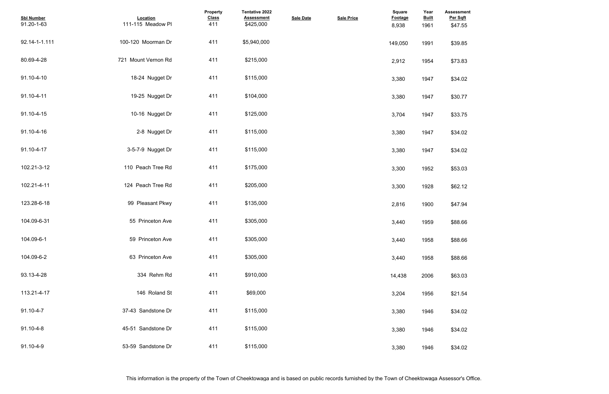| <b>Assessment</b><br>Per Sqft |  |  |  |
|-------------------------------|--|--|--|
| \$47.55                       |  |  |  |
|                               |  |  |  |
| \$39.85                       |  |  |  |
|                               |  |  |  |
| \$73.83                       |  |  |  |
| \$34.02                       |  |  |  |
|                               |  |  |  |
| \$30.77                       |  |  |  |
|                               |  |  |  |
| \$33.75                       |  |  |  |
|                               |  |  |  |
| \$34.02                       |  |  |  |
| \$34.02                       |  |  |  |
|                               |  |  |  |
| \$53.03                       |  |  |  |
|                               |  |  |  |
| \$62.12                       |  |  |  |
| \$47.94                       |  |  |  |
|                               |  |  |  |
| \$88.66                       |  |  |  |
|                               |  |  |  |
| \$88.66                       |  |  |  |
| \$88.66                       |  |  |  |
|                               |  |  |  |
| \$63.03                       |  |  |  |
|                               |  |  |  |
| \$21.54                       |  |  |  |
|                               |  |  |  |
| \$34.02                       |  |  |  |
| \$34.02                       |  |  |  |
|                               |  |  |  |
| \$34.02                       |  |  |  |

| <b>Sbl Number</b><br>91.20-1-63 | Location<br>111-115 Meadow Pl | <b>Property</b><br><b>Class</b><br>411 | Tentative 2022<br><b>Assessment</b><br>\$425,000 | <b>Sale Date</b> | <b>Sale Price</b> | Square<br><b>Footage</b><br>8,938 | Year<br><b>Built</b><br>1961 | <b>Assessme</b><br>Per Sqft<br>\$47.55 |
|---------------------------------|-------------------------------|----------------------------------------|--------------------------------------------------|------------------|-------------------|-----------------------------------|------------------------------|----------------------------------------|
| 92.14-1-1.111                   | 100-120 Moorman Dr            | 411                                    | \$5,940,000                                      |                  |                   | 149,050                           | 1991                         | \$39.85                                |
| 80.69-4-28                      | 721 Mount Vernon Rd           | 411                                    | \$215,000                                        |                  |                   | 2,912                             | 1954                         | \$73.83                                |
| 91.10-4-10                      | 18-24 Nugget Dr               | 411                                    | \$115,000                                        |                  |                   | 3,380                             | 1947                         | \$34.02                                |
| 91.10-4-11                      | 19-25 Nugget Dr               | 411                                    | \$104,000                                        |                  |                   | 3,380                             | 1947                         | \$30.77                                |
| 91.10-4-15                      | 10-16 Nugget Dr               | 411                                    | \$125,000                                        |                  |                   | 3,704                             | 1947                         | \$33.75                                |
| 91.10-4-16                      | 2-8 Nugget Dr                 | 411                                    | \$115,000                                        |                  |                   | 3,380                             | 1947                         | \$34.02                                |
| 91.10-4-17                      | 3-5-7-9 Nugget Dr             | 411                                    | \$115,000                                        |                  |                   | 3,380                             | 1947                         | \$34.02                                |
| 102.21-3-12                     | 110 Peach Tree Rd             | 411                                    | \$175,000                                        |                  |                   | 3,300                             | 1952                         | \$53.03                                |
| 102.21-4-11                     | 124 Peach Tree Rd             | 411                                    | \$205,000                                        |                  |                   | 3,300                             | 1928                         | \$62.12                                |
| 123.28-6-18                     | 99 Pleasant Pkwy              | 411                                    | \$135,000                                        |                  |                   | 2,816                             | 1900                         | \$47.94                                |
| 104.09-6-31                     | 55 Princeton Ave              | 411                                    | \$305,000                                        |                  |                   | 3,440                             | 1959                         | \$88.66                                |
| 104.09-6-1                      | 59 Princeton Ave              | 411                                    | \$305,000                                        |                  |                   | 3,440                             | 1958                         | \$88.66                                |
| 104.09-6-2                      | 63 Princeton Ave              | 411                                    | \$305,000                                        |                  |                   | 3,440                             | 1958                         | \$88.66                                |
| 93.13-4-28                      | 334 Rehm Rd                   | 411                                    | \$910,000                                        |                  |                   | 14,438                            | 2006                         | \$63.03                                |
| 113.21-4-17                     | 146 Roland St                 | 411                                    | \$69,000                                         |                  |                   | 3,204                             | 1956                         | \$21.54                                |
| 91.10-4-7                       | 37-43 Sandstone Dr            | 411                                    | \$115,000                                        |                  |                   | 3,380                             | 1946                         | \$34.02                                |
| 91.10-4-8                       | 45-51 Sandstone Dr            | 411                                    | \$115,000                                        |                  |                   | 3,380                             | 1946                         | \$34.02                                |
| 91.10-4-9                       | 53-59 Sandstone Dr            | 411                                    | \$115,000                                        |                  |                   | 3,380                             | 1946                         | \$34.02                                |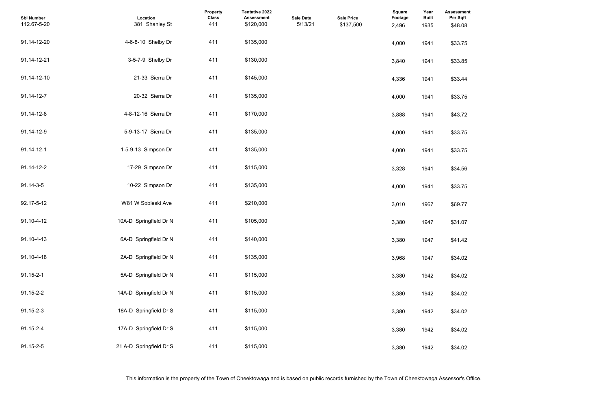| <b>Assessment</b><br>Per Sqft |  |  |  |
|-------------------------------|--|--|--|
| \$48.08                       |  |  |  |
| \$33.75                       |  |  |  |
| \$33.85                       |  |  |  |
| \$33.44                       |  |  |  |
| \$33.75                       |  |  |  |
| \$43.72                       |  |  |  |
| \$33.75                       |  |  |  |
| \$33.75                       |  |  |  |
| \$34.56                       |  |  |  |
| \$33.75                       |  |  |  |
| \$69.77                       |  |  |  |
| \$31.07                       |  |  |  |
| \$41.42                       |  |  |  |
| \$34.02                       |  |  |  |
| \$34.02                       |  |  |  |
| \$34.02                       |  |  |  |
| \$34.02                       |  |  |  |
| \$34.02                       |  |  |  |
| \$34.02                       |  |  |  |

| <b>Sbl Number</b><br>112.67-5-20 | Location<br>381 Shanley St | <b>Property</b><br><b>Class</b><br>411 | Tentative 2022<br><b>Assessment</b><br>\$120,000 | <b>Sale Date</b><br>5/13/21 | <b>Sale Price</b><br>\$137,500 | <b>Square</b><br>Footage<br>2,496 | Year<br><b>Built</b><br>1935 | <b>Assessme</b><br>Per Sqft<br>\$48.08 |
|----------------------------------|----------------------------|----------------------------------------|--------------------------------------------------|-----------------------------|--------------------------------|-----------------------------------|------------------------------|----------------------------------------|
| 91.14-12-20                      | 4-6-8-10 Shelby Dr         | 411                                    | \$135,000                                        |                             |                                | 4,000                             | 1941                         | \$33.75                                |
| 91.14-12-21                      | 3-5-7-9 Shelby Dr          | 411                                    | \$130,000                                        |                             |                                | 3,840                             | 1941                         | \$33.85                                |
| 91.14-12-10                      | 21-33 Sierra Dr            | 411                                    | \$145,000                                        |                             |                                | 4,336                             | 1941                         | \$33.44                                |
| 91.14-12-7                       | 20-32 Sierra Dr            | 411                                    | \$135,000                                        |                             |                                | 4,000                             | 1941                         | \$33.75                                |
| 91.14-12-8                       | 4-8-12-16 Sierra Dr        | 411                                    | \$170,000                                        |                             |                                | 3,888                             | 1941                         | \$43.72                                |
| 91.14-12-9                       | 5-9-13-17 Sierra Dr        | 411                                    | \$135,000                                        |                             |                                | 4,000                             | 1941                         | \$33.75                                |
| 91.14-12-1                       | 1-5-9-13 Simpson Dr        | 411                                    | \$135,000                                        |                             |                                | 4,000                             | 1941                         | \$33.75                                |
| 91.14-12-2                       | 17-29 Simpson Dr           | 411                                    | \$115,000                                        |                             |                                | 3,328                             | 1941                         | \$34.56                                |
| 91.14-3-5                        | 10-22 Simpson Dr           | 411                                    | \$135,000                                        |                             |                                | 4,000                             | 1941                         | \$33.75                                |
| 92.17-5-12                       | W81 W Sobieski Ave         | 411                                    | \$210,000                                        |                             |                                | 3,010                             | 1967                         | \$69.77                                |
| 91.10-4-12                       | 10A-D Springfield Dr N     | 411                                    | \$105,000                                        |                             |                                | 3,380                             | 1947                         | \$31.07                                |
| 91.10-4-13                       | 6A-D Springfield Dr N      | 411                                    | \$140,000                                        |                             |                                | 3,380                             | 1947                         | \$41.42                                |
| 91.10-4-18                       | 2A-D Springfield Dr N      | 411                                    | \$135,000                                        |                             |                                | 3,968                             | 1947                         | \$34.02                                |
| 91.15-2-1                        | 5A-D Springfield Dr N      | 411                                    | \$115,000                                        |                             |                                | 3,380                             | 1942                         | \$34.02                                |
| 91.15-2-2                        | 14A-D Springfield Dr N     | 411                                    | \$115,000                                        |                             |                                | 3,380                             | 1942                         | \$34.02                                |
| 91.15-2-3                        | 18A-D Springfield Dr S     | 411                                    | \$115,000                                        |                             |                                | 3,380                             | 1942                         | \$34.02                                |
| 91.15-2-4                        | 17A-D Springfield Dr S     | 411                                    | \$115,000                                        |                             |                                | 3,380                             | 1942                         | \$34.02                                |
| 91.15-2-5                        | 21 A-D Springfield Dr S    | 411                                    | \$115,000                                        |                             |                                | 3,380                             | 1942                         | \$34.02                                |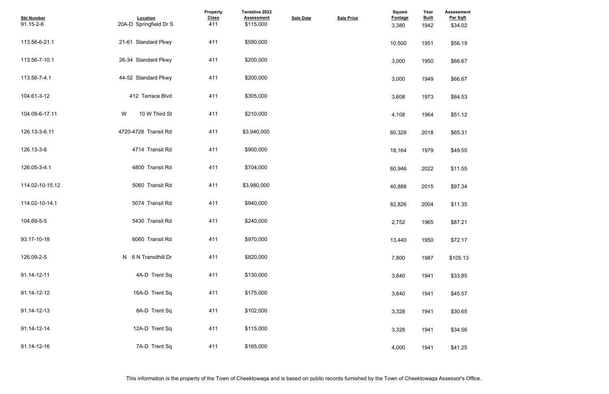| <b>Assessment</b><br>Per Sqft<br>\$34.02 |  |  |  |
|------------------------------------------|--|--|--|
| \$56.19                                  |  |  |  |
| \$66.67                                  |  |  |  |
| \$66.67                                  |  |  |  |
| \$84.53                                  |  |  |  |
| \$51.12                                  |  |  |  |
| \$65.31                                  |  |  |  |
| \$49.55                                  |  |  |  |
| \$11.55                                  |  |  |  |
| \$97.34                                  |  |  |  |
| \$11.35                                  |  |  |  |
| \$87.21                                  |  |  |  |
| \$72.17                                  |  |  |  |
| \$105.13                                 |  |  |  |
| \$33.85                                  |  |  |  |
| \$45.57                                  |  |  |  |
| \$30.65                                  |  |  |  |
| \$34.56                                  |  |  |  |
| \$41.25                                  |  |  |  |

| <b>Sbl Number</b><br>91.15-2-6 | Location<br>20A-D Springfield Dr S | Property<br><b>Class</b><br>411 | <b>Tentative 2022</b><br><b>Assessment</b><br>\$115,000 | <b>Sale Date</b> | <b>Sale Price</b> | <b>Square</b><br>Footage<br>3,380 | Year<br><b>Built</b><br>1942 | <b>Assessmer</b><br>Per Sqft<br>\$34.02 |
|--------------------------------|------------------------------------|---------------------------------|---------------------------------------------------------|------------------|-------------------|-----------------------------------|------------------------------|-----------------------------------------|
| 113.56-6-21.1                  | 21-61 Standard Pkwy                | 411                             | \$590,000                                               |                  |                   | 10,500                            | 1951                         | \$56.19                                 |
| 113.56-7-10.1                  | 26-34 Standard Pkwy                | 411                             | \$200,000                                               |                  |                   | 3,000                             | 1950                         | \$66.67                                 |
| 113.56-7-4.1                   | 44-52 Standard Pkwy                | 411                             | \$200,000                                               |                  |                   | 3,000                             | 1949                         | \$66.67                                 |
| 104.61-3-12                    | 412 Terrace Blvd                   | 411                             | \$305,000                                               |                  |                   | 3,608                             | 1973                         | \$84.53                                 |
| 104.09-6-17.11                 | W<br>10 W Third St                 | 411                             | \$210,000                                               |                  |                   | 4,108                             | 1964                         | \$51.12                                 |
| 126.13-3-6.11                  | 4720-4728 Transit Rd               | 411                             | \$3,940,000                                             |                  |                   | 60,328                            | 2018                         | \$65.31                                 |
| 126.13-3-8                     | 4714 Transit Rd                    | 411                             | \$900,000                                               |                  |                   | 18,164                            | 1979                         | \$49.55                                 |
| 126.05-3-4.1                   | 4800 Transit Rd                    | 411                             | \$704,000                                               |                  |                   | 60,946                            | 2022                         | \$11.55                                 |
| 114.02-10-15.12                | 5060 Transit Rd                    | 411                             | \$3,980,000                                             |                  |                   | 40,888                            | 2015                         | \$97.34                                 |
| 114.02-10-14.1                 | 5074 Transit Rd                    | 411                             | \$940,000                                               |                  |                   | 82,826                            | 2004                         | \$11.35                                 |
| 104.69-5-5                     | 5430 Transit Rd                    | 411                             | \$240,000                                               |                  |                   | 2,752                             | 1965                         | \$87.21                                 |
| 93.17-10-18                    | 6060 Transit Rd                    | 411                             | \$970,000                                               |                  |                   | 13,440                            | 1950                         | \$72.17                                 |
| 126.09-2-5                     | N 6 N Transithill Dr               | 411                             | \$820,000                                               |                  |                   | 7,800                             | 1987                         | \$105.13                                |
| 91.14-12-11                    | 4A-D Trent Sq                      | 411                             | \$130,000                                               |                  |                   | 3,840                             | 1941                         | \$33.85                                 |
| 91.14-12-12                    | 16A-D Trent Sq                     | 411                             | \$175,000                                               |                  |                   | 3,840                             | 1941                         | \$45.57                                 |
| 91.14-12-13                    | 8A-D Trent Sq                      | 411                             | \$102,000                                               |                  |                   | 3,328                             | 1941                         | \$30.65                                 |
| 91.14-12-14                    | 12A-D Trent Sq                     | 411                             | \$115,000                                               |                  |                   | 3,328                             | 1941                         | \$34.56                                 |
| 91.14-12-16                    | 7A-D Trent Sq                      | 411                             | \$165,000                                               |                  |                   | 4,000                             | 1941                         | \$41.25                                 |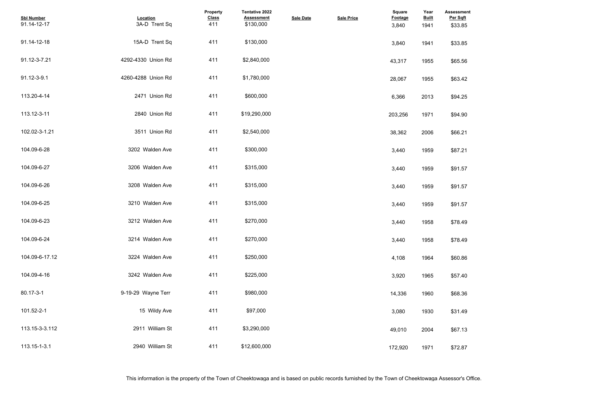| <b>Assessment</b><br>Per Sqft<br>\$33.85 |  |  |  |
|------------------------------------------|--|--|--|
| \$33.85                                  |  |  |  |
| \$65.56                                  |  |  |  |
| \$63.42                                  |  |  |  |
| \$94.25                                  |  |  |  |
| \$94.90                                  |  |  |  |
| \$66.21                                  |  |  |  |
| \$87.21                                  |  |  |  |
| \$91.57                                  |  |  |  |
| \$91.57                                  |  |  |  |
| \$91.57                                  |  |  |  |
| \$78.49                                  |  |  |  |
| \$78.49                                  |  |  |  |
| \$60.86                                  |  |  |  |
| \$57.40                                  |  |  |  |
| \$68.36                                  |  |  |  |
| \$31.49                                  |  |  |  |
| \$67.13                                  |  |  |  |
| \$72.87                                  |  |  |  |

| <b>Sbl Number</b><br>91.14-12-17 | Location<br>3A-D Trent Sq | Property<br><b>Class</b><br>411 | Tentative 2022<br><b>Assessment</b><br>\$130,000 | <b>Sale Date</b> | <b>Sale Price</b> | <b>Square</b><br><b>Footage</b><br>3,840 | Year<br><b>Built</b><br>1941 | <b>Assessme</b><br>Per Sqft<br>\$33.85 |
|----------------------------------|---------------------------|---------------------------------|--------------------------------------------------|------------------|-------------------|------------------------------------------|------------------------------|----------------------------------------|
| 91.14-12-18                      | 15A-D Trent Sq            | 411                             | \$130,000                                        |                  |                   | 3,840                                    | 1941                         | \$33.85                                |
| 91.12-3-7.21                     | 4292-4330 Union Rd        | 411                             | \$2,840,000                                      |                  |                   | 43,317                                   | 1955                         | \$65.56                                |
| 91.12-3-9.1                      | 4260-4288 Union Rd        | 411                             | \$1,780,000                                      |                  |                   | 28,067                                   | 1955                         | \$63.42                                |
| 113.20-4-14                      | 2471 Union Rd             | 411                             | \$600,000                                        |                  |                   | 6,366                                    | 2013                         | \$94.25                                |
| 113.12-3-11                      | 2840 Union Rd             | 411                             | \$19,290,000                                     |                  |                   | 203,256                                  | 1971                         | \$94.90                                |
| 102.02-3-1.21                    | 3511 Union Rd             | 411                             | \$2,540,000                                      |                  |                   | 38,362                                   | 2006                         | \$66.21                                |
| 104.09-6-28                      | 3202 Walden Ave           | 411                             | \$300,000                                        |                  |                   | 3,440                                    | 1959                         | \$87.21                                |
| 104.09-6-27                      | 3206 Walden Ave           | 411                             | \$315,000                                        |                  |                   | 3,440                                    | 1959                         | \$91.57                                |
| 104.09-6-26                      | 3208 Walden Ave           | 411                             | \$315,000                                        |                  |                   | 3,440                                    | 1959                         | \$91.57                                |
| 104.09-6-25                      | 3210 Walden Ave           | 411                             | \$315,000                                        |                  |                   | 3,440                                    | 1959                         | \$91.57                                |
| 104.09-6-23                      | 3212 Walden Ave           | 411                             | \$270,000                                        |                  |                   | 3,440                                    | 1958                         | \$78.49                                |
| 104.09-6-24                      | 3214 Walden Ave           | 411                             | \$270,000                                        |                  |                   | 3,440                                    | 1958                         | \$78.49                                |
| 104.09-6-17.12                   | 3224 Walden Ave           | 411                             | \$250,000                                        |                  |                   | 4,108                                    | 1964                         | \$60.86                                |
| 104.09-4-16                      | 3242 Walden Ave           | 411                             | \$225,000                                        |                  |                   | 3,920                                    | 1965                         | \$57.40                                |
| 80.17-3-1                        | 9-19-29 Wayne Terr        | 411                             | \$980,000                                        |                  |                   | 14,336                                   | 1960                         | \$68.36                                |
| 101.52-2-1                       | 15 Wildy Ave              | 411                             | \$97,000                                         |                  |                   | 3,080                                    | 1930                         | \$31.49                                |
| 113.15-3-3.112                   | 2911 William St           | 411                             | \$3,290,000                                      |                  |                   | 49,010                                   | 2004                         | \$67.13                                |
| 113.15-1-3.1                     | 2940 William St           | 411                             | \$12,600,000                                     |                  |                   | 172,920                                  | 1971                         | \$72.87                                |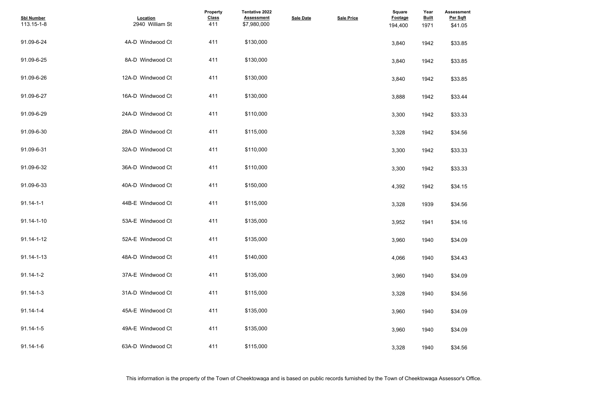| <b>Assessment</b><br>Per Sqft |  |  |  |
|-------------------------------|--|--|--|
| \$41.05                       |  |  |  |
|                               |  |  |  |
| \$33.85                       |  |  |  |
|                               |  |  |  |
| \$33.85                       |  |  |  |
|                               |  |  |  |
| \$33.85                       |  |  |  |
| \$33.44                       |  |  |  |
|                               |  |  |  |
| \$33.33                       |  |  |  |
|                               |  |  |  |
| \$34.56                       |  |  |  |
|                               |  |  |  |
| \$33.33                       |  |  |  |
|                               |  |  |  |
| \$33.33                       |  |  |  |
| \$34.15                       |  |  |  |
|                               |  |  |  |
| \$34.56                       |  |  |  |
|                               |  |  |  |
| \$34.16                       |  |  |  |
|                               |  |  |  |
| \$34.09                       |  |  |  |
| \$34.43                       |  |  |  |
|                               |  |  |  |
| \$34.09                       |  |  |  |
|                               |  |  |  |
| \$34.56                       |  |  |  |
|                               |  |  |  |
| \$34.09                       |  |  |  |
| \$34.09                       |  |  |  |
|                               |  |  |  |
| \$34.56                       |  |  |  |
|                               |  |  |  |

| <b>Sbl Number</b><br>113.15-1-8 | Location<br>2940 William St | Property<br><b>Class</b><br>411 | Tentative 2022<br><b>Assessment</b><br>\$7,980,000 | <b>Sale Date</b> | <b>Sale Price</b> | <b>Square</b><br><b>Footage</b><br>194,400 | Year<br><b>Built</b><br>1971 | <b>Assessme</b><br>Per Sqft<br>\$41.05 |
|---------------------------------|-----------------------------|---------------------------------|----------------------------------------------------|------------------|-------------------|--------------------------------------------|------------------------------|----------------------------------------|
| 91.09-6-24                      | 4A-D Windwood Ct            | 411                             | \$130,000                                          |                  |                   | 3,840                                      | 1942                         | \$33.85                                |
| 91.09-6-25                      | 8A-D Windwood Ct            | 411                             | \$130,000                                          |                  |                   | 3,840                                      | 1942                         | \$33.85                                |
| 91.09-6-26                      | 12A-D Windwood Ct           | 411                             | \$130,000                                          |                  |                   | 3,840                                      | 1942                         | \$33.85                                |
| 91.09-6-27                      | 16A-D Windwood Ct           | 411                             | \$130,000                                          |                  |                   | 3,888                                      | 1942                         | \$33.44                                |
| 91.09-6-29                      | 24A-D Windwood Ct           | 411                             | \$110,000                                          |                  |                   | 3,300                                      | 1942                         | \$33.33                                |
| 91.09-6-30                      | 28A-D Windwood Ct           | 411                             | \$115,000                                          |                  |                   | 3,328                                      | 1942                         | \$34.56                                |
| 91.09-6-31                      | 32A-D Windwood Ct           | 411                             | \$110,000                                          |                  |                   | 3,300                                      | 1942                         | \$33.33                                |
| 91.09-6-32                      | 36A-D Windwood Ct           | 411                             | \$110,000                                          |                  |                   | 3,300                                      | 1942                         | \$33.33                                |
| 91.09-6-33                      | 40A-D Windwood Ct           | 411                             | \$150,000                                          |                  |                   | 4,392                                      | 1942                         | \$34.15                                |
| $91.14 - 1 - 1$                 | 44B-E Windwood Ct           | 411                             | \$115,000                                          |                  |                   | 3,328                                      | 1939                         | \$34.56                                |
| 91.14-1-10                      | 53A-E Windwood Ct           | 411                             | \$135,000                                          |                  |                   | 3,952                                      | 1941                         | \$34.16                                |
| 91.14-1-12                      | 52A-E Windwood Ct           | 411                             | \$135,000                                          |                  |                   | 3,960                                      | 1940                         | \$34.09                                |
| 91.14-1-13                      | 48A-D Windwood Ct           | 411                             | \$140,000                                          |                  |                   | 4,066                                      | 1940                         | \$34.43                                |
| $91.14 - 1 - 2$                 | 37A-E Windwood Ct           | 411                             | \$135,000                                          |                  |                   | 3,960                                      | 1940                         | \$34.09                                |
| $91.14 - 1 - 3$                 | 31A-D Windwood Ct           | 411                             | \$115,000                                          |                  |                   | 3,328                                      | 1940                         | \$34.56                                |
| $91.14 - 1 - 4$                 | 45A-E Windwood Ct           | 411                             | \$135,000                                          |                  |                   | 3,960                                      | 1940                         | \$34.09                                |
| $91.14 - 1 - 5$                 | 49A-E Windwood Ct           | 411                             | \$135,000                                          |                  |                   | 3,960                                      | 1940                         | \$34.09                                |
| $91.14 - 1 - 6$                 | 63A-D Windwood Ct           | 411                             | \$115,000                                          |                  |                   | 3,328                                      | 1940                         | \$34.56                                |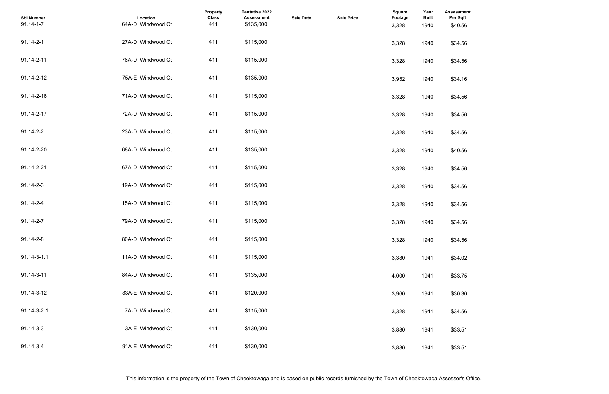| <b>Assessment</b><br>Per Sqft |  |  |  |
|-------------------------------|--|--|--|
| \$40.56                       |  |  |  |
|                               |  |  |  |
| \$34.56                       |  |  |  |
|                               |  |  |  |
| \$34.56                       |  |  |  |
| \$34.16                       |  |  |  |
|                               |  |  |  |
| \$34.56                       |  |  |  |
|                               |  |  |  |
| \$34.56                       |  |  |  |
| \$34.56                       |  |  |  |
|                               |  |  |  |
| \$40.56                       |  |  |  |
|                               |  |  |  |
| \$34.56                       |  |  |  |
|                               |  |  |  |
| \$34.56                       |  |  |  |
| \$34.56                       |  |  |  |
|                               |  |  |  |
| \$34.56                       |  |  |  |
|                               |  |  |  |
| \$34.56                       |  |  |  |
| \$34.02                       |  |  |  |
|                               |  |  |  |
| \$33.75                       |  |  |  |
|                               |  |  |  |
| \$30.30                       |  |  |  |
| \$34.56                       |  |  |  |
|                               |  |  |  |
| \$33.51                       |  |  |  |
|                               |  |  |  |
| \$33.51                       |  |  |  |

| <b>Sbl Number</b><br>$91.14 - 1 - 7$ | Location<br>64A-D Windwood Ct | Property<br><b>Class</b><br>411 | Tentative 2022<br><b>Assessment</b><br>\$135,000 | <b>Sale Date</b> | <b>Sale Price</b> | <b>Square</b><br><b>Footage</b><br>3,328 | Year<br><b>Built</b><br>1940 | <b>Assessme</b><br>Per Sqft<br>\$40.56 |
|--------------------------------------|-------------------------------|---------------------------------|--------------------------------------------------|------------------|-------------------|------------------------------------------|------------------------------|----------------------------------------|
| 91.14-2-1                            | 27A-D Windwood Ct             | 411                             | \$115,000                                        |                  |                   | 3,328                                    | 1940                         | \$34.56                                |
| 91.14-2-11                           | 76A-D Windwood Ct             | 411                             | \$115,000                                        |                  |                   | 3,328                                    | 1940                         | \$34.56                                |
| 91.14-2-12                           | 75A-E Windwood Ct             | 411                             | \$135,000                                        |                  |                   | 3,952                                    | 1940                         | \$34.16                                |
| 91.14-2-16                           | 71A-D Windwood Ct             | 411                             | \$115,000                                        |                  |                   | 3,328                                    | 1940                         | \$34.56                                |
| 91.14-2-17                           | 72A-D Windwood Ct             | 411                             | \$115,000                                        |                  |                   | 3,328                                    | 1940                         | \$34.56                                |
| 91.14-2-2                            | 23A-D Windwood Ct             | 411                             | \$115,000                                        |                  |                   | 3,328                                    | 1940                         | \$34.56                                |
| 91.14-2-20                           | 68A-D Windwood Ct             | 411                             | \$135,000                                        |                  |                   | 3,328                                    | 1940                         | \$40.56                                |
| 91.14-2-21                           | 67A-D Windwood Ct             | 411                             | \$115,000                                        |                  |                   | 3,328                                    | 1940                         | \$34.56                                |
| 91.14-2-3                            | 19A-D Windwood Ct             | 411                             | \$115,000                                        |                  |                   | 3,328                                    | 1940                         | \$34.56                                |
| 91.14-2-4                            | 15A-D Windwood Ct             | 411                             | \$115,000                                        |                  |                   | 3,328                                    | 1940                         | \$34.56                                |
| 91.14-2-7                            | 79A-D Windwood Ct             | 411                             | \$115,000                                        |                  |                   | 3,328                                    | 1940                         | \$34.56                                |
| 91.14-2-8                            | 80A-D Windwood Ct             | 411                             | \$115,000                                        |                  |                   | 3,328                                    | 1940                         | \$34.56                                |
| 91.14-3-1.1                          | 11A-D Windwood Ct             | 411                             | \$115,000                                        |                  |                   | 3,380                                    | 1941                         | \$34.02                                |
| 91.14-3-11                           | 84A-D Windwood Ct             | 411                             | \$135,000                                        |                  |                   | 4,000                                    | 1941                         | \$33.75                                |
| 91.14-3-12                           | 83A-E Windwood Ct             | 411                             | \$120,000                                        |                  |                   | 3,960                                    | 1941                         | \$30.30                                |
| 91.14-3-2.1                          | 7A-D Windwood Ct              | 411                             | \$115,000                                        |                  |                   | 3,328                                    | 1941                         | \$34.56                                |
| $91.14 - 3 - 3$                      | 3A-E Windwood Ct              | 411                             | \$130,000                                        |                  |                   | 3,880                                    | 1941                         | \$33.51                                |
| 91.14-3-4                            | 91A-E Windwood Ct             | 411                             | \$130,000                                        |                  |                   | 3,880                                    | 1941                         | \$33.51                                |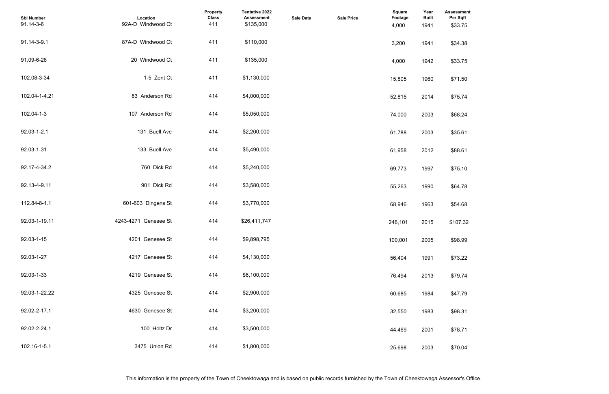| <b>Assessment</b><br>Per Sqft |  |  |  |
|-------------------------------|--|--|--|
| \$33.75                       |  |  |  |
| \$34.38                       |  |  |  |
| \$33.75                       |  |  |  |
| \$71.50                       |  |  |  |
| \$75.74                       |  |  |  |
| \$68.24                       |  |  |  |
| \$35.61                       |  |  |  |
| \$88.61                       |  |  |  |
| \$75.10                       |  |  |  |
| \$64.78                       |  |  |  |
| \$54.68                       |  |  |  |
| \$107.32                      |  |  |  |
| \$98.99                       |  |  |  |
| \$73.22                       |  |  |  |
| \$79.74                       |  |  |  |
| \$47.79                       |  |  |  |
| \$98.31                       |  |  |  |
| \$78.71                       |  |  |  |
| \$70.04                       |  |  |  |

| <b>Sbl Number</b><br>91.14-3-6 | Location<br>92A-D Windwood Ct | Property<br><b>Class</b><br>411 | <b>Tentative 2022</b><br><b>Assessment</b><br>\$135,000 | <b>Sale Date</b> | <b>Sale Price</b> | <b>Square</b><br>Footage<br>4,000 | Year<br><b>Built</b><br>1941 | <b>Assessmer</b><br>Per Sqft<br>\$33.75 |
|--------------------------------|-------------------------------|---------------------------------|---------------------------------------------------------|------------------|-------------------|-----------------------------------|------------------------------|-----------------------------------------|
| 91.14-3-9.1                    | 87A-D Windwood Ct             | 411                             | \$110,000                                               |                  |                   | 3,200                             | 1941                         | \$34.38                                 |
| 91.09-6-28                     | 20 Windwood Ct                | 411                             | \$135,000                                               |                  |                   | 4,000                             | 1942                         | \$33.75                                 |
| 102.08-3-34                    | 1-5 Zent Ct                   | 411                             | \$1,130,000                                             |                  |                   | 15,805                            | 1960                         | \$71.50                                 |
| 102.04-1-4.21                  | 83 Anderson Rd                | 414                             | \$4,000,000                                             |                  |                   | 52,815                            | 2014                         | \$75.74                                 |
| 102.04-1-3                     | 107 Anderson Rd               | 414                             | \$5,050,000                                             |                  |                   | 74,000                            | 2003                         | \$68.24                                 |
| 92.03-1-2.1                    | 131 Buell Ave                 | 414                             | \$2,200,000                                             |                  |                   | 61,788                            | 2003                         | \$35.61                                 |
| 92.03-1-31                     | 133 Buell Ave                 | 414                             | \$5,490,000                                             |                  |                   | 61,958                            | 2012                         | \$88.61                                 |
| 92.17-4-34.2                   | 760 Dick Rd                   | 414                             | \$5,240,000                                             |                  |                   | 69,773                            | 1997                         | \$75.10                                 |
| 92.13-4-9.11                   | 901 Dick Rd                   | 414                             | \$3,580,000                                             |                  |                   | 55,263                            | 1990                         | \$64.78                                 |
| 112.84-8-1.1                   | 601-603 Dingens St            | 414                             | \$3,770,000                                             |                  |                   | 68,946                            | 1963                         | \$54.68                                 |
| 92.03-1-19.11                  | 4243-4271 Genesee St          | 414                             | \$26,411,747                                            |                  |                   | 246,101                           | 2015                         | \$107.32                                |
| 92.03-1-15                     | 4201 Genesee St               | 414                             | \$9,898,795                                             |                  |                   | 100,001                           | 2005                         | \$98.99                                 |
| 92.03-1-27                     | 4217 Genesee St               | 414                             | \$4,130,000                                             |                  |                   | 56,404                            | 1991                         | \$73.22                                 |
| 92.03-1-33                     | 4219 Genesee St               | 414                             | \$6,100,000                                             |                  |                   | 76,494                            | 2013                         | \$79.74                                 |
| 92.03-1-22.22                  | 4325 Genesee St               | 414                             | \$2,900,000                                             |                  |                   | 60,685                            | 1984                         | \$47.79                                 |
| 92.02-2-17.1                   | 4630 Genesee St               | 414                             | \$3,200,000                                             |                  |                   | 32,550                            | 1983                         | \$98.31                                 |
| 92.02-2-24.1                   | 100 Holtz Dr                  | 414                             | \$3,500,000                                             |                  |                   | 44,469                            | 2001                         | \$78.71                                 |
| 102.16-1-5.1                   | 3475 Union Rd                 | 414                             | \$1,800,000                                             |                  |                   | 25,698                            | 2003                         | \$70.04                                 |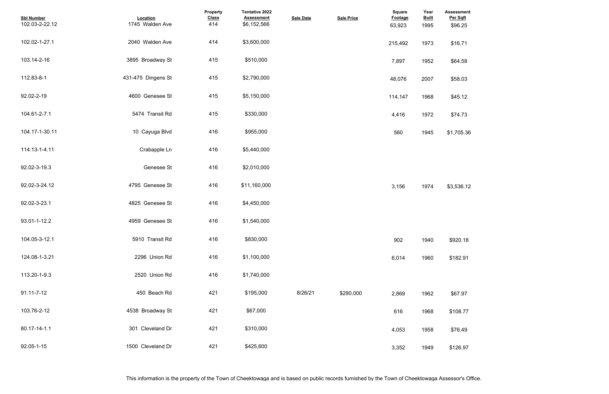| <b>Sbl Number</b><br>102.03-2-22.12 | Location<br>1745 Walden Ave | <b>Property</b><br><b>Class</b><br>414 | Tentative 2022<br><b>Assessment</b><br>\$6,152,566 | <b>Sale Date</b> | <b>Sale Price</b> | <b>Square</b><br><b>Footage</b><br>63,923 | Year<br><b>Built</b><br>1995 | <b>Assessment</b><br>Per Sqft<br>\$96.25 |
|-------------------------------------|-----------------------------|----------------------------------------|----------------------------------------------------|------------------|-------------------|-------------------------------------------|------------------------------|------------------------------------------|
| 102.02-1-27.1                       | 2040 Walden Ave             | 414                                    | \$3,600,000                                        |                  |                   | 215,492                                   | 1973                         | \$16.71                                  |
| 103.14-2-16                         | 3895 Broadway St            | 415                                    | \$510,000                                          |                  |                   | 7,897                                     | 1952                         | \$64.58                                  |
| 112.83-8-1                          | 431-475 Dingens St          | 415                                    | \$2,790,000                                        |                  |                   | 48,076                                    | 2007                         | \$58.03                                  |
| 92.02-2-19                          | 4600 Genesee St             | 415                                    | \$5,150,000                                        |                  |                   | 114,147                                   | 1968                         | \$45.12                                  |
| 104.61-2-7.1                        | 5474 Transit Rd             | 415                                    | \$330,000                                          |                  |                   | 4,416                                     | 1972                         | \$74.73                                  |
| 104.17-1-30.11                      | 10 Cayuga Blvd              | 416                                    | \$955,000                                          |                  |                   | 560                                       | 1945                         | \$1,705.36                               |
| 114.13-1-4.11                       | Crabapple Ln                | 416                                    | \$5,440,000                                        |                  |                   |                                           |                              |                                          |
| 92.02-3-19.3                        | Genesee St                  | 416                                    | \$2,010,000                                        |                  |                   |                                           |                              |                                          |
| 92.02-3-24.12                       | 4795 Genesee St             | 416                                    | \$11,160,000                                       |                  |                   | 3,156                                     | 1974                         | \$3,536.12                               |
| 92.02-3-23.1                        | 4825 Genesee St             | 416                                    | \$4,450,000                                        |                  |                   |                                           |                              |                                          |
| 93.01-1-12.2                        | 4959 Genesee St             | 416                                    | \$1,540,000                                        |                  |                   |                                           |                              |                                          |
| 104.05-3-12.1                       | 5910 Transit Rd             | 416                                    | \$830,000                                          |                  |                   | 902                                       | 1940                         | \$920.18                                 |
| 124.08-1-3.21                       | 2296 Union Rd               | 416                                    | \$1,100,000                                        |                  |                   | 6,014                                     | 1960                         | \$182.91                                 |
| 113.20-1-9.3                        | 2520 Union Rd               | 416                                    | \$1,740,000                                        |                  |                   |                                           |                              |                                          |
| $91.11 - 7 - 12$                    | 450 Beach Rd                | 421                                    | \$195,000                                          | 8/26/21          | \$290.000         | 2,869                                     | 1962                         | \$67.97                                  |
| 103.76-2-12                         | 4538 Broadway St            | 421                                    | \$67,000                                           |                  |                   | 616                                       | 1968                         | \$108.77                                 |
| 80.17-14-1.1                        | 301 Cleveland Dr            | 421                                    | \$310,000                                          |                  |                   | 4,053                                     | 1958                         | \$76.49                                  |
| 92.05-1-15                          | 1500 Cleveland Dr           | 421                                    | \$425,600                                          |                  |                   | 3,352                                     | 1949                         | \$126.97                                 |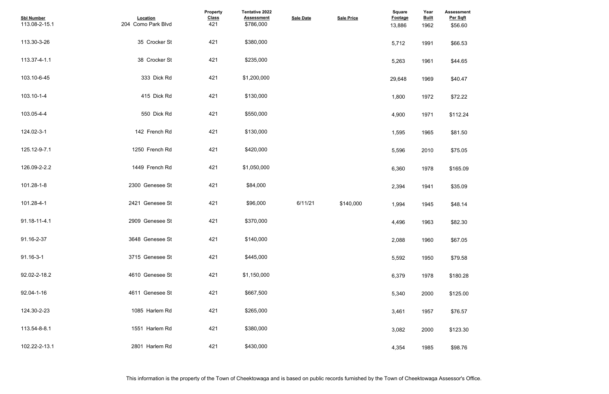| <b>Assessment</b><br>Per Sqft |  |  |
|-------------------------------|--|--|
| \$56.60                       |  |  |
| \$66.53                       |  |  |
| \$44.65                       |  |  |
| \$40.47                       |  |  |
| \$72.22                       |  |  |
| \$112.24                      |  |  |
| \$81.50                       |  |  |
| \$75.05                       |  |  |
| \$165.09                      |  |  |
| \$35.09                       |  |  |
| \$48.14                       |  |  |
| \$82.30                       |  |  |
| \$67.05                       |  |  |
| \$79.58                       |  |  |
| \$180.28                      |  |  |
| \$125.00                      |  |  |
| \$76.57                       |  |  |
| \$123.30                      |  |  |
| \$98.76                       |  |  |

| <b>Sbl Number</b><br>113.08-2-15.1 | Location<br>204 Como Park Blvd | <b>Property</b><br><b>Class</b><br>421 | Tentative 2022<br><b>Assessment</b><br>\$786,000 | <b>Sale Date</b> | <b>Sale Price</b> | <b>Square</b><br>Footage<br>13,886 | Year<br><b>Built</b><br>1962 | <b>Assessmer</b><br>Per Sqft<br>\$56.60 |
|------------------------------------|--------------------------------|----------------------------------------|--------------------------------------------------|------------------|-------------------|------------------------------------|------------------------------|-----------------------------------------|
| 113.30-3-26                        | 35 Crocker St                  | 421                                    | \$380,000                                        |                  |                   | 5,712                              | 1991                         | \$66.53                                 |
| 113.37-4-1.1                       | 38 Crocker St                  | 421                                    | \$235,000                                        |                  |                   | 5,263                              | 1961                         | \$44.65                                 |
| 103.10-6-45                        | 333 Dick Rd                    | 421                                    | \$1,200,000                                      |                  |                   | 29,648                             | 1969                         | \$40.47                                 |
| 103.10-1-4                         | 415 Dick Rd                    | 421                                    | \$130,000                                        |                  |                   | 1,800                              | 1972                         | \$72.22                                 |
| 103.05-4-4                         | 550 Dick Rd                    | 421                                    | \$550,000                                        |                  |                   | 4,900                              | 1971                         | \$112.24                                |
| 124.02-3-1                         | 142 French Rd                  | 421                                    | \$130,000                                        |                  |                   | 1,595                              | 1965                         | \$81.50                                 |
| 125.12-9-7.1                       | 1250 French Rd                 | 421                                    | \$420,000                                        |                  |                   | 5,596                              | 2010                         | \$75.05                                 |
| 126.09-2-2.2                       | 1449 French Rd                 | 421                                    | \$1,050,000                                      |                  |                   | 6,360                              | 1978                         | \$165.09                                |
| 101.28-1-8                         | 2300 Genesee St                | 421                                    | \$84,000                                         |                  |                   | 2,394                              | 1941                         | \$35.09                                 |
| 101.28-4-1                         | 2421 Genesee St                | 421                                    | \$96,000                                         | 6/11/21          | \$140,000         | 1,994                              | 1945                         | \$48.14                                 |
| 91.18-11-4.1                       | 2909 Genesee St                | 421                                    | \$370,000                                        |                  |                   | 4,496                              | 1963                         | \$82.30                                 |
| 91.16-2-37                         | 3648 Genesee St                | 421                                    | \$140,000                                        |                  |                   | 2,088                              | 1960                         | \$67.05                                 |
| 91.16-3-1                          | 3715 Genesee St                | 421                                    | \$445,000                                        |                  |                   | 5,592                              | 1950                         | \$79.58                                 |
| 92.02-2-18.2                       | 4610 Genesee St                | 421                                    | \$1,150,000                                      |                  |                   | 6,379                              | 1978                         | \$180.28                                |
| 92.04-1-16                         | 4611 Genesee St                | 421                                    | \$667,500                                        |                  |                   | 5,340                              | 2000                         | \$125.00                                |
| 124.30-2-23                        | 1085 Harlem Rd                 | 421                                    | \$265,000                                        |                  |                   | 3,461                              | 1957                         | \$76.57                                 |
| 113.54-8-8.1                       | 1551 Harlem Rd                 | 421                                    | \$380,000                                        |                  |                   | 3,082                              | 2000                         | \$123.30                                |
| 102.22-2-13.1                      | 2801 Harlem Rd                 | 421                                    | \$430,000                                        |                  |                   | 4,354                              | 1985                         | \$98.76                                 |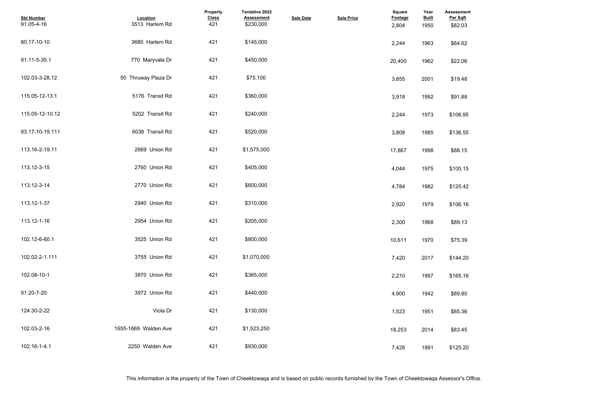| <b>Assessment</b><br>Per Sqft<br>\$82.03 |  |  |
|------------------------------------------|--|--|
| \$64.62                                  |  |  |
| \$22.06                                  |  |  |
| \$19.48                                  |  |  |
| \$91.88                                  |  |  |
| \$106.95                                 |  |  |
| \$136.55                                 |  |  |
| \$88.15                                  |  |  |
| \$100.15                                 |  |  |
| \$125.42                                 |  |  |
| \$106.16                                 |  |  |
| \$89.13                                  |  |  |
| \$75.39                                  |  |  |
| \$144.20                                 |  |  |
| \$165.16                                 |  |  |
| \$89.80                                  |  |  |
| \$85.36                                  |  |  |
| \$83.45                                  |  |  |
| \$125.20                                 |  |  |

| <b>Sbl Number</b><br>91.05-4-16 | Location<br>3513 Harlem Rd | Property<br><b>Class</b><br>421 | <b>Tentative 2022</b><br><b>Assessment</b><br>\$230,000 | <b>Sale Date</b> | <b>Sale Price</b> | <b>Square</b><br>Footage<br>2,804 | Year<br><b>Built</b><br>1950 | <b>Assessmer</b><br>Per Sqft<br>\$82.03 |
|---------------------------------|----------------------------|---------------------------------|---------------------------------------------------------|------------------|-------------------|-----------------------------------|------------------------------|-----------------------------------------|
| 80.17-10-10                     | 3680 Harlem Rd             | 421                             | \$145,000                                               |                  |                   | 2,244                             | 1963                         | \$64.62                                 |
| 91.11-5-35.1                    | 770 Maryvale Dr            | 421                             | \$450,000                                               |                  |                   | 20,400                            | 1962                         | \$22.06                                 |
| 102.03-3-28.12                  | 50 Thruway Plaza Dr        | 421                             | \$75,100                                                |                  |                   | 3,855                             | 2001                         | \$19.48                                 |
| 115.05-12-13.1                  | 5176 Transit Rd            | 421                             | \$360,000                                               |                  |                   | 3,918                             | 1992                         | \$91.88                                 |
| 115.05-12-10.12                 | 5202 Transit Rd            | 421                             | \$240,000                                               |                  |                   | 2,244                             | 1973                         | \$106.95                                |
| 93.17-10-19.111                 | 6036 Transit Rd            | 421                             | \$520,000                                               |                  |                   | 3,808                             | 1985                         | \$136.55                                |
| 113.16-2-19.11                  | 2669 Union Rd              | 421                             | \$1,575,000                                             |                  |                   | 17,867                            | 1998                         | \$88.15                                 |
| 113.12-3-15                     | 2760 Union Rd              | 421                             | \$405,000                                               |                  |                   | 4,044                             | 1975                         | \$100.15                                |
| 113.12-3-14                     | 2770 Union Rd              | 421                             | \$600,000                                               |                  |                   | 4,784                             | 1982                         | \$125.42                                |
| 113.12-1-37                     | 2940 Union Rd              | 421                             | \$310,000                                               |                  |                   | 2,920                             | 1979                         | \$106.16                                |
| 113.12-1-16                     | 2954 Union Rd              | 421                             | \$205,000                                               |                  |                   | 2,300                             | 1968                         | \$89.13                                 |
| 102.12-6-60.1                   | 3525 Union Rd              | 421                             | \$800,000                                               |                  |                   | 10,611                            | 1970                         | \$75.39                                 |
| 102.02-2-1.111                  | 3755 Union Rd              | 421                             | \$1,070,000                                             |                  |                   | 7,420                             | 2017                         | \$144.20                                |
| 102.08-10-1                     | 3870 Union Rd              | 421                             | \$365,000                                               |                  |                   | 2,210                             | 1997                         | \$165.16                                |
| 91.20-7-20                      | 3972 Union Rd              | 421                             | \$440,000                                               |                  |                   | 4,900                             | 1942                         | \$89.80                                 |
| 124.30-2-22                     | Viola Dr                   | 421                             | \$130,000                                               |                  |                   | 1,523                             | 1951                         | \$85.36                                 |
| 102.03-2-16                     | 1655-1669 Walden Ave       | 421                             | \$1,523,250                                             |                  |                   | 18,253                            | 2014                         | \$83.45                                 |
| 102.16-1-4.1                    | 2250 Walden Ave            | 421                             | \$930,000                                               |                  |                   | 7,428                             | 1991                         | \$125.20                                |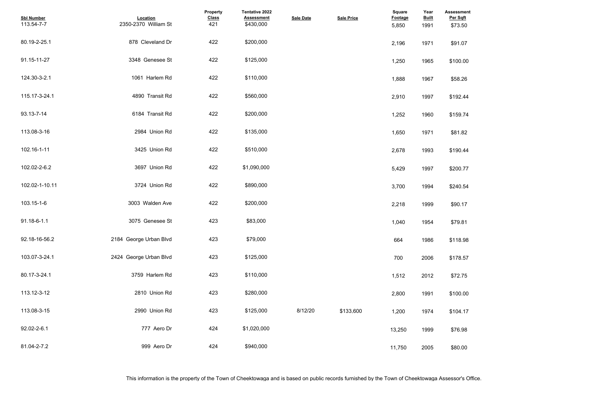| <b>Assessment</b><br>Per Sqft<br>\$73.50 |  |  |
|------------------------------------------|--|--|
| \$91.07                                  |  |  |
| \$100.00                                 |  |  |
| \$58.26                                  |  |  |
| \$192.44                                 |  |  |
| \$159.74                                 |  |  |
| \$81.82                                  |  |  |
| \$190.44                                 |  |  |
| \$200.77                                 |  |  |
| \$240.54                                 |  |  |
| \$90.17                                  |  |  |
| \$79.81                                  |  |  |
| \$118.98                                 |  |  |
| \$178.57                                 |  |  |
| \$72.75                                  |  |  |
| \$100.00                                 |  |  |
| \$104.17                                 |  |  |
| \$76.98                                  |  |  |
| \$80.00                                  |  |  |

| <b>Sbl Number</b><br>113.54-7-7 | Location<br>2350-2370 William St | <b>Property</b><br><b>Class</b><br>421 | <b>Tentative 2022</b><br><b>Assessment</b><br>\$430,000 | <b>Sale Date</b> | <b>Sale Price</b> | Square<br><b>Footage</b><br>5,850 | Year<br><b>Built</b><br>1991 | <b>Assessmer</b><br>Per Sqft<br>\$73.50 |
|---------------------------------|----------------------------------|----------------------------------------|---------------------------------------------------------|------------------|-------------------|-----------------------------------|------------------------------|-----------------------------------------|
| 80.19-2-25.1                    | 878 Cleveland Dr                 | 422                                    | \$200,000                                               |                  |                   | 2,196                             | 1971                         | \$91.07                                 |
| 91.15-11-27                     | 3348 Genesee St                  | 422                                    | \$125,000                                               |                  |                   | 1,250                             | 1965                         | \$100.00                                |
| 124.30-3-2.1                    | 1061 Harlem Rd                   | 422                                    | \$110,000                                               |                  |                   | 1,888                             | 1967                         | \$58.26                                 |
| 115.17-3-24.1                   | 4890 Transit Rd                  | 422                                    | \$560,000                                               |                  |                   | 2,910                             | 1997                         | \$192.44                                |
| 93.13-7-14                      | 6184 Transit Rd                  | 422                                    | \$200,000                                               |                  |                   | 1,252                             | 1960                         | \$159.74                                |
| 113.08-3-16                     | 2984 Union Rd                    | 422                                    | \$135,000                                               |                  |                   | 1,650                             | 1971                         | \$81.82                                 |
| 102.16-1-11                     | 3425 Union Rd                    | 422                                    | \$510,000                                               |                  |                   | 2,678                             | 1993                         | \$190.44                                |
| 102.02-2-6.2                    | 3697 Union Rd                    | 422                                    | \$1,090,000                                             |                  |                   | 5,429                             | 1997                         | \$200.77                                |
| 102.02-1-10.11                  | 3724 Union Rd                    | 422                                    | \$890,000                                               |                  |                   | 3,700                             | 1994                         | \$240.54                                |
| 103.15-1-6                      | 3003 Walden Ave                  | 422                                    | \$200,000                                               |                  |                   | 2,218                             | 1999                         | \$90.17                                 |
| 91.18-6-1.1                     | 3075 Genesee St                  | 423                                    | \$83,000                                                |                  |                   | 1,040                             | 1954                         | \$79.81                                 |
| 92.18-16-56.2                   | 2184 George Urban Blvd           | 423                                    | \$79,000                                                |                  |                   | 664                               | 1986                         | \$118.98                                |
| 103.07-3-24.1                   | 2424 George Urban Blvd           | 423                                    | \$125,000                                               |                  |                   | 700                               | 2006                         | \$178.57                                |
| 80.17-3-24.1                    | 3759 Harlem Rd                   | 423                                    | \$110,000                                               |                  |                   | 1,512                             | 2012                         | \$72.75                                 |
| 113.12-3-12                     | 2810 Union Rd                    | 423                                    | \$280,000                                               |                  |                   | 2,800                             | 1991                         | \$100.00                                |
| 113.08-3-15                     | 2990 Union Rd                    | 423                                    | \$125,000                                               | 8/12/20          | \$133,600         | 1,200                             | 1974                         | \$104.17                                |
| 92.02-2-6.1                     | 777 Aero Dr                      | 424                                    | \$1,020,000                                             |                  |                   | 13,250                            | 1999                         | \$76.98                                 |
| 81.04-2-7.2                     | 999 Aero Dr                      | 424                                    | \$940,000                                               |                  |                   | 11,750                            | 2005                         | \$80.00                                 |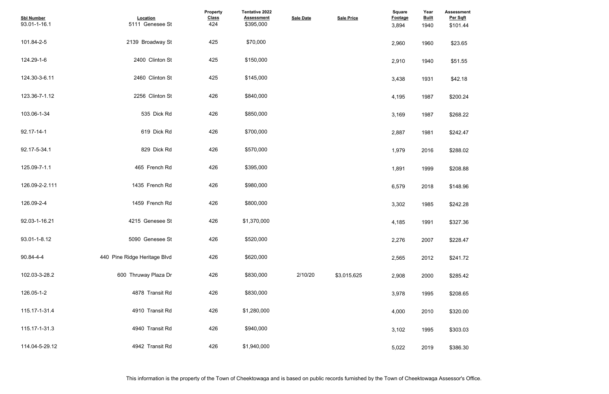| <b>Assessment</b><br>Per Sqft<br>\$101.44 |  |  |
|-------------------------------------------|--|--|
| \$23.65                                   |  |  |
| \$51.55                                   |  |  |
| \$42.18                                   |  |  |
| \$200.24                                  |  |  |
| \$268.22                                  |  |  |
| \$242.47                                  |  |  |
| \$288.02                                  |  |  |
| \$208.88                                  |  |  |
| \$148.96                                  |  |  |
| \$242.28                                  |  |  |
| \$327.36                                  |  |  |
| \$228.47                                  |  |  |
| \$241.72                                  |  |  |
| \$285.42                                  |  |  |
| \$208.65                                  |  |  |
| \$320.00                                  |  |  |
| \$303.03                                  |  |  |
| <b>¢386.30</b>                            |  |  |

| <b>Sbl Number</b><br>93.01-1-16.1 | Location<br>5111 Genesee St  | <b>Property</b><br><b>Class</b><br>424 | Tentative 2022<br><b>Assessment</b><br>\$395,000 | <b>Sale Date</b> | <b>Sale Price</b> | Square<br><b>Footage</b><br>3,894 | Year<br><b>Built</b><br>1940 | <b>Assessmer</b><br>Per Sqft<br>\$101.44 |
|-----------------------------------|------------------------------|----------------------------------------|--------------------------------------------------|------------------|-------------------|-----------------------------------|------------------------------|------------------------------------------|
| 101.84-2-5                        | 2139 Broadway St             | 425                                    | \$70,000                                         |                  |                   | 2,960                             | 1960                         | \$23.65                                  |
| 124.29-1-6                        | 2400 Clinton St              | 425                                    | \$150,000                                        |                  |                   | 2,910                             | 1940                         | \$51.55                                  |
| 124.30-3-6.11                     | 2460 Clinton St              | 425                                    | \$145,000                                        |                  |                   | 3,438                             | 1931                         | \$42.18                                  |
| 123.36-7-1.12                     | 2256 Clinton St              | 426                                    | \$840,000                                        |                  |                   | 4,195                             | 1987                         | \$200.24                                 |
| 103.06-1-34                       | 535 Dick Rd                  | 426                                    | \$850,000                                        |                  |                   | 3,169                             | 1987                         | \$268.22                                 |
| 92.17-14-1                        | 619 Dick Rd                  | 426                                    | \$700,000                                        |                  |                   | 2,887                             | 1981                         | \$242.47                                 |
| 92.17-5-34.1                      | 829 Dick Rd                  | 426                                    | \$570,000                                        |                  |                   | 1,979                             | 2016                         | \$288.02                                 |
| 125.09-7-1.1                      | 465 French Rd                | 426                                    | \$395,000                                        |                  |                   | 1,891                             | 1999                         | \$208.88                                 |
| 126.09-2-2.111                    | 1435 French Rd               | 426                                    | \$980,000                                        |                  |                   | 6,579                             | 2018                         | \$148.96                                 |
| 126.09-2-4                        | 1459 French Rd               | 426                                    | \$800,000                                        |                  |                   | 3,302                             | 1985                         | \$242.28                                 |
| 92.03-1-16.21                     | 4215 Genesee St              | 426                                    | \$1,370,000                                      |                  |                   | 4,185                             | 1991                         | \$327.36                                 |
| 93.01-1-8.12                      | 5090 Genesee St              | 426                                    | \$520,000                                        |                  |                   | 2,276                             | 2007                         | \$228.47                                 |
| 90.84-4-4                         | 440 Pine Ridge Heritage Blvd | 426                                    | \$620,000                                        |                  |                   | 2,565                             | 2012                         | \$241.72                                 |
| 102.03-3-28.2                     | 600 Thruway Plaza Dr         | 426                                    | \$830,000                                        | 2/10/20          | \$3.015.625       | 2,908                             | 2000                         | \$285.42                                 |
| 126.05-1-2                        | 4878 Transit Rd              | 426                                    | \$830,000                                        |                  |                   | 3,978                             | 1995                         | \$208.65                                 |
| 115.17-1-31.4                     | 4910 Transit Rd              | 426                                    | \$1,280,000                                      |                  |                   | 4,000                             | 2010                         | \$320.00                                 |
| 115.17-1-31.3                     | 4940 Transit Rd              | 426                                    | \$940,000                                        |                  |                   | 3,102                             | 1995                         | \$303.03                                 |
| 114.04-5-29.12                    | 4942 Transit Rd              | 426                                    | \$1,940,000                                      |                  |                   | 5,022                             | 2019                         | \$386.30                                 |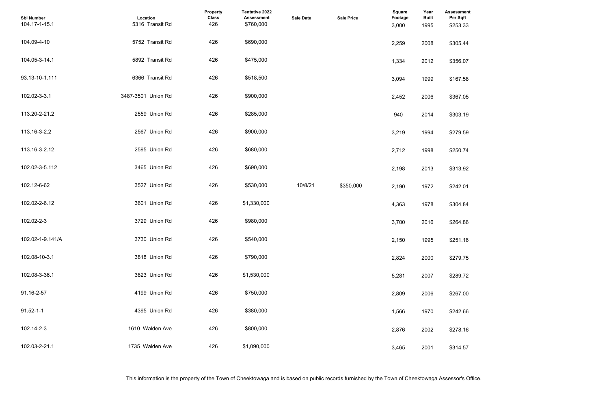| <b>Sbl Number</b><br>104.17-1-15.1 | Location<br>5316 Transit Rd | <b>Property</b><br><b>Class</b><br>426 | Tentative 2022<br><b>Assessment</b><br>\$760,000 | <b>Sale Date</b> | <b>Sale Price</b> | Square<br><b>Footage</b><br>3,000 | Year<br><b>Built</b><br>1995 | <b>Assessment</b><br>Per Sqft<br>\$253.33 |  |
|------------------------------------|-----------------------------|----------------------------------------|--------------------------------------------------|------------------|-------------------|-----------------------------------|------------------------------|-------------------------------------------|--|
| 104.09-4-10                        | 5752 Transit Rd             | 426                                    | \$690,000                                        |                  |                   | 2,259                             | 2008                         | \$305.44                                  |  |
| 104.05-3-14.1                      | 5892 Transit Rd             | 426                                    | \$475,000                                        |                  |                   | 1,334                             | 2012                         | \$356.07                                  |  |
| 93.13-10-1.111                     | 6366 Transit Rd             | 426                                    | \$518,500                                        |                  |                   | 3,094                             | 1999                         | \$167.58                                  |  |
| 102.02-3-3.1                       | 3487-3501 Union Rd          | 426                                    | \$900,000                                        |                  |                   | 2,452                             | 2006                         | \$367.05                                  |  |
| 113.20-2-21.2                      | 2559 Union Rd               | 426                                    | \$285,000                                        |                  |                   | 940                               | 2014                         | \$303.19                                  |  |
| 113.16-3-2.2                       | 2567 Union Rd               | 426                                    | \$900,000                                        |                  |                   | 3,219                             | 1994                         | \$279.59                                  |  |
| 113.16-3-2.12                      | 2595 Union Rd               | 426                                    | \$680,000                                        |                  |                   | 2,712                             | 1998                         | \$250.74                                  |  |
| 102.02-3-5.112                     | 3465 Union Rd               | 426                                    | \$690,000                                        |                  |                   | 2,198                             | 2013                         | \$313.92                                  |  |
| 102.12-6-62                        | 3527 Union Rd               | 426                                    | \$530,000                                        | 10/8/21          | \$350,000         | 2,190                             | 1972                         | \$242.01                                  |  |
| 102.02-2-6.12                      | 3601 Union Rd               | 426                                    | \$1,330,000                                      |                  |                   | 4,363                             | 1978                         | \$304.84                                  |  |
| 102.02-2-3                         | 3729 Union Rd               | 426                                    | \$980,000                                        |                  |                   | 3,700                             | 2016                         | \$264.86                                  |  |
| 102.02-1-9.141/A                   | 3730 Union Rd               | 426                                    | \$540,000                                        |                  |                   | 2,150                             | 1995                         | \$251.16                                  |  |
| 102.08-10-3.1                      | 3818 Union Rd               | 426                                    | \$790,000                                        |                  |                   | 2,824                             | 2000                         | \$279.75                                  |  |
| 102.08-3-36.1                      | 3823 Union Rd               | 426                                    | \$1,530,000                                      |                  |                   | 5,281                             | 2007                         | \$289.72                                  |  |
| 91.16-2-57                         | 4199 Union Rd               | 426                                    | \$750,000                                        |                  |                   | 2,809                             | 2006                         | \$267.00                                  |  |
| $91.52 - 1 - 1$                    | 4395 Union Rd               | 426                                    | \$380,000                                        |                  |                   | 1,566                             | 1970                         | \$242.66                                  |  |
| 102.14-2-3                         | 1610 Walden Ave             | 426                                    | \$800,000                                        |                  |                   | 2,876                             | 2002                         | \$278.16                                  |  |
| 102.03-2-21.1                      | 1735 Walden Ave             | 426                                    | \$1,090,000                                      |                  |                   | 3,465                             | 2001                         | \$314.57                                  |  |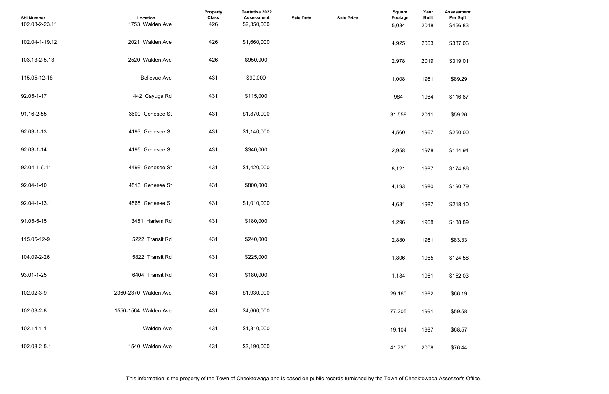| <b>Assessment</b><br>Per Sqft<br>\$466.83 |  |  |  |
|-------------------------------------------|--|--|--|
|                                           |  |  |  |
| \$337.06                                  |  |  |  |
| \$319.01                                  |  |  |  |
| \$89.29                                   |  |  |  |
| \$116.87                                  |  |  |  |
| \$59.26                                   |  |  |  |
| \$250.00                                  |  |  |  |
| \$114.94                                  |  |  |  |
| \$174.86                                  |  |  |  |
| \$190.79                                  |  |  |  |
| \$218.10                                  |  |  |  |
| \$138.89                                  |  |  |  |
| \$83.33                                   |  |  |  |
| \$124.58                                  |  |  |  |
| \$152.03                                  |  |  |  |
| \$66.19                                   |  |  |  |
| \$59.58                                   |  |  |  |
| \$68.57                                   |  |  |  |
| \$76.44                                   |  |  |  |

| <b>Sbl Number</b><br>102.03-2-23.11 | Location<br>1753 Walden Ave | Property<br><b>Class</b><br>426 | Tentative 2022<br><b>Assessment</b><br>\$2,350,000 | <b>Sale Date</b> | <b>Sale Price</b> | Square<br><b>Footage</b><br>5,034 | Year<br><b>Built</b><br>2018 | Assessmer<br>Per Sqft<br>\$466.83 |
|-------------------------------------|-----------------------------|---------------------------------|----------------------------------------------------|------------------|-------------------|-----------------------------------|------------------------------|-----------------------------------|
| 102.04-1-19.12                      | 2021 Walden Ave             | 426                             | \$1,660,000                                        |                  |                   | 4,925                             | 2003                         | \$337.06                          |
| 103.13-2-5.13                       | 2520 Walden Ave             | 426                             | \$950,000                                          |                  |                   | 2,978                             | 2019                         | \$319.01                          |
| 115.05-12-18                        | <b>Bellevue Ave</b>         | 431                             | \$90,000                                           |                  |                   | 1,008                             | 1951                         | \$89.29                           |
| 92.05-1-17                          | 442 Cayuga Rd               | 431                             | \$115,000                                          |                  |                   | 984                               | 1984                         | \$116.87                          |
| 91.16-2-55                          | 3600 Genesee St             | 431                             | \$1,870,000                                        |                  |                   | 31,558                            | 2011                         | \$59.26                           |
| 92.03-1-13                          | 4193 Genesee St             | 431                             | \$1,140,000                                        |                  |                   | 4,560                             | 1967                         | \$250.00                          |
| 92.03-1-14                          | 4195 Genesee St             | 431                             | \$340,000                                          |                  |                   | 2,958                             | 1978                         | \$114.94                          |
| 92.04-1-6.11                        | 4499 Genesee St             | 431                             | \$1,420,000                                        |                  |                   | 8,121                             | 1987                         | \$174.86                          |
| 92.04-1-10                          | 4513 Genesee St             | 431                             | \$800,000                                          |                  |                   | 4,193                             | 1980                         | \$190.79                          |
| 92.04-1-13.1                        | 4565 Genesee St             | 431                             | \$1,010,000                                        |                  |                   | 4,631                             | 1987                         | \$218.10                          |
| 91.05-5-15                          | 3451 Harlem Rd              | 431                             | \$180,000                                          |                  |                   | 1,296                             | 1968                         | \$138.89                          |
| 115.05-12-9                         | 5222 Transit Rd             | 431                             | \$240,000                                          |                  |                   | 2,880                             | 1951                         | \$83.33                           |
| 104.09-2-26                         | 5822 Transit Rd             | 431                             | \$225,000                                          |                  |                   | 1,806                             | 1965                         | \$124.58                          |
| 93.01-1-25                          | 6404 Transit Rd             | 431                             | \$180,000                                          |                  |                   | 1,184                             | 1961                         | \$152.03                          |
| 102.02-3-9                          | 2360-2370 Walden Ave        | 431                             | \$1,930,000                                        |                  |                   | 29,160                            | 1982                         | \$66.19                           |
| 102.03-2-8                          | 1550-1564 Walden Ave        | 431                             | \$4,600,000                                        |                  |                   | 77,205                            | 1991                         | \$59.58                           |
| 102.14-1-1                          | Walden Ave                  | 431                             | \$1,310,000                                        |                  |                   | 19,104                            | 1987                         | \$68.57                           |
| 102.03-2-5.1                        | 1540 Walden Ave             | 431                             | \$3,190,000                                        |                  |                   | 41,730                            | 2008                         | \$76.44                           |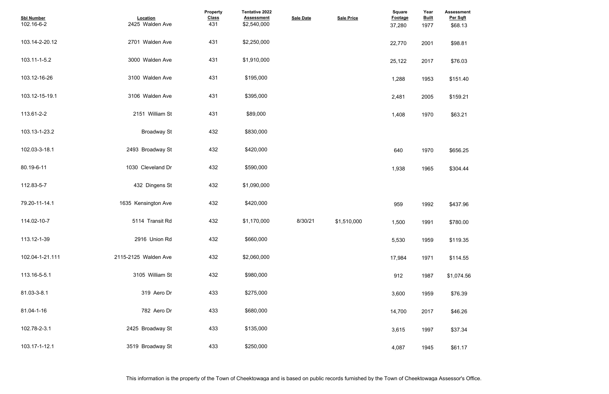| <b>Sbl Number</b><br>102.16-6-2 | Location<br>2425 Walden Ave | Property<br><b>Class</b><br>431 | Tentative 2022<br><b>Assessment</b><br>\$2,540,000 | <b>Sale Date</b> | <b>Sale Price</b> | <b>Square</b><br><b>Footage</b><br>37,280 | Year<br><u>Built</u><br>1977 | <b>Assessment</b><br>Per Sqft<br>\$68.13 |  |  |
|---------------------------------|-----------------------------|---------------------------------|----------------------------------------------------|------------------|-------------------|-------------------------------------------|------------------------------|------------------------------------------|--|--|
| 103.14-2-20.12                  | 2701 Walden Ave             | 431                             | \$2,250,000                                        |                  |                   | 22,770                                    | 2001                         | \$98.81                                  |  |  |
| 103.11-1-5.2                    | 3000 Walden Ave             | 431                             | \$1,910,000                                        |                  |                   | 25,122                                    | 2017                         | \$76.03                                  |  |  |
| 103.12-16-26                    | 3100 Walden Ave             | 431                             | \$195,000                                          |                  |                   | 1,288                                     | 1953                         | \$151.40                                 |  |  |
| 103.12-15-19.1                  | 3106 Walden Ave             | 431                             | \$395,000                                          |                  |                   | 2,481                                     | 2005                         | \$159.21                                 |  |  |
| 113.61-2-2                      | 2151 William St             | 431                             | \$89,000                                           |                  |                   | 1,408                                     | 1970                         | \$63.21                                  |  |  |
| 103.13-1-23.2                   | <b>Broadway St</b>          | 432                             | \$830,000                                          |                  |                   |                                           |                              |                                          |  |  |
| 102.03-3-18.1                   | 2493 Broadway St            | 432                             | \$420,000                                          |                  |                   | 640                                       | 1970                         | \$656.25                                 |  |  |
| 80.19-6-11                      | 1030 Cleveland Dr           | 432                             | \$590,000                                          |                  |                   | 1,938                                     | 1965                         | \$304.44                                 |  |  |
| 112.83-5-7                      | 432 Dingens St              | 432                             | \$1,090,000                                        |                  |                   |                                           |                              |                                          |  |  |
| 79.20-11-14.1                   | 1635 Kensington Ave         | 432                             | \$420,000                                          |                  |                   | 959                                       | 1992                         | \$437.96                                 |  |  |
| 114.02-10-7                     | 5114 Transit Rd             | 432                             | \$1,170,000                                        | 8/30/21          | \$1.510.000       | 1,500                                     | 1991                         | \$780.00                                 |  |  |
| 113.12-1-39                     | 2916 Union Rd               | 432                             | \$660,000                                          |                  |                   | 5,530                                     | 1959                         | \$119.35                                 |  |  |
| 102.04-1-21.111                 | 2115-2125 Walden Ave        | 432                             | \$2,060,000                                        |                  |                   | 17,984                                    | 1971                         | \$114.55                                 |  |  |
| 113.16-5-5.1                    | 3105 William St             | 432                             | \$980,000                                          |                  |                   | 912                                       | 1987                         | \$1,074.56                               |  |  |
| 81.03-3-8.1                     | 319 Aero Dr                 | 433                             | \$275,000                                          |                  |                   | 3,600                                     | 1959                         | \$76.39                                  |  |  |
| 81.04-1-16                      | 782 Aero Dr                 | 433                             | \$680,000                                          |                  |                   | 14,700                                    | 2017                         | \$46.26                                  |  |  |
| 102.78-2-3.1                    | 2425 Broadway St            | 433                             | \$135,000                                          |                  |                   | 3,615                                     | 1997                         | \$37.34                                  |  |  |
| 103.17-1-12.1                   | 3519 Broadway St            | 433                             | \$250,000                                          |                  |                   | 4,087                                     | 1945                         | \$61.17                                  |  |  |

This information is the property of the Town of Cheektowaga and is based on public records furnished by the Town of Cheektowaga Assessor's Office.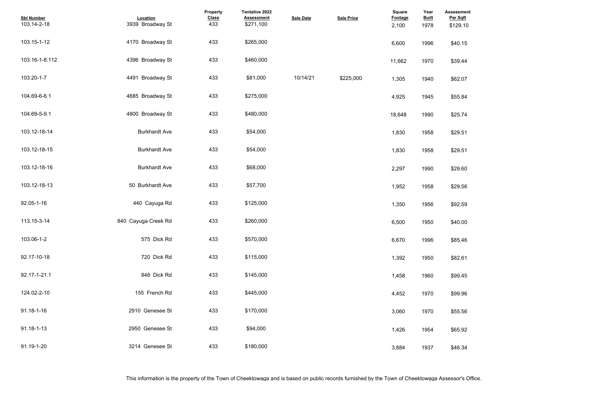| <b>Assessment</b><br>Per Sqft<br>\$129.10 |  |  |  |
|-------------------------------------------|--|--|--|
| \$40.15                                   |  |  |  |
| \$39.44                                   |  |  |  |
| \$62.07                                   |  |  |  |
| \$55.84                                   |  |  |  |
| \$25.74                                   |  |  |  |
| \$29.51                                   |  |  |  |
| \$29.51                                   |  |  |  |
| \$29.60                                   |  |  |  |
| \$29.56                                   |  |  |  |
| \$92.59                                   |  |  |  |
| \$40.00                                   |  |  |  |
| \$85.46                                   |  |  |  |
| \$82.61                                   |  |  |  |
| \$99.45                                   |  |  |  |
| \$99.96                                   |  |  |  |
| \$55.56                                   |  |  |  |
| \$65.92                                   |  |  |  |
| \$46.34                                   |  |  |  |

| <b>Sbl Number</b><br>103.14-2-18 | Location<br>3939 Broadway St | <b>Property</b><br><b>Class</b><br>433 | Tentative 2022<br><b>Assessment</b><br>\$271,100 | <b>Sale Date</b> | <b>Sale Price</b> | Square<br><b>Footage</b><br>2,100 | Year<br><b>Built</b><br>1978 | Assessmer<br>Per Sqft<br>\$129.10 |
|----------------------------------|------------------------------|----------------------------------------|--------------------------------------------------|------------------|-------------------|-----------------------------------|------------------------------|-----------------------------------|
| 103.15-1-12                      | 4170 Broadway St             | 433                                    | \$265,000                                        |                  |                   | 6,600                             | 1996                         | \$40.15                           |
| 103.16-1-8.112                   | 4396 Broadway St             | 433                                    | \$460,000                                        |                  |                   | 11,662                            | 1970                         | \$39.44                           |
| 103.20-1-7                       | 4491 Broadway St             | 433                                    | \$81,000                                         | 10/14/21         | \$225,000         | 1,305                             | 1940                         | \$62.07                           |
| 104.69-6-6.1                     | 4685 Broadway St             | 433                                    | \$275,000                                        |                  |                   | 4,925                             | 1945                         | \$55.84                           |
| 104.69-5-9.1                     | 4800 Broadway St             | 433                                    | \$480,000                                        |                  |                   | 18,648                            | 1990                         | \$25.74                           |
| 103.12-18-14                     | <b>Burkhardt Ave</b>         | 433                                    | \$54,000                                         |                  |                   | 1,830                             | 1958                         | \$29.51                           |
| 103.12-18-15                     | <b>Burkhardt Ave</b>         | 433                                    | \$54,000                                         |                  |                   | 1,830                             | 1958                         | \$29.51                           |
| 103.12-18-16                     | <b>Burkhardt Ave</b>         | 433                                    | \$68,000                                         |                  |                   | 2,297                             | 1990                         | \$29.60                           |
| 103.12-18-13                     | 50 Burkhardt Ave             | 433                                    | \$57,700                                         |                  |                   | 1,952                             | 1958                         | \$29.56                           |
| 92.05-1-16                       | 440 Cayuga Rd                | 433                                    | \$125,000                                        |                  |                   | 1,350                             | 1956                         | \$92.59                           |
| 113.15-3-14                      | 840 Cayuga Creek Rd          | 433                                    | \$260,000                                        |                  |                   | 6,500                             | 1950                         | \$40.00                           |
| 103.06-1-2                       | 575 Dick Rd                  | 433                                    | \$570,000                                        |                  |                   | 6,670                             | 1996                         | \$85.46                           |
| 92.17-10-18                      | 720 Dick Rd                  | 433                                    | \$115,000                                        |                  |                   | 1,392                             | 1950                         | \$82.61                           |
| 92.17-1-21.1                     | 848 Dick Rd                  | 433                                    | \$145,000                                        |                  |                   | 1,458                             | 1960                         | \$99.45                           |
| 124.02-2-10                      | 155 French Rd                | 433                                    | \$445,000                                        |                  |                   | 4,452                             | 1970                         | \$99.96                           |
| 91.18-1-16                       | 2910 Genesee St              | 433                                    | \$170,000                                        |                  |                   | 3,060                             | 1970                         | \$55.56                           |
| 91.18-1-13                       | 2950 Genesee St              | 433                                    | \$94,000                                         |                  |                   | 1,426                             | 1954                         | \$65.92                           |
| 91.19-1-20                       | 3214 Genesee St              | 433                                    | \$180,000                                        |                  |                   | 3,884                             | 1937                         | \$46.34                           |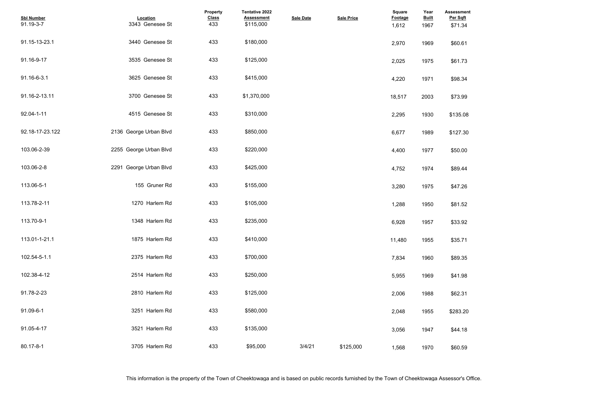| <b>Assessment</b><br>Per Sqft<br>\$71.34 |  |  |  |
|------------------------------------------|--|--|--|
| \$60.61                                  |  |  |  |
| \$61.73                                  |  |  |  |
| \$98.34                                  |  |  |  |
| \$73.99                                  |  |  |  |
| \$135.08                                 |  |  |  |
| \$127.30                                 |  |  |  |
| \$50.00                                  |  |  |  |
| \$89.44                                  |  |  |  |
| \$47.26                                  |  |  |  |
| \$81.52                                  |  |  |  |
| \$33.92                                  |  |  |  |
| \$35.71                                  |  |  |  |
| \$89.35                                  |  |  |  |
| \$41.98                                  |  |  |  |
| \$62.31                                  |  |  |  |
| \$283.20                                 |  |  |  |
| \$44.18                                  |  |  |  |
| \$60.59                                  |  |  |  |

| <b>Sbl Number</b><br>91.19-3-7 | Location<br>3343 Genesee St | Property<br><b>Class</b><br>433 | Tentative 2022<br><b>Assessment</b><br>\$115,000 | <b>Sale Date</b> | <b>Sale Price</b> | <b>Square</b><br>Footage<br>1,612 | Year<br><b>Built</b><br>1967 | <b>Assessmer</b><br>Per Sqft<br>\$71.34 |
|--------------------------------|-----------------------------|---------------------------------|--------------------------------------------------|------------------|-------------------|-----------------------------------|------------------------------|-----------------------------------------|
| 91.15-13-23.1                  | 3440 Genesee St             | 433                             | \$180,000                                        |                  |                   | 2,970                             | 1969                         | \$60.61                                 |
| 91.16-9-17                     | 3535 Genesee St             | 433                             | \$125,000                                        |                  |                   | 2,025                             | 1975                         | \$61.73                                 |
| 91.16-6-3.1                    | 3625 Genesee St             | 433                             | \$415,000                                        |                  |                   | 4,220                             | 1971                         | \$98.34                                 |
| 91.16-2-13.11                  | 3700 Genesee St             | 433                             | \$1,370,000                                      |                  |                   | 18,517                            | 2003                         | \$73.99                                 |
| 92.04-1-11                     | 4515 Genesee St             | 433                             | \$310,000                                        |                  |                   | 2,295                             | 1930                         | \$135.08                                |
| 92.18-17-23.122                | 2136 George Urban Blvd      | 433                             | \$850,000                                        |                  |                   | 6,677                             | 1989                         | \$127.30                                |
| 103.06-2-39                    | 2255 George Urban Blvd      | 433                             | \$220,000                                        |                  |                   | 4,400                             | 1977                         | \$50.00                                 |
| 103.06-2-8                     | 2291 George Urban Blvd      | 433                             | \$425,000                                        |                  |                   | 4,752                             | 1974                         | \$89.44                                 |
| 113.06-5-1                     | 155 Gruner Rd               | 433                             | \$155,000                                        |                  |                   | 3,280                             | 1975                         | \$47.26                                 |
| 113.78-2-11                    | 1270 Harlem Rd              | 433                             | \$105,000                                        |                  |                   | 1,288                             | 1950                         | \$81.52                                 |
| 113.70-9-1                     | 1348 Harlem Rd              | 433                             | \$235,000                                        |                  |                   | 6,928                             | 1957                         | \$33.92                                 |
| 113.01-1-21.1                  | 1875 Harlem Rd              | 433                             | \$410,000                                        |                  |                   | 11,480                            | 1955                         | \$35.71                                 |
| 102.54-5-1.1                   | 2375 Harlem Rd              | 433                             | \$700,000                                        |                  |                   | 7,834                             | 1960                         | \$89.35                                 |
| 102.38-4-12                    | 2514 Harlem Rd              | 433                             | \$250,000                                        |                  |                   | 5,955                             | 1969                         | \$41.98                                 |
| 91.78-2-23                     | 2810 Harlem Rd              | 433                             | \$125,000                                        |                  |                   | 2,006                             | 1988                         | \$62.31                                 |
| 91.09-6-1                      | 3251 Harlem Rd              | 433                             | \$580,000                                        |                  |                   | 2,048                             | 1955                         | \$283.20                                |
| 91.05-4-17                     | 3521 Harlem Rd              | 433                             | \$135,000                                        |                  |                   | 3,056                             | 1947                         | \$44.18                                 |
| 80.17-8-1                      | 3705 Harlem Rd              | 433                             | \$95,000                                         | 3/4/21           | \$125,000         | 1,568                             | 1970                         | \$60.59                                 |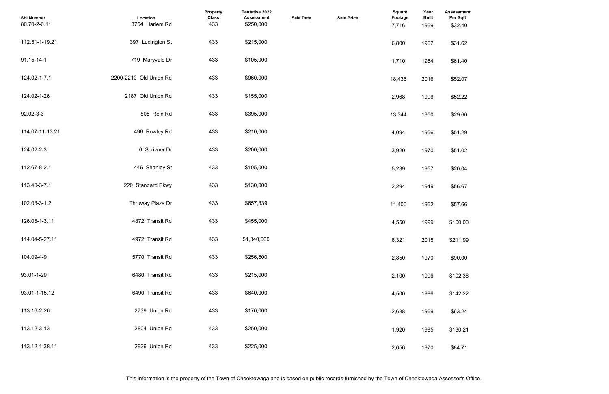| <b>Assessment</b><br>Per Sqft |  |  |  |
|-------------------------------|--|--|--|
| \$32.40                       |  |  |  |
| \$31.62                       |  |  |  |
| \$61.40                       |  |  |  |
| \$52.07                       |  |  |  |
| \$52.22                       |  |  |  |
| \$29.60                       |  |  |  |
| \$51.29                       |  |  |  |
| \$51.02                       |  |  |  |
| \$20.04                       |  |  |  |
| \$56.67                       |  |  |  |
| \$57.66                       |  |  |  |
| \$100.00                      |  |  |  |
| \$211.99                      |  |  |  |
| \$90.00                       |  |  |  |
| \$102.38                      |  |  |  |
| \$142.22                      |  |  |  |
| \$63.24                       |  |  |  |
| \$130.21                      |  |  |  |
| \$84.71                       |  |  |  |

| <b>Sbl Number</b><br>80.70-2-6.11 | Location<br>3754 Harlem Rd | <b>Property</b><br><b>Class</b><br>433 | Tentative 2022<br><b>Assessment</b><br>\$250,000 | <b>Sale Date</b> | <b>Sale Price</b> | <b>Square</b><br>Footage<br>7,716 | Year<br><b>Built</b><br>1969 | Assessmer<br>Per Sqft<br>\$32.40 |
|-----------------------------------|----------------------------|----------------------------------------|--------------------------------------------------|------------------|-------------------|-----------------------------------|------------------------------|----------------------------------|
| 112.51-1-19.21                    | 397 Ludington St           | 433                                    | \$215,000                                        |                  |                   | 6,800                             | 1967                         | \$31.62                          |
| 91.15-14-1                        | 719 Maryvale Dr            | 433                                    | \$105,000                                        |                  |                   | 1,710                             | 1954                         | \$61.40                          |
| 124.02-1-7.1                      | 2200-2210 Old Union Rd     | 433                                    | \$960,000                                        |                  |                   | 18,436                            | 2016                         | \$52.07                          |
| 124.02-1-26                       | 2187 Old Union Rd          | 433                                    | \$155,000                                        |                  |                   | 2,968                             | 1996                         | \$52.22                          |
| 92.02-3-3                         | 805 Rein Rd                | 433                                    | \$395,000                                        |                  |                   | 13,344                            | 1950                         | \$29.60                          |
| 114.07-11-13.21                   | 496 Rowley Rd              | 433                                    | \$210,000                                        |                  |                   | 4,094                             | 1956                         | \$51.29                          |
| 124.02-2-3                        | 6 Scrivner Dr              | 433                                    | \$200,000                                        |                  |                   | 3,920                             | 1970                         | \$51.02                          |
| 112.67-8-2.1                      | 446 Shanley St             | 433                                    | \$105,000                                        |                  |                   | 5,239                             | 1957                         | \$20.04                          |
| 113.40-3-7.1                      | 220 Standard Pkwy          | 433                                    | \$130,000                                        |                  |                   | 2,294                             | 1949                         | \$56.67                          |
| 102.03-3-1.2                      | Thruway Plaza Dr           | 433                                    | \$657,339                                        |                  |                   | 11,400                            | 1952                         | \$57.66                          |
| 126.05-1-3.11                     | 4872 Transit Rd            | 433                                    | \$455,000                                        |                  |                   | 4,550                             | 1999                         | \$100.00                         |
| 114.04-5-27.11                    | 4972 Transit Rd            | 433                                    | \$1,340,000                                      |                  |                   | 6,321                             | 2015                         | \$211.99                         |
| 104.09-4-9                        | 5770 Transit Rd            | 433                                    | \$256,500                                        |                  |                   | 2,850                             | 1970                         | \$90.00                          |
| 93.01-1-29                        | 6480 Transit Rd            | 433                                    | \$215,000                                        |                  |                   | 2,100                             | 1996                         | \$102.38                         |
| 93.01-1-15.12                     | 6490 Transit Rd            | 433                                    | \$640,000                                        |                  |                   | 4,500                             | 1986                         | \$142.22                         |
| 113.16-2-26                       | 2739 Union Rd              | 433                                    | \$170,000                                        |                  |                   | 2,688                             | 1969                         | \$63.24                          |
| 113.12-3-13                       | 2804 Union Rd              | 433                                    | \$250,000                                        |                  |                   | 1,920                             | 1985                         | \$130.21                         |
| 113.12-1-38.11                    | 2926 Union Rd              | 433                                    | \$225,000                                        |                  |                   | 2,656                             | 1970                         | \$84.71                          |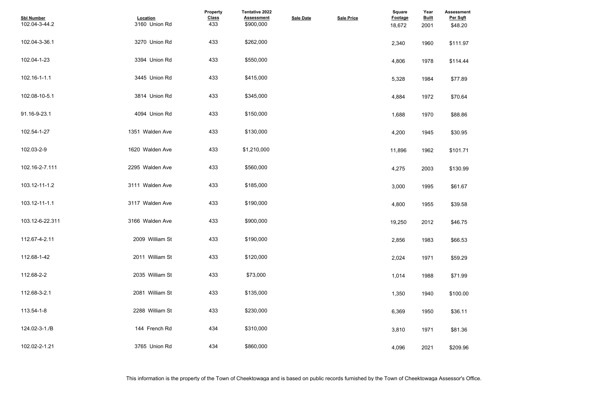| <b>Assessment</b><br>Per Sqft |  |  |
|-------------------------------|--|--|
| \$48.20                       |  |  |
|                               |  |  |
| \$111.97                      |  |  |
|                               |  |  |
| \$114.44                      |  |  |
|                               |  |  |
| \$77.89                       |  |  |
|                               |  |  |
| \$70.64                       |  |  |
|                               |  |  |
| \$88.86                       |  |  |
|                               |  |  |
| \$30.95                       |  |  |
|                               |  |  |
| \$101.71                      |  |  |
|                               |  |  |
| \$130.99                      |  |  |
|                               |  |  |
| \$61.67                       |  |  |
|                               |  |  |
| \$39.58                       |  |  |
|                               |  |  |
| \$46.75                       |  |  |
|                               |  |  |
| \$66.53                       |  |  |
|                               |  |  |
| \$59.29                       |  |  |
|                               |  |  |
| \$71.99                       |  |  |
|                               |  |  |
| \$100.00                      |  |  |
|                               |  |  |
| \$36.11                       |  |  |
|                               |  |  |
| \$81.36                       |  |  |
|                               |  |  |
| \$209.96                      |  |  |

| <b>Sbl Number</b><br>102.04-3-44.2 | Location<br>3160 Union Rd | Property<br><b>Class</b><br>433 | Tentative 2022<br><b>Assessment</b><br>\$900,000 | <b>Sale Date</b> | <b>Sale Price</b> | <b>Square</b><br><b>Footage</b><br>18,672 | Year<br><b>Built</b><br>2001 | <b>Assessmer</b><br>Per Sqft<br>\$48.20 |
|------------------------------------|---------------------------|---------------------------------|--------------------------------------------------|------------------|-------------------|-------------------------------------------|------------------------------|-----------------------------------------|
| 102.04-3-36.1                      | 3270 Union Rd             | 433                             | \$262,000                                        |                  |                   | 2,340                                     | 1960                         | \$111.97                                |
| 102.04-1-23                        | 3394 Union Rd             | 433                             | \$550,000                                        |                  |                   | 4,806                                     | 1978                         | \$114.44                                |
| 102.16-1-1.1                       | 3445 Union Rd             | 433                             | \$415,000                                        |                  |                   | 5,328                                     | 1984                         | \$77.89                                 |
| 102.08-10-5.1                      | 3814 Union Rd             | 433                             | \$345,000                                        |                  |                   | 4,884                                     | 1972                         | \$70.64                                 |
| 91.16-9-23.1                       | 4094 Union Rd             | 433                             | \$150,000                                        |                  |                   | 1,688                                     | 1970                         | \$88.86                                 |
| 102.54-1-27                        | 1351 Walden Ave           | 433                             | \$130,000                                        |                  |                   | 4,200                                     | 1945                         | \$30.95                                 |
| 102.03-2-9                         | 1620 Walden Ave           | 433                             | \$1,210,000                                      |                  |                   | 11,896                                    | 1962                         | \$101.71                                |
| 102.16-2-7.111                     | 2295 Walden Ave           | 433                             | \$560,000                                        |                  |                   | 4,275                                     | 2003                         | \$130.99                                |
| 103.12-11-1.2                      | 3111 Walden Ave           | 433                             | \$185,000                                        |                  |                   | 3,000                                     | 1995                         | \$61.67                                 |
| 103.12-11-1.1                      | 3117 Walden Ave           | 433                             | \$190,000                                        |                  |                   | 4,800                                     | 1955                         | \$39.58                                 |
| 103.12-6-22.311                    | 3166 Walden Ave           | 433                             | \$900,000                                        |                  |                   | 19,250                                    | 2012                         | \$46.75                                 |
| 112.67-4-2.11                      | 2009 William St           | 433                             | \$190,000                                        |                  |                   | 2,856                                     | 1983                         | \$66.53                                 |
| 112.68-1-42                        | 2011 William St           | 433                             | \$120,000                                        |                  |                   | 2,024                                     | 1971                         | \$59.29                                 |
| 112.68-2-2                         | 2035 William St           | 433                             | \$73,000                                         |                  |                   | 1,014                                     | 1988                         | \$71.99                                 |
| 112.68-3-2.1                       | 2081 William St           | 433                             | \$135,000                                        |                  |                   | 1,350                                     | 1940                         | \$100.00                                |
| 113.54-1-8                         | 2288 William St           | 433                             | \$230,000                                        |                  |                   | 6,369                                     | 1950                         | \$36.11                                 |
| 124.02-3-1./B                      | 144 French Rd             | 434                             | \$310,000                                        |                  |                   | 3,810                                     | 1971                         | \$81.36                                 |
| 102.02-2-1.21                      | 3765 Union Rd             | 434                             | \$860,000                                        |                  |                   | 4,096                                     | 2021                         | \$209.96                                |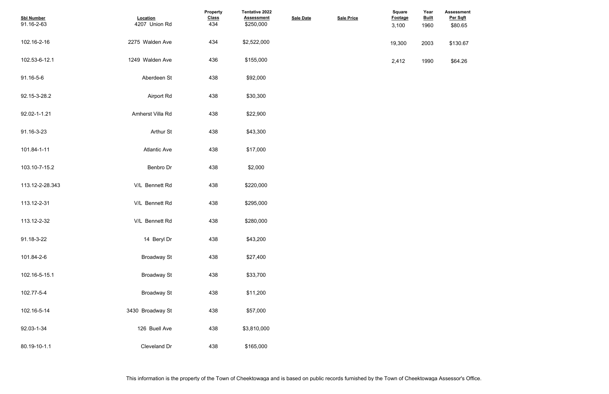| <b>Sbl Number</b><br>91.16-2-63 | Location<br>4207 Union Rd | <b>Property</b><br><b>Class</b><br>434 | Tentative 2022<br><b>Assessment</b><br>\$250,000 | <b>Sale Date</b> | <b>Sale Price</b> | <b>Square</b><br>Footage<br>3,100 | Year<br><b>Built</b><br>1960 | <b>Assessmer</b><br>Per Sqft<br>\$80.65 |
|---------------------------------|---------------------------|----------------------------------------|--------------------------------------------------|------------------|-------------------|-----------------------------------|------------------------------|-----------------------------------------|
| 102.16-2-16                     | 2275 Walden Ave           | 434                                    | \$2,522,000                                      |                  |                   | 19,300                            | 2003                         | \$130.67                                |
| 102.53-6-12.1                   | 1249 Walden Ave           | 436                                    | \$155,000                                        |                  |                   | 2,412                             | 1990                         | \$64.26                                 |
| 91.16-5-6                       | Aberdeen St               | 438                                    | \$92,000                                         |                  |                   |                                   |                              |                                         |
| 92.15-3-28.2                    | <b>Airport Rd</b>         | 438                                    | \$30,300                                         |                  |                   |                                   |                              |                                         |
| 92.02-1-1.21                    | Amherst Villa Rd          | 438                                    | \$22,900                                         |                  |                   |                                   |                              |                                         |
| 91.16-3-23                      | Arthur St                 | 438                                    | \$43,300                                         |                  |                   |                                   |                              |                                         |
| 101.84-1-11                     | <b>Atlantic Ave</b>       | 438                                    | \$17,000                                         |                  |                   |                                   |                              |                                         |
| 103.10-7-15.2                   | Benbro Dr                 | 438                                    | \$2,000                                          |                  |                   |                                   |                              |                                         |
| 113.12-2-28.343                 | V/L Bennett Rd            | 438                                    | \$220,000                                        |                  |                   |                                   |                              |                                         |
| 113.12-2-31                     | V/L Bennett Rd            | 438                                    | \$295,000                                        |                  |                   |                                   |                              |                                         |
| 113.12-2-32                     | V/L Bennett Rd            | 438                                    | \$280,000                                        |                  |                   |                                   |                              |                                         |
| 91.18-3-22                      | 14 Beryl Dr               | 438                                    | \$43,200                                         |                  |                   |                                   |                              |                                         |
| 101.84-2-6                      | <b>Broadway St</b>        | 438                                    | \$27,400                                         |                  |                   |                                   |                              |                                         |
| 102.16-5-15.1                   | <b>Broadway St</b>        | 438                                    | \$33,700                                         |                  |                   |                                   |                              |                                         |
| 102.77-5-4                      | <b>Broadway St</b>        | 438                                    | \$11,200                                         |                  |                   |                                   |                              |                                         |
| 102.16-5-14                     | 3430 Broadway St          | 438                                    | \$57,000                                         |                  |                   |                                   |                              |                                         |
| 92.03-1-34                      | 126 Buell Ave             | 438                                    | \$3,810,000                                      |                  |                   |                                   |                              |                                         |
| 80.19-10-1.1                    | Cleveland Dr              | 438                                    | \$165,000                                        |                  |                   |                                   |                              |                                         |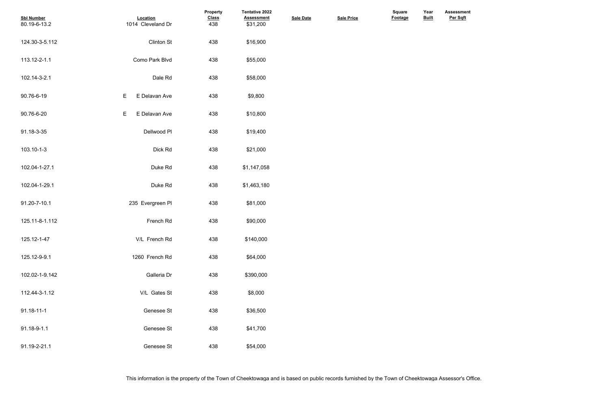| <b>Sbl Number</b><br>80.19-6-13.2 | Location<br>1014 Cleveland Dr | <b>Property</b><br><b>Class</b><br>438 | Tentative 2022<br><b>Assessment</b><br>\$31,200 | <b>Sale Date</b> | <b>Sale Price</b> | <b>Square</b><br>Footage | Year<br><b>Built</b> |  |
|-----------------------------------|-------------------------------|----------------------------------------|-------------------------------------------------|------------------|-------------------|--------------------------|----------------------|--|
| 124.30-3-5.112                    | <b>Clinton St</b>             | 438                                    | \$16,900                                        |                  |                   |                          |                      |  |
| 113.12-2-1.1                      | Como Park Blvd                | 438                                    | \$55,000                                        |                  |                   |                          |                      |  |
| 102.14-3-2.1                      | Dale Rd                       | 438                                    | \$58,000                                        |                  |                   |                          |                      |  |
| 90.76-6-19                        | Е<br>E Delavan Ave            | 438                                    | \$9,800                                         |                  |                   |                          |                      |  |
| 90.76-6-20                        | E<br>E Delavan Ave            | 438                                    | \$10,800                                        |                  |                   |                          |                      |  |
| 91.18-3-35                        | Dellwood PI                   | 438                                    | \$19,400                                        |                  |                   |                          |                      |  |
| 103.10-1-3                        | Dick Rd                       | 438                                    | \$21,000                                        |                  |                   |                          |                      |  |
| 102.04-1-27.1                     | Duke Rd                       | 438                                    | \$1,147,058                                     |                  |                   |                          |                      |  |
| 102.04-1-29.1                     | Duke Rd                       | 438                                    | \$1,463,180                                     |                  |                   |                          |                      |  |
| 91.20-7-10.1                      | 235 Evergreen PI              | 438                                    | \$81,000                                        |                  |                   |                          |                      |  |
| 125.11-8-1.112                    | French Rd                     | 438                                    | \$90,000                                        |                  |                   |                          |                      |  |
| 125.12-1-47                       | V/L French Rd                 | 438                                    | \$140,000                                       |                  |                   |                          |                      |  |
| 125.12-9-9.1                      | 1260 French Rd                | 438                                    | \$64,000                                        |                  |                   |                          |                      |  |
| 102.02-1-9.142                    | Galleria Dr                   | 438                                    | \$390,000                                       |                  |                   |                          |                      |  |
| 112.44-3-1.12                     | V/L Gates St                  | 438                                    | \$8,000                                         |                  |                   |                          |                      |  |
| 91.18-11-1                        | Genesee St                    | 438                                    | \$36,500                                        |                  |                   |                          |                      |  |
| 91.18-9-1.1                       | Genesee St                    | 438                                    | \$41,700                                        |                  |                   |                          |                      |  |
| 91.19-2-21.1                      | Genesee St                    | 438                                    | \$54,000                                        |                  |                   |                          |                      |  |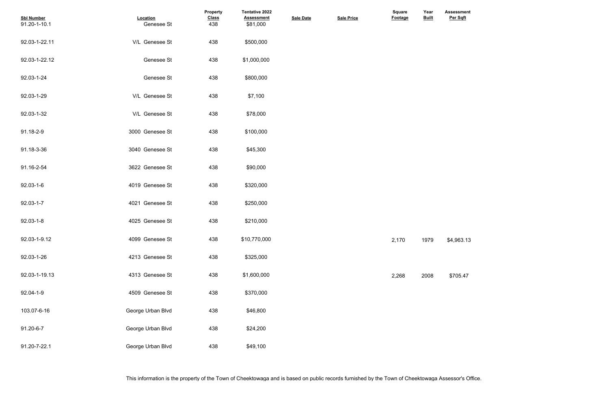| <b>Sbl Number</b><br>91.20-1-10.1 | Location<br>Genesee St | <b>Property</b><br><b>Class</b><br>438 | <b>Tentative 2022</b><br><b>Assessment</b><br>\$81,000 | <b>Sale Date</b> | <b>Sale Price</b> | <b>Square</b><br><b>Footage</b> | Year<br><b>Built</b> | <b>Assessment</b><br>Per Sqft |
|-----------------------------------|------------------------|----------------------------------------|--------------------------------------------------------|------------------|-------------------|---------------------------------|----------------------|-------------------------------|
| 92.03-1-22.11                     | V/L Genesee St         | 438                                    | \$500,000                                              |                  |                   |                                 |                      |                               |
| 92.03-1-22.12                     | Genesee St             | 438                                    | \$1,000,000                                            |                  |                   |                                 |                      |                               |
| 92.03-1-24                        | Genesee St             | 438                                    | \$800,000                                              |                  |                   |                                 |                      |                               |
| 92.03-1-29                        | V/L Genesee St         | 438                                    | \$7,100                                                |                  |                   |                                 |                      |                               |
| 92.03-1-32                        | V/L Genesee St         | 438                                    | \$78,000                                               |                  |                   |                                 |                      |                               |
| 91.18-2-9                         | 3000 Genesee St        | 438                                    | \$100,000                                              |                  |                   |                                 |                      |                               |
| 91.18-3-36                        | 3040 Genesee St        | 438                                    | \$45,300                                               |                  |                   |                                 |                      |                               |
| 91.16-2-54                        | 3622 Genesee St        | 438                                    | \$90,000                                               |                  |                   |                                 |                      |                               |
| 92.03-1-6                         | 4019 Genesee St        | 438                                    | \$320,000                                              |                  |                   |                                 |                      |                               |
| 92.03-1-7                         | 4021 Genesee St        | 438                                    | \$250,000                                              |                  |                   |                                 |                      |                               |
| $92.03 - 1 - 8$                   | 4025 Genesee St        | 438                                    | \$210,000                                              |                  |                   |                                 |                      |                               |
| 92.03-1-9.12                      | 4099 Genesee St        | 438                                    | \$10,770,000                                           |                  |                   | 2,170                           | 1979                 | \$4,963.13                    |
| 92.03-1-26                        | 4213 Genesee St        | 438                                    | \$325,000                                              |                  |                   |                                 |                      |                               |
| 92.03-1-19.13                     | 4313 Genesee St        | 438                                    | \$1,600,000                                            |                  |                   | 2,268                           | 2008                 | \$705.47                      |
| 92.04-1-9                         | 4509 Genesee St        | 438                                    | \$370,000                                              |                  |                   |                                 |                      |                               |
| 103.07-6-16                       | George Urban Blvd      | 438                                    | \$46,800                                               |                  |                   |                                 |                      |                               |
| 91.20-6-7                         | George Urban Blvd      | 438                                    | \$24,200                                               |                  |                   |                                 |                      |                               |
| 91.20-7-22.1                      | George Urban Blvd      | 438                                    | \$49,100                                               |                  |                   |                                 |                      |                               |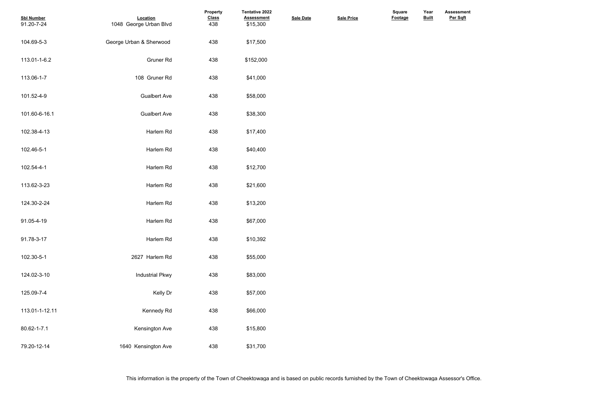| <b>Sbl Number</b><br>91.20-7-24 | Location<br>1048 George Urban Blvd | Property<br><b>Class</b><br>438 | <b>Tentative 2022</b><br><b>Assessment</b><br>\$15,300 | <b>Sale Date</b> | <b>Sale Price</b> | <b>Square</b><br>Footage | Year<br><b>Built</b> |
|---------------------------------|------------------------------------|---------------------------------|--------------------------------------------------------|------------------|-------------------|--------------------------|----------------------|
| 104.69-5-3                      | George Urban & Sherwood            | 438                             | \$17,500                                               |                  |                   |                          |                      |
| 113.01-1-6.2                    | <b>Gruner Rd</b>                   | 438                             | \$152,000                                              |                  |                   |                          |                      |
| 113.06-1-7                      | 108 Gruner Rd                      | 438                             | \$41,000                                               |                  |                   |                          |                      |
| 101.52-4-9                      | <b>Gualbert Ave</b>                | 438                             | \$58,000                                               |                  |                   |                          |                      |
| 101.60-6-16.1                   | <b>Gualbert Ave</b>                | 438                             | \$38,300                                               |                  |                   |                          |                      |
| 102.38-4-13                     | Harlem Rd                          | 438                             | \$17,400                                               |                  |                   |                          |                      |
| 102.46-5-1                      | Harlem Rd                          | 438                             | \$40,400                                               |                  |                   |                          |                      |
| 102.54-4-1                      | Harlem Rd                          | 438                             | \$12,700                                               |                  |                   |                          |                      |
| 113.62-3-23                     | Harlem Rd                          | 438                             | \$21,600                                               |                  |                   |                          |                      |
| 124.30-2-24                     | Harlem Rd                          | 438                             | \$13,200                                               |                  |                   |                          |                      |
| 91.05-4-19                      | Harlem Rd                          | 438                             | \$67,000                                               |                  |                   |                          |                      |
| 91.78-3-17                      | Harlem Rd                          | 438                             | \$10,392                                               |                  |                   |                          |                      |
| 102.30-5-1                      | 2627 Harlem Rd                     | 438                             | \$55,000                                               |                  |                   |                          |                      |
| 124.02-3-10                     | <b>Industrial Pkwy</b>             | 438                             | \$83,000                                               |                  |                   |                          |                      |
| 125.09-7-4                      | Kelly Dr                           | 438                             | \$57,000                                               |                  |                   |                          |                      |
| 113.01-1-12.11                  | Kennedy Rd                         | 438                             | \$66,000                                               |                  |                   |                          |                      |
| 80.62-1-7.1                     | Kensington Ave                     | 438                             | \$15,800                                               |                  |                   |                          |                      |
| 79.20-12-14                     | 1640 Kensington Ave                | 438                             | \$31,700                                               |                  |                   |                          |                      |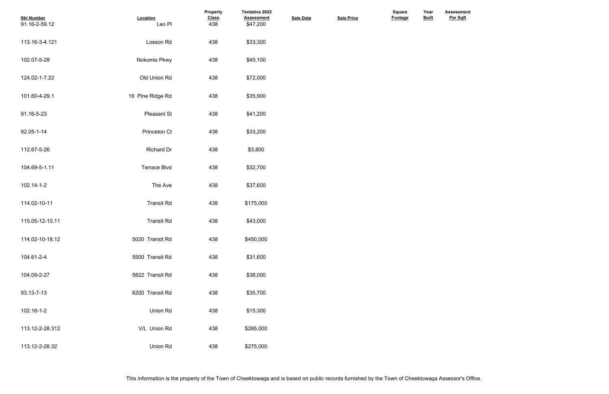| <b>Sbl Number</b><br>91.16-2-59.12 | Location<br>Leo Pl  | Property<br><b>Class</b><br>438 | Tentative 2022<br><b>Assessment</b><br>\$47,200 | <b>Sale Date</b> | <b>Sale Price</b> | <b>Square</b><br>Footage | Year<br><b>Built</b> |  |
|------------------------------------|---------------------|---------------------------------|-------------------------------------------------|------------------|-------------------|--------------------------|----------------------|--|
| 113.16-3-4.121                     | Losson Rd           | 438                             | \$33,300                                        |                  |                   |                          |                      |  |
| 102.07-5-28                        | Nokomis Pkwy        | 438                             | \$45,100                                        |                  |                   |                          |                      |  |
| 124.02-1-7.22                      | Old Union Rd        | 438                             | \$72,000                                        |                  |                   |                          |                      |  |
| 101.60-4-29.1                      | 19 Pine Ridge Rd    | 438                             | \$35,900                                        |                  |                   |                          |                      |  |
| 91.16-5-23                         | Pleasant St         | 438                             | \$41,200                                        |                  |                   |                          |                      |  |
| 92.05-1-14                         | Princeton Ct        | 438                             | \$33,200                                        |                  |                   |                          |                      |  |
| 112.67-5-26                        | <b>Richard Dr</b>   | 438                             | \$3,800                                         |                  |                   |                          |                      |  |
| 104.69-5-1.11                      | <b>Terrace Blvd</b> | 438                             | \$32,700                                        |                  |                   |                          |                      |  |
| 102.14-1-2                         | The Ave             | 438                             | \$37,600                                        |                  |                   |                          |                      |  |
| 114.02-10-11                       | <b>Transit Rd</b>   | 438                             | \$175,000                                       |                  |                   |                          |                      |  |
| 115.05-12-10.11                    | <b>Transit Rd</b>   | 438                             | \$43,000                                        |                  |                   |                          |                      |  |
| 114.02-10-18.12                    | 5020 Transit Rd     | 438                             | \$450,000                                       |                  |                   |                          |                      |  |
| 104.61-2-4                         | 5500 Transit Rd     | 438                             | \$31,600                                        |                  |                   |                          |                      |  |
| 104.09-2-27                        | 5822 Transit Rd     | 438                             | \$38,000                                        |                  |                   |                          |                      |  |
| 93.13-7-13                         | 6200 Transit Rd     | 438                             | \$35,700                                        |                  |                   |                          |                      |  |
| 102.16-1-2                         | Union Rd            | 438                             | \$15,300                                        |                  |                   |                          |                      |  |
| 113.12-2-28.312                    | V/L Union Rd        | 438                             | \$285,000                                       |                  |                   |                          |                      |  |
| 113.12-2-28.32                     | Union Rd            | 438                             | \$275,000                                       |                  |                   |                          |                      |  |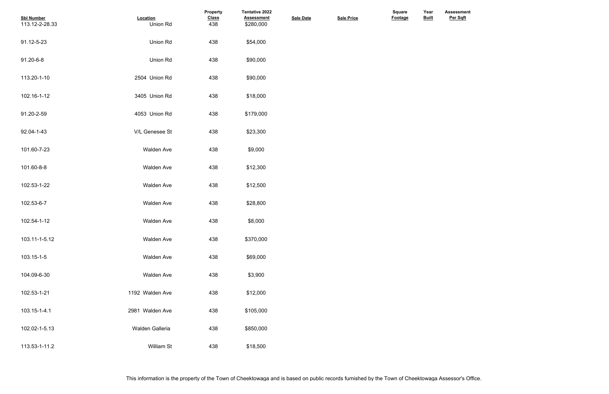| <b>Sbl Number</b><br>113.12-2-28.33 | Location<br>Union Rd | Property<br><b>Class</b><br>438 | Tentative 2022<br><b>Assessment</b><br>\$280,000 | <b>Sale Date</b> | <b>Sale Price</b> | Square<br>Footage | Year<br><b>Built</b> |  |
|-------------------------------------|----------------------|---------------------------------|--------------------------------------------------|------------------|-------------------|-------------------|----------------------|--|
| 91.12-5-23                          | Union Rd             | 438                             | \$54,000                                         |                  |                   |                   |                      |  |
| 91.20-6-8                           | Union Rd             | 438                             | \$90,000                                         |                  |                   |                   |                      |  |
| 113.20-1-10                         | 2504 Union Rd        | 438                             | \$90,000                                         |                  |                   |                   |                      |  |
| 102.16-1-12                         | 3405 Union Rd        | 438                             | \$18,000                                         |                  |                   |                   |                      |  |
| 91.20-2-59                          | 4053 Union Rd        | 438                             | \$179,000                                        |                  |                   |                   |                      |  |
| 92.04-1-43                          | V/L Genesee St       | 438                             | \$23,300                                         |                  |                   |                   |                      |  |
| 101.60-7-23                         | <b>Walden Ave</b>    | 438                             | \$9,000                                          |                  |                   |                   |                      |  |
| 101.60-8-8                          | <b>Walden Ave</b>    | 438                             | \$12,300                                         |                  |                   |                   |                      |  |
| 102.53-1-22                         | Walden Ave           | 438                             | \$12,500                                         |                  |                   |                   |                      |  |
| 102.53-6-7                          | <b>Walden Ave</b>    | 438                             | \$28,800                                         |                  |                   |                   |                      |  |
| 102.54-1-12                         | <b>Walden Ave</b>    | 438                             | \$8,000                                          |                  |                   |                   |                      |  |
| 103.11-1-5.12                       | <b>Walden Ave</b>    | 438                             | \$370,000                                        |                  |                   |                   |                      |  |
| 103.15-1-5                          | <b>Walden Ave</b>    | 438                             | \$69,000                                         |                  |                   |                   |                      |  |
| 104.09-6-30                         | <b>Walden Ave</b>    | 438                             | \$3,900                                          |                  |                   |                   |                      |  |
| 102.53-1-21                         | 1192 Walden Ave      | 438                             | \$12,000                                         |                  |                   |                   |                      |  |
| 103.15-1-4.1                        | 2981 Walden Ave      | 438                             | \$105,000                                        |                  |                   |                   |                      |  |
| 102.02-1-5.13                       | Walden Galleria      | 438                             | \$850,000                                        |                  |                   |                   |                      |  |
| 113.53-1-11.2                       | William St           | 438                             | \$18,500                                         |                  |                   |                   |                      |  |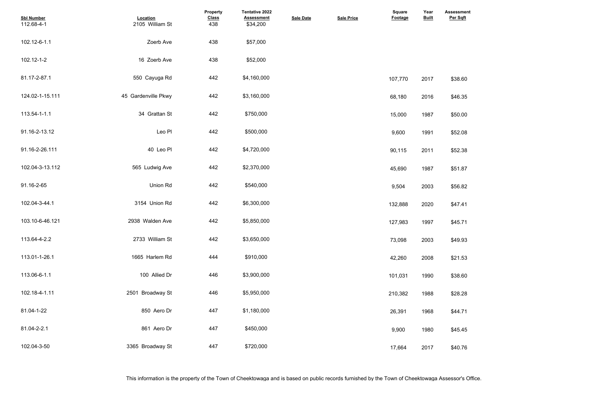- 
- 
- 
- 
- 
- 
- 
- 
- 
- 
- 
- 
- 
- 
- 
- 

| <b>Sbl Number</b><br>112.68-4-1 | Location<br>2105 William St | Property<br><b>Class</b><br>438 | Tentative 2022<br><b>Assessment</b><br>\$34,200 | <b>Sale Date</b> | <b>Sale Price</b> | <b>Square</b><br>Footage | Year<br><b>Built</b> | <b>Assessme</b><br>Per Sqft |
|---------------------------------|-----------------------------|---------------------------------|-------------------------------------------------|------------------|-------------------|--------------------------|----------------------|-----------------------------|
| 102.12-6-1.1                    | Zoerb Ave                   | 438                             | \$57,000                                        |                  |                   |                          |                      |                             |
| 102.12-1-2                      | 16 Zoerb Ave                | 438                             | \$52,000                                        |                  |                   |                          |                      |                             |
| 81.17-2-87.1                    | 550 Cayuga Rd               | 442                             | \$4,160,000                                     |                  |                   | 107,770                  | 2017                 | \$38.60                     |
| 124.02-1-15.111                 | 45 Gardenville Pkwy         | 442                             | \$3,160,000                                     |                  |                   | 68,180                   | 2016                 | \$46.35                     |
| 113.54-1-1.1                    | 34 Grattan St               | 442                             | \$750,000                                       |                  |                   | 15,000                   | 1987                 | \$50.00                     |
| 91.16-2-13.12                   | Leo Pl                      | 442                             | \$500,000                                       |                  |                   | 9,600                    | 1991                 | \$52.08                     |
| 91.16-2-26.111                  | 40 Leo Pl                   | 442                             | \$4,720,000                                     |                  |                   | 90,115                   | 2011                 | \$52.38                     |
| 102.04-3-13.112                 | 565 Ludwig Ave              | 442                             | \$2,370,000                                     |                  |                   | 45,690                   | 1987                 | \$51.87                     |
| 91.16-2-65                      | Union Rd                    | 442                             | \$540,000                                       |                  |                   | 9,504                    | 2003                 | \$56.82                     |
| 102.04-3-44.1                   | 3154 Union Rd               | 442                             | \$6,300,000                                     |                  |                   | 132,888                  | 2020                 | \$47.41                     |
| 103.10-6-46.121                 | 2938 Walden Ave             | 442                             | \$5,850,000                                     |                  |                   | 127,983                  | 1997                 | \$45.71                     |
| 113.64-4-2.2                    | 2733 William St             | 442                             | \$3,650,000                                     |                  |                   | 73,098                   | 2003                 | \$49.93                     |
| 113.01-1-26.1                   | 1665 Harlem Rd              | 444                             | \$910,000                                       |                  |                   | 42,260                   | 2008                 | \$21.53                     |
| 113.06-6-1.1                    | 100 Allied Dr               | 446                             | \$3,900,000                                     |                  |                   | 101,031                  | 1990                 | \$38.60                     |
| 102.18-4-1.11                   | 2501 Broadway St            | 446                             | \$5,950,000                                     |                  |                   | 210,382                  | 1988                 | \$28.28                     |
| 81.04-1-22                      | 850 Aero Dr                 | 447                             | \$1,180,000                                     |                  |                   | 26,391                   | 1968                 | \$44.71                     |
| 81.04-2-2.1                     | 861 Aero Dr                 | 447                             | \$450,000                                       |                  |                   | 9,900                    | 1980                 | \$45.45                     |
| 102.04-3-50                     | 3365 Broadway St            | 447                             | \$720,000                                       |                  |                   | 17,664                   | 2017                 | \$40.76                     |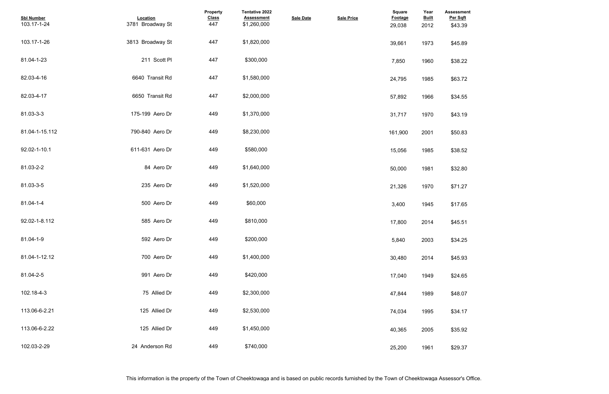| <b>Assessment</b><br>Per Sqft |  |  |  |
|-------------------------------|--|--|--|
| \$43.39                       |  |  |  |
|                               |  |  |  |
| \$45.89                       |  |  |  |
| \$38.22                       |  |  |  |
|                               |  |  |  |
| \$63.72                       |  |  |  |
|                               |  |  |  |
| \$34.55                       |  |  |  |
| \$43.19                       |  |  |  |
|                               |  |  |  |
| \$50.83                       |  |  |  |
| \$38.52                       |  |  |  |
|                               |  |  |  |
| \$32.80                       |  |  |  |
| \$71.27                       |  |  |  |
|                               |  |  |  |
| \$17.65                       |  |  |  |
| \$45.51                       |  |  |  |
|                               |  |  |  |
| \$34.25                       |  |  |  |
|                               |  |  |  |
| \$45.93                       |  |  |  |
| \$24.65                       |  |  |  |
|                               |  |  |  |
| \$48.07                       |  |  |  |
| \$34.17                       |  |  |  |
|                               |  |  |  |
| \$35.92                       |  |  |  |
| \$29.37                       |  |  |  |
|                               |  |  |  |

| <b>Sbl Number</b><br>103.17-1-24 | Location<br>3781 Broadway St | Property<br><b>Class</b><br>447 | <b>Tentative 2022</b><br><b>Assessment</b><br>\$1,260,000 | <b>Sale Date</b> | <b>Sale Price</b> | <b>Square</b><br><b>Footage</b><br>29,038 | Year<br><b>Built</b><br>2012 | <b>Assessme</b><br>Per Sqft<br>\$43.39 |
|----------------------------------|------------------------------|---------------------------------|-----------------------------------------------------------|------------------|-------------------|-------------------------------------------|------------------------------|----------------------------------------|
| 103.17-1-26                      | 3813 Broadway St             | 447                             | \$1,820,000                                               |                  |                   | 39,661                                    | 1973                         | \$45.89                                |
| 81.04-1-23                       | 211 Scott PI                 | 447                             | \$300,000                                                 |                  |                   | 7,850                                     | 1960                         | \$38.22                                |
| 82.03-4-16                       | 6640 Transit Rd              | 447                             | \$1,580,000                                               |                  |                   | 24,795                                    | 1985                         | \$63.72                                |
| 82.03-4-17                       | 6650 Transit Rd              | 447                             | \$2,000,000                                               |                  |                   | 57,892                                    | 1966                         | \$34.55                                |
| 81.03-3-3                        | 175-199 Aero Dr              | 449                             | \$1,370,000                                               |                  |                   | 31,717                                    | 1970                         | \$43.19                                |
| 81.04-1-15.112                   | 790-840 Aero Dr              | 449                             | \$8,230,000                                               |                  |                   | 161,900                                   | 2001                         | \$50.83                                |
| 92.02-1-10.1                     | 611-631 Aero Dr              | 449                             | \$580,000                                                 |                  |                   | 15,056                                    | 1985                         | \$38.52                                |
| 81.03-2-2                        | 84 Aero Dr                   | 449                             | \$1,640,000                                               |                  |                   | 50,000                                    | 1981                         | \$32.80                                |
| 81.03-3-5                        | 235 Aero Dr                  | 449                             | \$1,520,000                                               |                  |                   | 21,326                                    | 1970                         | \$71.27                                |
| 81.04-1-4                        | 500 Aero Dr                  | 449                             | \$60,000                                                  |                  |                   | 3,400                                     | 1945                         | \$17.65                                |
| 92.02-1-8.112                    | 585 Aero Dr                  | 449                             | \$810,000                                                 |                  |                   | 17,800                                    | 2014                         | \$45.51                                |
| 81.04-1-9                        | 592 Aero Dr                  | 449                             | \$200,000                                                 |                  |                   | 5,840                                     | 2003                         | \$34.25                                |
| 81.04-1-12.12                    | 700 Aero Dr                  | 449                             | \$1,400,000                                               |                  |                   | 30,480                                    | 2014                         | \$45.93                                |
| 81.04-2-5                        | 991 Aero Dr                  | 449                             | \$420,000                                                 |                  |                   | 17,040                                    | 1949                         | \$24.65                                |
| 102.18-4-3                       | 75 Allied Dr                 | 449                             | \$2,300,000                                               |                  |                   | 47,844                                    | 1989                         | \$48.07                                |
| 113.06-6-2.21                    | 125 Allied Dr                | 449                             | \$2,530,000                                               |                  |                   | 74,034                                    | 1995                         | \$34.17                                |
| 113.06-6-2.22                    | 125 Allied Dr                | 449                             | \$1,450,000                                               |                  |                   | 40,365                                    | 2005                         | \$35.92                                |
| 102.03-2-29                      | 24 Anderson Rd               | 449                             | \$740,000                                                 |                  |                   | 25,200                                    | 1961                         | \$29.37                                |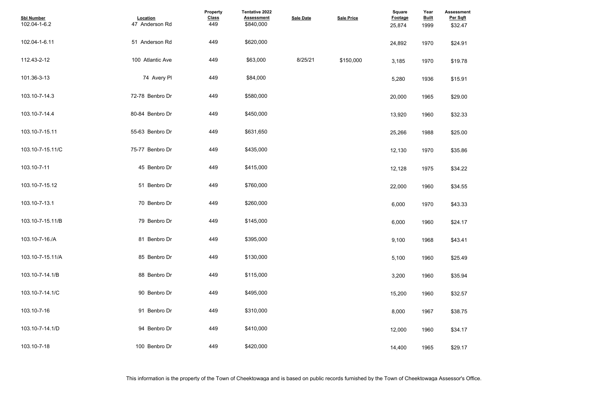| <b>Assessment</b><br>Per Sqft |  |  |  |
|-------------------------------|--|--|--|
| \$32.47                       |  |  |  |
|                               |  |  |  |
| \$24.91                       |  |  |  |
|                               |  |  |  |
| \$19.78                       |  |  |  |
| \$15.91                       |  |  |  |
|                               |  |  |  |
| \$29.00                       |  |  |  |
|                               |  |  |  |
| \$32.33                       |  |  |  |
| \$25.00                       |  |  |  |
|                               |  |  |  |
| \$35.86                       |  |  |  |
|                               |  |  |  |
| \$34.22                       |  |  |  |
| \$34.55                       |  |  |  |
|                               |  |  |  |
| \$43.33                       |  |  |  |
|                               |  |  |  |
| \$24.17                       |  |  |  |
| \$43.41                       |  |  |  |
|                               |  |  |  |
| \$25.49                       |  |  |  |
|                               |  |  |  |
| \$35.94                       |  |  |  |
| \$32.57                       |  |  |  |
|                               |  |  |  |
| \$38.75                       |  |  |  |
|                               |  |  |  |
| \$34.17                       |  |  |  |
| \$29.17                       |  |  |  |
|                               |  |  |  |

| <b>Sbl Number</b><br>102.04-1-6.2 | Location<br>47 Anderson Rd | <b>Property</b><br><b>Class</b><br>449 | <b>Tentative 2022</b><br><b>Assessment</b><br>\$840,000 | <b>Sale Date</b> | <b>Sale Price</b> | <b>Square</b><br>Footage<br>25,874 | Year<br><b>Built</b><br>1999 | <b>Assessme</b><br>Per Sqft<br>\$32.47 |
|-----------------------------------|----------------------------|----------------------------------------|---------------------------------------------------------|------------------|-------------------|------------------------------------|------------------------------|----------------------------------------|
| 102.04-1-6.11                     | 51 Anderson Rd             | 449                                    | \$620,000                                               |                  |                   | 24,892                             | 1970                         | \$24.91                                |
| 112.43-2-12                       | 100 Atlantic Ave           | 449                                    | \$63,000                                                | 8/25/21          | \$150,000         | 3,185                              | 1970                         | \$19.78                                |
| 101.36-3-13                       | 74 Avery PI                | 449                                    | \$84,000                                                |                  |                   | 5,280                              | 1936                         | \$15.91                                |
| 103.10-7-14.3                     | 72-78 Benbro Dr            | 449                                    | \$580,000                                               |                  |                   | 20,000                             | 1965                         | \$29.00                                |
| 103.10-7-14.4                     | 80-84 Benbro Dr            | 449                                    | \$450,000                                               |                  |                   | 13,920                             | 1960                         | \$32.33                                |
| 103.10-7-15.11                    | 55-63 Benbro Dr            | 449                                    | \$631,650                                               |                  |                   | 25,266                             | 1988                         | \$25.00                                |
| 103.10-7-15.11/C                  | 75-77 Benbro Dr            | 449                                    | \$435,000                                               |                  |                   | 12,130                             | 1970                         | \$35.86                                |
| 103.10-7-11                       | 45 Benbro Dr               | 449                                    | \$415,000                                               |                  |                   | 12,128                             | 1975                         | \$34.22                                |
| 103.10-7-15.12                    | 51 Benbro Dr               | 449                                    | \$760,000                                               |                  |                   | 22,000                             | 1960                         | \$34.55                                |
| 103.10-7-13.1                     | 70 Benbro Dr               | 449                                    | \$260,000                                               |                  |                   | 6,000                              | 1970                         | \$43.33                                |
| 103.10-7-15.11/B                  | 79 Benbro Dr               | 449                                    | \$145,000                                               |                  |                   | 6,000                              | 1960                         | \$24.17                                |
| 103.10-7-16./A                    | 81 Benbro Dr               | 449                                    | \$395,000                                               |                  |                   | 9,100                              | 1968                         | \$43.41                                |
| 103.10-7-15.11/A                  | 85 Benbro Dr               | 449                                    | \$130,000                                               |                  |                   | 5,100                              | 1960                         | \$25.49                                |
| 103.10-7-14.1/B                   | 88 Benbro Dr               | 449                                    | \$115,000                                               |                  |                   | 3,200                              | 1960                         | \$35.94                                |
| 103.10-7-14.1/C                   | 90 Benbro Dr               | 449                                    | \$495,000                                               |                  |                   | 15,200                             | 1960                         | \$32.57                                |
| 103.10-7-16                       | 91 Benbro Dr               | 449                                    | \$310,000                                               |                  |                   | 8,000                              | 1967                         | \$38.75                                |
| 103.10-7-14.1/D                   | 94 Benbro Dr               | 449                                    | \$410,000                                               |                  |                   | 12,000                             | 1960                         | \$34.17                                |
| 103.10-7-18                       | 100 Benbro Dr              | 449                                    | \$420,000                                               |                  |                   | 14,400                             | 1965                         | \$29.17                                |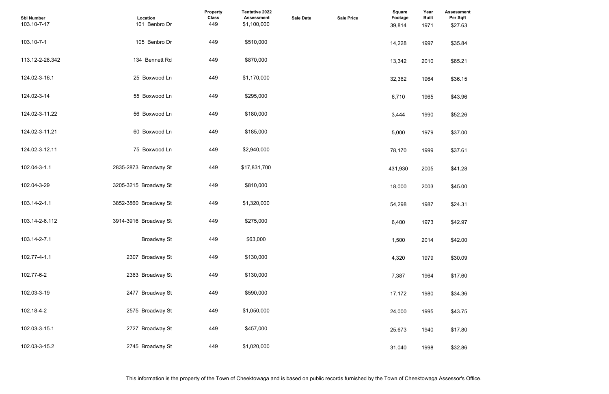| <b>Assessment</b><br>Per Sqft |  |  |  |
|-------------------------------|--|--|--|
| \$27.63                       |  |  |  |
| \$35.84                       |  |  |  |
| \$65.21                       |  |  |  |
| \$36.15                       |  |  |  |
| \$43.96                       |  |  |  |
| \$52.26                       |  |  |  |
| \$37.00                       |  |  |  |
| \$37.61                       |  |  |  |
| \$41.28                       |  |  |  |
| \$45.00                       |  |  |  |
| \$24.31                       |  |  |  |
| \$42.97                       |  |  |  |
| \$42.00                       |  |  |  |
| \$30.09                       |  |  |  |
| \$17.60                       |  |  |  |
| \$34.36                       |  |  |  |
| \$43.75                       |  |  |  |
| \$17.80                       |  |  |  |
| \$32.86                       |  |  |  |

| <b>Sbl Number</b><br>103.10-7-17 | Location<br>101 Benbro Dr | Property<br><b>Class</b><br>449 | Tentative 2022<br><b>Assessment</b><br>\$1,100,000 | <b>Sale Date</b> | <b>Sale Price</b> | <b>Square</b><br>Footage<br>39,814 | Year<br><b>Built</b><br>1971 | <b>Assessme</b><br>Per Sqft<br>\$27.63 |
|----------------------------------|---------------------------|---------------------------------|----------------------------------------------------|------------------|-------------------|------------------------------------|------------------------------|----------------------------------------|
| 103.10-7-1                       | 105 Benbro Dr             | 449                             | \$510,000                                          |                  |                   | 14,228                             | 1997                         | \$35.84                                |
| 113.12-2-28.342                  | 134 Bennett Rd            | 449                             | \$870,000                                          |                  |                   | 13,342                             | 2010                         | \$65.21                                |
| 124.02-3-16.1                    | 25 Boxwood Ln             | 449                             | \$1,170,000                                        |                  |                   | 32,362                             | 1964                         | \$36.15                                |
| 124.02-3-14                      | 55 Boxwood Ln             | 449                             | \$295,000                                          |                  |                   | 6,710                              | 1965                         | \$43.96                                |
| 124.02-3-11.22                   | 56 Boxwood Ln             | 449                             | \$180,000                                          |                  |                   | 3,444                              | 1990                         | \$52.26                                |
| 124.02-3-11.21                   | 60 Boxwood Ln             | 449                             | \$185,000                                          |                  |                   | 5,000                              | 1979                         | \$37.00                                |
| 124.02-3-12.11                   | 75 Boxwood Ln             | 449                             | \$2,940,000                                        |                  |                   | 78,170                             | 1999                         | \$37.61                                |
| 102.04-3-1.1                     | 2835-2873 Broadway St     | 449                             | \$17,831,700                                       |                  |                   | 431,930                            | 2005                         | \$41.28                                |
| 102.04-3-29                      | 3205-3215 Broadway St     | 449                             | \$810,000                                          |                  |                   | 18,000                             | 2003                         | \$45.00                                |
| 103.14-2-1.1                     | 3852-3860 Broadway St     | 449                             | \$1,320,000                                        |                  |                   | 54,298                             | 1987                         | \$24.31                                |
| 103.14-2-6.112                   | 3914-3916 Broadway St     | 449                             | \$275,000                                          |                  |                   | 6,400                              | 1973                         | \$42.97                                |
| 103.14-2-7.1                     | <b>Broadway St</b>        | 449                             | \$63,000                                           |                  |                   | 1,500                              | 2014                         | \$42.00                                |
| 102.77-4-1.1                     | 2307 Broadway St          | 449                             | \$130,000                                          |                  |                   | 4,320                              | 1979                         | \$30.09                                |
| 102.77-6-2                       | 2363 Broadway St          | 449                             | \$130,000                                          |                  |                   | 7,387                              | 1964                         | \$17.60                                |
| 102.03-3-19                      | 2477 Broadway St          | 449                             | \$590,000                                          |                  |                   | 17,172                             | 1980                         | \$34.36                                |
| 102.18-4-2                       | 2575 Broadway St          | 449                             | \$1,050,000                                        |                  |                   | 24,000                             | 1995                         | \$43.75                                |
| 102.03-3-15.1                    | 2727 Broadway St          | 449                             | \$457,000                                          |                  |                   | 25,673                             | 1940                         | \$17.80                                |
| 102.03-3-15.2                    | 2745 Broadway St          | 449                             | \$1,020,000                                        |                  |                   | 31,040                             | 1998                         | \$32.86                                |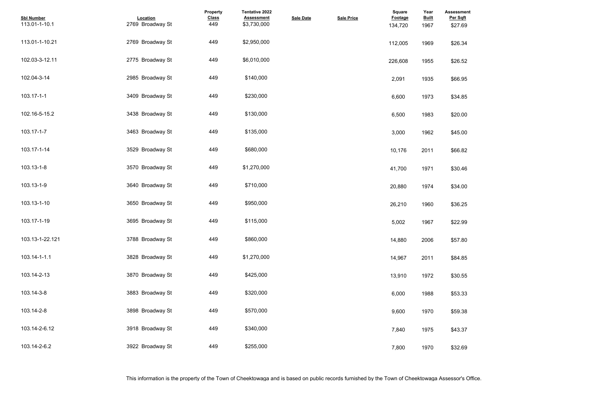| <b>Assessment</b><br>Per Sqft<br>\$27.69 |  |  |  |
|------------------------------------------|--|--|--|
| \$26.34                                  |  |  |  |
| \$26.52                                  |  |  |  |
| \$66.95                                  |  |  |  |
| \$34.85                                  |  |  |  |
| \$20.00                                  |  |  |  |
| \$45.00                                  |  |  |  |
| \$66.82                                  |  |  |  |
| \$30.46                                  |  |  |  |
| \$34.00                                  |  |  |  |
| \$36.25                                  |  |  |  |
| \$22.99                                  |  |  |  |
| \$57.80                                  |  |  |  |
| \$84.85                                  |  |  |  |
| \$30.55                                  |  |  |  |
| \$53.33                                  |  |  |  |
| \$59.38                                  |  |  |  |
| \$43.37                                  |  |  |  |
| \$32.69                                  |  |  |  |

| <b>Sbl Number</b><br>113.01-1-10.1 | Location<br>2769 Broadway St | Property<br><b>Class</b><br>449 | Tentative 2022<br><b>Assessment</b><br>\$3,730,000 | <b>Sale Date</b> | <b>Sale Price</b> | <b>Square</b><br><b>Footage</b><br>134,720 | Year<br><b>Built</b><br>1967 | <b>Assessme</b><br>Per Sqft<br>\$27.69 |
|------------------------------------|------------------------------|---------------------------------|----------------------------------------------------|------------------|-------------------|--------------------------------------------|------------------------------|----------------------------------------|
| 113.01-1-10.21                     | 2769 Broadway St             | 449                             | \$2,950,000                                        |                  |                   | 112,005                                    | 1969                         | \$26.34                                |
| 102.03-3-12.11                     | 2775 Broadway St             | 449                             | \$6,010,000                                        |                  |                   | 226,608                                    | 1955                         | \$26.52                                |
| 102.04-3-14                        | 2985 Broadway St             | 449                             | \$140,000                                          |                  |                   | 2,091                                      | 1935                         | \$66.95                                |
| 103.17-1-1                         | 3409 Broadway St             | 449                             | \$230,000                                          |                  |                   | 6,600                                      | 1973                         | \$34.85                                |
| 102.16-5-15.2                      | 3438 Broadway St             | 449                             | \$130,000                                          |                  |                   | 6,500                                      | 1983                         | \$20.00                                |
| 103.17-1-7                         | 3463 Broadway St             | 449                             | \$135,000                                          |                  |                   | 3,000                                      | 1962                         | \$45.00                                |
| 103.17-1-14                        | 3529 Broadway St             | 449                             | \$680,000                                          |                  |                   | 10,176                                     | 2011                         | \$66.82                                |
| 103.13-1-8                         | 3570 Broadway St             | 449                             | \$1,270,000                                        |                  |                   | 41,700                                     | 1971                         | \$30.46                                |
| 103.13-1-9                         | 3640 Broadway St             | 449                             | \$710,000                                          |                  |                   | 20,880                                     | 1974                         | \$34.00                                |
| 103.13-1-10                        | 3650 Broadway St             | 449                             | \$950,000                                          |                  |                   | 26,210                                     | 1960                         | \$36.25                                |
| 103.17-1-19                        | 3695 Broadway St             | 449                             | \$115,000                                          |                  |                   | 5,002                                      | 1967                         | \$22.99                                |
| 103.13-1-22.121                    | 3788 Broadway St             | 449                             | \$860,000                                          |                  |                   | 14,880                                     | 2006                         | \$57.80                                |
| 103.14-1-1.1                       | 3828 Broadway St             | 449                             | \$1,270,000                                        |                  |                   | 14,967                                     | 2011                         | \$84.85                                |
| 103.14-2-13                        | 3870 Broadway St             | 449                             | \$425,000                                          |                  |                   | 13,910                                     | 1972                         | \$30.55                                |
| 103.14-3-8                         | 3883 Broadway St             | 449                             | \$320,000                                          |                  |                   | 6,000                                      | 1988                         | \$53.33                                |
| 103.14-2-8                         | 3898 Broadway St             | 449                             | \$570,000                                          |                  |                   | 9,600                                      | 1970                         | \$59.38                                |
| 103.14-2-6.12                      | 3918 Broadway St             | 449                             | \$340,000                                          |                  |                   | 7,840                                      | 1975                         | \$43.37                                |
| 103.14-2-6.2                       | 3922 Broadway St             | 449                             | \$255,000                                          |                  |                   | 7,800                                      | 1970                         | \$32.69                                |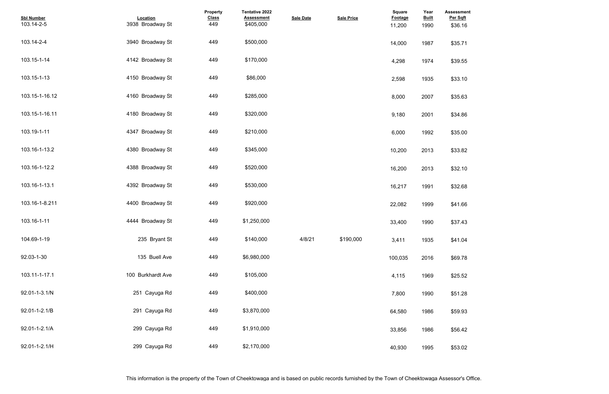| <b>Assessment</b><br>Per Sqft |  |  |  |
|-------------------------------|--|--|--|
| \$36.16                       |  |  |  |
|                               |  |  |  |
| \$35.71                       |  |  |  |
|                               |  |  |  |
| \$39.55                       |  |  |  |
|                               |  |  |  |
| \$33.10                       |  |  |  |
| \$35.63                       |  |  |  |
|                               |  |  |  |
| \$34.86                       |  |  |  |
|                               |  |  |  |
| \$35.00                       |  |  |  |
|                               |  |  |  |
| \$33.82                       |  |  |  |
|                               |  |  |  |
| \$32.10                       |  |  |  |
| \$32.68                       |  |  |  |
|                               |  |  |  |
| \$41.66                       |  |  |  |
|                               |  |  |  |
| \$37.43                       |  |  |  |
|                               |  |  |  |
| \$41.04                       |  |  |  |
| \$69.78                       |  |  |  |
|                               |  |  |  |
| \$25.52                       |  |  |  |
|                               |  |  |  |
| \$51.28                       |  |  |  |
|                               |  |  |  |
| \$59.93                       |  |  |  |
| \$56.42                       |  |  |  |
|                               |  |  |  |
| \$53.02                       |  |  |  |
|                               |  |  |  |

| <b>Sbl Number</b><br>103.14-2-5 | Location<br>3938 Broadway St | Property<br><b>Class</b><br>449 | Tentative 2022<br><b>Assessment</b><br>\$405,000 | <b>Sale Date</b> | <b>Sale Price</b> | <b>Square</b><br>Footage<br>11,200 | Year<br><b>Built</b><br>1990 | <b>Assessme</b><br>Per Sqft<br>\$36.16 |
|---------------------------------|------------------------------|---------------------------------|--------------------------------------------------|------------------|-------------------|------------------------------------|------------------------------|----------------------------------------|
| 103.14-2-4                      | 3940 Broadway St             | 449                             | \$500,000                                        |                  |                   | 14,000                             | 1987                         | \$35.71                                |
| 103.15-1-14                     | 4142 Broadway St             | 449                             | \$170,000                                        |                  |                   | 4,298                              | 1974                         | \$39.55                                |
| 103.15-1-13                     | 4150 Broadway St             | 449                             | \$86,000                                         |                  |                   | 2,598                              | 1935                         | \$33.10                                |
| 103.15-1-16.12                  | 4160 Broadway St             | 449                             | \$285,000                                        |                  |                   | 8,000                              | 2007                         | \$35.63                                |
| 103.15-1-16.11                  | 4180 Broadway St             | 449                             | \$320,000                                        |                  |                   | 9,180                              | 2001                         | \$34.86                                |
| 103.19-1-11                     | 4347 Broadway St             | 449                             | \$210,000                                        |                  |                   | 6,000                              | 1992                         | \$35.00                                |
| 103.16-1-13.2                   | 4380 Broadway St             | 449                             | \$345,000                                        |                  |                   | 10,200                             | 2013                         | \$33.82                                |
| 103.16-1-12.2                   | 4388 Broadway St             | 449                             | \$520,000                                        |                  |                   | 16,200                             | 2013                         | \$32.10                                |
| 103.16-1-13.1                   | 4392 Broadway St             | 449                             | \$530,000                                        |                  |                   | 16,217                             | 1991                         | \$32.68                                |
| 103.16-1-8.211                  | 4400 Broadway St             | 449                             | \$920,000                                        |                  |                   | 22,082                             | 1999                         | \$41.66                                |
| 103.16-1-11                     | 4444 Broadway St             | 449                             | \$1,250,000                                      |                  |                   | 33,400                             | 1990                         | \$37.43                                |
| 104.69-1-19                     | 235 Bryant St                | 449                             | \$140,000                                        | 4/8/21           | \$190,000         | 3,411                              | 1935                         | \$41.04                                |
| 92.03-1-30                      | 135 Buell Ave                | 449                             | \$6,980,000                                      |                  |                   | 100,035                            | 2016                         | \$69.78                                |
| 103.11-1-17.1                   | 100 Burkhardt Ave            | 449                             | \$105,000                                        |                  |                   | 4,115                              | 1969                         | \$25.52                                |
| 92.01-1-3.1/N                   | 251 Cayuga Rd                | 449                             | \$400,000                                        |                  |                   | 7,800                              | 1990                         | \$51.28                                |
| 92.01-1-2.1/B                   | 291 Cayuga Rd                | 449                             | \$3,870,000                                      |                  |                   | 64,580                             | 1986                         | \$59.93                                |
| 92.01-1-2.1/A                   | 299 Cayuga Rd                | 449                             | \$1,910,000                                      |                  |                   | 33,856                             | 1986                         | \$56.42                                |
| 92.01-1-2.1/H                   | 299 Cayuga Rd                | 449                             | \$2,170,000                                      |                  |                   | 40,930                             | 1995                         | \$53.02                                |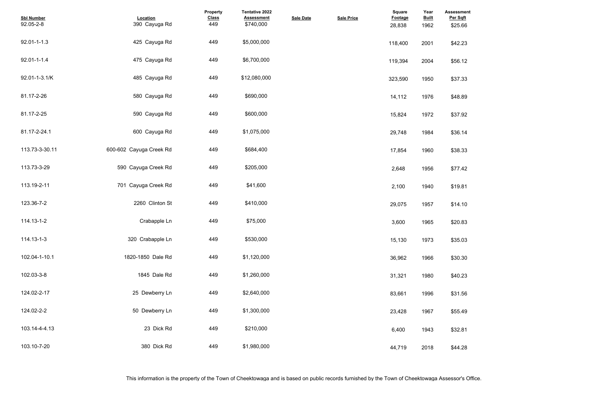| <b>Assessment</b><br>Per Sqft<br>\$25.66 |  |  |  |
|------------------------------------------|--|--|--|
| \$42.23                                  |  |  |  |
| \$56.12                                  |  |  |  |
| \$37.33                                  |  |  |  |
| \$48.89                                  |  |  |  |
| \$37.92                                  |  |  |  |
| \$36.14                                  |  |  |  |
| \$38.33                                  |  |  |  |
| \$77.42                                  |  |  |  |
| \$19.81                                  |  |  |  |
| \$14.10                                  |  |  |  |
| \$20.83                                  |  |  |  |
| \$35.03                                  |  |  |  |
| \$30.30                                  |  |  |  |
| \$40.23                                  |  |  |  |
| \$31.56                                  |  |  |  |
| \$55.49                                  |  |  |  |
| \$32.81                                  |  |  |  |
| \$44.28                                  |  |  |  |

| <b>Sbl Number</b><br>92.05-2-8 | Location<br>390 Cayuga Rd | Property<br><b>Class</b><br>449 | Tentative 2022<br><b>Assessment</b><br>\$740,000 | <b>Sale Date</b> | <b>Sale Price</b> | <b>Square</b><br>Footage<br>28,838 | Year<br><b>Built</b><br>1962 | <b>Assessme</b><br>Per Sqft<br>\$25.66 |
|--------------------------------|---------------------------|---------------------------------|--------------------------------------------------|------------------|-------------------|------------------------------------|------------------------------|----------------------------------------|
| 92.01-1-1.3                    | 425 Cayuga Rd             | 449                             | \$5,000,000                                      |                  |                   | 118,400                            | 2001                         | \$42.23                                |
| 92.01-1-1.4                    | 475 Cayuga Rd             | 449                             | \$6,700,000                                      |                  |                   | 119,394                            | 2004                         | \$56.12                                |
| 92.01-1-3.1/K                  | 485 Cayuga Rd             | 449                             | \$12,080,000                                     |                  |                   | 323,590                            | 1950                         | \$37.33                                |
| 81.17-2-26                     | 580 Cayuga Rd             | 449                             | \$690,000                                        |                  |                   | 14,112                             | 1976                         | \$48.89                                |
| 81.17-2-25                     | 590 Cayuga Rd             | 449                             | \$600,000                                        |                  |                   | 15,824                             | 1972                         | \$37.92                                |
| 81.17-2-24.1                   | 600 Cayuga Rd             | 449                             | \$1,075,000                                      |                  |                   | 29,748                             | 1984                         | \$36.14                                |
| 113.73-3-30.11                 | 600-602 Cayuga Creek Rd   | 449                             | \$684,400                                        |                  |                   | 17,854                             | 1960                         | \$38.33                                |
| 113.73-3-29                    | 590 Cayuga Creek Rd       | 449                             | \$205,000                                        |                  |                   | 2,648                              | 1956                         | \$77.42                                |
| 113.19-2-11                    | 701 Cayuga Creek Rd       | 449                             | \$41,600                                         |                  |                   | 2,100                              | 1940                         | \$19.81                                |
| 123.36-7-2                     | 2260 Clinton St           | 449                             | \$410,000                                        |                  |                   | 29,075                             | 1957                         | \$14.10                                |
| 114.13-1-2                     | Crabapple Ln              | 449                             | \$75,000                                         |                  |                   | 3,600                              | 1965                         | \$20.83                                |
| 114.13-1-3                     | 320 Crabapple Ln          | 449                             | \$530,000                                        |                  |                   | 15,130                             | 1973                         | \$35.03                                |
| 102.04-1-10.1                  | 1820-1850 Dale Rd         | 449                             | \$1,120,000                                      |                  |                   | 36,962                             | 1966                         | \$30.30                                |
| 102.03-3-8                     | 1845 Dale Rd              | 449                             | \$1,260,000                                      |                  |                   | 31,321                             | 1980                         | \$40.23                                |
| 124.02-2-17                    | 25 Dewberry Ln            | 449                             | \$2,640,000                                      |                  |                   | 83,661                             | 1996                         | \$31.56                                |
| 124.02-2-2                     | 50 Dewberry Ln            | 449                             | \$1,300,000                                      |                  |                   | 23,428                             | 1967                         | \$55.49                                |
| 103.14-4-4.13                  | 23 Dick Rd                | 449                             | \$210,000                                        |                  |                   | 6,400                              | 1943                         | \$32.81                                |
| 103.10-7-20                    | 380 Dick Rd               | 449                             | \$1,980,000                                      |                  |                   | 44,719                             | 2018                         | \$44.28                                |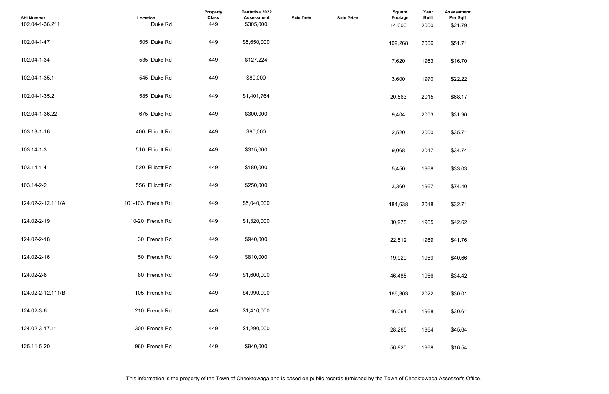| <b>Assessment</b><br>Per Sqft |  |  |  |
|-------------------------------|--|--|--|
| \$21.79                       |  |  |  |
| \$51.71                       |  |  |  |
| \$16.70                       |  |  |  |
| \$22.22                       |  |  |  |
| \$68.17                       |  |  |  |
| \$31.90                       |  |  |  |
| \$35.71                       |  |  |  |
| \$34.74                       |  |  |  |
| \$33.03                       |  |  |  |
| \$74.40                       |  |  |  |
| \$32.71                       |  |  |  |
| \$42.62                       |  |  |  |
| \$41.76                       |  |  |  |
| \$40.66                       |  |  |  |
| \$34.42                       |  |  |  |
| \$30.01                       |  |  |  |
| \$30.61                       |  |  |  |
| \$45.64                       |  |  |  |
| \$16.54                       |  |  |  |

| <b>Sbl Number</b><br>102.04-1-36.211 | Location<br>Duke Rd | <b>Property</b><br><b>Class</b><br>449 | <b>Tentative 2022</b><br><b>Assessment</b><br>\$305,000 | <b>Sale Date</b> | <b>Sale Price</b> | <b>Square</b><br><b>Footage</b><br>14,000 | Year<br><b>Built</b><br>2000 | <b>Assessme</b><br>Per Sqft<br>\$21.79 |
|--------------------------------------|---------------------|----------------------------------------|---------------------------------------------------------|------------------|-------------------|-------------------------------------------|------------------------------|----------------------------------------|
| 102.04-1-47                          | 505 Duke Rd         | 449                                    | \$5,650,000                                             |                  |                   | 109,268                                   | 2006                         | \$51.71                                |
| 102.04-1-34                          | 535 Duke Rd         | 449                                    | \$127,224                                               |                  |                   | 7,620                                     | 1953                         | \$16.70                                |
| 102.04-1-35.1                        | 545 Duke Rd         | 449                                    | \$80,000                                                |                  |                   | 3,600                                     | 1970                         | \$22.22                                |
| 102.04-1-35.2                        | 585 Duke Rd         | 449                                    | \$1,401,764                                             |                  |                   | 20,563                                    | 2015                         | \$68.17                                |
| 102.04-1-36.22                       | 675 Duke Rd         | 449                                    | \$300,000                                               |                  |                   | 9,404                                     | 2003                         | \$31.90                                |
| 103.13-1-16                          | 400 Ellicott Rd     | 449                                    | \$90,000                                                |                  |                   | 2,520                                     | 2000                         | \$35.71                                |
| 103.14-1-3                           | 510 Ellicott Rd     | 449                                    | \$315,000                                               |                  |                   | 9,068                                     | 2017                         | \$34.74                                |
| 103.14-1-4                           | 520 Ellicott Rd     | 449                                    | \$180,000                                               |                  |                   | 5,450                                     | 1968                         | \$33.03                                |
| 103.14-2-2                           | 556 Ellicott Rd     | 449                                    | \$250,000                                               |                  |                   | 3,360                                     | 1967                         | \$74.40                                |
| 124.02-2-12.111/A                    | 101-103 French Rd   | 449                                    | \$6,040,000                                             |                  |                   | 184,638                                   | 2018                         | \$32.71                                |
| 124.02-2-19                          | 10-20 French Rd     | 449                                    | \$1,320,000                                             |                  |                   | 30,975                                    | 1965                         | \$42.62                                |
| 124.02-2-18                          | 30 French Rd        | 449                                    | \$940,000                                               |                  |                   | 22,512                                    | 1969                         | \$41.76                                |
| 124.02-2-16                          | 50 French Rd        | 449                                    | \$810,000                                               |                  |                   | 19,920                                    | 1969                         | \$40.66                                |
| 124.02-2-8                           | 80 French Rd        | 449                                    | \$1,600,000                                             |                  |                   | 46,485                                    | 1966                         | \$34.42                                |
| 124.02-2-12.111/B                    | 105 French Rd       | 449                                    | \$4,990,000                                             |                  |                   | 166,303                                   | 2022                         | \$30.01                                |
| 124.02-3-6                           | 210 French Rd       | 449                                    | \$1,410,000                                             |                  |                   | 46,064                                    | 1968                         | \$30.61                                |
| 124.02-3-17.11                       | 300 French Rd       | 449                                    | \$1,290,000                                             |                  |                   | 28,265                                    | 1964                         | \$45.64                                |
| 125.11-5-20                          | 960 French Rd       | 449                                    | \$940,000                                               |                  |                   | 56,820                                    | 1968                         | \$16.54                                |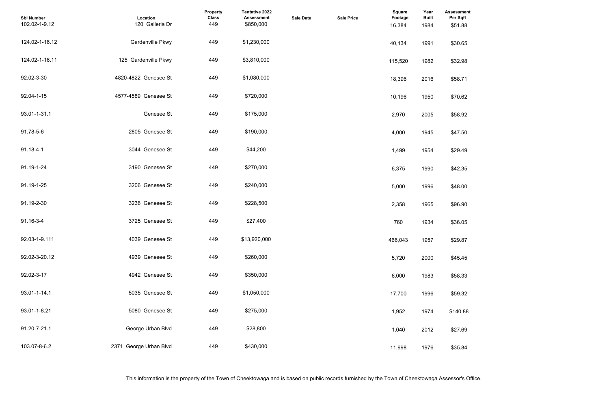| <b>Assessment</b><br>Per Sqft |  |  |  |
|-------------------------------|--|--|--|
| \$51.88                       |  |  |  |
| \$30.65                       |  |  |  |
| \$32.98                       |  |  |  |
| \$58.71                       |  |  |  |
| \$70.62                       |  |  |  |
| \$58.92                       |  |  |  |
| \$47.50                       |  |  |  |
| \$29.49                       |  |  |  |
| \$42.35                       |  |  |  |
| \$48.00                       |  |  |  |
| \$96.90                       |  |  |  |
| \$36.05                       |  |  |  |
| \$29.87                       |  |  |  |
| \$45.45                       |  |  |  |
| \$58.33                       |  |  |  |
| \$59.32                       |  |  |  |
| \$140.88                      |  |  |  |
| \$27.69                       |  |  |  |
| \$35.84                       |  |  |  |

| <b>Sbl Number</b><br>102.02-1-9.12 | Location<br>120 Galleria Dr | Property<br><b>Class</b><br>449 | <b>Tentative 2022</b><br><b>Assessment</b><br>\$850,000 | <b>Sale Date</b> | <b>Sale Price</b> | <b>Square</b><br>Footage<br>16,384 | Year<br><b>Built</b><br>1984 | <b>Assessmer</b><br>Per Sqft<br>\$51.88 |
|------------------------------------|-----------------------------|---------------------------------|---------------------------------------------------------|------------------|-------------------|------------------------------------|------------------------------|-----------------------------------------|
| 124.02-1-16.12                     | Gardenville Pkwy            | 449                             | \$1,230,000                                             |                  |                   | 40,134                             | 1991                         | \$30.65                                 |
| 124.02-1-16.11                     | 125 Gardenville Pkwy        | 449                             | \$3,810,000                                             |                  |                   | 115,520                            | 1982                         | \$32.98                                 |
| 92.02-3-30                         | 4820-4822 Genesee St        | 449                             | \$1,080,000                                             |                  |                   | 18,396                             | 2016                         | \$58.71                                 |
| 92.04-1-15                         | 4577-4589 Genesee St        | 449                             | \$720,000                                               |                  |                   | 10,196                             | 1950                         | \$70.62                                 |
| 93.01-1-31.1                       | Genesee St                  | 449                             | \$175,000                                               |                  |                   | 2,970                              | 2005                         | \$58.92                                 |
| 91.78-5-6                          | 2805 Genesee St             | 449                             | \$190,000                                               |                  |                   | 4,000                              | 1945                         | \$47.50                                 |
| $91.18 - 4 - 1$                    | 3044 Genesee St             | 449                             | \$44,200                                                |                  |                   | 1,499                              | 1954                         | \$29.49                                 |
| 91.19-1-24                         | 3190 Genesee St             | 449                             | \$270,000                                               |                  |                   | 6,375                              | 1990                         | \$42.35                                 |
| 91.19-1-25                         | 3206 Genesee St             | 449                             | \$240,000                                               |                  |                   | 5,000                              | 1996                         | \$48.00                                 |
| 91.19-2-30                         | 3236 Genesee St             | 449                             | \$228,500                                               |                  |                   | 2,358                              | 1965                         | \$96.90                                 |
| 91.16-3-4                          | 3725 Genesee St             | 449                             | \$27,400                                                |                  |                   | 760                                | 1934                         | \$36.05                                 |
| 92.03-1-9.111                      | 4039 Genesee St             | 449                             | \$13,920,000                                            |                  |                   | 466,043                            | 1957                         | \$29.87                                 |
| 92.02-3-20.12                      | 4939 Genesee St             | 449                             | \$260,000                                               |                  |                   | 5,720                              | 2000                         | \$45.45                                 |
| 92.02-3-17                         | 4942 Genesee St             | 449                             | \$350,000                                               |                  |                   | 6,000                              | 1983                         | \$58.33                                 |
| 93.01-1-14.1                       | 5035 Genesee St             | 449                             | \$1,050,000                                             |                  |                   | 17,700                             | 1996                         | \$59.32                                 |
| 93.01-1-8.21                       | 5080 Genesee St             | 449                             | \$275,000                                               |                  |                   | 1,952                              | 1974                         | \$140.88                                |
| 91.20-7-21.1                       | George Urban Blvd           | 449                             | \$28,800                                                |                  |                   | 1,040                              | 2012                         | \$27.69                                 |
| 103.07-8-6.2                       | 2371 George Urban Blvd      | 449                             | \$430,000                                               |                  |                   | 11,998                             | 1976                         | \$35.84                                 |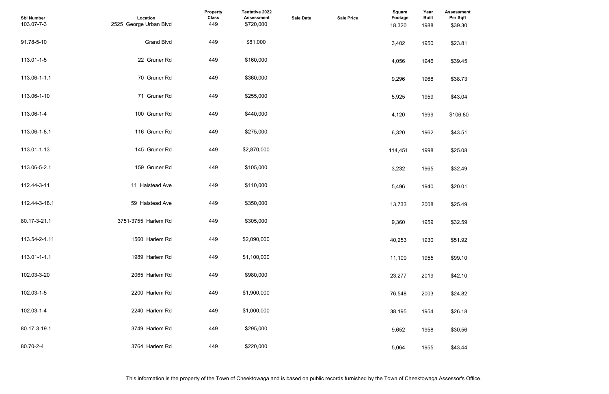| <b>Assessment</b><br>Per Sqft |  |  |  |
|-------------------------------|--|--|--|
| \$39.30                       |  |  |  |
| \$23.81                       |  |  |  |
| \$39.45                       |  |  |  |
| \$38.73                       |  |  |  |
| \$43.04                       |  |  |  |
| \$106.80                      |  |  |  |
| \$43.51                       |  |  |  |
| \$25.08                       |  |  |  |
| \$32.49                       |  |  |  |
| \$20.01                       |  |  |  |
| \$25.49                       |  |  |  |
| \$32.59                       |  |  |  |
| \$51.92                       |  |  |  |
| \$99.10                       |  |  |  |
| \$42.10                       |  |  |  |
| \$24.82                       |  |  |  |
| \$26.18                       |  |  |  |
| \$30.56                       |  |  |  |
| \$43.44                       |  |  |  |

| <b>Sbl Number</b><br>103.07-7-3 | Location<br>2525 George Urban Blvd | Property<br><b>Class</b><br>449 | Tentative 2022<br><b>Assessment</b><br>\$720,000 | <b>Sale Date</b> | <b>Sale Price</b> | <b>Square</b><br><b>Footage</b><br>18,320 | Year<br><b>Built</b><br>1988 | <b>Assessmer</b><br>Per Sqft<br>\$39.30 |
|---------------------------------|------------------------------------|---------------------------------|--------------------------------------------------|------------------|-------------------|-------------------------------------------|------------------------------|-----------------------------------------|
| 91.78-5-10                      | <b>Grand Blvd</b>                  | 449                             | \$81,000                                         |                  |                   | 3,402                                     | 1950                         | \$23.81                                 |
| 113.01-1-5                      | 22 Gruner Rd                       | 449                             | \$160,000                                        |                  |                   | 4,056                                     | 1946                         | \$39.45                                 |
| 113.06-1-1.1                    | 70 Gruner Rd                       | 449                             | \$360,000                                        |                  |                   | 9,296                                     | 1968                         | \$38.73                                 |
| 113.06-1-10                     | 71 Gruner Rd                       | 449                             | \$255,000                                        |                  |                   | 5,925                                     | 1959                         | \$43.04                                 |
| 113.06-1-4                      | 100 Gruner Rd                      | 449                             | \$440,000                                        |                  |                   | 4,120                                     | 1999                         | \$106.80                                |
| 113.06-1-8.1                    | 116 Gruner Rd                      | 449                             | \$275,000                                        |                  |                   | 6,320                                     | 1962                         | \$43.51                                 |
| 113.01-1-13                     | 145 Gruner Rd                      | 449                             | \$2,870,000                                      |                  |                   | 114,451                                   | 1998                         | \$25.08                                 |
| 113.06-5-2.1                    | 159 Gruner Rd                      | 449                             | \$105,000                                        |                  |                   | 3,232                                     | 1965                         | \$32.49                                 |
| 112.44-3-11                     | 11 Halstead Ave                    | 449                             | \$110,000                                        |                  |                   | 5,496                                     | 1940                         | \$20.01                                 |
| 112.44-3-18.1                   | 59 Halstead Ave                    | 449                             | \$350,000                                        |                  |                   | 13,733                                    | 2008                         | \$25.49                                 |
| 80.17-3-21.1                    | 3751-3755 Harlem Rd                | 449                             | \$305,000                                        |                  |                   | 9,360                                     | 1959                         | \$32.59                                 |
| 113.54-2-1.11                   | 1560 Harlem Rd                     | 449                             | \$2,090,000                                      |                  |                   | 40,253                                    | 1930                         | \$51.92                                 |
| 113.01-1-1.1                    | 1989 Harlem Rd                     | 449                             | \$1,100,000                                      |                  |                   | 11,100                                    | 1955                         | \$99.10                                 |
| 102.03-3-20                     | 2065 Harlem Rd                     | 449                             | \$980,000                                        |                  |                   | 23,277                                    | 2019                         | \$42.10                                 |
| 102.03-1-5                      | 2200 Harlem Rd                     | 449                             | \$1,900,000                                      |                  |                   | 76,548                                    | 2003                         | \$24.82                                 |
| 102.03-1-4                      | 2240 Harlem Rd                     | 449                             | \$1,000,000                                      |                  |                   | 38,195                                    | 1954                         | \$26.18                                 |
| 80.17-3-19.1                    | 3749 Harlem Rd                     | 449                             | \$295,000                                        |                  |                   | 9,652                                     | 1958                         | \$30.56                                 |
| 80.70-2-4                       | 3764 Harlem Rd                     | 449                             | \$220,000                                        |                  |                   | 5,064                                     | 1955                         | \$43.44                                 |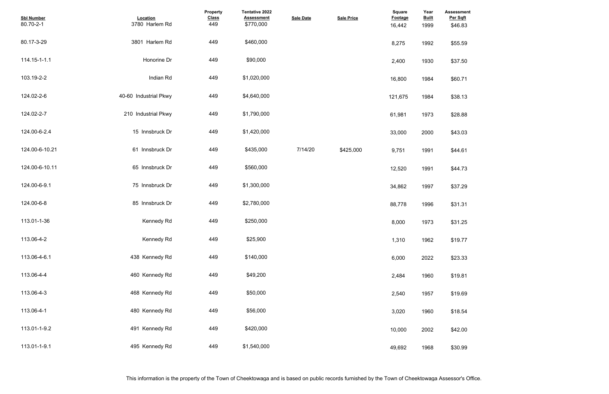| <b>Assessment</b><br>Per Sqft |  |  |  |
|-------------------------------|--|--|--|
| \$46.83                       |  |  |  |
|                               |  |  |  |
| \$55.59                       |  |  |  |
|                               |  |  |  |
| \$37.50                       |  |  |  |
|                               |  |  |  |
| \$60.71                       |  |  |  |
| \$38.13                       |  |  |  |
|                               |  |  |  |
| \$28.88                       |  |  |  |
|                               |  |  |  |
| \$43.03                       |  |  |  |
|                               |  |  |  |
| \$44.61                       |  |  |  |
| \$44.73                       |  |  |  |
|                               |  |  |  |
| \$37.29                       |  |  |  |
|                               |  |  |  |
| \$31.31                       |  |  |  |
| \$31.25                       |  |  |  |
|                               |  |  |  |
| \$19.77                       |  |  |  |
|                               |  |  |  |
| \$23.33                       |  |  |  |
| \$19.81                       |  |  |  |
|                               |  |  |  |
| \$19.69                       |  |  |  |
|                               |  |  |  |
| \$18.54                       |  |  |  |
|                               |  |  |  |
| \$42.00                       |  |  |  |
| \$30.99                       |  |  |  |
|                               |  |  |  |

| <b>Sbl Number</b><br>80.70-2-1 | Location<br>3780 Harlem Rd | Property<br><b>Class</b><br>449 | <b>Tentative 2022</b><br><b>Assessment</b><br>\$770,000 | <b>Sale Date</b> | <b>Sale Price</b> | <b>Square</b><br>Footage<br>16,442 | Year<br><b>Built</b><br>1999 | <b>Assessme</b><br>Per Sqft<br>\$46.83 |
|--------------------------------|----------------------------|---------------------------------|---------------------------------------------------------|------------------|-------------------|------------------------------------|------------------------------|----------------------------------------|
| 80.17-3-29                     | 3801 Harlem Rd             | 449                             | \$460,000                                               |                  |                   | 8,275                              | 1992                         | \$55.59                                |
| 114.15-1-1.1                   | Honorine Dr                | 449                             | \$90,000                                                |                  |                   | 2,400                              | 1930                         | \$37.50                                |
| 103.19-2-2                     | Indian Rd                  | 449                             | \$1,020,000                                             |                  |                   | 16,800                             | 1984                         | \$60.71                                |
| 124.02-2-6                     | 40-60 Industrial Pkwy      | 449                             | \$4,640,000                                             |                  |                   | 121,675                            | 1984                         | \$38.13                                |
| 124.02-2-7                     | 210 Industrial Pkwy        | 449                             | \$1,790,000                                             |                  |                   | 61,981                             | 1973                         | \$28.88                                |
| 124.00-6-2.4                   | 15 Innsbruck Dr            | 449                             | \$1,420,000                                             |                  |                   | 33,000                             | 2000                         | \$43.03                                |
| 124.00-6-10.21                 | 61 Innsbruck Dr            | 449                             | \$435,000                                               | 7/14/20          | \$425,000         | 9,751                              | 1991                         | \$44.61                                |
| 124.00-6-10.11                 | 65 Innsbruck Dr            | 449                             | \$560,000                                               |                  |                   | 12,520                             | 1991                         | \$44.73                                |
| 124.00-6-9.1                   | 75 Innsbruck Dr            | 449                             | \$1,300,000                                             |                  |                   | 34,862                             | 1997                         | \$37.29                                |
| 124.00-6-8                     | 85 Innsbruck Dr            | 449                             | \$2,780,000                                             |                  |                   | 88,778                             | 1996                         | \$31.31                                |
| 113.01-1-36                    | <b>Kennedy Rd</b>          | 449                             | \$250,000                                               |                  |                   | 8,000                              | 1973                         | \$31.25                                |
| 113.06-4-2                     | Kennedy Rd                 | 449                             | \$25,900                                                |                  |                   | 1,310                              | 1962                         | \$19.77                                |
| 113.06-4-6.1                   | 438 Kennedy Rd             | 449                             | \$140,000                                               |                  |                   | 6,000                              | 2022                         | \$23.33                                |
| 113.06-4-4                     | 460 Kennedy Rd             | 449                             | \$49,200                                                |                  |                   | 2,484                              | 1960                         | \$19.81                                |
| 113.06-4-3                     | 468 Kennedy Rd             | 449                             | \$50,000                                                |                  |                   | 2,540                              | 1957                         | \$19.69                                |
| 113.06-4-1                     | 480 Kennedy Rd             | 449                             | \$56,000                                                |                  |                   | 3,020                              | 1960                         | \$18.54                                |
| 113.01-1-9.2                   | 491 Kennedy Rd             | 449                             | \$420,000                                               |                  |                   | 10,000                             | 2002                         | \$42.00                                |
| 113.01-1-9.1                   | 495 Kennedy Rd             | 449                             | \$1,540,000                                             |                  |                   | 49,692                             | 1968                         | \$30.99                                |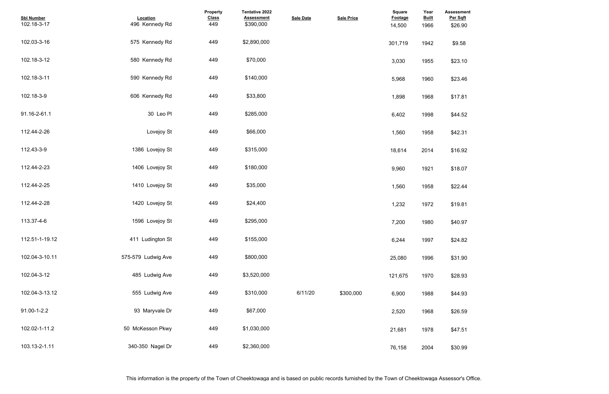| <b>Assessment</b><br>Per Sqft |  |  |  |
|-------------------------------|--|--|--|
| \$26.90                       |  |  |  |
| \$9.58                        |  |  |  |
| \$23.10                       |  |  |  |
| \$23.46                       |  |  |  |
| \$17.81                       |  |  |  |
| \$44.52                       |  |  |  |
| \$42.31                       |  |  |  |
| \$16.92                       |  |  |  |
| \$18.07                       |  |  |  |
| \$22.44                       |  |  |  |
| \$19.81                       |  |  |  |
| \$40.97                       |  |  |  |
| \$24.82                       |  |  |  |
| \$31.90                       |  |  |  |
| \$28.93                       |  |  |  |
| \$44.93                       |  |  |  |
| \$26.59                       |  |  |  |
| \$47.51                       |  |  |  |
| \$30.99                       |  |  |  |

| <b>Sbl Number</b><br>102.18-3-17 | Location<br>496 Kennedy Rd | Property<br><b>Class</b><br>449 | <b>Tentative 2022</b><br><b>Assessment</b><br>\$390,000 | <b>Sale Date</b> | <b>Sale Price</b> | <b>Square</b><br>Footage<br>14,500 | Year<br><b>Built</b><br>1966 | <b>Assessme</b><br>Per Sqft<br>\$26.90 |
|----------------------------------|----------------------------|---------------------------------|---------------------------------------------------------|------------------|-------------------|------------------------------------|------------------------------|----------------------------------------|
| 102.03-3-16                      | 575 Kennedy Rd             | 449                             | \$2,890,000                                             |                  |                   | 301,719                            | 1942                         | \$9.58                                 |
| 102.18-3-12                      | 580 Kennedy Rd             | 449                             | \$70,000                                                |                  |                   | 3,030                              | 1955                         | \$23.10                                |
| 102.18-3-11                      | 590 Kennedy Rd             | 449                             | \$140,000                                               |                  |                   | 5,968                              | 1960                         | \$23.46                                |
| 102.18-3-9                       | 606 Kennedy Rd             | 449                             | \$33,800                                                |                  |                   | 1,898                              | 1968                         | \$17.81                                |
| 91.16-2-61.1                     | 30 Leo Pl                  | 449                             | \$285,000                                               |                  |                   | 6,402                              | 1998                         | \$44.52                                |
| 112.44-2-26                      | Lovejoy St                 | 449                             | \$66,000                                                |                  |                   | 1,560                              | 1958                         | \$42.31                                |
| 112.43-3-9                       | 1386 Lovejoy St            | 449                             | \$315,000                                               |                  |                   | 18,614                             | 2014                         | \$16.92                                |
| 112.44-2-23                      | 1406 Lovejoy St            | 449                             | \$180,000                                               |                  |                   | 9,960                              | 1921                         | \$18.07                                |
| 112.44-2-25                      | 1410 Lovejoy St            | 449                             | \$35,000                                                |                  |                   | 1,560                              | 1958                         | \$22.44                                |
| 112.44-2-28                      | 1420 Lovejoy St            | 449                             | \$24,400                                                |                  |                   | 1,232                              | 1972                         | \$19.81                                |
| 113.37-4-6                       | 1596 Lovejoy St            | 449                             | \$295,000                                               |                  |                   | 7,200                              | 1980                         | \$40.97                                |
| 112.51-1-19.12                   | 411 Ludington St           | 449                             | \$155,000                                               |                  |                   | 6,244                              | 1997                         | \$24.82                                |
| 102.04-3-10.11                   | 575-579 Ludwig Ave         | 449                             | \$800,000                                               |                  |                   | 25,080                             | 1996                         | \$31.90                                |
| 102.04-3-12                      | 485 Ludwig Ave             | 449                             | \$3,520,000                                             |                  |                   | 121,675                            | 1970                         | \$28.93                                |
| 102.04-3-13.12                   | 555 Ludwig Ave             | 449                             | \$310,000                                               | 6/11/20          | \$300.000         | 6,900                              | 1988                         | \$44.93                                |
| 91.00-1-2.2                      | 93 Maryvale Dr             | 449                             | \$67,000                                                |                  |                   | 2,520                              | 1968                         | \$26.59                                |
| 102.02-1-11.2                    | 50 McKesson Pkwy           | 449                             | \$1,030,000                                             |                  |                   | 21,681                             | 1978                         | \$47.51                                |
| 103.13-2-1.11                    | 340-350 Nagel Dr           | 449                             | \$2,360,000                                             |                  |                   | 76,158                             | 2004                         | \$30.99                                |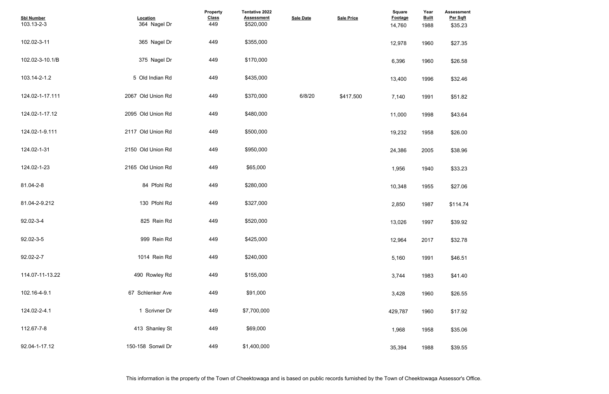| <b>Assessment</b><br>Per Sqft |  |  |  |
|-------------------------------|--|--|--|
| \$35.23                       |  |  |  |
| \$27.35                       |  |  |  |
| \$26.58                       |  |  |  |
| \$32.46                       |  |  |  |
| \$51.82                       |  |  |  |
| \$43.64                       |  |  |  |
| \$26.00                       |  |  |  |
| \$38.96                       |  |  |  |
| \$33.23                       |  |  |  |
| \$27.06                       |  |  |  |
| \$114.74                      |  |  |  |
| \$39.92                       |  |  |  |
| \$32.78                       |  |  |  |
| \$46.51                       |  |  |  |
| \$41.40                       |  |  |  |
| \$26.55                       |  |  |  |
| \$17.92                       |  |  |  |
| \$35.06                       |  |  |  |
| \$39.55                       |  |  |  |

| <b>Sbl Number</b><br>103.13-2-3 | Location<br>364 Nagel Dr | Property<br><b>Class</b><br>449 | Tentative 2022<br><b>Assessment</b><br>\$520,000 | <b>Sale Date</b> | <b>Sale Price</b> | <b>Square</b><br><b>Footage</b><br>14,760 | Year<br><b>Built</b><br>1988 | <b>Assessmer</b><br>Per Sqft<br>\$35.23 |
|---------------------------------|--------------------------|---------------------------------|--------------------------------------------------|------------------|-------------------|-------------------------------------------|------------------------------|-----------------------------------------|
| 102.02-3-11                     | 365 Nagel Dr             | 449                             | \$355,000                                        |                  |                   | 12,978                                    | 1960                         | \$27.35                                 |
| 102.02-3-10.1/B                 | 375 Nagel Dr             | 449                             | \$170,000                                        |                  |                   | 6,396                                     | 1960                         | \$26.58                                 |
| 103.14-2-1.2                    | 5 Old Indian Rd          | 449                             | \$435,000                                        |                  |                   | 13,400                                    | 1996                         | \$32.46                                 |
| 124.02-1-17.111                 | 2067 Old Union Rd        | 449                             | \$370,000                                        | 6/8/20           | \$417,500         | 7,140                                     | 1991                         | \$51.82                                 |
| 124.02-1-17.12                  | 2095 Old Union Rd        | 449                             | \$480,000                                        |                  |                   | 11,000                                    | 1998                         | \$43.64                                 |
| 124.02-1-9.111                  | 2117 Old Union Rd        | 449                             | \$500,000                                        |                  |                   | 19,232                                    | 1958                         | \$26.00                                 |
| 124.02-1-31                     | 2150 Old Union Rd        | 449                             | \$950,000                                        |                  |                   | 24,386                                    | 2005                         | \$38.96                                 |
| 124.02-1-23                     | 2165 Old Union Rd        | 449                             | \$65,000                                         |                  |                   | 1,956                                     | 1940                         | \$33.23                                 |
| 81.04-2-8                       | 84 Pfohl Rd              | 449                             | \$280,000                                        |                  |                   | 10,348                                    | 1955                         | \$27.06                                 |
| 81.04-2-9.212                   | 130 Pfohl Rd             | 449                             | \$327,000                                        |                  |                   | 2,850                                     | 1987                         | \$114.74                                |
| 92.02-3-4                       | 825 Rein Rd              | 449                             | \$520,000                                        |                  |                   | 13,026                                    | 1997                         | \$39.92                                 |
| 92.02-3-5                       | 999 Rein Rd              | 449                             | \$425,000                                        |                  |                   | 12,964                                    | 2017                         | \$32.78                                 |
| 92.02-2-7                       | 1014 Rein Rd             | 449                             | \$240,000                                        |                  |                   | 5,160                                     | 1991                         | \$46.51                                 |
| 114.07-11-13.22                 | 490 Rowley Rd            | 449                             | \$155,000                                        |                  |                   | 3,744                                     | 1983                         | \$41.40                                 |
| 102.16-4-9.1                    | 67 Schlenker Ave         | 449                             | \$91,000                                         |                  |                   | 3,428                                     | 1960                         | \$26.55                                 |
| 124.02-2-4.1                    | 1 Scrivner Dr            | 449                             | \$7,700,000                                      |                  |                   | 429,787                                   | 1960                         | \$17.92                                 |
| 112.67-7-8                      | 413 Shanley St           | 449                             | \$69,000                                         |                  |                   | 1,968                                     | 1958                         | \$35.06                                 |
| 92.04-1-17.12                   | 150-158 Sonwil Dr        | 449                             | \$1,400,000                                      |                  |                   | 35,394                                    | 1988                         | \$39.55                                 |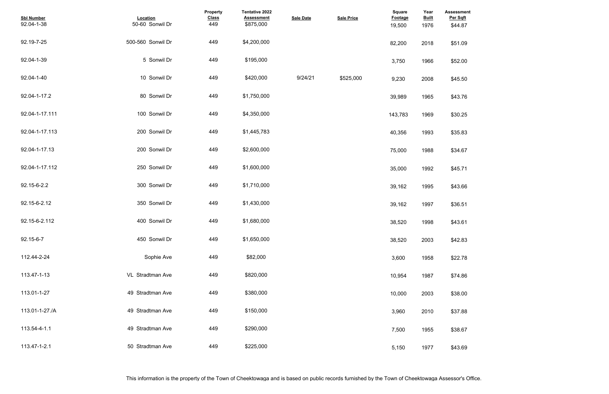| <b>Assessment</b><br>Per Sqft |  |  |  |
|-------------------------------|--|--|--|
| \$44.87                       |  |  |  |
|                               |  |  |  |
| \$51.09                       |  |  |  |
|                               |  |  |  |
| \$52.00                       |  |  |  |
|                               |  |  |  |
| \$45.50                       |  |  |  |
|                               |  |  |  |
| \$43.76                       |  |  |  |
|                               |  |  |  |
| \$30.25                       |  |  |  |
|                               |  |  |  |
| \$35.83                       |  |  |  |
|                               |  |  |  |
| \$34.67                       |  |  |  |
|                               |  |  |  |
| \$45.71                       |  |  |  |
|                               |  |  |  |
| \$43.66                       |  |  |  |
| \$36.51                       |  |  |  |
|                               |  |  |  |
| \$43.61                       |  |  |  |
|                               |  |  |  |
| \$42.83                       |  |  |  |
|                               |  |  |  |
| \$22.78                       |  |  |  |
|                               |  |  |  |
| \$74.86                       |  |  |  |
|                               |  |  |  |
| \$38.00                       |  |  |  |
|                               |  |  |  |
| \$37.88                       |  |  |  |
|                               |  |  |  |
| \$38.67                       |  |  |  |
|                               |  |  |  |
| \$43.69                       |  |  |  |

| <b>Sbl Number</b><br>92.04-1-38 | Location<br>50-60 Sonwil Dr | Property<br><b>Class</b><br>449 | <b>Tentative 2022</b><br><b>Assessment</b><br>\$875,000 | <b>Sale Date</b> | <b>Sale Price</b> | <b>Square</b><br>Footage<br>19,500 | Year<br><b>Built</b><br>1976 | <b>Assessme</b><br>Per Sqft<br>\$44.87 |
|---------------------------------|-----------------------------|---------------------------------|---------------------------------------------------------|------------------|-------------------|------------------------------------|------------------------------|----------------------------------------|
| 92.19-7-25                      | 500-560 Sonwil Dr           | 449                             | \$4,200,000                                             |                  |                   | 82,200                             | 2018                         | \$51.09                                |
| 92.04-1-39                      | 5 Sonwil Dr                 | 449                             | \$195,000                                               |                  |                   | 3,750                              | 1966                         | \$52.00                                |
| 92.04-1-40                      | 10 Sonwil Dr                | 449                             | \$420,000                                               | 9/24/21          | \$525,000         | 9,230                              | 2008                         | \$45.50                                |
| 92.04-1-17.2                    | 80 Sonwil Dr                | 449                             | \$1,750,000                                             |                  |                   | 39,989                             | 1965                         | \$43.76                                |
| 92.04-1-17.111                  | 100 Sonwil Dr               | 449                             | \$4,350,000                                             |                  |                   | 143,783                            | 1969                         | \$30.25                                |
| 92.04-1-17.113                  | 200 Sonwil Dr               | 449                             | \$1,445,783                                             |                  |                   | 40,356                             | 1993                         | \$35.83                                |
| 92.04-1-17.13                   | 200 Sonwil Dr               | 449                             | \$2,600,000                                             |                  |                   | 75,000                             | 1988                         | \$34.67                                |
| 92.04-1-17.112                  | 250 Sonwil Dr               | 449                             | \$1,600,000                                             |                  |                   | 35,000                             | 1992                         | \$45.71                                |
| 92.15-6-2.2                     | 300 Sonwil Dr               | 449                             | \$1,710,000                                             |                  |                   | 39,162                             | 1995                         | \$43.66                                |
| 92.15-6-2.12                    | 350 Sonwil Dr               | 449                             | \$1,430,000                                             |                  |                   | 39,162                             | 1997                         | \$36.51                                |
| 92.15-6-2.112                   | 400 Sonwil Dr               | 449                             | \$1,680,000                                             |                  |                   | 38,520                             | 1998                         | \$43.61                                |
| 92.15-6-7                       | 450 Sonwil Dr               | 449                             | \$1,650,000                                             |                  |                   | 38,520                             | 2003                         | \$42.83                                |
| 112.44-2-24                     | Sophie Ave                  | 449                             | \$82,000                                                |                  |                   | 3,600                              | 1958                         | \$22.78                                |
| 113.47-1-13                     | VL Stradtman Ave            | 449                             | \$820,000                                               |                  |                   | 10,954                             | 1987                         | \$74.86                                |
| 113.01-1-27                     | 49 Stradtman Ave            | 449                             | \$380,000                                               |                  |                   | 10,000                             | 2003                         | \$38.00                                |
| 113.01-1-27./A                  | 49 Stradtman Ave            | 449                             | \$150,000                                               |                  |                   | 3,960                              | 2010                         | \$37.88                                |
| 113.54-4-1.1                    | 49 Stradtman Ave            | 449                             | \$290,000                                               |                  |                   | 7,500                              | 1955                         | \$38.67                                |
| 113.47-1-2.1                    | 50 Stradtman Ave            | 449                             | \$225,000                                               |                  |                   | 5,150                              | 1977                         | \$43.69                                |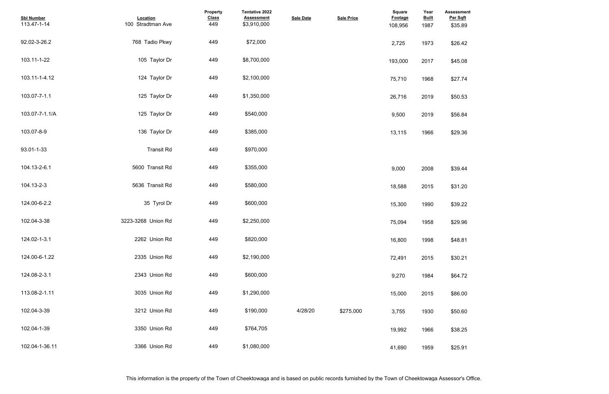| <b>Assessment</b><br>Per Sqft<br>\$35.89 |  |  |  |
|------------------------------------------|--|--|--|
| \$26.42                                  |  |  |  |
| \$45.08                                  |  |  |  |
| \$27.74                                  |  |  |  |
| \$50.53                                  |  |  |  |
| \$56.84                                  |  |  |  |
| \$29.36                                  |  |  |  |
|                                          |  |  |  |
| \$39.44                                  |  |  |  |
| \$31.20                                  |  |  |  |
| \$39.22                                  |  |  |  |
| \$29.96                                  |  |  |  |
| \$48.81                                  |  |  |  |
| \$30.21                                  |  |  |  |
| \$64.72                                  |  |  |  |
| \$86.00                                  |  |  |  |
| \$50.60                                  |  |  |  |
| \$38.25                                  |  |  |  |
| \$25.91                                  |  |  |  |

| <b>Sbl Number</b><br>113.47-1-14 | Location<br>100 Stradtman Ave | Property<br><b>Class</b><br>449 | <b>Tentative 2022</b><br><b>Assessment</b><br>\$3,910,000 | <b>Sale Date</b> | <b>Sale Price</b> | <b>Square</b><br>Footage<br>108,956 | Year<br><b>Built</b><br>1987 | <b>Assessme</b><br>Per Sqft<br>\$35.89 |
|----------------------------------|-------------------------------|---------------------------------|-----------------------------------------------------------|------------------|-------------------|-------------------------------------|------------------------------|----------------------------------------|
| 92.02-3-26.2                     | 768 Tadio Pkwy                | 449                             | \$72,000                                                  |                  |                   | 2,725                               | 1973                         | \$26.42                                |
| 103.11-1-22                      | 105 Taylor Dr                 | 449                             | \$8,700,000                                               |                  |                   | 193,000                             | 2017                         | \$45.08                                |
| 103.11-1-4.12                    | 124 Taylor Dr                 | 449                             | \$2,100,000                                               |                  |                   | 75,710                              | 1968                         | \$27.74                                |
| 103.07-7-1.1                     | 125 Taylor Dr                 | 449                             | \$1,350,000                                               |                  |                   | 26,716                              | 2019                         | \$50.53                                |
| 103.07-7-1.1/A                   | 125 Taylor Dr                 | 449                             | \$540,000                                                 |                  |                   | 9,500                               | 2019                         | \$56.84                                |
| 103.07-8-9                       | 136 Taylor Dr                 | 449                             | \$385,000                                                 |                  |                   | 13,115                              | 1966                         | \$29.36                                |
| 93.01-1-33                       | <b>Transit Rd</b>             | 449                             | \$970,000                                                 |                  |                   |                                     |                              |                                        |
| 104.13-2-6.1                     | 5600 Transit Rd               | 449                             | \$355,000                                                 |                  |                   | 9,000                               | 2008                         | \$39.44                                |
| 104.13-2-3                       | 5636 Transit Rd               | 449                             | \$580,000                                                 |                  |                   | 18,588                              | 2015                         | \$31.20                                |
| 124.00-6-2.2                     | 35 Tyrol Dr                   | 449                             | \$600,000                                                 |                  |                   | 15,300                              | 1990                         | \$39.22                                |
| 102.04-3-38                      | 3223-3268 Union Rd            | 449                             | \$2,250,000                                               |                  |                   | 75,094                              | 1958                         | \$29.96                                |
| 124.02-1-3.1                     | 2262 Union Rd                 | 449                             | \$820,000                                                 |                  |                   | 16,800                              | 1998                         | \$48.81                                |
| 124.00-6-1.22                    | 2335 Union Rd                 | 449                             | \$2,190,000                                               |                  |                   | 72,491                              | 2015                         | \$30.21                                |
| 124.08-2-3.1                     | 2343 Union Rd                 | 449                             | \$600,000                                                 |                  |                   | 9,270                               | 1984                         | \$64.72                                |
| 113.08-2-1.11                    | 3035 Union Rd                 | 449                             | \$1,290,000                                               |                  |                   | 15,000                              | 2015                         | \$86.00                                |
| 102.04-3-39                      | 3212 Union Rd                 | 449                             | \$190,000                                                 | 4/28/20          | \$275,000         | 3,755                               | 1930                         | \$50.60                                |
| 102.04-1-39                      | 3350 Union Rd                 | 449                             | \$764,705                                                 |                  |                   | 19,992                              | 1966                         | \$38.25                                |
| 102.04-1-36.11                   | 3366 Union Rd                 | 449                             | \$1,080,000                                               |                  |                   | 41,690                              | 1959                         | \$25.91                                |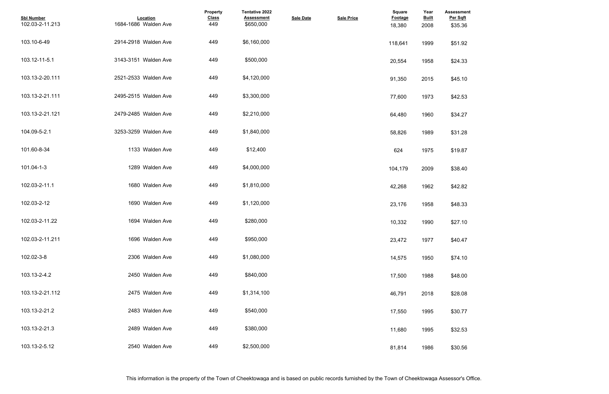| <b>Assessment</b><br>Per Sqft |  |  |  |
|-------------------------------|--|--|--|
| \$35.36                       |  |  |  |
|                               |  |  |  |
| \$51.92                       |  |  |  |
| \$24.33                       |  |  |  |
|                               |  |  |  |
| \$45.10                       |  |  |  |
|                               |  |  |  |
| \$42.53                       |  |  |  |
| \$34.27                       |  |  |  |
|                               |  |  |  |
| \$31.28                       |  |  |  |
|                               |  |  |  |
| \$19.87                       |  |  |  |
| \$38.40                       |  |  |  |
|                               |  |  |  |
| \$42.82                       |  |  |  |
|                               |  |  |  |
| \$48.33                       |  |  |  |
| \$27.10                       |  |  |  |
|                               |  |  |  |
| \$40.47                       |  |  |  |
| \$74.10                       |  |  |  |
|                               |  |  |  |
| \$48.00                       |  |  |  |
|                               |  |  |  |
| \$28.08                       |  |  |  |
| \$30.77                       |  |  |  |
|                               |  |  |  |
| \$32.53                       |  |  |  |
|                               |  |  |  |
| \$30.56                       |  |  |  |

| <b>Sbl Number</b><br>102.03-2-11.213 | Location<br>1684-1686 Walden Ave | Property<br><b>Class</b><br>449 | <b>Tentative 2022</b><br><b>Assessment</b><br>\$650,000 | <b>Sale Date</b> | <b>Sale Price</b> | <b>Square</b><br>Footage<br>18,380 | Year<br><b>Built</b><br>2008 | <b>Assessme</b><br>Per Sqft<br>\$35.36 |
|--------------------------------------|----------------------------------|---------------------------------|---------------------------------------------------------|------------------|-------------------|------------------------------------|------------------------------|----------------------------------------|
| 103.10-6-49                          | 2914-2918 Walden Ave             | 449                             | \$6,160,000                                             |                  |                   | 118,641                            | 1999                         | \$51.92                                |
| 103.12-11-5.1                        | 3143-3151 Walden Ave             | 449                             | \$500,000                                               |                  |                   | 20,554                             | 1958                         | \$24.33                                |
| 103.13-2-20.111                      | 2521-2533 Walden Ave             | 449                             | \$4,120,000                                             |                  |                   | 91,350                             | 2015                         | \$45.10                                |
| 103.13-2-21.111                      | 2495-2515 Walden Ave             | 449                             | \$3,300,000                                             |                  |                   | 77,600                             | 1973                         | \$42.53                                |
| 103.13-2-21.121                      | 2479-2485 Walden Ave             | 449                             | \$2,210,000                                             |                  |                   | 64,480                             | 1960                         | \$34.27                                |
| 104.09-5-2.1                         | 3253-3259 Walden Ave             | 449                             | \$1,840,000                                             |                  |                   | 58,826                             | 1989                         | \$31.28                                |
| 101.60-8-34                          | 1133 Walden Ave                  | 449                             | \$12,400                                                |                  |                   | 624                                | 1975                         | \$19.87                                |
| 101.04-1-3                           | 1289 Walden Ave                  | 449                             | \$4,000,000                                             |                  |                   | 104,179                            | 2009                         | \$38.40                                |
| 102.03-2-11.1                        | 1680 Walden Ave                  | 449                             | \$1,810,000                                             |                  |                   | 42,268                             | 1962                         | \$42.82                                |
| 102.03-2-12                          | 1690 Walden Ave                  | 449                             | \$1,120,000                                             |                  |                   | 23,176                             | 1958                         | \$48.33                                |
| 102.03-2-11.22                       | 1694 Walden Ave                  | 449                             | \$280,000                                               |                  |                   | 10,332                             | 1990                         | \$27.10                                |
| 102.03-2-11.211                      | 1696 Walden Ave                  | 449                             | \$950,000                                               |                  |                   | 23,472                             | 1977                         | \$40.47                                |
| 102.02-3-8                           | 2306 Walden Ave                  | 449                             | \$1,080,000                                             |                  |                   | 14,575                             | 1950                         | \$74.10                                |
| 103.13-2-4.2                         | 2450 Walden Ave                  | 449                             | \$840,000                                               |                  |                   | 17,500                             | 1988                         | \$48.00                                |
| 103.13-2-21.112                      | 2475 Walden Ave                  | 449                             | \$1,314,100                                             |                  |                   | 46,791                             | 2018                         | \$28.08                                |
| 103.13-2-21.2                        | 2483 Walden Ave                  | 449                             | \$540,000                                               |                  |                   | 17,550                             | 1995                         | \$30.77                                |
| 103.13-2-21.3                        | 2489 Walden Ave                  | 449                             | \$380,000                                               |                  |                   | 11,680                             | 1995                         | \$32.53                                |
| 103.13-2-5.12                        | 2540 Walden Ave                  | 449                             | \$2,500,000                                             |                  |                   | 81,814                             | 1986                         | \$30.56                                |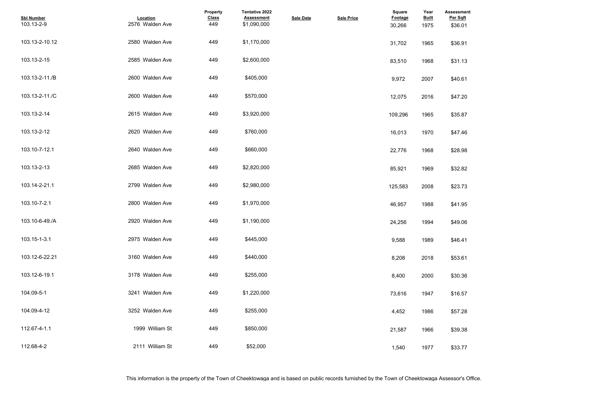| <b>Assessment</b><br>Per Sqft |  |  |  |
|-------------------------------|--|--|--|
| \$36.01                       |  |  |  |
|                               |  |  |  |
| \$36.91                       |  |  |  |
|                               |  |  |  |
| \$31.13                       |  |  |  |
|                               |  |  |  |
| \$40.61                       |  |  |  |
|                               |  |  |  |
| \$47.20                       |  |  |  |
| \$35.87                       |  |  |  |
|                               |  |  |  |
| \$47.46                       |  |  |  |
|                               |  |  |  |
| \$28.98                       |  |  |  |
|                               |  |  |  |
| \$32.82                       |  |  |  |
|                               |  |  |  |
| \$23.73                       |  |  |  |
| \$41.95                       |  |  |  |
|                               |  |  |  |
| \$49.06                       |  |  |  |
|                               |  |  |  |
| \$46.41                       |  |  |  |
|                               |  |  |  |
| \$53.61                       |  |  |  |
| \$30.36                       |  |  |  |
|                               |  |  |  |
| \$16.57                       |  |  |  |
|                               |  |  |  |
| \$57.28                       |  |  |  |
|                               |  |  |  |
| \$39.38                       |  |  |  |
|                               |  |  |  |
| \$33.77                       |  |  |  |

| <b>Sbl Number</b><br>103.13-2-9 | Location<br>2576 Walden Ave | Property<br><b>Class</b><br>449 | Tentative 2022<br><b>Assessment</b><br>\$1,090,000 | <b>Sale Date</b> | <b>Sale Price</b> | <b>Square</b><br>Footage<br>30,266 | Year<br><b>Built</b><br>1975 | <b>Assessme</b><br>Per Sqft<br>\$36.01 |
|---------------------------------|-----------------------------|---------------------------------|----------------------------------------------------|------------------|-------------------|------------------------------------|------------------------------|----------------------------------------|
| 103.13-2-10.12                  | 2580 Walden Ave             | 449                             | \$1,170,000                                        |                  |                   | 31,702                             | 1965                         | \$36.91                                |
| 103.13-2-15                     | 2585 Walden Ave             | 449                             | \$2,600,000                                        |                  |                   | 83,510                             | 1968                         | \$31.13                                |
| 103.13-2-11./B                  | 2600 Walden Ave             | 449                             | \$405,000                                          |                  |                   | 9,972                              | 2007                         | \$40.61                                |
| 103.13-2-11./C                  | 2600 Walden Ave             | 449                             | \$570,000                                          |                  |                   | 12,075                             | 2016                         | \$47.20                                |
| 103.13-2-14                     | 2615 Walden Ave             | 449                             | \$3,920,000                                        |                  |                   | 109,296                            | 1965                         | \$35.87                                |
| 103.13-2-12                     | 2620 Walden Ave             | 449                             | \$760,000                                          |                  |                   | 16,013                             | 1970                         | \$47.46                                |
| 103.10-7-12.1                   | 2640 Walden Ave             | 449                             | \$660,000                                          |                  |                   | 22,776                             | 1968                         | \$28.98                                |
| 103.13-2-13                     | 2685 Walden Ave             | 449                             | \$2,820,000                                        |                  |                   | 85,921                             | 1969                         | \$32.82                                |
| 103.14-2-21.1                   | 2799 Walden Ave             | 449                             | \$2,980,000                                        |                  |                   | 125,583                            | 2008                         | \$23.73                                |
| 103.10-7-2.1                    | 2800 Walden Ave             | 449                             | \$1,970,000                                        |                  |                   | 46,957                             | 1988                         | \$41.95                                |
| 103.10-6-49./A                  | 2920 Walden Ave             | 449                             | \$1,190,000                                        |                  |                   | 24,256                             | 1994                         | \$49.06                                |
| 103.15-1-3.1                    | 2975 Walden Ave             | 449                             | \$445,000                                          |                  |                   | 9,588                              | 1989                         | \$46.41                                |
| 103.12-6-22.21                  | 3160 Walden Ave             | 449                             | \$440,000                                          |                  |                   | 8,208                              | 2018                         | \$53.61                                |
| 103.12-6-19.1                   | 3178 Walden Ave             | 449                             | \$255,000                                          |                  |                   | 8,400                              | 2000                         | \$30.36                                |
| 104.09-5-1                      | 3241 Walden Ave             | 449                             | \$1,220,000                                        |                  |                   | 73,616                             | 1947                         | \$16.57                                |
| 104.09-4-12                     | 3252 Walden Ave             | 449                             | \$255,000                                          |                  |                   | 4,452                              | 1986                         | \$57.28                                |
| 112.67-4-1.1                    | 1999 William St             | 449                             | \$850,000                                          |                  |                   | 21,587                             | 1966                         | \$39.38                                |
| 112.68-4-2                      | 2111 William St             | 449                             | \$52,000                                           |                  |                   | 1,540                              | 1977                         | \$33.77                                |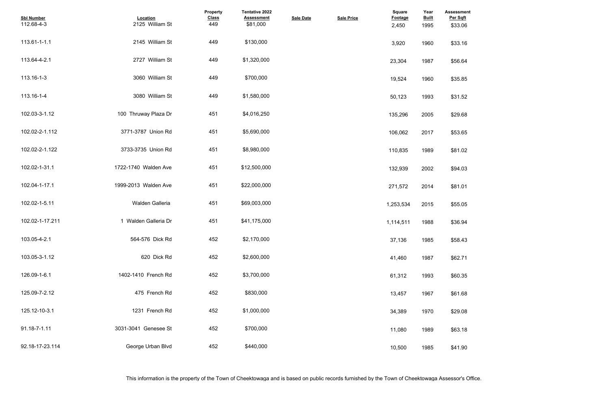| <b>Assessment</b><br>Per Sqft |  |  |  |
|-------------------------------|--|--|--|
| \$33.06                       |  |  |  |
| \$33.16                       |  |  |  |
| \$56.64                       |  |  |  |
| \$35.85                       |  |  |  |
| \$31.52                       |  |  |  |
| \$29.68                       |  |  |  |
| \$53.65                       |  |  |  |
| \$81.02                       |  |  |  |
| \$94.03                       |  |  |  |
| \$81.01                       |  |  |  |
| \$55.05                       |  |  |  |
| \$36.94                       |  |  |  |
| \$58.43                       |  |  |  |
| \$62.71                       |  |  |  |
| \$60.35                       |  |  |  |
| \$61.68                       |  |  |  |
| \$29.08                       |  |  |  |
| \$63.18                       |  |  |  |
| \$41.90                       |  |  |  |

| <b>Sbl Number</b><br>112.68-4-3 | Location<br>2125 William St | Property<br><b>Class</b><br>449 | <b>Tentative 2022</b><br><b>Assessment</b><br>\$81,000 | <b>Sale Date</b> | <b>Sale Price</b> | <b>Square</b><br><b>Footage</b><br>2,450 | Year<br><b>Built</b><br>1995 | <b>Assessme</b><br>Per Sqft<br>\$33.06 |
|---------------------------------|-----------------------------|---------------------------------|--------------------------------------------------------|------------------|-------------------|------------------------------------------|------------------------------|----------------------------------------|
| 113.61-1-1.1                    | 2145 William St             | 449                             | \$130,000                                              |                  |                   | 3,920                                    | 1960                         | \$33.16                                |
| 113.64-4-2.1                    | 2727 William St             | 449                             | \$1,320,000                                            |                  |                   | 23,304                                   | 1987                         | \$56.64                                |
| 113.16-1-3                      | 3060 William St             | 449                             | \$700,000                                              |                  |                   | 19,524                                   | 1960                         | \$35.85                                |
| 113.16-1-4                      | 3080 William St             | 449                             | \$1,580,000                                            |                  |                   | 50,123                                   | 1993                         | \$31.52                                |
| 102.03-3-1.12                   | 100 Thruway Plaza Dr        | 451                             | \$4,016,250                                            |                  |                   | 135,296                                  | 2005                         | \$29.68                                |
| 102.02-2-1.112                  | 3771-3787 Union Rd          | 451                             | \$5,690,000                                            |                  |                   | 106,062                                  | 2017                         | \$53.65                                |
| 102.02-2-1.122                  | 3733-3735 Union Rd          | 451                             | \$8,980,000                                            |                  |                   | 110,835                                  | 1989                         | \$81.02                                |
| 102.02-1-31.1                   | 1722-1740 Walden Ave        | 451                             | \$12,500,000                                           |                  |                   | 132,939                                  | 2002                         | \$94.03                                |
| 102.04-1-17.1                   | 1999-2013 Walden Ave        | 451                             | \$22,000,000                                           |                  |                   | 271,572                                  | 2014                         | \$81.01                                |
| 102.02-1-5.11                   | Walden Galleria             | 451                             | \$69,003,000                                           |                  |                   | 1,253,534                                | 2015                         | \$55.05                                |
| 102.02-1-17.211                 | 1 Walden Galleria Dr        | 451                             | \$41,175,000                                           |                  |                   | 1,114,511                                | 1988                         | \$36.94                                |
| 103.05-4-2.1                    | 564-576 Dick Rd             | 452                             | \$2,170,000                                            |                  |                   | 37,136                                   | 1985                         | \$58.43                                |
| 103.05-3-1.12                   | 620 Dick Rd                 | 452                             | \$2,600,000                                            |                  |                   | 41,460                                   | 1987                         | \$62.71                                |
| 126.09-1-6.1                    | 1402-1410 French Rd         | 452                             | \$3,700,000                                            |                  |                   | 61,312                                   | 1993                         | \$60.35                                |
| 125.09-7-2.12                   | 475 French Rd               | 452                             | \$830,000                                              |                  |                   | 13,457                                   | 1967                         | \$61.68                                |
| 125.12-10-3.1                   | 1231 French Rd              | 452                             | \$1,000,000                                            |                  |                   | 34,389                                   | 1970                         | \$29.08                                |
| 91.18-7-1.11                    | 3031-3041 Genesee St        | 452                             | \$700,000                                              |                  |                   | 11,080                                   | 1989                         | \$63.18                                |
| 92.18-17-23.114                 | George Urban Blvd           | 452                             | \$440,000                                              |                  |                   | 10,500                                   | 1985                         | \$41.90                                |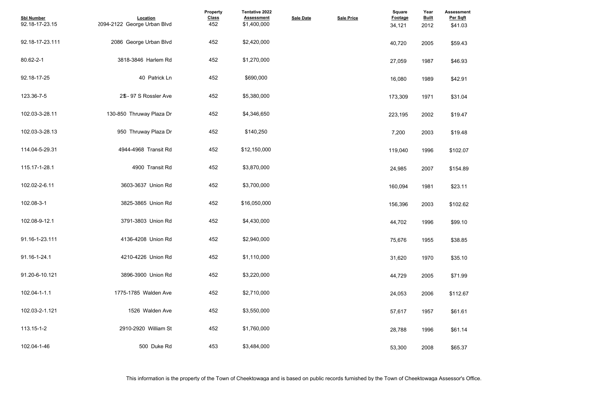| <b>Assessment</b><br>Per Sqft |  |  |  |
|-------------------------------|--|--|--|
| \$41.03                       |  |  |  |
|                               |  |  |  |
| \$59.43                       |  |  |  |
| \$46.93                       |  |  |  |
|                               |  |  |  |
| \$42.91                       |  |  |  |
|                               |  |  |  |
| \$31.04                       |  |  |  |
| \$19.47                       |  |  |  |
|                               |  |  |  |
| \$19.48                       |  |  |  |
|                               |  |  |  |
| \$102.07                      |  |  |  |
| \$154.89                      |  |  |  |
|                               |  |  |  |
| \$23.11                       |  |  |  |
|                               |  |  |  |
| \$102.62                      |  |  |  |
| \$99.10                       |  |  |  |
|                               |  |  |  |
| \$38.85                       |  |  |  |
|                               |  |  |  |
| \$35.10                       |  |  |  |
| \$71.99                       |  |  |  |
|                               |  |  |  |
| \$112.67                      |  |  |  |
| \$61.61                       |  |  |  |
|                               |  |  |  |
| \$61.14                       |  |  |  |
|                               |  |  |  |
| \$65.37                       |  |  |  |

| <b>Sbl Number</b><br>92.18-17-23.15 | Location<br>2094-2122 George Urban Blvd | Property<br><b>Class</b><br>452 | Tentative 2022<br><b>Assessment</b><br>\$1,400,000 | <b>Sale Date</b> | <b>Sale Price</b> | Square<br><b>Footage</b><br>34,121 | Year<br><b>Built</b><br>2012 | <b>Assessmer</b><br>Per Sqft<br>\$41.03 |
|-------------------------------------|-----------------------------------------|---------------------------------|----------------------------------------------------|------------------|-------------------|------------------------------------|------------------------------|-----------------------------------------|
| 92.18-17-23.111                     | 2086 George Urban Blvd                  | 452                             | \$2,420,000                                        |                  |                   | 40,720                             | 2005                         | \$59.43                                 |
| 80.62-2-1                           | 3818-3846 Harlem Rd                     | 452                             | \$1,270,000                                        |                  |                   | 27,059                             | 1987                         | \$46.93                                 |
| 92.18-17-25                         | 40 Patrick Ln                           | 452                             | \$690,000                                          |                  |                   | 16,080                             | 1989                         | \$42.91                                 |
| 123.36-7-5                          | 2\$-97 S Rossler Ave                    | 452                             | \$5,380,000                                        |                  |                   | 173,309                            | 1971                         | \$31.04                                 |
| 102.03-3-28.11                      | 130-850 Thruway Plaza Dr                | 452                             | \$4,346,650                                        |                  |                   | 223,195                            | 2002                         | \$19.47                                 |
| 102.03-3-28.13                      | 950 Thruway Plaza Dr                    | 452                             | \$140,250                                          |                  |                   | 7,200                              | 2003                         | \$19.48                                 |
| 114.04-5-29.31                      | 4944-4968 Transit Rd                    | 452                             | \$12,150,000                                       |                  |                   | 119,040                            | 1996                         | \$102.07                                |
| 115.17-1-28.1                       | 4900 Transit Rd                         | 452                             | \$3,870,000                                        |                  |                   | 24,985                             | 2007                         | \$154.89                                |
| 102.02-2-6.11                       | 3603-3637 Union Rd                      | 452                             | \$3,700,000                                        |                  |                   | 160,094                            | 1981                         | \$23.11                                 |
| 102.08-3-1                          | 3825-3865 Union Rd                      | 452                             | \$16,050,000                                       |                  |                   | 156,396                            | 2003                         | \$102.62                                |
| 102.08-9-12.1                       | 3791-3803 Union Rd                      | 452                             | \$4,430,000                                        |                  |                   | 44,702                             | 1996                         | \$99.10                                 |
| 91.16-1-23.111                      | 4136-4208 Union Rd                      | 452                             | \$2,940,000                                        |                  |                   | 75,676                             | 1955                         | \$38.85                                 |
| 91.16-1-24.1                        | 4210-4226 Union Rd                      | 452                             | \$1,110,000                                        |                  |                   | 31,620                             | 1970                         | \$35.10                                 |
| 91.20-6-10.121                      | 3896-3900 Union Rd                      | 452                             | \$3,220,000                                        |                  |                   | 44,729                             | 2005                         | \$71.99                                 |
| 102.04-1-1.1                        | 1775-1785 Walden Ave                    | 452                             | \$2,710,000                                        |                  |                   | 24,053                             | 2006                         | \$112.67                                |
| 102.03-2-1.121                      | 1526 Walden Ave                         | 452                             | \$3,550,000                                        |                  |                   | 57,617                             | 1957                         | \$61.61                                 |
| 113.15-1-2                          | 2910-2920 William St                    | 452                             | \$1,760,000                                        |                  |                   | 28,788                             | 1996                         | \$61.14                                 |
| 102.04-1-46                         | 500 Duke Rd                             | 453                             | \$3,484,000                                        |                  |                   | 53,300                             | 2008                         | \$65.37                                 |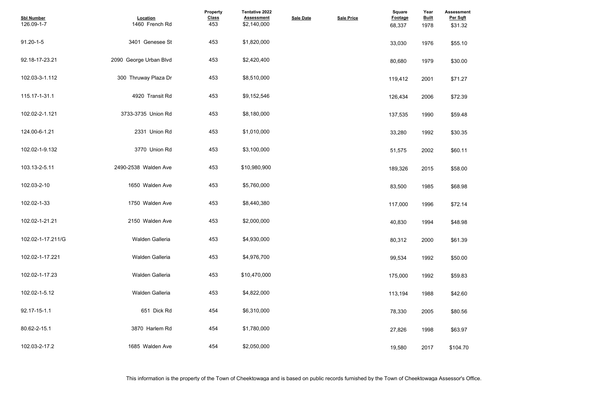| <b>Assessment</b><br>Per Sqft |  |  |  |
|-------------------------------|--|--|--|
| \$31.32                       |  |  |  |
| \$55.10                       |  |  |  |
| \$30.00                       |  |  |  |
| \$71.27                       |  |  |  |
| \$72.39                       |  |  |  |
| \$59.48                       |  |  |  |
| \$30.35                       |  |  |  |
| \$60.11                       |  |  |  |
| \$58.00                       |  |  |  |
| \$68.98                       |  |  |  |
| \$72.14                       |  |  |  |
| \$48.98                       |  |  |  |
| \$61.39                       |  |  |  |
| \$50.00                       |  |  |  |
| \$59.83                       |  |  |  |
| \$42.60                       |  |  |  |
| \$80.56                       |  |  |  |
| \$63.97                       |  |  |  |
| \$104.70                      |  |  |  |

| <b>Sbl Number</b><br>126.09-1-7 | Location<br>1460 French Rd | <b>Property</b><br><b>Class</b><br>453 | <b>Tentative 2022</b><br><b>Assessment</b><br>\$2,140,000 | <b>Sale Date</b> | <b>Sale Price</b> | <b>Square</b><br>Footage<br>68,337 | Year<br><b>Built</b><br>1978 | <b>Assessmer</b><br>Per Sqft<br>\$31.32 |
|---------------------------------|----------------------------|----------------------------------------|-----------------------------------------------------------|------------------|-------------------|------------------------------------|------------------------------|-----------------------------------------|
| $91.20 - 1 - 5$                 | 3401 Genesee St            | 453                                    | \$1,820,000                                               |                  |                   | 33,030                             | 1976                         | \$55.10                                 |
| 92.18-17-23.21                  | 2090 George Urban Blvd     | 453                                    | \$2,420,400                                               |                  |                   | 80,680                             | 1979                         | \$30.00                                 |
| 102.03-3-1.112                  | 300 Thruway Plaza Dr       | 453                                    | \$8,510,000                                               |                  |                   | 119,412                            | 2001                         | \$71.27                                 |
| 115.17-1-31.1                   | 4920 Transit Rd            | 453                                    | \$9,152,546                                               |                  |                   | 126,434                            | 2006                         | \$72.39                                 |
| 102.02-2-1.121                  | 3733-3735 Union Rd         | 453                                    | \$8,180,000                                               |                  |                   | 137,535                            | 1990                         | \$59.48                                 |
| 124.00-6-1.21                   | 2331 Union Rd              | 453                                    | \$1,010,000                                               |                  |                   | 33,280                             | 1992                         | \$30.35                                 |
| 102.02-1-9.132                  | 3770 Union Rd              | 453                                    | \$3,100,000                                               |                  |                   | 51,575                             | 2002                         | \$60.11                                 |
| 103.13-2-5.11                   | 2490-2538 Walden Ave       | 453                                    | \$10,980,900                                              |                  |                   | 189,326                            | 2015                         | \$58.00                                 |
| 102.03-2-10                     | 1650 Walden Ave            | 453                                    | \$5,760,000                                               |                  |                   | 83,500                             | 1985                         | \$68.98                                 |
| 102.02-1-33                     | 1750 Walden Ave            | 453                                    | \$8,440,380                                               |                  |                   | 117,000                            | 1996                         | \$72.14                                 |
| 102.02-1-21.21                  | 2150 Walden Ave            | 453                                    | \$2,000,000                                               |                  |                   | 40,830                             | 1994                         | \$48.98                                 |
| 102.02-1-17.211/G               | Walden Galleria            | 453                                    | \$4,930,000                                               |                  |                   | 80,312                             | 2000                         | \$61.39                                 |
| 102.02-1-17.221                 | Walden Galleria            | 453                                    | \$4,976,700                                               |                  |                   | 99,534                             | 1992                         | \$50.00                                 |
| 102.02-1-17.23                  | Walden Galleria            | 453                                    | \$10,470,000                                              |                  |                   | 175,000                            | 1992                         | \$59.83                                 |
| 102.02-1-5.12                   | Walden Galleria            | 453                                    | \$4,822,000                                               |                  |                   | 113,194                            | 1988                         | \$42.60                                 |
| 92.17-15-1.1                    | 651 Dick Rd                | 454                                    | \$6,310,000                                               |                  |                   | 78,330                             | 2005                         | \$80.56                                 |
| 80.62-2-15.1                    | 3870 Harlem Rd             | 454                                    | \$1,780,000                                               |                  |                   | 27,826                             | 1998                         | \$63.97                                 |
| 102.03-2-17.2                   | 1685 Walden Ave            | 454                                    | \$2,050,000                                               |                  |                   | 19,580                             | 2017                         | \$104.70                                |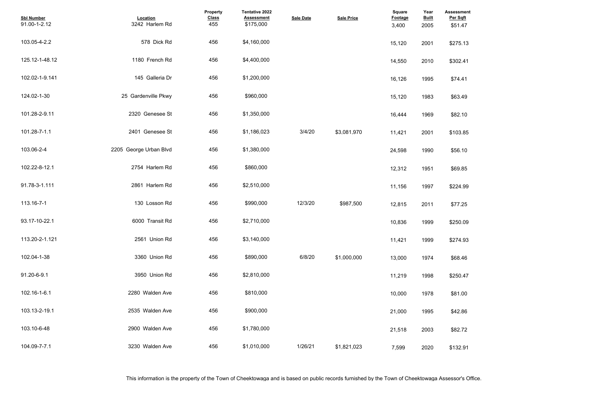| <b>Assessment</b><br>Per Sqft<br>\$51.47 |  |  |
|------------------------------------------|--|--|
| \$275.13                                 |  |  |
| \$302.41                                 |  |  |
| \$74.41                                  |  |  |
| \$63.49                                  |  |  |
| \$82.10                                  |  |  |
| \$103.85                                 |  |  |
| \$56.10                                  |  |  |
| \$69.85                                  |  |  |
| \$224.99                                 |  |  |
| \$77.25                                  |  |  |
| \$250.09                                 |  |  |
| \$274.93                                 |  |  |
| \$68.46                                  |  |  |
| \$250.47                                 |  |  |
| \$81.00                                  |  |  |
| \$42.86                                  |  |  |
| \$82.72                                  |  |  |
| \$132.91                                 |  |  |

| <b>Sbl Number</b><br>91.00-1-2.12 | Location<br>3242 Harlem Rd | Property<br><b>Class</b><br>455 | <b>Tentative 2022</b><br><b>Assessment</b><br>\$175,000 | <b>Sale Date</b> | <b>Sale Price</b> | <b>Square</b><br>Footage<br>3,400 | Year<br><b>Built</b><br>2005 | Assessmer<br>Per Sqft<br>\$51.47 |
|-----------------------------------|----------------------------|---------------------------------|---------------------------------------------------------|------------------|-------------------|-----------------------------------|------------------------------|----------------------------------|
| 103.05-4-2.2                      | 578 Dick Rd                | 456                             | \$4,160,000                                             |                  |                   | 15,120                            | 2001                         | \$275.13                         |
| 125.12-1-48.12                    | 1180 French Rd             | 456                             | \$4,400,000                                             |                  |                   | 14,550                            | 2010                         | \$302.41                         |
| 102.02-1-9.141                    | 145 Galleria Dr            | 456                             | \$1,200,000                                             |                  |                   | 16,126                            | 1995                         | \$74.41                          |
| 124.02-1-30                       | 25 Gardenville Pkwy        | 456                             | \$960,000                                               |                  |                   | 15,120                            | 1983                         | \$63.49                          |
| 101.28-2-9.11                     | 2320 Genesee St            | 456                             | \$1,350,000                                             |                  |                   | 16,444                            | 1969                         | \$82.10                          |
| 101.28-7-1.1                      | 2401 Genesee St            | 456                             | \$1,186,023                                             | 3/4/20           | \$3.081.970       | 11,421                            | 2001                         | \$103.85                         |
| 103.06-2-4                        | 2205 George Urban Blvd     | 456                             | \$1,380,000                                             |                  |                   | 24,598                            | 1990                         | \$56.10                          |
| 102.22-8-12.1                     | 2754 Harlem Rd             | 456                             | \$860,000                                               |                  |                   | 12,312                            | 1951                         | \$69.85                          |
| 91.78-3-1.111                     | 2861 Harlem Rd             | 456                             | \$2,510,000                                             |                  |                   | 11,156                            | 1997                         | \$224.99                         |
| 113.16-7-1                        | 130 Losson Rd              | 456                             | \$990,000                                               | 12/3/20          | \$987.500         | 12,815                            | 2011                         | \$77.25                          |
| 93.17-10-22.1                     | 6000 Transit Rd            | 456                             | \$2,710,000                                             |                  |                   | 10,836                            | 1999                         | \$250.09                         |
| 113.20-2-1.121                    | 2561 Union Rd              | 456                             | \$3,140,000                                             |                  |                   | 11,421                            | 1999                         | \$274.93                         |
| 102.04-1-38                       | 3360 Union Rd              | 456                             | \$890,000                                               | 6/8/20           | \$1,000.000       | 13,000                            | 1974                         | \$68.46                          |
| 91.20-6-9.1                       | 3950 Union Rd              | 456                             | \$2,810,000                                             |                  |                   | 11,219                            | 1998                         | \$250.47                         |
| 102.16-1-6.1                      | 2280 Walden Ave            | 456                             | \$810,000                                               |                  |                   | 10,000                            | 1978                         | \$81.00                          |
| 103.13-2-19.1                     | 2535 Walden Ave            | 456                             | \$900,000                                               |                  |                   | 21,000                            | 1995                         | \$42.86                          |
| 103.10-6-48                       | 2900 Walden Ave            | 456                             | \$1,780,000                                             |                  |                   | 21,518                            | 2003                         | \$82.72                          |
| 104.09-7-7.1                      | 3230 Walden Ave            | 456                             | \$1,010,000                                             | 1/26/21          | \$1,821,023       | 7,599                             | 2020                         | \$132.91                         |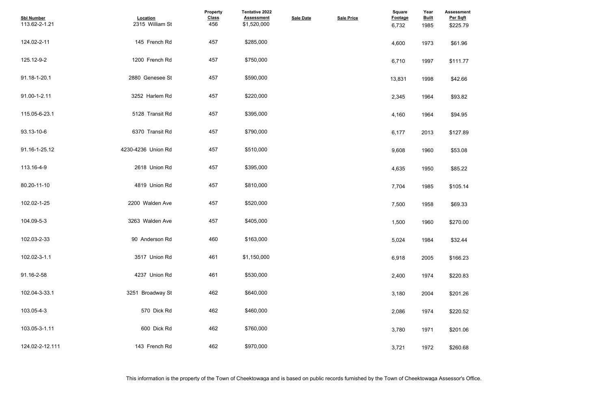| <b>Assessment</b><br>Per Sqft<br>\$225.79 |  |  |
|-------------------------------------------|--|--|
| \$61.96                                   |  |  |
| \$111.77                                  |  |  |
| \$42.66                                   |  |  |
| \$93.82                                   |  |  |
| \$94.95                                   |  |  |
| \$127.89                                  |  |  |
| \$53.08                                   |  |  |
| \$85.22                                   |  |  |
| \$105.14                                  |  |  |
| \$69.33                                   |  |  |
| \$270.00                                  |  |  |
| \$32.44                                   |  |  |
| \$166.23                                  |  |  |
| \$220.83                                  |  |  |
| \$201.26                                  |  |  |
| \$220.52                                  |  |  |
| \$201.06                                  |  |  |
| \$260.68                                  |  |  |

| <b>Sbl Number</b><br>113.62-2-1.21 | Location<br>2315 William St | <b>Property</b><br><b>Class</b><br>456 | Tentative 2022<br><b>Assessment</b><br>\$1,520,000 | <b>Sale Date</b> | <b>Sale Price</b> | Square<br><b>Footage</b><br>6,732 | Year<br><b>Built</b><br>1985 | Assessmer<br>Per Sqft<br>\$225.79 |
|------------------------------------|-----------------------------|----------------------------------------|----------------------------------------------------|------------------|-------------------|-----------------------------------|------------------------------|-----------------------------------|
| 124.02-2-11                        | 145 French Rd               | 457                                    | \$285,000                                          |                  |                   | 4,600                             | 1973                         | \$61.96                           |
| 125.12-9-2                         | 1200 French Rd              | 457                                    | \$750,000                                          |                  |                   | 6,710                             | 1997                         | \$111.77                          |
| 91.18-1-20.1                       | 2880 Genesee St             | 457                                    | \$590,000                                          |                  |                   | 13,831                            | 1998                         | \$42.66                           |
| 91.00-1-2.11                       | 3252 Harlem Rd              | 457                                    | \$220,000                                          |                  |                   | 2,345                             | 1964                         | \$93.82                           |
| 115.05-6-23.1                      | 5128 Transit Rd             | 457                                    | \$395,000                                          |                  |                   | 4,160                             | 1964                         | \$94.95                           |
| 93.13-10-6                         | 6370 Transit Rd             | 457                                    | \$790,000                                          |                  |                   | 6,177                             | 2013                         | \$127.89                          |
| 91.16-1-25.12                      | 4230-4236 Union Rd          | 457                                    | \$510,000                                          |                  |                   | 9,608                             | 1960                         | \$53.08                           |
| 113.16-4-9                         | 2618 Union Rd               | 457                                    | \$395,000                                          |                  |                   | 4,635                             | 1950                         | \$85.22                           |
| 80.20-11-10                        | 4819 Union Rd               | 457                                    | \$810,000                                          |                  |                   | 7,704                             | 1985                         | \$105.14                          |
| 102.02-1-25                        | 2200 Walden Ave             | 457                                    | \$520,000                                          |                  |                   | 7,500                             | 1958                         | \$69.33                           |
| 104.09-5-3                         | 3263 Walden Ave             | 457                                    | \$405,000                                          |                  |                   | 1,500                             | 1960                         | \$270.00                          |
| 102.03-2-33                        | 90 Anderson Rd              | 460                                    | \$163,000                                          |                  |                   | 5,024                             | 1984                         | \$32.44                           |
| 102.02-3-1.1                       | 3517 Union Rd               | 461                                    | \$1,150,000                                        |                  |                   | 6,918                             | 2005                         | \$166.23                          |
| 91.16-2-58                         | 4237 Union Rd               | 461                                    | \$530,000                                          |                  |                   | 2,400                             | 1974                         | \$220.83                          |
| 102.04-3-33.1                      | 3251 Broadway St            | 462                                    | \$640,000                                          |                  |                   | 3,180                             | 2004                         | \$201.26                          |
| 103.05-4-3                         | 570 Dick Rd                 | 462                                    | \$460,000                                          |                  |                   | 2,086                             | 1974                         | \$220.52                          |
| 103.05-3-1.11                      | 600 Dick Rd                 | 462                                    | \$760,000                                          |                  |                   | 3,780                             | 1971                         | \$201.06                          |
| 124.02-2-12.111                    | 143 French Rd               | 462                                    | \$970,000                                          |                  |                   | 3,721                             | 1972                         | \$260.68                          |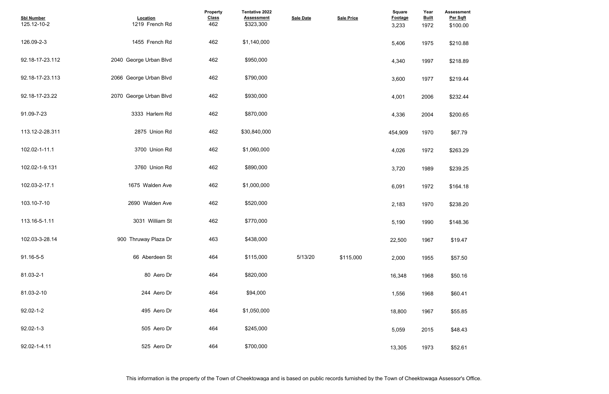| <b>Assessment</b>    |  |  |  |
|----------------------|--|--|--|
| Per Sqft<br>\$100.00 |  |  |  |
|                      |  |  |  |
| \$210.88             |  |  |  |
| \$218.89             |  |  |  |
| \$219.44             |  |  |  |
|                      |  |  |  |
| \$232.44             |  |  |  |
| \$200.65             |  |  |  |
|                      |  |  |  |
| \$67.79              |  |  |  |
| \$263.29             |  |  |  |
|                      |  |  |  |
| \$239.25             |  |  |  |
| \$164.18             |  |  |  |
| \$238.20             |  |  |  |
|                      |  |  |  |
| \$148.36             |  |  |  |
| \$19.47              |  |  |  |
|                      |  |  |  |
| \$57.50              |  |  |  |
| \$50.16              |  |  |  |
|                      |  |  |  |
| \$60.41              |  |  |  |
| \$55.85              |  |  |  |
| \$48.43              |  |  |  |
|                      |  |  |  |
| \$52.61              |  |  |  |

| <b>Sbl Number</b><br>125.12-10-2 | <b>Location</b><br>1219 French Rd | Property<br><b>Class</b><br>462 | <b>Tentative 2022</b><br><b>Assessment</b><br>\$323,300 | <b>Sale Date</b> | <b>Sale Price</b> | Square<br><b>Footage</b><br>3,233 | Year<br><b>Built</b><br>1972 | <b>Assessmer</b><br>Per Sqft<br>\$100.00 |
|----------------------------------|-----------------------------------|---------------------------------|---------------------------------------------------------|------------------|-------------------|-----------------------------------|------------------------------|------------------------------------------|
| 126.09-2-3                       | 1455 French Rd                    | 462                             | \$1,140,000                                             |                  |                   | 5,406                             | 1975                         | \$210.88                                 |
| 92.18-17-23.112                  | 2040 George Urban Blvd            | 462                             | \$950,000                                               |                  |                   | 4,340                             | 1997                         | \$218.89                                 |
| 92.18-17-23.113                  | 2066 George Urban Blvd            | 462                             | \$790,000                                               |                  |                   | 3,600                             | 1977                         | \$219.44                                 |
| 92.18-17-23.22                   | 2070 George Urban Blvd            | 462                             | \$930,000                                               |                  |                   | 4,001                             | 2006                         | \$232.44                                 |
| 91.09-7-23                       | 3333 Harlem Rd                    | 462                             | \$870,000                                               |                  |                   | 4,336                             | 2004                         | \$200.65                                 |
| 113.12-2-28.311                  | 2875 Union Rd                     | 462                             | \$30,840,000                                            |                  |                   | 454,909                           | 1970                         | \$67.79                                  |
| 102.02-1-11.1                    | 3700 Union Rd                     | 462                             | \$1,060,000                                             |                  |                   | 4,026                             | 1972                         | \$263.29                                 |
| 102.02-1-9.131                   | 3760 Union Rd                     | 462                             | \$890,000                                               |                  |                   | 3,720                             | 1989                         | \$239.25                                 |
| 102.03-2-17.1                    | 1675 Walden Ave                   | 462                             | \$1,000,000                                             |                  |                   | 6,091                             | 1972                         | \$164.18                                 |
| 103.10-7-10                      | 2690 Walden Ave                   | 462                             | \$520,000                                               |                  |                   | 2,183                             | 1970                         | \$238.20                                 |
| 113.16-5-1.11                    | 3031 William St                   | 462                             | \$770,000                                               |                  |                   | 5,190                             | 1990                         | \$148.36                                 |
| 102.03-3-28.14                   | 900 Thruway Plaza Dr              | 463                             | \$438,000                                               |                  |                   | 22,500                            | 1967                         | \$19.47                                  |
| 91.16-5-5                        | 66 Aberdeen St                    | 464                             | \$115,000                                               | 5/13/20          | \$115,000         | 2,000                             | 1955                         | \$57.50                                  |
| 81.03-2-1                        | 80 Aero Dr                        | 464                             | \$820,000                                               |                  |                   | 16,348                            | 1968                         | \$50.16                                  |
| 81.03-2-10                       | 244 Aero Dr                       | 464                             | \$94,000                                                |                  |                   | 1,556                             | 1968                         | \$60.41                                  |
| 92.02-1-2                        | 495 Aero Dr                       | 464                             | \$1,050,000                                             |                  |                   | 18,800                            | 1967                         | \$55.85                                  |
| $92.02 - 1 - 3$                  | 505 Aero Dr                       | 464                             | \$245,000                                               |                  |                   | 5,059                             | 2015                         | \$48.43                                  |
| 92.02-1-4.11                     | 525 Aero Dr                       | 464                             | \$700,000                                               |                  |                   | 13,305                            | 1973                         | \$52.61                                  |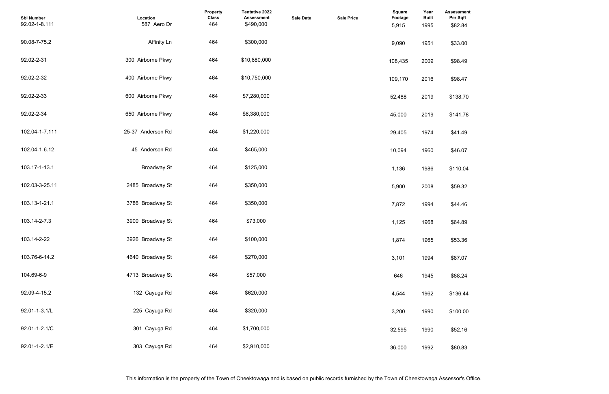| <b>Assessment</b><br>Per Sqft |  |  |
|-------------------------------|--|--|
| \$82.84                       |  |  |
|                               |  |  |
| \$33.00                       |  |  |
|                               |  |  |
| \$98.49                       |  |  |
|                               |  |  |
| \$98.47                       |  |  |
|                               |  |  |
| \$138.70                      |  |  |
| \$141.78                      |  |  |
|                               |  |  |
| \$41.49                       |  |  |
|                               |  |  |
| \$46.07                       |  |  |
|                               |  |  |
| \$110.04                      |  |  |
| \$59.32                       |  |  |
|                               |  |  |
| \$44.46                       |  |  |
|                               |  |  |
| \$64.89                       |  |  |
|                               |  |  |
| \$53.36                       |  |  |
|                               |  |  |
| \$87.07                       |  |  |
| \$88.24                       |  |  |
|                               |  |  |
| \$136.44                      |  |  |
|                               |  |  |
| \$100.00                      |  |  |
|                               |  |  |
| \$52.16                       |  |  |
|                               |  |  |
| \$80.83                       |  |  |

| <b>Sbl Number</b><br>92.02-1-8.111 | Location<br>587 Aero Dr | Property<br><b>Class</b><br>464 | Tentative 2022<br><b>Assessment</b><br>\$490,000 | <b>Sale Date</b> | <b>Sale Price</b> | Square<br><b>Footage</b><br>5,915 | Year<br><b>Built</b><br>1995 | <b>Assessmer</b><br>Per Sqft<br>\$82.84 |
|------------------------------------|-------------------------|---------------------------------|--------------------------------------------------|------------------|-------------------|-----------------------------------|------------------------------|-----------------------------------------|
| 90.08-7-75.2                       | <b>Affinity Ln</b>      | 464                             | \$300,000                                        |                  |                   | 9,090                             | 1951                         | \$33.00                                 |
| 92.02-2-31                         | 300 Airborne Pkwy       | 464                             | \$10,680,000                                     |                  |                   | 108,435                           | 2009                         | \$98.49                                 |
| 92.02-2-32                         | 400 Airborne Pkwy       | 464                             | \$10,750,000                                     |                  |                   | 109,170                           | 2016                         | \$98.47                                 |
| 92.02-2-33                         | 600 Airborne Pkwy       | 464                             | \$7,280,000                                      |                  |                   | 52,488                            | 2019                         | \$138.70                                |
| 92.02-2-34                         | 650 Airborne Pkwy       | 464                             | \$6,380,000                                      |                  |                   | 45,000                            | 2019                         | \$141.78                                |
| 102.04-1-7.111                     | 25-37 Anderson Rd       | 464                             | \$1,220,000                                      |                  |                   | 29,405                            | 1974                         | \$41.49                                 |
| 102.04-1-6.12                      | 45 Anderson Rd          | 464                             | \$465,000                                        |                  |                   | 10,094                            | 1960                         | \$46.07                                 |
| 103.17-1-13.1                      | <b>Broadway St</b>      | 464                             | \$125,000                                        |                  |                   | 1,136                             | 1986                         | \$110.04                                |
| 102.03-3-25.11                     | 2485 Broadway St        | 464                             | \$350,000                                        |                  |                   | 5,900                             | 2008                         | \$59.32                                 |
| 103.13-1-21.1                      | 3786 Broadway St        | 464                             | \$350,000                                        |                  |                   | 7,872                             | 1994                         | \$44.46                                 |
| 103.14-2-7.3                       | 3900 Broadway St        | 464                             | \$73,000                                         |                  |                   | 1,125                             | 1968                         | \$64.89                                 |
| 103.14-2-22                        | 3926 Broadway St        | 464                             | \$100,000                                        |                  |                   | 1,874                             | 1965                         | \$53.36                                 |
| 103.76-6-14.2                      | 4640 Broadway St        | 464                             | \$270,000                                        |                  |                   | 3,101                             | 1994                         | \$87.07                                 |
| 104.69-6-9                         | 4713 Broadway St        | 464                             | \$57,000                                         |                  |                   | 646                               | 1945                         | \$88.24                                 |
| 92.09-4-15.2                       | 132 Cayuga Rd           | 464                             | \$620,000                                        |                  |                   | 4,544                             | 1962                         | \$136.44                                |
| 92.01-1-3.1/L                      | 225 Cayuga Rd           | 464                             | \$320,000                                        |                  |                   | 3,200                             | 1990                         | \$100.00                                |
| 92.01-1-2.1/C                      | 301 Cayuga Rd           | 464                             | \$1,700,000                                      |                  |                   | 32,595                            | 1990                         | \$52.16                                 |
| 92.01-1-2.1/E                      | 303 Cayuga Rd           | 464                             | \$2,910,000                                      |                  |                   | 36,000                            | 1992                         | \$80.83                                 |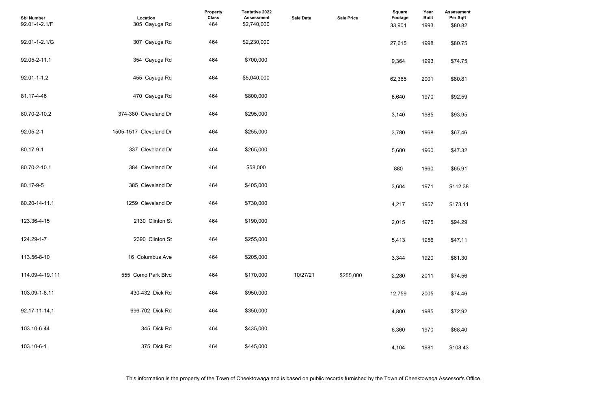| <b>Assessment</b><br>Per Sqft<br>\$80.82 |  |  |
|------------------------------------------|--|--|
| \$80.75                                  |  |  |
| \$74.75                                  |  |  |
| \$80.81                                  |  |  |
| \$92.59                                  |  |  |
| \$93.95                                  |  |  |
| \$67.46                                  |  |  |
| \$47.32                                  |  |  |
| \$65.91                                  |  |  |
| \$112.38                                 |  |  |
| \$173.11                                 |  |  |
| \$94.29                                  |  |  |
| \$47.11                                  |  |  |
| \$61.30                                  |  |  |
| \$74.56                                  |  |  |
| \$74.46                                  |  |  |
| \$72.92                                  |  |  |
| \$68.40                                  |  |  |
| \$108.43                                 |  |  |

| <b>Sbl Number</b><br>92.01-1-2.1/F | Location<br>305 Cayuga Rd | Property<br><b>Class</b><br>464 | <b>Tentative 2022</b><br><b>Assessment</b><br>\$2,740,000 | <b>Sale Date</b> | <b>Sale Price</b> | <b>Square</b><br><b>Footage</b><br>33,901 | Year<br><b>Built</b><br>1993 | Assessmer<br>Per Sqft<br>\$80.82 |
|------------------------------------|---------------------------|---------------------------------|-----------------------------------------------------------|------------------|-------------------|-------------------------------------------|------------------------------|----------------------------------|
| 92.01-1-2.1/G                      | 307 Cayuga Rd             | 464                             | \$2,230,000                                               |                  |                   | 27,615                                    | 1998                         | \$80.75                          |
| 92.05-2-11.1                       | 354 Cayuga Rd             | 464                             | \$700,000                                                 |                  |                   | 9,364                                     | 1993                         | \$74.75                          |
| 92.01-1-1.2                        | 455 Cayuga Rd             | 464                             | \$5,040,000                                               |                  |                   | 62,365                                    | 2001                         | \$80.81                          |
| 81.17-4-46                         | 470 Cayuga Rd             | 464                             | \$800,000                                                 |                  |                   | 8,640                                     | 1970                         | \$92.59                          |
| 80.70-2-10.2                       | 374-380 Cleveland Dr      | 464                             | \$295,000                                                 |                  |                   | 3,140                                     | 1985                         | \$93.95                          |
| 92.05-2-1                          | 1505-1517 Cleveland Dr    | 464                             | \$255,000                                                 |                  |                   | 3,780                                     | 1968                         | \$67.46                          |
| 80.17-9-1                          | 337 Cleveland Dr          | 464                             | \$265,000                                                 |                  |                   | 5,600                                     | 1960                         | \$47.32                          |
| 80.70-2-10.1                       | 384 Cleveland Dr          | 464                             | \$58,000                                                  |                  |                   | 880                                       | 1960                         | \$65.91                          |
| 80.17-9-5                          | 385 Cleveland Dr          | 464                             | \$405,000                                                 |                  |                   | 3,604                                     | 1971                         | \$112.38                         |
| 80.20-14-11.1                      | 1259 Cleveland Dr         | 464                             | \$730,000                                                 |                  |                   | 4,217                                     | 1957                         | \$173.11                         |
| 123.36-4-15                        | 2130 Clinton St           | 464                             | \$190,000                                                 |                  |                   | 2,015                                     | 1975                         | \$94.29                          |
| 124.29-1-7                         | 2390 Clinton St           | 464                             | \$255,000                                                 |                  |                   | 5,413                                     | 1956                         | \$47.11                          |
| 113.56-8-10                        | 16 Columbus Ave           | 464                             | \$205,000                                                 |                  |                   | 3,344                                     | 1920                         | \$61.30                          |
| 114.09-4-19.111                    | 555 Como Park Blvd        | 464                             | \$170,000                                                 | 10/27/21         | \$255.000         | 2,280                                     | 2011                         | \$74.56                          |
| 103.09-1-8.11                      | 430-432 Dick Rd           | 464                             | \$950,000                                                 |                  |                   | 12,759                                    | 2005                         | \$74.46                          |
| 92.17-11-14.1                      | 696-702 Dick Rd           | 464                             | \$350,000                                                 |                  |                   | 4,800                                     | 1985                         | \$72.92                          |
| 103.10-6-44                        | 345 Dick Rd               | 464                             | \$435,000                                                 |                  |                   | 6,360                                     | 1970                         | \$68.40                          |
| 103.10-6-1                         | 375 Dick Rd               | 464                             | \$445,000                                                 |                  |                   | 4,104                                     | 1981                         | \$108.43                         |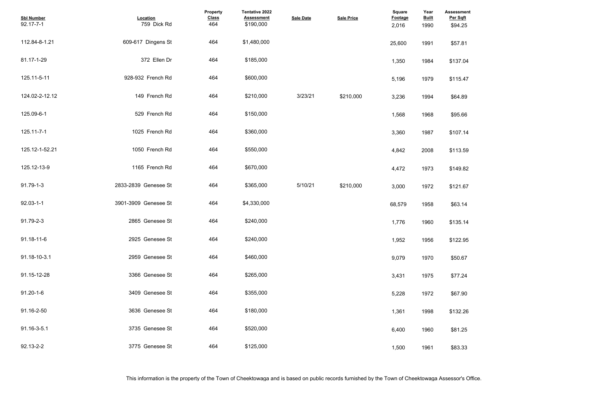| <b>Assessment</b><br>Per Sqft |  |  |  |
|-------------------------------|--|--|--|
| \$94.25                       |  |  |  |
|                               |  |  |  |
| \$57.81                       |  |  |  |
| \$137.04                      |  |  |  |
|                               |  |  |  |
| \$115.47                      |  |  |  |
| \$64.89                       |  |  |  |
|                               |  |  |  |
| \$95.66                       |  |  |  |
| \$107.14                      |  |  |  |
|                               |  |  |  |
| \$113.59                      |  |  |  |
| \$149.82                      |  |  |  |
|                               |  |  |  |
| \$121.67                      |  |  |  |
| \$63.14                       |  |  |  |
|                               |  |  |  |
| \$135.14                      |  |  |  |
| \$122.95                      |  |  |  |
|                               |  |  |  |
| \$50.67                       |  |  |  |
| \$77.24                       |  |  |  |
|                               |  |  |  |
| \$67.90                       |  |  |  |
| \$132.26                      |  |  |  |
|                               |  |  |  |
| \$81.25                       |  |  |  |
| \$83.33                       |  |  |  |
|                               |  |  |  |

| <b>Sbl Number</b><br>92.17-7-1 | Location<br>759 Dick Rd | Property<br><b>Class</b><br>464 | Tentative 2022<br><b>Assessment</b><br>\$190,000 | <b>Sale Date</b> | <b>Sale Price</b> | <b>Square</b><br>Footage<br>2,016 | Year<br><b>Built</b><br>1990 | <b>Assessmer</b><br>Per Sqft<br>\$94.25 |
|--------------------------------|-------------------------|---------------------------------|--------------------------------------------------|------------------|-------------------|-----------------------------------|------------------------------|-----------------------------------------|
| 112.84-8-1.21                  | 609-617 Dingens St      | 464                             | \$1,480,000                                      |                  |                   | 25,600                            | 1991                         | \$57.81                                 |
| 81.17-1-29                     | 372 Ellen Dr            | 464                             | \$185,000                                        |                  |                   | 1,350                             | 1984                         | \$137.04                                |
| 125.11-5-11                    | 928-932 French Rd       | 464                             | \$600,000                                        |                  |                   | 5,196                             | 1979                         | \$115.47                                |
| 124.02-2-12.12                 | 149 French Rd           | 464                             | \$210,000                                        | 3/23/21          | \$210.000         | 3,236                             | 1994                         | \$64.89                                 |
| 125.09-6-1                     | 529 French Rd           | 464                             | \$150,000                                        |                  |                   | 1,568                             | 1968                         | \$95.66                                 |
| 125.11-7-1                     | 1025 French Rd          | 464                             | \$360,000                                        |                  |                   | 3,360                             | 1987                         | \$107.14                                |
| 125.12-1-52.21                 | 1050 French Rd          | 464                             | \$550,000                                        |                  |                   | 4,842                             | 2008                         | \$113.59                                |
| 125.12-13-9                    | 1165 French Rd          | 464                             | \$670,000                                        |                  |                   | 4,472                             | 1973                         | \$149.82                                |
| 91.79-1-3                      | 2833-2839 Genesee St    | 464                             | \$365,000                                        | 5/10/21          | \$210.000         | 3,000                             | 1972                         | \$121.67                                |
| $92.03 - 1 - 1$                | 3901-3909 Genesee St    | 464                             | \$4,330,000                                      |                  |                   | 68,579                            | 1958                         | \$63.14                                 |
| 91.79-2-3                      | 2865 Genesee St         | 464                             | \$240,000                                        |                  |                   | 1,776                             | 1960                         | \$135.14                                |
| 91.18-11-6                     | 2925 Genesee St         | 464                             | \$240,000                                        |                  |                   | 1,952                             | 1956                         | \$122.95                                |
| 91.18-10-3.1                   | 2959 Genesee St         | 464                             | \$460,000                                        |                  |                   | 9,079                             | 1970                         | \$50.67                                 |
| 91.15-12-28                    | 3366 Genesee St         | 464                             | \$265,000                                        |                  |                   | 3,431                             | 1975                         | \$77.24                                 |
| $91.20 - 1 - 6$                | 3409 Genesee St         | 464                             | \$355,000                                        |                  |                   | 5,228                             | 1972                         | \$67.90                                 |
| 91.16-2-50                     | 3636 Genesee St         | 464                             | \$180,000                                        |                  |                   | 1,361                             | 1998                         | \$132.26                                |
| 91.16-3-5.1                    | 3735 Genesee St         | 464                             | \$520,000                                        |                  |                   | 6,400                             | 1960                         | \$81.25                                 |
| 92.13-2-2                      | 3775 Genesee St         | 464                             | \$125,000                                        |                  |                   | 1,500                             | 1961                         | \$83.33                                 |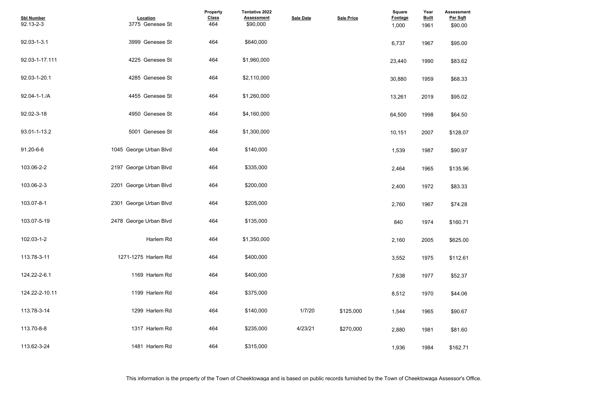| <b>Assessment</b><br>Per Sqft<br>\$90.00 |  |  |
|------------------------------------------|--|--|
| \$95.00                                  |  |  |
| \$83.62                                  |  |  |
| \$68.33                                  |  |  |
| \$95.02                                  |  |  |
| \$64.50                                  |  |  |
| \$128.07                                 |  |  |
| \$90.97                                  |  |  |
| \$135.96                                 |  |  |
| \$83.33                                  |  |  |
| \$74.28                                  |  |  |
| \$160.71                                 |  |  |
| \$625.00                                 |  |  |
| \$112.61                                 |  |  |
| \$52.37                                  |  |  |
| \$44.06                                  |  |  |
| \$90.67                                  |  |  |
| \$81.60                                  |  |  |
| \$162.71                                 |  |  |

| <b>Sbl Number</b><br>92.13-2-3 | Location<br>3775 Genesee St | <b>Property</b><br><b>Class</b><br>464 | <b>Tentative 2022</b><br><b>Assessment</b><br>\$90,000 | <b>Sale Date</b> | <b>Sale Price</b> | Square<br>Footage<br>1,000 | Year<br><b>Built</b><br>1961 | Assessmer<br>Per Sqft<br>\$90.00 |
|--------------------------------|-----------------------------|----------------------------------------|--------------------------------------------------------|------------------|-------------------|----------------------------|------------------------------|----------------------------------|
| 92.03-1-3.1                    | 3999 Genesee St             | 464                                    | \$640,000                                              |                  |                   | 6,737                      | 1967                         | \$95.00                          |
| 92.03-1-17.111                 | 4225 Genesee St             | 464                                    | \$1,960,000                                            |                  |                   | 23,440                     | 1990                         | \$83.62                          |
| 92.03-1-20.1                   | 4285 Genesee St             | 464                                    | \$2,110,000                                            |                  |                   | 30,880                     | 1959                         | \$68.33                          |
| 92.04-1-1./A                   | 4455 Genesee St             | 464                                    | \$1,260,000                                            |                  |                   | 13,261                     | 2019                         | \$95.02                          |
| 92.02-3-18                     | 4950 Genesee St             | 464                                    | \$4,160,000                                            |                  |                   | 64,500                     | 1998                         | \$64.50                          |
| 93.01-1-13.2                   | 5001 Genesee St             | 464                                    | \$1,300,000                                            |                  |                   | 10,151                     | 2007                         | \$128.07                         |
| 91.20-6-6                      | 1045 George Urban Blvd      | 464                                    | \$140,000                                              |                  |                   | 1,539                      | 1987                         | \$90.97                          |
| 103.06-2-2                     | 2197 George Urban Blvd      | 464                                    | \$335,000                                              |                  |                   | 2,464                      | 1965                         | \$135.96                         |
| 103.06-2-3                     | 2201 George Urban Blvd      | 464                                    | \$200,000                                              |                  |                   | 2,400                      | 1972                         | \$83.33                          |
| 103.07-8-1                     | 2301 George Urban Blvd      | 464                                    | \$205,000                                              |                  |                   | 2,760                      | 1967                         | \$74.28                          |
| 103.07-5-19                    | 2478 George Urban Blvd      | 464                                    | \$135,000                                              |                  |                   | 840                        | 1974                         | \$160.71                         |
| 102.03-1-2                     | Harlem Rd                   | 464                                    | \$1,350,000                                            |                  |                   | 2,160                      | 2005                         | \$625.00                         |
| 113.78-3-11                    | 1271-1275 Harlem Rd         | 464                                    | \$400,000                                              |                  |                   | 3,552                      | 1975                         | \$112.61                         |
| 124.22-2-6.1                   | 1169 Harlem Rd              | 464                                    | \$400,000                                              |                  |                   | 7,638                      | 1977                         | \$52.37                          |
| 124.22-2-10.11                 | 1199 Harlem Rd              | 464                                    | \$375,000                                              |                  |                   | 8,512                      | 1970                         | \$44.06                          |
| 113.78-3-14                    | 1299 Harlem Rd              | 464                                    | \$140,000                                              | 1/7/20           | \$125,000         | 1,544                      | 1965                         | \$90.67                          |
| 113.70-8-8                     | 1317 Harlem Rd              | 464                                    | \$235,000                                              | 4/23/21          | \$270.000         | 2,880                      | 1981                         | \$81.60                          |
| 113.62-3-24                    | 1481 Harlem Rd              | 464                                    | \$315,000                                              |                  |                   | 1,936                      | 1984                         | \$162.71                         |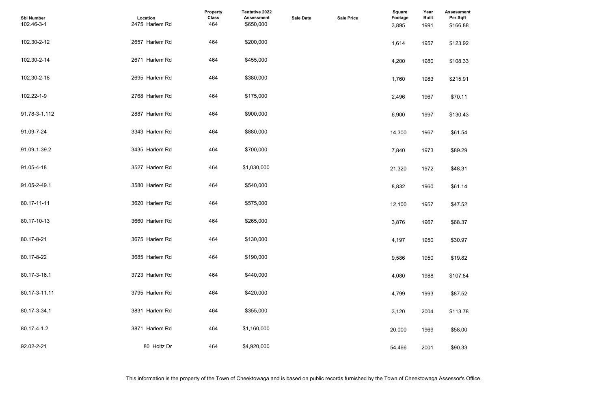| <b>Assessment</b><br>Per Sqft<br>\$166.88 |  |  |
|-------------------------------------------|--|--|
| \$123.92                                  |  |  |
| \$108.33                                  |  |  |
| \$215.91                                  |  |  |
| \$70.11                                   |  |  |
| \$130.43                                  |  |  |
| \$61.54                                   |  |  |
| \$89.29                                   |  |  |
| \$48.31                                   |  |  |
| \$61.14                                   |  |  |
| \$47.52                                   |  |  |
| \$68.37                                   |  |  |
| \$30.97                                   |  |  |
| \$19.82                                   |  |  |
| \$107.84                                  |  |  |
| \$87.52                                   |  |  |
| \$113.78                                  |  |  |
| \$58.00                                   |  |  |
| \$90.33                                   |  |  |

| <b>Sbl Number</b><br>102.46-3-1 | Location<br>2475 Harlem Rd | Property<br><b>Class</b><br>464 | <b>Tentative 2022</b><br><b>Assessment</b><br>\$650,000 | <b>Sale Date</b> | <b>Sale Price</b> | Square<br><b>Footage</b><br>3,895 | Year<br><b>Built</b><br>1991 | Assessmer<br>Per Sqft<br>\$166.88 |
|---------------------------------|----------------------------|---------------------------------|---------------------------------------------------------|------------------|-------------------|-----------------------------------|------------------------------|-----------------------------------|
| 102.30-2-12                     | 2657 Harlem Rd             | 464                             | \$200,000                                               |                  |                   | 1,614                             | 1957                         | \$123.92                          |
| 102.30-2-14                     | 2671 Harlem Rd             | 464                             | \$455,000                                               |                  |                   | 4,200                             | 1980                         | \$108.33                          |
| 102.30-2-18                     | 2695 Harlem Rd             | 464                             | \$380,000                                               |                  |                   | 1,760                             | 1983                         | \$215.91                          |
| 102.22-1-9                      | 2768 Harlem Rd             | 464                             | \$175,000                                               |                  |                   | 2,496                             | 1967                         | \$70.11                           |
| 91.78-3-1.112                   | 2887 Harlem Rd             | 464                             | \$900,000                                               |                  |                   | 6,900                             | 1997                         | \$130.43                          |
| 91.09-7-24                      | 3343 Harlem Rd             | 464                             | \$880,000                                               |                  |                   | 14,300                            | 1967                         | \$61.54                           |
| 91.09-1-39.2                    | 3435 Harlem Rd             | 464                             | \$700,000                                               |                  |                   | 7,840                             | 1973                         | \$89.29                           |
| 91.05-4-18                      | 3527 Harlem Rd             | 464                             | \$1,030,000                                             |                  |                   | 21,320                            | 1972                         | \$48.31                           |
| 91.05-2-49.1                    | 3580 Harlem Rd             | 464                             | \$540,000                                               |                  |                   | 8,832                             | 1960                         | \$61.14                           |
| 80.17-11-11                     | 3620 Harlem Rd             | 464                             | \$575,000                                               |                  |                   | 12,100                            | 1957                         | \$47.52                           |
| 80.17-10-13                     | 3660 Harlem Rd             | 464                             | \$265,000                                               |                  |                   | 3,876                             | 1967                         | \$68.37                           |
| 80.17-8-21                      | 3675 Harlem Rd             | 464                             | \$130,000                                               |                  |                   | 4,197                             | 1950                         | \$30.97                           |
| 80.17-8-22                      | 3685 Harlem Rd             | 464                             | \$190,000                                               |                  |                   | 9,586                             | 1950                         | \$19.82                           |
| 80.17-3-16.1                    | 3723 Harlem Rd             | 464                             | \$440,000                                               |                  |                   | 4,080                             | 1988                         | \$107.84                          |
| 80.17-3-11.11                   | 3795 Harlem Rd             | 464                             | \$420,000                                               |                  |                   | 4,799                             | 1993                         | \$87.52                           |
| 80.17-3-34.1                    | 3831 Harlem Rd             | 464                             | \$355,000                                               |                  |                   | 3,120                             | 2004                         | \$113.78                          |
| 80.17-4-1.2                     | 3871 Harlem Rd             | 464                             | \$1,160,000                                             |                  |                   | 20,000                            | 1969                         | \$58.00                           |
| 92.02-2-21                      | 80 Holtz Dr                | 464                             | \$4,920,000                                             |                  |                   | 54,466                            | 2001                         | \$90.33                           |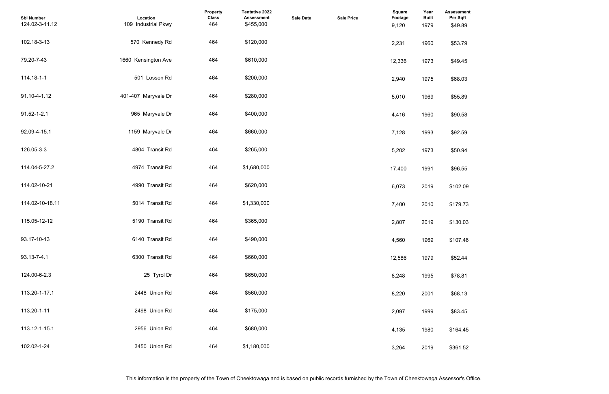| <b>Assessment</b><br>Per Sqft<br>\$49.89 |  |  |  |
|------------------------------------------|--|--|--|
| \$53.79                                  |  |  |  |
| \$49.45                                  |  |  |  |
| \$68.03                                  |  |  |  |
| \$55.89                                  |  |  |  |
| \$90.58                                  |  |  |  |
| \$92.59                                  |  |  |  |
| \$50.94                                  |  |  |  |
| \$96.55                                  |  |  |  |
| \$102.09                                 |  |  |  |
| \$179.73                                 |  |  |  |
| \$130.03                                 |  |  |  |
| \$107.46                                 |  |  |  |
| \$52.44                                  |  |  |  |
| \$78.81                                  |  |  |  |
| \$68.13                                  |  |  |  |
| \$83.45                                  |  |  |  |
| \$164.45                                 |  |  |  |
| \$361.52                                 |  |  |  |

| <b>Sbl Number</b><br>124.02-3-11.12 | Location<br>109 Industrial Pkwy | Property<br><b>Class</b><br>464 | Tentative 2022<br><b>Assessment</b><br>\$455,000 | <b>Sale Date</b> | <b>Sale Price</b> | Square<br><b>Footage</b><br>9,120 | Year<br><b>Built</b><br>1979 | <b>Assessmer</b><br>Per Sqft<br>\$49.89 |
|-------------------------------------|---------------------------------|---------------------------------|--------------------------------------------------|------------------|-------------------|-----------------------------------|------------------------------|-----------------------------------------|
| 102.18-3-13                         | 570 Kennedy Rd                  | 464                             | \$120,000                                        |                  |                   | 2,231                             | 1960                         | \$53.79                                 |
| 79.20-7-43                          | 1660 Kensington Ave             | 464                             | \$610,000                                        |                  |                   | 12,336                            | 1973                         | \$49.45                                 |
| 114.18-1-1                          | 501 Losson Rd                   | 464                             | \$200,000                                        |                  |                   | 2,940                             | 1975                         | \$68.03                                 |
| 91.10-4-1.12                        | 401-407 Maryvale Dr             | 464                             | \$280,000                                        |                  |                   | 5,010                             | 1969                         | \$55.89                                 |
| 91.52-1-2.1                         | 965 Maryvale Dr                 | 464                             | \$400,000                                        |                  |                   | 4,416                             | 1960                         | \$90.58                                 |
| 92.09-4-15.1                        | 1159 Maryvale Dr                | 464                             | \$660,000                                        |                  |                   | 7,128                             | 1993                         | \$92.59                                 |
| 126.05-3-3                          | 4804 Transit Rd                 | 464                             | \$265,000                                        |                  |                   | 5,202                             | 1973                         | \$50.94                                 |
| 114.04-5-27.2                       | 4974 Transit Rd                 | 464                             | \$1,680,000                                      |                  |                   | 17,400                            | 1991                         | \$96.55                                 |
| 114.02-10-21                        | 4990 Transit Rd                 | 464                             | \$620,000                                        |                  |                   | 6,073                             | 2019                         | \$102.09                                |
| 114.02-10-18.11                     | 5014 Transit Rd                 | 464                             | \$1,330,000                                      |                  |                   | 7,400                             | 2010                         | \$179.73                                |
| 115.05-12-12                        | 5190 Transit Rd                 | 464                             | \$365,000                                        |                  |                   | 2,807                             | 2019                         | \$130.03                                |
| 93.17-10-13                         | 6140 Transit Rd                 | 464                             | \$490,000                                        |                  |                   | 4,560                             | 1969                         | \$107.46                                |
| 93.13-7-4.1                         | 6300 Transit Rd                 | 464                             | \$660,000                                        |                  |                   | 12,586                            | 1979                         | \$52.44                                 |
| 124.00-6-2.3                        | 25 Tyrol Dr                     | 464                             | \$650,000                                        |                  |                   | 8,248                             | 1995                         | \$78.81                                 |
| 113.20-1-17.1                       | 2448 Union Rd                   | 464                             | \$560,000                                        |                  |                   | 8,220                             | 2001                         | \$68.13                                 |
| 113.20-1-11                         | 2498 Union Rd                   | 464                             | \$175,000                                        |                  |                   | 2,097                             | 1999                         | \$83.45                                 |
| 113.12-1-15.1                       | 2956 Union Rd                   | 464                             | \$680,000                                        |                  |                   | 4,135                             | 1980                         | \$164.45                                |
| 102.02-1-24                         | 3450 Union Rd                   | 464                             | \$1,180,000                                      |                  |                   | 3,264                             | 2019                         | \$361.52                                |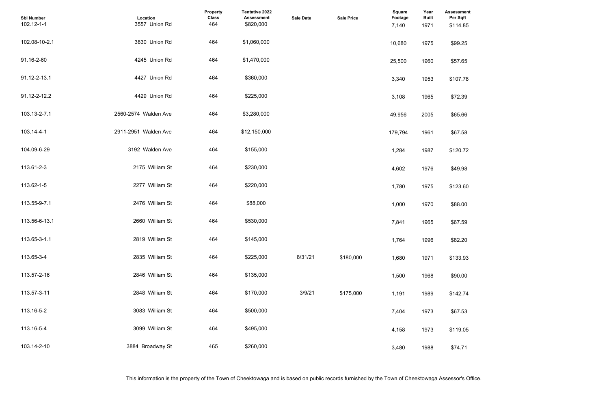| <b>Assessment</b><br>Per Sqft<br>\$114.85 |  |  |  |
|-------------------------------------------|--|--|--|
| \$99.25                                   |  |  |  |
| \$57.65                                   |  |  |  |
| \$107.78                                  |  |  |  |
| \$72.39                                   |  |  |  |
| \$65.66                                   |  |  |  |
| \$67.58                                   |  |  |  |
| \$120.72                                  |  |  |  |
| \$49.98                                   |  |  |  |
| \$123.60                                  |  |  |  |
| \$88.00                                   |  |  |  |
| \$67.59                                   |  |  |  |
| \$82.20                                   |  |  |  |
| \$133.93                                  |  |  |  |
| \$90.00                                   |  |  |  |
| \$142.74                                  |  |  |  |
| \$67.53                                   |  |  |  |
| \$119.05                                  |  |  |  |
| \$74.71                                   |  |  |  |

| <b>Sbl Number</b><br>102.12-1-1 | Location<br>3557 Union Rd | Property<br><b>Class</b><br>464 | Tentative 2022<br><b>Assessment</b><br>\$820,000 | <b>Sale Date</b> | <b>Sale Price</b> | <b>Square</b><br>Footage<br>7,140 | Year<br><b>Built</b><br>1971 | <b>Assessmer</b><br>Per Sqft<br>\$114.85 |
|---------------------------------|---------------------------|---------------------------------|--------------------------------------------------|------------------|-------------------|-----------------------------------|------------------------------|------------------------------------------|
| 102.08-10-2.1                   | 3830 Union Rd             | 464                             | \$1,060,000                                      |                  |                   | 10,680                            | 1975                         | \$99.25                                  |
| 91.16-2-60                      | 4245 Union Rd             | 464                             | \$1,470,000                                      |                  |                   | 25,500                            | 1960                         | \$57.65                                  |
| 91.12-2-13.1                    | 4427 Union Rd             | 464                             | \$360,000                                        |                  |                   | 3,340                             | 1953                         | \$107.78                                 |
| 91.12-2-12.2                    | 4429 Union Rd             | 464                             | \$225,000                                        |                  |                   | 3,108                             | 1965                         | \$72.39                                  |
| 103.13-2-7.1                    | 2560-2574 Walden Ave      | 464                             | \$3,280,000                                      |                  |                   | 49,956                            | 2005                         | \$65.66                                  |
| 103.14-4-1                      | 2911-2951 Walden Ave      | 464                             | \$12,150,000                                     |                  |                   | 179,794                           | 1961                         | \$67.58                                  |
| 104.09-6-29                     | 3192 Walden Ave           | 464                             | \$155,000                                        |                  |                   | 1,284                             | 1987                         | \$120.72                                 |
| 113.61-2-3                      | 2175 William St           | 464                             | \$230,000                                        |                  |                   | 4,602                             | 1976                         | \$49.98                                  |
| 113.62-1-5                      | 2277 William St           | 464                             | \$220,000                                        |                  |                   | 1,780                             | 1975                         | \$123.60                                 |
| 113.55-9-7.1                    | 2476 William St           | 464                             | \$88,000                                         |                  |                   | 1,000                             | 1970                         | \$88.00                                  |
| 113.56-6-13.1                   | 2660 William St           | 464                             | \$530,000                                        |                  |                   | 7,841                             | 1965                         | \$67.59                                  |
| 113.65-3-1.1                    | 2819 William St           | 464                             | \$145,000                                        |                  |                   | 1,764                             | 1996                         | \$82.20                                  |
| 113.65-3-4                      | 2835 William St           | 464                             | \$225,000                                        | 8/31/21          | \$180,000         | 1,680                             | 1971                         | \$133.93                                 |
| 113.57-2-16                     | 2846 William St           | 464                             | \$135,000                                        |                  |                   | 1,500                             | 1968                         | \$90.00                                  |
| 113.57-3-11                     | 2848 William St           | 464                             | \$170,000                                        | 3/9/21           | \$175,000         | 1,191                             | 1989                         | \$142.74                                 |
| 113.16-5-2                      | 3083 William St           | 464                             | \$500,000                                        |                  |                   | 7,404                             | 1973                         | \$67.53                                  |
| 113.16-5-4                      | 3099 William St           | 464                             | \$495,000                                        |                  |                   | 4,158                             | 1973                         | \$119.05                                 |
| 103.14-2-10                     | 3884 Broadway St          | 465                             | \$260,000                                        |                  |                   | 3,480                             | 1988                         | \$74.71                                  |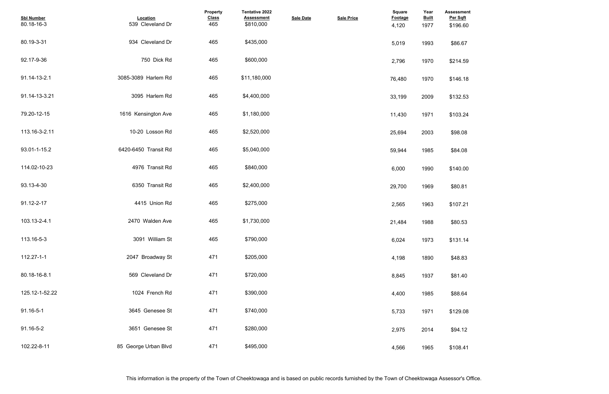| <b>Assessment</b><br>Per Sqft |  |  |  |
|-------------------------------|--|--|--|
| \$196.60                      |  |  |  |
|                               |  |  |  |
| \$86.67                       |  |  |  |
|                               |  |  |  |
| \$214.59                      |  |  |  |
|                               |  |  |  |
| \$146.18                      |  |  |  |
|                               |  |  |  |
| \$132.53                      |  |  |  |
|                               |  |  |  |
| \$103.24                      |  |  |  |
|                               |  |  |  |
| \$98.08                       |  |  |  |
|                               |  |  |  |
| \$84.08                       |  |  |  |
|                               |  |  |  |
| \$140.00                      |  |  |  |
|                               |  |  |  |
| \$80.81                       |  |  |  |
|                               |  |  |  |
| \$107.21                      |  |  |  |
|                               |  |  |  |
| \$80.53                       |  |  |  |
|                               |  |  |  |
| \$131.14                      |  |  |  |
|                               |  |  |  |
| \$48.83                       |  |  |  |
|                               |  |  |  |
| \$81.40                       |  |  |  |
|                               |  |  |  |
| \$88.64                       |  |  |  |
|                               |  |  |  |
|                               |  |  |  |
| \$129.08                      |  |  |  |
|                               |  |  |  |
| \$94.12                       |  |  |  |
|                               |  |  |  |
| \$108.41                      |  |  |  |

| <b>Sbl Number</b><br>80.18-16-3 | Location<br>539 Cleveland Dr | Property<br><b>Class</b><br>465 | Tentative 2022<br><b>Assessment</b><br>\$810,000 | <b>Sale Date</b> | <b>Sale Price</b> | <b>Square</b><br>Footage<br>4,120 | Year<br><b>Built</b><br>1977 | <b>Assessmer</b><br>Per Sqft<br>\$196.60 |
|---------------------------------|------------------------------|---------------------------------|--------------------------------------------------|------------------|-------------------|-----------------------------------|------------------------------|------------------------------------------|
| 80.19-3-31                      | 934 Cleveland Dr             | 465                             | \$435,000                                        |                  |                   | 5,019                             | 1993                         | \$86.67                                  |
| 92.17-9-36                      | 750 Dick Rd                  | 465                             | \$600,000                                        |                  |                   | 2,796                             | 1970                         | \$214.59                                 |
| 91.14-13-2.1                    | 3085-3089 Harlem Rd          | 465                             | \$11,180,000                                     |                  |                   | 76,480                            | 1970                         | \$146.18                                 |
| 91.14-13-3.21                   | 3095 Harlem Rd               | 465                             | \$4,400,000                                      |                  |                   | 33,199                            | 2009                         | \$132.53                                 |
| 79.20-12-15                     | 1616 Kensington Ave          | 465                             | \$1,180,000                                      |                  |                   | 11,430                            | 1971                         | \$103.24                                 |
| 113.16-3-2.11                   | 10-20 Losson Rd              | 465                             | \$2,520,000                                      |                  |                   | 25,694                            | 2003                         | \$98.08                                  |
| 93.01-1-15.2                    | 6420-6450 Transit Rd         | 465                             | \$5,040,000                                      |                  |                   | 59,944                            | 1985                         | \$84.08                                  |
| 114.02-10-23                    | 4976 Transit Rd              | 465                             | \$840,000                                        |                  |                   | 6,000                             | 1990                         | \$140.00                                 |
| 93.13-4-30                      | 6350 Transit Rd              | 465                             | \$2,400,000                                      |                  |                   | 29,700                            | 1969                         | \$80.81                                  |
| 91.12-2-17                      | 4415 Union Rd                | 465                             | \$275,000                                        |                  |                   | 2,565                             | 1963                         | \$107.21                                 |
| 103.13-2-4.1                    | 2470 Walden Ave              | 465                             | \$1,730,000                                      |                  |                   | 21,484                            | 1988                         | \$80.53                                  |
| 113.16-5-3                      | 3091 William St              | 465                             | \$790,000                                        |                  |                   | 6,024                             | 1973                         | \$131.14                                 |
| 112.27-1-1                      | 2047 Broadway St             | 471                             | \$205,000                                        |                  |                   | 4,198                             | 1890                         | \$48.83                                  |
| 80.18-16-8.1                    | 569 Cleveland Dr             | 471                             | \$720,000                                        |                  |                   | 8,845                             | 1937                         | \$81.40                                  |
| 125.12-1-52.22                  | 1024 French Rd               | 471                             | \$390,000                                        |                  |                   | 4,400                             | 1985                         | \$88.64                                  |
| 91.16-5-1                       | 3645 Genesee St              | 471                             | \$740,000                                        |                  |                   | 5,733                             | 1971                         | \$129.08                                 |
| 91.16-5-2                       | 3651 Genesee St              | 471                             | \$280,000                                        |                  |                   | 2,975                             | 2014                         | \$94.12                                  |
| 102.22-8-11                     | 85 George Urban Blvd         | 471                             | \$495,000                                        |                  |                   | 4,566                             | 1965                         | \$108.41                                 |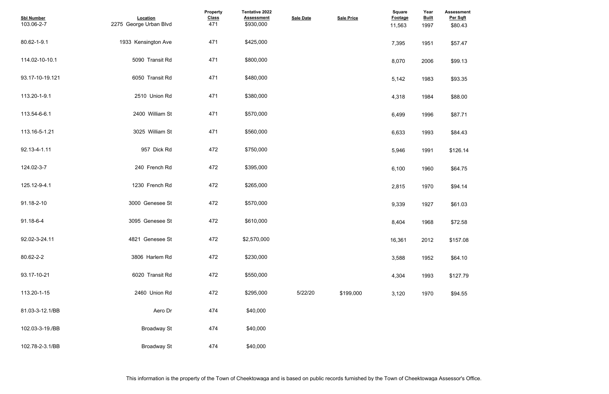| <b>Assessment</b><br>Per Sqft<br>\$80.43 |  |  |  |
|------------------------------------------|--|--|--|
| \$57.47                                  |  |  |  |
| \$99.13                                  |  |  |  |
| \$93.35                                  |  |  |  |
| \$88.00                                  |  |  |  |
| \$87.71                                  |  |  |  |
| \$84.43                                  |  |  |  |
| \$126.14                                 |  |  |  |
| \$64.75                                  |  |  |  |
| \$94.14                                  |  |  |  |
| \$61.03                                  |  |  |  |
| \$72.58                                  |  |  |  |
| \$157.08                                 |  |  |  |
| \$64.10                                  |  |  |  |
| \$127.79                                 |  |  |  |
| \$94.55                                  |  |  |  |

| <b>Sbl Number</b><br>103.06-2-7 | Location<br>2275 George Urban Blvd | Property<br><b>Class</b><br>471 | Tentative 2022<br><b>Assessment</b><br>\$930,000 | <b>Sale Date</b> | <b>Sale Price</b> | <b>Square</b><br>Footage<br>11,563 | Year<br><b>Built</b><br>1997 | Assessmer<br>Per Sqft<br>\$80.43 |
|---------------------------------|------------------------------------|---------------------------------|--------------------------------------------------|------------------|-------------------|------------------------------------|------------------------------|----------------------------------|
| 80.62-1-9.1                     | 1933 Kensington Ave                | 471                             | \$425,000                                        |                  |                   | 7,395                              | 1951                         | \$57.47                          |
| 114.02-10-10.1                  | 5090 Transit Rd                    | 471                             | \$800,000                                        |                  |                   | 8,070                              | 2006                         | \$99.13                          |
| 93.17-10-19.121                 | 6050 Transit Rd                    | 471                             | \$480,000                                        |                  |                   | 5,142                              | 1983                         | \$93.35                          |
| 113.20-1-9.1                    | 2510 Union Rd                      | 471                             | \$380,000                                        |                  |                   | 4,318                              | 1984                         | \$88.00                          |
| 113.54-6-6.1                    | 2400 William St                    | 471                             | \$570,000                                        |                  |                   | 6,499                              | 1996                         | \$87.71                          |
| 113.16-5-1.21                   | 3025 William St                    | 471                             | \$560,000                                        |                  |                   | 6,633                              | 1993                         | \$84.43                          |
| 92.13-4-1.11                    | 957 Dick Rd                        | 472                             | \$750,000                                        |                  |                   | 5,946                              | 1991                         | \$126.14                         |
| 124.02-3-7                      | 240 French Rd                      | 472                             | \$395,000                                        |                  |                   | 6,100                              | 1960                         | \$64.75                          |
| 125.12-9-4.1                    | 1230 French Rd                     | 472                             | \$265,000                                        |                  |                   | 2,815                              | 1970                         | \$94.14                          |
| 91.18-2-10                      | 3000 Genesee St                    | 472                             | \$570,000                                        |                  |                   | 9,339                              | 1927                         | \$61.03                          |
| 91.18-6-4                       | 3095 Genesee St                    | 472                             | \$610,000                                        |                  |                   | 8,404                              | 1968                         | \$72.58                          |
| 92.02-3-24.11                   | 4821 Genesee St                    | 472                             | \$2,570,000                                      |                  |                   | 16,361                             | 2012                         | \$157.08                         |
| 80.62-2-2                       | 3806 Harlem Rd                     | 472                             | \$230,000                                        |                  |                   | 3,588                              | 1952                         | \$64.10                          |
| 93.17-10-21                     | 6020 Transit Rd                    | 472                             | \$550,000                                        |                  |                   | 4,304                              | 1993                         | \$127.79                         |
| 113.20-1-15                     | 2460 Union Rd                      | 472                             | \$295,000                                        | 5/22/20          | \$199,000         | 3,120                              | 1970                         | \$94.55                          |
| 81.03-3-12.1/BB                 | Aero Dr                            | 474                             | \$40,000                                         |                  |                   |                                    |                              |                                  |
| 102.03-3-19./BB                 | <b>Broadway St</b>                 | 474                             | \$40,000                                         |                  |                   |                                    |                              |                                  |
| 102.78-2-3.1/BB                 | <b>Broadway St</b>                 | 474                             | \$40,000                                         |                  |                   |                                    |                              |                                  |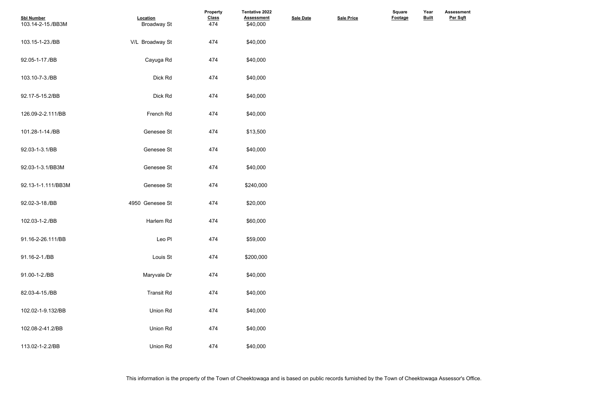**Assessment Per Sqft**

| <b>Sbl Number</b><br>103.14-2-15./BB3M | Location<br><b>Broadway St</b> | Property<br><b>Class</b><br>474 | Tentative 2022<br><b>Assessment</b><br>\$40,000 | <b>Sale Date</b> | <b>Sale Price</b> | <b>Square</b><br>Footage | Year<br><b>Built</b> |  |
|----------------------------------------|--------------------------------|---------------------------------|-------------------------------------------------|------------------|-------------------|--------------------------|----------------------|--|
| 103.15-1-23./BB                        | V/L Broadway St                | 474                             | \$40,000                                        |                  |                   |                          |                      |  |
| 92.05-1-17./BB                         | Cayuga Rd                      | 474                             | \$40,000                                        |                  |                   |                          |                      |  |
| 103.10-7-3./BB                         | Dick Rd                        | 474                             | \$40,000                                        |                  |                   |                          |                      |  |
| 92.17-5-15.2/BB                        | Dick Rd                        | 474                             | \$40,000                                        |                  |                   |                          |                      |  |
| 126.09-2-2.111/BB                      | French Rd                      | 474                             | \$40,000                                        |                  |                   |                          |                      |  |
| 101.28-1-14./BB                        | Genesee St                     | 474                             | \$13,500                                        |                  |                   |                          |                      |  |
| 92.03-1-3.1/BB                         | Genesee St                     | 474                             | \$40,000                                        |                  |                   |                          |                      |  |
| 92.03-1-3.1/BB3M                       | Genesee St                     | 474                             | \$40,000                                        |                  |                   |                          |                      |  |
| 92.13-1-1.111/BB3M                     | Genesee St                     | 474                             | \$240,000                                       |                  |                   |                          |                      |  |
| 92.02-3-18./BB                         | 4950 Genesee St                | 474                             | \$20,000                                        |                  |                   |                          |                      |  |
| 102.03-1-2./BB                         | Harlem Rd                      | 474                             | \$60,000                                        |                  |                   |                          |                      |  |
| 91.16-2-26.111/BB                      | Leo Pl                         | 474                             | \$59,000                                        |                  |                   |                          |                      |  |
| 91.16-2-1./BB                          | Louis St                       | 474                             | \$200,000                                       |                  |                   |                          |                      |  |
| 91.00-1-2./BB                          | Maryvale Dr                    | 474                             | \$40,000                                        |                  |                   |                          |                      |  |
| 82.03-4-15./BB                         | <b>Transit Rd</b>              | 474                             | \$40,000                                        |                  |                   |                          |                      |  |
| 102.02-1-9.132/BB                      | Union Rd                       | 474                             | \$40,000                                        |                  |                   |                          |                      |  |
| 102.08-2-41.2/BB                       | Union Rd                       | 474                             | \$40,000                                        |                  |                   |                          |                      |  |
| 113.02-1-2.2/BB                        | Union Rd                       | 474                             | \$40,000                                        |                  |                   |                          |                      |  |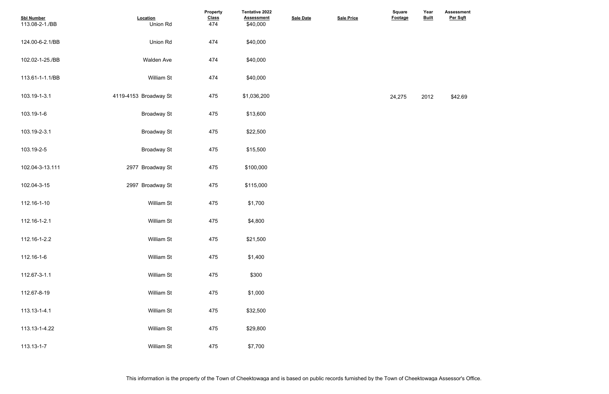**Assessment Per Sqft**

| <b>Sbl Number</b><br>113.08-2-1./BB | Location<br>Union Rd  | Property<br><b>Class</b><br>474 | <b>Tentative 2022</b><br><b>Assessment</b><br>\$40,000 | <b>Sale Date</b> | <b>Sale Price</b> | <b>Square</b><br>Footage | Year<br><b>Built</b> | Assessme<br>Per Sqft |
|-------------------------------------|-----------------------|---------------------------------|--------------------------------------------------------|------------------|-------------------|--------------------------|----------------------|----------------------|
| 124.00-6-2.1/BB                     | Union Rd              | 474                             | \$40,000                                               |                  |                   |                          |                      |                      |
| 102.02-1-25./BB                     | <b>Walden Ave</b>     | 474                             | \$40,000                                               |                  |                   |                          |                      |                      |
| 113.61-1-1.1/BB                     | William St            | 474                             | \$40,000                                               |                  |                   |                          |                      |                      |
| 103.19-1-3.1                        | 4119-4153 Broadway St | 475                             | \$1,036,200                                            |                  |                   | 24,275                   | 2012                 | \$42.69              |
| 103.19-1-6                          | <b>Broadway St</b>    | 475                             | \$13,600                                               |                  |                   |                          |                      |                      |
| 103.19-2-3.1                        | <b>Broadway St</b>    | 475                             | \$22,500                                               |                  |                   |                          |                      |                      |
| 103.19-2-5                          | <b>Broadway St</b>    | 475                             | \$15,500                                               |                  |                   |                          |                      |                      |
| 102.04-3-13.111                     | 2977 Broadway St      | 475                             | \$100,000                                              |                  |                   |                          |                      |                      |
| 102.04-3-15                         | 2997 Broadway St      | 475                             | \$115,000                                              |                  |                   |                          |                      |                      |
| 112.16-1-10                         | William St            | 475                             | \$1,700                                                |                  |                   |                          |                      |                      |
| 112.16-1-2.1                        | William St            | 475                             | \$4,800                                                |                  |                   |                          |                      |                      |
| 112.16-1-2.2                        | William St            | 475                             | \$21,500                                               |                  |                   |                          |                      |                      |
| 112.16-1-6                          | <b>William St</b>     | 475                             | \$1,400                                                |                  |                   |                          |                      |                      |
| 112.67-3-1.1                        | <b>William St</b>     | 475                             | \$300                                                  |                  |                   |                          |                      |                      |
| 112.67-8-19                         | <b>William St</b>     | 475                             | \$1,000                                                |                  |                   |                          |                      |                      |
| 113.13-1-4.1                        | William St            | 475                             | \$32,500                                               |                  |                   |                          |                      |                      |
| 113.13-1-4.22                       | William St            | 475                             | \$29,800                                               |                  |                   |                          |                      |                      |
| 113.13-1-7                          | William St            | 475                             | \$7,700                                                |                  |                   |                          |                      |                      |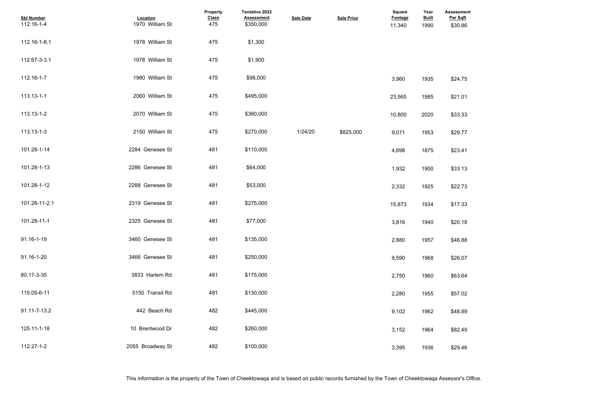## **Assessment Per Sqft**

- 
- 
- 
- 
- 
- 
- 
- 
- 
- 
- 
- 
- 
- 
- 
- 

| <b>Sbl Number</b><br>112.16-1-4 | Location<br>1970 William St | <b>Property</b><br><b>Class</b><br>475 | Tentative 2022<br><b>Assessment</b><br>\$350,000 | <b>Sale Date</b> | <b>Sale Price</b> | <b>Square</b><br>Footage<br>11,340 | Year<br><b>Built</b><br>1990 | <b>Assessme</b><br>Per Sqft<br>\$30.86 |
|---------------------------------|-----------------------------|----------------------------------------|--------------------------------------------------|------------------|-------------------|------------------------------------|------------------------------|----------------------------------------|
| 112.16-1-8.1                    | 1978 William St             | 475                                    | \$1,300                                          |                  |                   |                                    |                              |                                        |
| 112.67-3-3.1                    | 1978 William St             | 475                                    | \$1,900                                          |                  |                   |                                    |                              |                                        |
| 112.16-1-7                      | 1980 William St             | 475                                    | \$98,000                                         |                  |                   | 3,960                              | 1935                         | \$24.75                                |
| 113.13-1-1                      | 2060 William St             | 475                                    | \$495,000                                        |                  |                   | 23,565                             | 1985                         | \$21.01                                |
| 113.13-1-2                      | 2070 William St             | 475                                    | \$360,000                                        |                  |                   | 10,800                             | 2020                         | \$33.33                                |
| 113.13-1-3                      | 2150 William St             | 475                                    | \$270,000                                        | 1/24/20          | \$825,000         | 9,071                              | 1953                         | \$29.77                                |
| 101.28-1-14                     | 2284 Genesee St             | 481                                    | \$110,000                                        |                  |                   | 4,698                              | 1875                         | \$23.41                                |
| 101.28-1-13                     | 2286 Genesee St             | 481                                    | \$64,000                                         |                  |                   | 1,932                              | 1900                         | \$33.13                                |
| 101.28-1-12                     | 2288 Genesee St             | 481                                    | \$53,000                                         |                  |                   | 2,332                              | 1925                         | \$22.73                                |
| 101.28-11-2.1                   | 2319 Genesee St             | 481                                    | \$275,000                                        |                  |                   | 15,873                             | 1934                         | \$17.33                                |
| 101.28-11-1                     | 2325 Genesee St             | 481                                    | \$77,000                                         |                  |                   | 3,816                              | 1940                         | \$20.18                                |
| 91.16-1-19                      | 3460 Genesee St             | 481                                    | \$135,000                                        |                  |                   | 2,880                              | 1957                         | \$46.88                                |
| 91.16-1-20                      | 3466 Genesee St             | 481                                    | \$250,000                                        |                  |                   | 9,590                              | 1968                         | \$26.07                                |
| 80.17-3-35                      | 3833 Harlem Rd              | 481                                    | \$175,000                                        |                  |                   | 2,750                              | 1960                         | \$63.64                                |
| 115.05-6-11                     | 5150 Transit Rd             | 481                                    | \$130,000                                        |                  |                   | 2,280                              | 1955                         | \$57.02                                |
| 91.11-7-13.2                    | 442 Beach Rd                | 482                                    | \$445,000                                        |                  |                   | 9,102                              | 1962                         | \$48.89                                |
| 125.11-1-18                     | 10 Brentwood Dr             | 482                                    | \$260,000                                        |                  |                   | 3,152                              | 1964                         | \$82.49                                |
| 112.27-1-2                      | 2055 Broadway St            | 482                                    | \$100,000                                        |                  |                   | 3,395                              | 1936                         | \$29.46                                |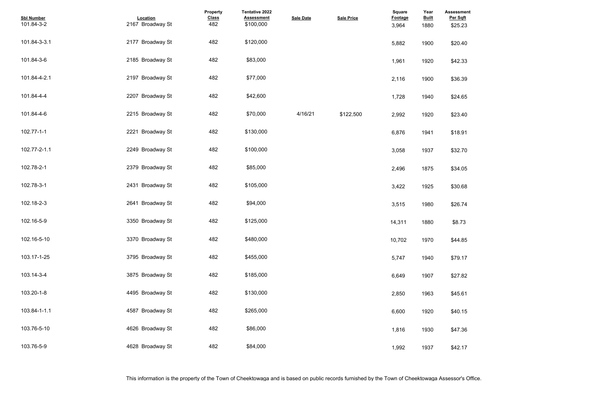| <b>Assessment</b><br>Per Sqft |  |  |  |
|-------------------------------|--|--|--|
| \$25.23                       |  |  |  |
|                               |  |  |  |
| \$20.40                       |  |  |  |
|                               |  |  |  |
| \$42.33                       |  |  |  |
|                               |  |  |  |
| \$36.39                       |  |  |  |
|                               |  |  |  |
| \$24.65                       |  |  |  |
|                               |  |  |  |
| \$23.40                       |  |  |  |
|                               |  |  |  |
| \$18.91                       |  |  |  |
|                               |  |  |  |
| \$32.70                       |  |  |  |
|                               |  |  |  |
| \$34.05                       |  |  |  |
|                               |  |  |  |
| \$30.68                       |  |  |  |
|                               |  |  |  |
| \$26.74                       |  |  |  |
|                               |  |  |  |
| \$8.73                        |  |  |  |
|                               |  |  |  |
| \$44.85                       |  |  |  |
|                               |  |  |  |
| \$79.17                       |  |  |  |
|                               |  |  |  |
| \$27.82                       |  |  |  |
|                               |  |  |  |
| \$45.61                       |  |  |  |
|                               |  |  |  |
| \$40.15                       |  |  |  |
|                               |  |  |  |
| \$47.36                       |  |  |  |
|                               |  |  |  |
| \$42.17                       |  |  |  |

| <b>Sbl Number</b><br>101.84-3-2 | Location<br>2167 Broadway St | Property<br><b>Class</b><br>482 | <b>Tentative 2022</b><br><b>Assessment</b><br>\$100,000 | <b>Sale Date</b> | <b>Sale Price</b> | Square<br>Footage<br>3,964 | Year<br><b>Built</b><br>1880 | <b>Assessme</b><br>Per Sqft<br>\$25.23 |
|---------------------------------|------------------------------|---------------------------------|---------------------------------------------------------|------------------|-------------------|----------------------------|------------------------------|----------------------------------------|
| 101.84-3-3.1                    | 2177 Broadway St             | 482                             | \$120,000                                               |                  |                   | 5,882                      | 1900                         | \$20.40                                |
| 101.84-3-6                      | 2185 Broadway St             | 482                             | \$83,000                                                |                  |                   | 1,961                      | 1920                         | \$42.33                                |
| 101.84-4-2.1                    | 2197 Broadway St             | 482                             | \$77,000                                                |                  |                   | 2,116                      | 1900                         | \$36.39                                |
| 101.84-4-4                      | 2207 Broadway St             | 482                             | \$42,600                                                |                  |                   | 1,728                      | 1940                         | \$24.65                                |
| 101.84-4-6                      | 2215 Broadway St             | 482                             | \$70,000                                                | 4/16/21          | \$122,500         | 2,992                      | 1920                         | \$23.40                                |
| 102.77-1-1                      | 2221 Broadway St             | 482                             | \$130,000                                               |                  |                   | 6,876                      | 1941                         | \$18.91                                |
| 102.77-2-1.1                    | 2249 Broadway St             | 482                             | \$100,000                                               |                  |                   | 3,058                      | 1937                         | \$32.70                                |
| 102.78-2-1                      | 2379 Broadway St             | 482                             | \$85,000                                                |                  |                   | 2,496                      | 1875                         | \$34.05                                |
| 102.78-3-1                      | 2431 Broadway St             | 482                             | \$105,000                                               |                  |                   | 3,422                      | 1925                         | \$30.68                                |
| 102.18-2-3                      | 2641 Broadway St             | 482                             | \$94,000                                                |                  |                   | 3,515                      | 1980                         | \$26.74                                |
| 102.16-5-9                      | 3350 Broadway St             | 482                             | \$125,000                                               |                  |                   | 14,311                     | 1880                         | \$8.73                                 |
| 102.16-5-10                     | 3370 Broadway St             | 482                             | \$480,000                                               |                  |                   | 10,702                     | 1970                         | \$44.85                                |
| 103.17-1-25                     | 3795 Broadway St             | 482                             | \$455,000                                               |                  |                   | 5,747                      | 1940                         | \$79.17                                |
| 103.14-3-4                      | 3875 Broadway St             | 482                             | \$185,000                                               |                  |                   | 6,649                      | 1907                         | \$27.82                                |
| 103.20-1-8                      | 4495 Broadway St             | 482                             | \$130,000                                               |                  |                   | 2,850                      | 1963                         | \$45.61                                |
| 103.84-1-1.1                    | 4587 Broadway St             | 482                             | \$265,000                                               |                  |                   | 6,600                      | 1920                         | \$40.15                                |
| 103.76-5-10                     | 4626 Broadway St             | 482                             | \$86,000                                                |                  |                   | 1,816                      | 1930                         | \$47.36                                |
| 103.76-5-9                      | 4628 Broadway St             | 482                             | \$84,000                                                |                  |                   | 1,992                      | 1937                         | \$42.17                                |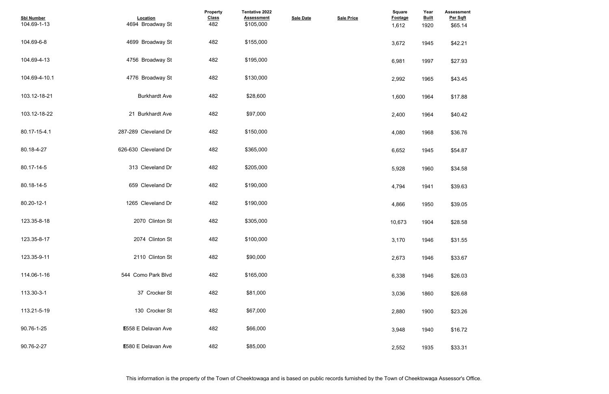| <b>Assessment</b><br>Per Sqft |  |  |  |
|-------------------------------|--|--|--|
| \$65.14                       |  |  |  |
| \$42.21                       |  |  |  |
| \$27.93                       |  |  |  |
| \$43.45                       |  |  |  |
| \$17.88                       |  |  |  |
| \$40.42                       |  |  |  |
| \$36.76                       |  |  |  |
| \$54.87                       |  |  |  |
| \$34.58                       |  |  |  |
| \$39.63                       |  |  |  |
| \$39.05                       |  |  |  |
| \$28.58                       |  |  |  |
| \$31.55                       |  |  |  |
| \$33.67                       |  |  |  |
| \$26.03                       |  |  |  |
| \$26.68                       |  |  |  |
| \$23.26                       |  |  |  |
| \$16.72                       |  |  |  |
| \$33.31                       |  |  |  |

| <b>Sbl Number</b><br>104.69-1-13 | Location<br>4694 Broadway St | Property<br><b>Class</b><br>482 | Tentative 2022<br><b>Assessment</b><br>\$105,000 | <b>Sale Date</b> | <b>Sale Price</b> | <b>Square</b><br>Footage<br>1,612 | Year<br><b>Built</b><br>1920 | <b>Assessme</b><br>Per Sqft<br>\$65.14 |
|----------------------------------|------------------------------|---------------------------------|--------------------------------------------------|------------------|-------------------|-----------------------------------|------------------------------|----------------------------------------|
| 104.69-6-8                       | 4699 Broadway St             | 482                             | \$155,000                                        |                  |                   | 3,672                             | 1945                         | \$42.21                                |
| 104.69-4-13                      | 4756 Broadway St             | 482                             | \$195,000                                        |                  |                   | 6,981                             | 1997                         | \$27.93                                |
| 104.69-4-10.1                    | 4776 Broadway St             | 482                             | \$130,000                                        |                  |                   | 2,992                             | 1965                         | \$43.45                                |
| 103.12-18-21                     | <b>Burkhardt Ave</b>         | 482                             | \$28,600                                         |                  |                   | 1,600                             | 1964                         | \$17.88                                |
| 103.12-18-22                     | 21 Burkhardt Ave             | 482                             | \$97,000                                         |                  |                   | 2,400                             | 1964                         | \$40.42                                |
| 80.17-15-4.1                     | 287-289 Cleveland Dr         | 482                             | \$150,000                                        |                  |                   | 4,080                             | 1968                         | \$36.76                                |
| 80.18-4-27                       | 626-630 Cleveland Dr         | 482                             | \$365,000                                        |                  |                   | 6,652                             | 1945                         | \$54.87                                |
| 80.17-14-5                       | 313 Cleveland Dr             | 482                             | \$205,000                                        |                  |                   | 5,928                             | 1960                         | \$34.58                                |
| 80.18-14-5                       | 659 Cleveland Dr             | 482                             | \$190,000                                        |                  |                   | 4,794                             | 1941                         | \$39.63                                |
| 80.20-12-1                       | 1265 Cleveland Dr            | 482                             | \$190,000                                        |                  |                   | 4,866                             | 1950                         | \$39.05                                |
| 123.35-8-18                      | 2070 Clinton St              | 482                             | \$305,000                                        |                  |                   | 10,673                            | 1904                         | \$28.58                                |
| 123.35-8-17                      | 2074 Clinton St              | 482                             | \$100,000                                        |                  |                   | 3,170                             | 1946                         | \$31.55                                |
| 123.35-9-11                      | 2110 Clinton St              | 482                             | \$90,000                                         |                  |                   | 2,673                             | 1946                         | \$33.67                                |
| 114.06-1-16                      | 544 Como Park Blvd           | 482                             | \$165,000                                        |                  |                   | 6,338                             | 1946                         | \$26.03                                |
| 113.30-3-1                       | 37 Crocker St                | 482                             | \$81,000                                         |                  |                   | 3,036                             | 1860                         | \$26.68                                |
| 113.21-5-19                      | 130 Crocker St               | 482                             | \$67,000                                         |                  |                   | 2,880                             | 1900                         | \$23.26                                |
| 90.76-1-25                       | <b>E558 E Delavan Ave</b>    | 482                             | \$66,000                                         |                  |                   | 3,948                             | 1940                         | \$16.72                                |
| 90.76-2-27                       | <b>E580 E Delavan Ave</b>    | 482                             | \$85,000                                         |                  |                   | 2,552                             | 1935                         | \$33.31                                |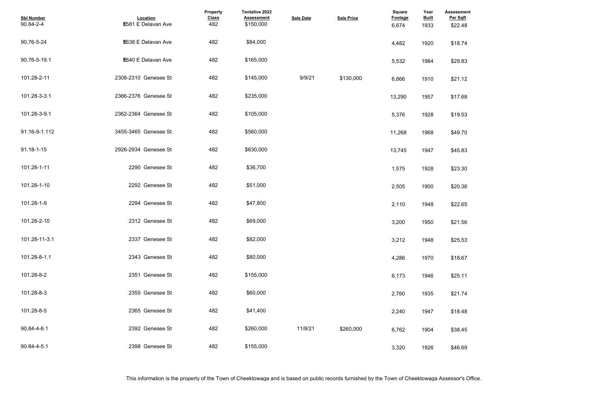| <b>Assessment</b><br>Per Sqft<br>\$22.48 |  |  |  |
|------------------------------------------|--|--|--|
| \$18.74                                  |  |  |  |
| \$29.83                                  |  |  |  |
| \$21.12                                  |  |  |  |
| \$17.68                                  |  |  |  |
| \$19.53                                  |  |  |  |
| \$49.70                                  |  |  |  |
| \$45.83                                  |  |  |  |
| \$23.30                                  |  |  |  |
| \$20.36                                  |  |  |  |
| \$22.65                                  |  |  |  |
| \$21.56                                  |  |  |  |
| \$25.53                                  |  |  |  |
| \$18.67                                  |  |  |  |
| \$25.11                                  |  |  |  |
| \$21.74                                  |  |  |  |
| \$18.48                                  |  |  |  |
| \$38.45                                  |  |  |  |
| \$46.69                                  |  |  |  |

| <b>Sbl Number</b><br>90.84-2-4 | Location<br><b>E581 E Delavan Ave</b> | Property<br><b>Class</b><br>482 | Tentative 2022<br><b>Assessment</b><br>\$150,000 | <b>Sale Date</b> | <b>Sale Price</b> | Square<br>Footage<br>6,674 | Year<br><b>Built</b><br>1933 | <b>Assessme</b><br>Per Sqft<br>\$22.48 |
|--------------------------------|---------------------------------------|---------------------------------|--------------------------------------------------|------------------|-------------------|----------------------------|------------------------------|----------------------------------------|
| 90.76-5-24                     | <b>E638 E Delavan Ave</b>             | 482                             | \$84,000                                         |                  |                   | 4,482                      | 1920                         | \$18.74                                |
| 90.76-5-19.1                   | E640 E Delavan Ave                    | 482                             | \$165,000                                        |                  |                   | 5,532                      | 1984                         | \$29.83                                |
| 101.28-2-11                    | 2308-2310 Genesee St                  | 482                             | \$145,000                                        | 9/9/21           | \$130,000         | 6,866                      | 1910                         | \$21.12                                |
| 101.28-3-3.1                   | 2366-2376 Genesee St                  | 482                             | \$235,000                                        |                  |                   | 13,290                     | 1957                         | \$17.68                                |
| 101.28-3-9.1                   | 2362-2364 Genesee St                  | 482                             | \$105,000                                        |                  |                   | 5,376                      | 1928                         | \$19.53                                |
| 91.16-9-1.112                  | 3455-3465 Genesee St                  | 482                             | \$560,000                                        |                  |                   | 11,268                     | 1968                         | \$49.70                                |
| 91.18-1-15                     | 2926-2934 Genesee St                  | 482                             | \$630,000                                        |                  |                   | 13,745                     | 1947                         | \$45.83                                |
| 101.28-1-11                    | 2290 Genesee St                       | 482                             | \$36,700                                         |                  |                   | 1,575                      | 1928                         | \$23.30                                |
| 101.28-1-10                    | 2292 Genesee St                       | 482                             | \$51,000                                         |                  |                   | 2,505                      | 1900                         | \$20.36                                |
| 101.28-1-9                     | 2294 Genesee St                       | 482                             | \$47,800                                         |                  |                   | 2,110                      | 1948                         | \$22.65                                |
| 101.28-2-10                    | 2312 Genesee St                       | 482                             | \$69,000                                         |                  |                   | 3,200                      | 1950                         | \$21.56                                |
| 101.28-11-3.1                  | 2337 Genesee St                       | 482                             | \$82,000                                         |                  |                   | 3,212                      | 1948                         | \$25.53                                |
| 101.28-8-1.1                   | 2343 Genesee St                       | 482                             | \$80,000                                         |                  |                   | 4,286                      | 1970                         | \$18.67                                |
| 101.28-8-2                     | 2351 Genesee St                       | 482                             | \$155,000                                        |                  |                   | 6,173                      | 1946                         | \$25.11                                |
| 101.28-8-3                     | 2355 Genesee St                       | 482                             | \$60,000                                         |                  |                   | 2,760                      | 1935                         | \$21.74                                |
| 101.28-8-5                     | 2365 Genesee St                       | 482                             | \$41,400                                         |                  |                   | 2,240                      | 1947                         | \$18.48                                |
| 90.84-4-6.1                    | 2392 Genesee St                       | 482                             | \$260,000                                        | 11/8/21          | \$260.000         | 6,762                      | 1904                         | \$38.45                                |
| 90.84-4-5.1                    | 2398 Genesee St                       | 482                             | \$155,000                                        |                  |                   | 3,320                      | 1926                         | \$46.69                                |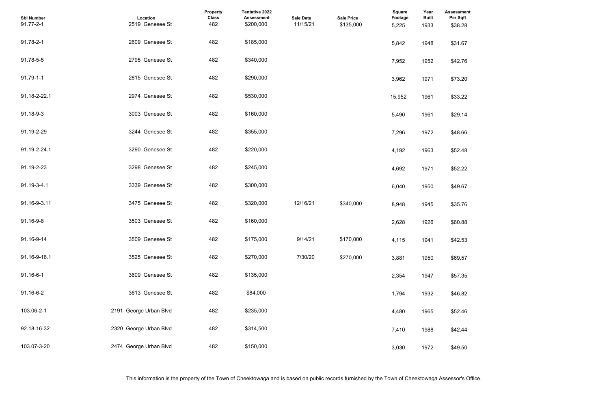| <b>Assessment</b><br>Per Sqft |  |  |  |
|-------------------------------|--|--|--|
| \$38.28                       |  |  |  |
|                               |  |  |  |
| \$31.67                       |  |  |  |
|                               |  |  |  |
| \$42.76                       |  |  |  |
|                               |  |  |  |
| \$73.20                       |  |  |  |
|                               |  |  |  |
| \$33.22                       |  |  |  |
|                               |  |  |  |
| \$29.14                       |  |  |  |
|                               |  |  |  |
| \$48.66                       |  |  |  |
| \$52.48                       |  |  |  |
|                               |  |  |  |
| \$52.22                       |  |  |  |
|                               |  |  |  |
| \$49.67                       |  |  |  |
|                               |  |  |  |
| \$35.76                       |  |  |  |
|                               |  |  |  |
| \$60.88                       |  |  |  |
|                               |  |  |  |
| \$42.53                       |  |  |  |
| \$69.57                       |  |  |  |
|                               |  |  |  |
| \$57.35                       |  |  |  |
|                               |  |  |  |
| \$46.82                       |  |  |  |
|                               |  |  |  |
| \$52.46                       |  |  |  |
|                               |  |  |  |
| \$42.44                       |  |  |  |
|                               |  |  |  |
| \$49.50                       |  |  |  |

| <b>Sbl Number</b><br>91.77-2-1 | Location<br>2519 Genesee St | Property<br><b>Class</b><br>482 | Tentative 2022<br><b>Assessment</b><br>\$200,000 | <b>Sale Date</b><br>11/15/21 | <b>Sale Price</b><br>\$135,000 | <b>Square</b><br><b>Footage</b><br>5,225 | Year<br><b>Built</b><br>1933 | <b>Assessme</b><br>Per Sqft<br>\$38.28 |
|--------------------------------|-----------------------------|---------------------------------|--------------------------------------------------|------------------------------|--------------------------------|------------------------------------------|------------------------------|----------------------------------------|
| 91.78-2-1                      | 2609 Genesee St             | 482                             | \$185,000                                        |                              |                                | 5,842                                    | 1948                         | \$31.67                                |
| 91.78-5-5                      | 2795 Genesee St             | 482                             | \$340,000                                        |                              |                                | 7,952                                    | 1952                         | \$42.76                                |
| $91.79 - 1 - 1$                | 2815 Genesee St             | 482                             | \$290,000                                        |                              |                                | 3,962                                    | 1971                         | \$73.20                                |
| 91.18-2-22.1                   | 2974 Genesee St             | 482                             | \$530,000                                        |                              |                                | 15,952                                   | 1961                         | \$33.22                                |
| 91.18-9-3                      | 3003 Genesee St             | 482                             | \$160,000                                        |                              |                                | 5,490                                    | 1961                         | \$29.14                                |
| 91.19-2-29                     | 3244 Genesee St             | 482                             | \$355,000                                        |                              |                                | 7,296                                    | 1972                         | \$48.66                                |
| 91.19-2-24.1                   | 3290 Genesee St             | 482                             | \$220,000                                        |                              |                                | 4,192                                    | 1963                         | \$52.48                                |
| 91.19-2-23                     | 3298 Genesee St             | 482                             | \$245,000                                        |                              |                                | 4,692                                    | 1971                         | \$52.22                                |
| 91.19-3-4.1                    | 3339 Genesee St             | 482                             | \$300,000                                        |                              |                                | 6,040                                    | 1950                         | \$49.67                                |
| 91.16-9-3.11                   | 3475 Genesee St             | 482                             | \$320,000                                        | 12/16/21                     | \$340,000                      | 8,948                                    | 1945                         | \$35.76                                |
| 91.16-9-8                      | 3503 Genesee St             | 482                             | \$160,000                                        |                              |                                | 2,628                                    | 1926                         | \$60.88                                |
| 91.16-9-14                     | 3509 Genesee St             | 482                             | \$175,000                                        | 9/14/21                      | \$170.000                      | 4,115                                    | 1941                         | \$42.53                                |
| 91.16-9-16.1                   | 3525 Genesee St             | 482                             | \$270,000                                        | 7/30/20                      | \$270,000                      | 3,881                                    | 1950                         | \$69.57                                |
| 91.16-6-1                      | 3609 Genesee St             | 482                             | \$135,000                                        |                              |                                | 2,354                                    | 1947                         | \$57.35                                |
| 91.16-6-2                      | 3613 Genesee St             | 482                             | \$84,000                                         |                              |                                | 1,794                                    | 1932                         | \$46.82                                |
| 103.06-2-1                     | 2191 George Urban Blvd      | 482                             | \$235,000                                        |                              |                                | 4,480                                    | 1965                         | \$52.46                                |
| 92.18-16-32                    | 2320 George Urban Blvd      | 482                             | \$314,500                                        |                              |                                | 7,410                                    | 1988                         | \$42.44                                |
| 103.07-3-20                    | 2474 George Urban Blvd      | 482                             | \$150,000                                        |                              |                                | 3,030                                    | 1972                         | \$49.50                                |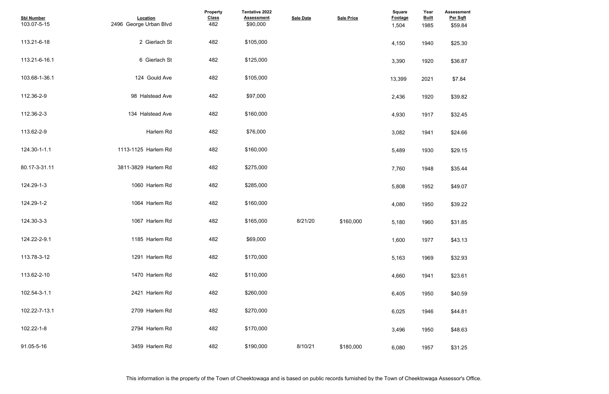| <b>Assessment</b><br>Per Sqft |  |  |  |
|-------------------------------|--|--|--|
| \$59.84                       |  |  |  |
| \$25.30                       |  |  |  |
| \$36.87                       |  |  |  |
| \$7.84                        |  |  |  |
| \$39.82                       |  |  |  |
| \$32.45                       |  |  |  |
| \$24.66                       |  |  |  |
| \$29.15                       |  |  |  |
| \$35.44                       |  |  |  |
| \$49.07                       |  |  |  |
| \$39.22                       |  |  |  |
| \$31.85                       |  |  |  |
| \$43.13                       |  |  |  |
| \$32.93                       |  |  |  |
| \$23.61                       |  |  |  |
| \$40.59                       |  |  |  |
| \$44.81                       |  |  |  |
| \$48.63                       |  |  |  |
| \$31.25                       |  |  |  |

| <b>Sbl Number</b><br>103.07-5-15 | Location<br>2496 George Urban Blvd | Property<br><b>Class</b><br>482 | <b>Tentative 2022</b><br><b>Assessment</b><br>\$90,000 | <b>Sale Date</b> | <b>Sale Price</b> | Square<br>Footage<br>1,504 | Year<br><b>Built</b><br>1985 | <b>Assessme</b><br>Per Sqft<br>\$59.84 |
|----------------------------------|------------------------------------|---------------------------------|--------------------------------------------------------|------------------|-------------------|----------------------------|------------------------------|----------------------------------------|
| 113.21-6-18                      | 2 Gierlach St                      | 482                             | \$105,000                                              |                  |                   | 4,150                      | 1940                         | \$25.30                                |
| 113.21-6-16.1                    | 6 Gierlach St                      | 482                             | \$125,000                                              |                  |                   | 3,390                      | 1920                         | \$36.87                                |
| 103.68-1-36.1                    | 124 Gould Ave                      | 482                             | \$105,000                                              |                  |                   | 13,399                     | 2021                         | \$7.84                                 |
| 112.36-2-9                       | 98 Halstead Ave                    | 482                             | \$97,000                                               |                  |                   | 2,436                      | 1920                         | \$39.82                                |
| 112.36-2-3                       | 134 Halstead Ave                   | 482                             | \$160,000                                              |                  |                   | 4,930                      | 1917                         | \$32.45                                |
| 113.62-2-9                       | Harlem Rd                          | 482                             | \$76,000                                               |                  |                   | 3,082                      | 1941                         | \$24.66                                |
| 124.30-1-1.1                     | 1113-1125 Harlem Rd                | 482                             | \$160,000                                              |                  |                   | 5,489                      | 1930                         | \$29.15                                |
| 80.17-3-31.11                    | 3811-3829 Harlem Rd                | 482                             | \$275,000                                              |                  |                   | 7,760                      | 1948                         | \$35.44                                |
| 124.29-1-3                       | 1060 Harlem Rd                     | 482                             | \$285,000                                              |                  |                   | 5,808                      | 1952                         | \$49.07                                |
| 124.29-1-2                       | 1064 Harlem Rd                     | 482                             | \$160,000                                              |                  |                   | 4,080                      | 1950                         | \$39.22                                |
| 124.30-3-3                       | 1067 Harlem Rd                     | 482                             | \$165,000                                              | 8/21/20          | \$160,000         | 5,180                      | 1960                         | \$31.85                                |
| 124.22-2-9.1                     | 1185 Harlem Rd                     | 482                             | \$69,000                                               |                  |                   | 1,600                      | 1977                         | \$43.13                                |
| 113.78-3-12                      | 1291 Harlem Rd                     | 482                             | \$170,000                                              |                  |                   | 5,163                      | 1969                         | \$32.93                                |
| 113.62-2-10                      | 1470 Harlem Rd                     | 482                             | \$110,000                                              |                  |                   | 4,660                      | 1941                         | \$23.61                                |
| 102.54-3-1.1                     | 2421 Harlem Rd                     | 482                             | \$260,000                                              |                  |                   | 6,405                      | 1950                         | \$40.59                                |
| 102.22-7-13.1                    | 2709 Harlem Rd                     | 482                             | \$270,000                                              |                  |                   | 6,025                      | 1946                         | \$44.81                                |
| 102.22-1-8                       | 2794 Harlem Rd                     | 482                             | \$170,000                                              |                  |                   | 3,496                      | 1950                         | \$48.63                                |
| 91.05-5-16                       | 3459 Harlem Rd                     | 482                             | \$190,000                                              | 8/10/21          | \$180,000         | 6,080                      | 1957                         | \$31.25                                |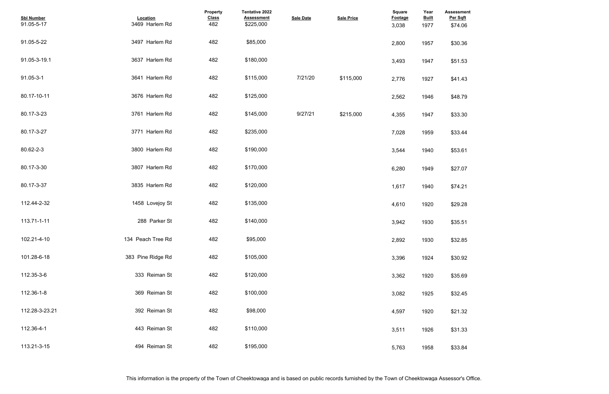| \$74.06<br>\$30.36<br>\$51.53<br>\$41.43<br>\$48.79<br>\$33.30<br>\$33.44<br>\$53.61<br>\$27.07<br>\$74.21<br>\$29.28<br>\$35.51<br>\$32.85<br>\$30.92<br>\$35.69<br>\$32.45<br>\$21.32<br>\$31.33<br>\$33.84 | <b>Assessment</b><br>Per Sqft |  |  |  |
|---------------------------------------------------------------------------------------------------------------------------------------------------------------------------------------------------------------|-------------------------------|--|--|--|
|                                                                                                                                                                                                               |                               |  |  |  |
|                                                                                                                                                                                                               |                               |  |  |  |
|                                                                                                                                                                                                               |                               |  |  |  |
|                                                                                                                                                                                                               |                               |  |  |  |
|                                                                                                                                                                                                               |                               |  |  |  |
|                                                                                                                                                                                                               |                               |  |  |  |
|                                                                                                                                                                                                               |                               |  |  |  |
|                                                                                                                                                                                                               |                               |  |  |  |
|                                                                                                                                                                                                               |                               |  |  |  |
|                                                                                                                                                                                                               |                               |  |  |  |
|                                                                                                                                                                                                               |                               |  |  |  |
|                                                                                                                                                                                                               |                               |  |  |  |
|                                                                                                                                                                                                               |                               |  |  |  |
|                                                                                                                                                                                                               |                               |  |  |  |
|                                                                                                                                                                                                               |                               |  |  |  |
|                                                                                                                                                                                                               |                               |  |  |  |
|                                                                                                                                                                                                               |                               |  |  |  |
|                                                                                                                                                                                                               |                               |  |  |  |
|                                                                                                                                                                                                               |                               |  |  |  |
|                                                                                                                                                                                                               |                               |  |  |  |
|                                                                                                                                                                                                               |                               |  |  |  |
|                                                                                                                                                                                                               |                               |  |  |  |
|                                                                                                                                                                                                               |                               |  |  |  |
|                                                                                                                                                                                                               |                               |  |  |  |
|                                                                                                                                                                                                               |                               |  |  |  |
|                                                                                                                                                                                                               |                               |  |  |  |
|                                                                                                                                                                                                               |                               |  |  |  |
|                                                                                                                                                                                                               |                               |  |  |  |
|                                                                                                                                                                                                               |                               |  |  |  |

| <b>Sbl Number</b><br>91.05-5-17 | Location<br>3469 Harlem Rd | Property<br><b>Class</b><br>482 | Tentative 2022<br><b>Assessment</b><br>\$225,000 | <b>Sale Date</b> | <b>Sale Price</b> | <b>Square</b><br><b>Footage</b><br>3,038 | Year<br><b>Built</b><br>1977 | <b>Assessme</b><br>Per Sqft<br>\$74.06 |
|---------------------------------|----------------------------|---------------------------------|--------------------------------------------------|------------------|-------------------|------------------------------------------|------------------------------|----------------------------------------|
| 91.05-5-22                      | 3497 Harlem Rd             | 482                             | \$85,000                                         |                  |                   | 2,800                                    | 1957                         | \$30.36                                |
| 91.05-3-19.1                    | 3637 Harlem Rd             | 482                             | \$180,000                                        |                  |                   | 3,493                                    | 1947                         | \$51.53                                |
| 91.05-3-1                       | 3641 Harlem Rd             | 482                             | \$115,000                                        | 7/21/20          | \$115,000         | 2,776                                    | 1927                         | \$41.43                                |
| 80.17-10-11                     | 3676 Harlem Rd             | 482                             | \$125,000                                        |                  |                   | 2,562                                    | 1946                         | \$48.79                                |
| 80.17-3-23                      | 3761 Harlem Rd             | 482                             | \$145,000                                        | 9/27/21          | \$215.000         | 4,355                                    | 1947                         | \$33.30                                |
| 80.17-3-27                      | 3771 Harlem Rd             | 482                             | \$235,000                                        |                  |                   | 7,028                                    | 1959                         | \$33.44                                |
| 80.62-2-3                       | 3800 Harlem Rd             | 482                             | \$190,000                                        |                  |                   | 3,544                                    | 1940                         | \$53.61                                |
| 80.17-3-30                      | 3807 Harlem Rd             | 482                             | \$170,000                                        |                  |                   | 6,280                                    | 1949                         | \$27.07                                |
| 80.17-3-37                      | 3835 Harlem Rd             | 482                             | \$120,000                                        |                  |                   | 1,617                                    | 1940                         | \$74.21                                |
| 112.44-2-32                     | 1458 Lovejoy St            | 482                             | \$135,000                                        |                  |                   | 4,610                                    | 1920                         | \$29.28                                |
| 113.71-1-11                     | 288 Parker St              | 482                             | \$140,000                                        |                  |                   | 3,942                                    | 1930                         | \$35.51                                |
| 102.21-4-10                     | 134 Peach Tree Rd          | 482                             | \$95,000                                         |                  |                   | 2,892                                    | 1930                         | \$32.85                                |
| 101.28-6-18                     | 383 Pine Ridge Rd          | 482                             | \$105,000                                        |                  |                   | 3,396                                    | 1924                         | \$30.92                                |
| 112.35-3-6                      | 333 Reiman St              | 482                             | \$120,000                                        |                  |                   | 3,362                                    | 1920                         | \$35.69                                |
| 112.36-1-8                      | 369 Reiman St              | 482                             | \$100,000                                        |                  |                   | 3,082                                    | 1925                         | \$32.45                                |
| 112.28-3-23.21                  | 392 Reiman St              | 482                             | \$98,000                                         |                  |                   | 4,597                                    | 1920                         | \$21.32                                |
| 112.36-4-1                      | 443 Reiman St              | 482                             | \$110,000                                        |                  |                   | 3,511                                    | 1926                         | \$31.33                                |
| 113.21-3-15                     | 494 Reiman St              | 482                             | \$195,000                                        |                  |                   | 5,763                                    | 1958                         | \$33.84                                |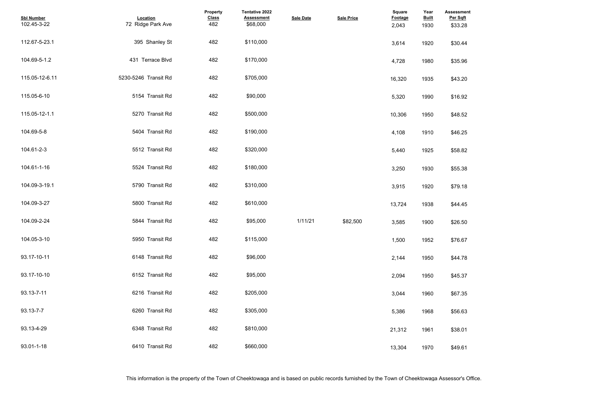| <b>Assessment</b><br>Per Sqft<br>\$33.28 |  |  |  |
|------------------------------------------|--|--|--|
|                                          |  |  |  |
| \$30.44                                  |  |  |  |
| \$35.96                                  |  |  |  |
| \$43.20                                  |  |  |  |
| \$16.92                                  |  |  |  |
| \$48.52                                  |  |  |  |
| \$46.25                                  |  |  |  |
| \$58.82                                  |  |  |  |
| \$55.38                                  |  |  |  |
| \$79.18                                  |  |  |  |
| \$44.45                                  |  |  |  |
| \$26.50                                  |  |  |  |
| \$76.67                                  |  |  |  |
| \$44.78                                  |  |  |  |
| \$45.37                                  |  |  |  |
| \$67.35                                  |  |  |  |
| \$56.63                                  |  |  |  |
| \$38.01                                  |  |  |  |
| \$49.61                                  |  |  |  |

| <b>Sbl Number</b><br>102.45-3-22 | Location<br>72 Ridge Park Ave | Property<br><b>Class</b><br>482 | Tentative 2022<br><b>Assessment</b><br>\$68,000 | <b>Sale Date</b> | <b>Sale Price</b> | <b>Square</b><br>Footage<br>2,043 | Year<br><b>Built</b><br>1930 | Assessme<br>Per Sqft<br>\$33.28 |
|----------------------------------|-------------------------------|---------------------------------|-------------------------------------------------|------------------|-------------------|-----------------------------------|------------------------------|---------------------------------|
| 112.67-5-23.1                    | 395 Shanley St                | 482                             | \$110,000                                       |                  |                   | 3,614                             | 1920                         | \$30.44                         |
| 104.69-5-1.2                     | 431 Terrace Blvd              | 482                             | \$170,000                                       |                  |                   | 4,728                             | 1980                         | \$35.96                         |
| 115.05-12-6.11                   | 5230-5246 Transit Rd          | 482                             | \$705,000                                       |                  |                   | 16,320                            | 1935                         | \$43.20                         |
| 115.05-6-10                      | 5154 Transit Rd               | 482                             | \$90,000                                        |                  |                   | 5,320                             | 1990                         | \$16.92                         |
| 115.05-12-1.1                    | 5270 Transit Rd               | 482                             | \$500,000                                       |                  |                   | 10,306                            | 1950                         | \$48.52                         |
| 104.69-5-8                       | 5404 Transit Rd               | 482                             | \$190,000                                       |                  |                   | 4,108                             | 1910                         | \$46.25                         |
| 104.61-2-3                       | 5512 Transit Rd               | 482                             | \$320,000                                       |                  |                   | 5,440                             | 1925                         | \$58.82                         |
| 104.61-1-16                      | 5524 Transit Rd               | 482                             | \$180,000                                       |                  |                   | 3,250                             | 1930                         | \$55.38                         |
| 104.09-3-19.1                    | 5790 Transit Rd               | 482                             | \$310,000                                       |                  |                   | 3,915                             | 1920                         | \$79.18                         |
| 104.09-3-27                      | 5800 Transit Rd               | 482                             | \$610,000                                       |                  |                   | 13,724                            | 1938                         | \$44.45                         |
| 104.09-2-24                      | 5844 Transit Rd               | 482                             | \$95,000                                        | 1/11/21          | \$82,500          | 3,585                             | 1900                         | \$26.50                         |
| 104.05-3-10                      | 5950 Transit Rd               | 482                             | \$115,000                                       |                  |                   | 1,500                             | 1952                         | \$76.67                         |
| 93.17-10-11                      | 6148 Transit Rd               | 482                             | \$96,000                                        |                  |                   | 2,144                             | 1950                         | \$44.78                         |
| 93.17-10-10                      | 6152 Transit Rd               | 482                             | \$95,000                                        |                  |                   | 2,094                             | 1950                         | \$45.37                         |
| 93.13-7-11                       | 6216 Transit Rd               | 482                             | \$205,000                                       |                  |                   | 3,044                             | 1960                         | \$67.35                         |
| 93.13-7-7                        | 6260 Transit Rd               | 482                             | \$305,000                                       |                  |                   | 5,386                             | 1968                         | \$56.63                         |
| 93.13-4-29                       | 6348 Transit Rd               | 482                             | \$810,000                                       |                  |                   | 21,312                            | 1961                         | \$38.01                         |
| 93.01-1-18                       | 6410 Transit Rd               | 482                             | \$660,000                                       |                  |                   | 13,304                            | 1970                         | \$49.61                         |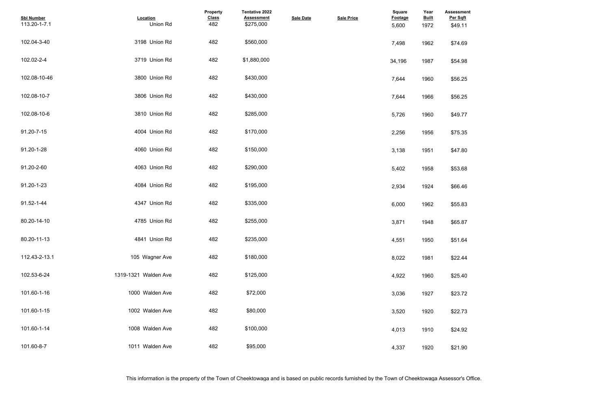| <b>Assessment</b><br>Per Sqft |  |  |  |
|-------------------------------|--|--|--|
| \$49.11                       |  |  |  |
|                               |  |  |  |
| \$74.69                       |  |  |  |
|                               |  |  |  |
| \$54.98                       |  |  |  |
|                               |  |  |  |
| \$56.25                       |  |  |  |
|                               |  |  |  |
| \$56.25                       |  |  |  |
| \$49.77                       |  |  |  |
|                               |  |  |  |
| \$75.35                       |  |  |  |
|                               |  |  |  |
| \$47.80                       |  |  |  |
|                               |  |  |  |
| \$53.68                       |  |  |  |
| \$66.46                       |  |  |  |
|                               |  |  |  |
| \$55.83                       |  |  |  |
|                               |  |  |  |
| \$65.87                       |  |  |  |
|                               |  |  |  |
| \$51.64                       |  |  |  |
| \$22.44                       |  |  |  |
|                               |  |  |  |
| \$25.40                       |  |  |  |
|                               |  |  |  |
| \$23.72                       |  |  |  |
|                               |  |  |  |
| \$22.73                       |  |  |  |
| \$24.92                       |  |  |  |
|                               |  |  |  |
| \$21.90                       |  |  |  |
|                               |  |  |  |

| <b>Sbl Number</b><br>113.20-1-7.1 | Location<br>Union Rd | <b>Property</b><br><b>Class</b><br>482 | <b>Tentative 2022</b><br><b>Assessment</b><br>\$275,000 | <b>Sale Date</b> | <b>Sale Price</b> | <b>Square</b><br>Footage<br>5,600 | Year<br><b>Built</b><br>1972 | <b>Assessme</b><br>Per Sqft<br>\$49.11 |
|-----------------------------------|----------------------|----------------------------------------|---------------------------------------------------------|------------------|-------------------|-----------------------------------|------------------------------|----------------------------------------|
| 102.04-3-40                       | 3198 Union Rd        | 482                                    | \$560,000                                               |                  |                   | 7,498                             | 1962                         | \$74.69                                |
| 102.02-2-4                        | 3719 Union Rd        | 482                                    | \$1,880,000                                             |                  |                   | 34,196                            | 1987                         | \$54.98                                |
| 102.08-10-46                      | 3800 Union Rd        | 482                                    | \$430,000                                               |                  |                   | 7,644                             | 1960                         | \$56.25                                |
| 102.08-10-7                       | 3806 Union Rd        | 482                                    | \$430,000                                               |                  |                   | 7,644                             | 1966                         | \$56.25                                |
| 102.08-10-6                       | 3810 Union Rd        | 482                                    | \$285,000                                               |                  |                   | 5,726                             | 1960                         | \$49.77                                |
| 91.20-7-15                        | 4004 Union Rd        | 482                                    | \$170,000                                               |                  |                   | 2,256                             | 1956                         | \$75.35                                |
| 91.20-1-28                        | 4060 Union Rd        | 482                                    | \$150,000                                               |                  |                   | 3,138                             | 1951                         | \$47.80                                |
| 91.20-2-60                        | 4063 Union Rd        | 482                                    | \$290,000                                               |                  |                   | 5,402                             | 1958                         | \$53.68                                |
| 91.20-1-23                        | 4084 Union Rd        | 482                                    | \$195,000                                               |                  |                   | 2,934                             | 1924                         | \$66.46                                |
| 91.52-1-44                        | 4347 Union Rd        | 482                                    | \$335,000                                               |                  |                   | 6,000                             | 1962                         | \$55.83                                |
| 80.20-14-10                       | 4785 Union Rd        | 482                                    | \$255,000                                               |                  |                   | 3,871                             | 1948                         | \$65.87                                |
| 80.20-11-13                       | 4841 Union Rd        | 482                                    | \$235,000                                               |                  |                   | 4,551                             | 1950                         | \$51.64                                |
| 112.43-2-13.1                     | 105 Wagner Ave       | 482                                    | \$180,000                                               |                  |                   | 8,022                             | 1981                         | \$22.44                                |
| 102.53-6-24                       | 1319-1321 Walden Ave | 482                                    | \$125,000                                               |                  |                   | 4,922                             | 1960                         | \$25.40                                |
| 101.60-1-16                       | 1000 Walden Ave      | 482                                    | \$72,000                                                |                  |                   | 3,036                             | 1927                         | \$23.72                                |
| 101.60-1-15                       | 1002 Walden Ave      | 482                                    | \$80,000                                                |                  |                   | 3,520                             | 1920                         | \$22.73                                |
| 101.60-1-14                       | 1008 Walden Ave      | 482                                    | \$100,000                                               |                  |                   | 4,013                             | 1910                         | \$24.92                                |
| 101.60-8-7                        | 1011 Walden Ave      | 482                                    | \$95,000                                                |                  |                   | 4,337                             | 1920                         | \$21.90                                |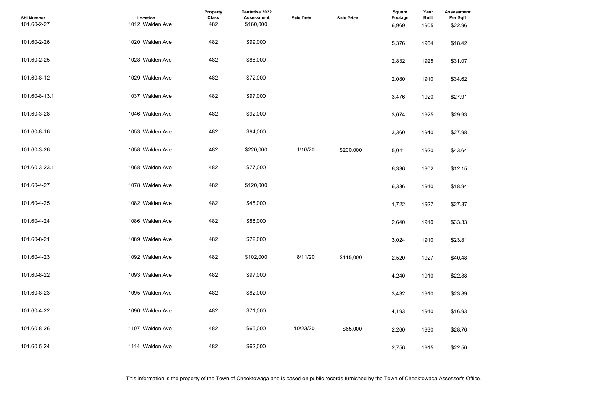| <b>Assessment</b><br>Per Sqft<br>\$22.96 |  |  |  |
|------------------------------------------|--|--|--|
| \$18.42                                  |  |  |  |
| \$31.07                                  |  |  |  |
| \$34.62                                  |  |  |  |
| \$27.91                                  |  |  |  |
| \$29.93                                  |  |  |  |
| \$27.98                                  |  |  |  |
| \$43.64                                  |  |  |  |
| \$12.15                                  |  |  |  |
| \$18.94                                  |  |  |  |
| \$27.87                                  |  |  |  |
| \$33.33                                  |  |  |  |
| \$23.81                                  |  |  |  |
| \$40.48                                  |  |  |  |
| \$22.88                                  |  |  |  |
| \$23.89                                  |  |  |  |
| \$16.93                                  |  |  |  |
| \$28.76                                  |  |  |  |
| \$22.50                                  |  |  |  |

| <b>Sbl Number</b><br>101.60-2-27 | Location<br>1012 Walden Ave | Property<br><b>Class</b><br>482 | Tentative 2022<br><b>Assessment</b><br>\$160,000 | <b>Sale Date</b> | <b>Sale Price</b> | <b>Square</b><br><b>Footage</b><br>6,969 | Year<br><b>Built</b><br>1905 | <b>Assessme</b><br>Per Sqft<br>\$22.96 |
|----------------------------------|-----------------------------|---------------------------------|--------------------------------------------------|------------------|-------------------|------------------------------------------|------------------------------|----------------------------------------|
| 101.60-2-26                      | 1020 Walden Ave             | 482                             | \$99,000                                         |                  |                   | 5,376                                    | 1954                         | \$18.42                                |
| 101.60-2-25                      | 1028 Walden Ave             | 482                             | \$88,000                                         |                  |                   | 2,832                                    | 1925                         | \$31.07                                |
| 101.60-8-12                      | 1029 Walden Ave             | 482                             | \$72,000                                         |                  |                   | 2,080                                    | 1910                         | \$34.62                                |
| 101.60-8-13.1                    | 1037 Walden Ave             | 482                             | \$97,000                                         |                  |                   | 3,476                                    | 1920                         | \$27.91                                |
| 101.60-3-28                      | 1046 Walden Ave             | 482                             | \$92,000                                         |                  |                   | 3,074                                    | 1925                         | \$29.93                                |
| 101.60-8-16                      | 1053 Walden Ave             | 482                             | \$94,000                                         |                  |                   | 3,360                                    | 1940                         | \$27.98                                |
| 101.60-3-26                      | 1058 Walden Ave             | 482                             | \$220,000                                        | 1/16/20          | \$200,000         | 5,041                                    | 1920                         | \$43.64                                |
| 101.60-3-23.1                    | 1068 Walden Ave             | 482                             | \$77,000                                         |                  |                   | 6,336                                    | 1902                         | \$12.15                                |
| 101.60-4-27                      | 1078 Walden Ave             | 482                             | \$120,000                                        |                  |                   | 6,336                                    | 1910                         | \$18.94                                |
| 101.60-4-25                      | 1082 Walden Ave             | 482                             | \$48,000                                         |                  |                   | 1,722                                    | 1927                         | \$27.87                                |
| 101.60-4-24                      | 1086 Walden Ave             | 482                             | \$88,000                                         |                  |                   | 2,640                                    | 1910                         | \$33.33                                |
| 101.60-8-21                      | 1089 Walden Ave             | 482                             | \$72,000                                         |                  |                   | 3,024                                    | 1910                         | \$23.81                                |
| 101.60-4-23                      | 1092 Walden Ave             | 482                             | \$102,000                                        | 8/11/20          | \$115,000         | 2,520                                    | 1927                         | \$40.48                                |
| 101.60-8-22                      | 1093 Walden Ave             | 482                             | \$97,000                                         |                  |                   | 4,240                                    | 1910                         | \$22.88                                |
| 101.60-8-23                      | 1095 Walden Ave             | 482                             | \$82,000                                         |                  |                   | 3,432                                    | 1910                         | \$23.89                                |
| 101.60-4-22                      | 1096 Walden Ave             | 482                             | \$71,000                                         |                  |                   | 4,193                                    | 1910                         | \$16.93                                |
| 101.60-8-26                      | 1107 Walden Ave             | 482                             | \$65,000                                         | 10/23/20         | \$65,000          | 2,260                                    | 1930                         | \$28.76                                |
| 101.60-5-24                      | 1114 Walden Ave             | 482                             | \$62,000                                         |                  |                   | 2,756                                    | 1915                         | \$22.50                                |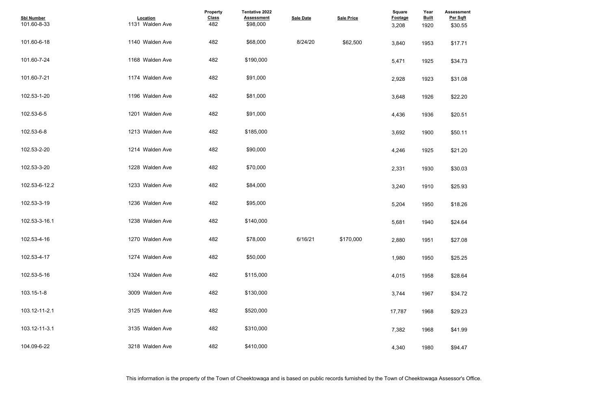| <b>Assessment</b><br>Per Sqft |  |  |  |
|-------------------------------|--|--|--|
| \$30.55                       |  |  |  |
| \$17.71                       |  |  |  |
| \$34.73                       |  |  |  |
| \$31.08                       |  |  |  |
| \$22.20                       |  |  |  |
| \$20.51                       |  |  |  |
| \$50.11                       |  |  |  |
| \$21.20                       |  |  |  |
| \$30.03                       |  |  |  |
| \$25.93                       |  |  |  |
| \$18.26                       |  |  |  |
| \$24.64                       |  |  |  |
| \$27.08                       |  |  |  |
| \$25.25                       |  |  |  |
| \$28.64                       |  |  |  |
| \$34.72<br>\$29.23            |  |  |  |
| \$41.99                       |  |  |  |
| \$94.47                       |  |  |  |
|                               |  |  |  |

| <b>Sbl Number</b><br>101.60-8-33 | Location<br>1131 Walden Ave | Property<br><b>Class</b><br>482 | <b>Tentative 2022</b><br><b>Assessment</b><br>\$98,000 | <b>Sale Date</b> | <b>Sale Price</b> | <b>Square</b><br><b>Footage</b><br>3,208 | Year<br><b>Built</b><br>1920 | <b>Assessme</b><br>Per Sqft<br>\$30.55 |
|----------------------------------|-----------------------------|---------------------------------|--------------------------------------------------------|------------------|-------------------|------------------------------------------|------------------------------|----------------------------------------|
| 101.60-6-18                      | 1140 Walden Ave             | 482                             | \$68,000                                               | 8/24/20          | \$62,500          | 3,840                                    | 1953                         | \$17.71                                |
| 101.60-7-24                      | 1168 Walden Ave             | 482                             | \$190,000                                              |                  |                   | 5,471                                    | 1925                         | \$34.73                                |
| 101.60-7-21                      | 1174 Walden Ave             | 482                             | \$91,000                                               |                  |                   | 2,928                                    | 1923                         | \$31.08                                |
| 102.53-1-20                      | 1196 Walden Ave             | 482                             | \$81,000                                               |                  |                   | 3,648                                    | 1926                         | \$22.20                                |
| 102.53-6-5                       | 1201 Walden Ave             | 482                             | \$91,000                                               |                  |                   | 4,436                                    | 1936                         | \$20.51                                |
| 102.53-6-8                       | 1213 Walden Ave             | 482                             | \$185,000                                              |                  |                   | 3,692                                    | 1900                         | \$50.11                                |
| 102.53-2-20                      | 1214 Walden Ave             | 482                             | \$90,000                                               |                  |                   | 4,246                                    | 1925                         | \$21.20                                |
| 102.53-3-20                      | 1228 Walden Ave             | 482                             | \$70,000                                               |                  |                   | 2,331                                    | 1930                         | \$30.03                                |
| 102.53-6-12.2                    | 1233 Walden Ave             | 482                             | \$84,000                                               |                  |                   | 3,240                                    | 1910                         | \$25.93                                |
| 102.53-3-19                      | 1236 Walden Ave             | 482                             | \$95,000                                               |                  |                   | 5,204                                    | 1950                         | \$18.26                                |
| 102.53-3-16.1                    | 1238 Walden Ave             | 482                             | \$140,000                                              |                  |                   | 5,681                                    | 1940                         | \$24.64                                |
| 102.53-4-16                      | 1270 Walden Ave             | 482                             | \$78,000                                               | 6/16/21          | \$170.000         | 2,880                                    | 1951                         | \$27.08                                |
| 102.53-4-17                      | 1274 Walden Ave             | 482                             | \$50,000                                               |                  |                   | 1,980                                    | 1950                         | \$25.25                                |
| 102.53-5-16                      | 1324 Walden Ave             | 482                             | \$115,000                                              |                  |                   | 4,015                                    | 1958                         | \$28.64                                |
| 103.15-1-8                       | 3009 Walden Ave             | 482                             | \$130,000                                              |                  |                   | 3,744                                    | 1967                         | \$34.72                                |
| 103.12-11-2.1                    | 3125 Walden Ave             | 482                             | \$520,000                                              |                  |                   | 17,787                                   | 1968                         | \$29.23                                |
| 103.12-11-3.1                    | 3135 Walden Ave             | 482                             | \$310,000                                              |                  |                   | 7,382                                    | 1968                         | \$41.99                                |
| 104.09-6-22                      | 3218 Walden Ave             | 482                             | \$410,000                                              |                  |                   | 4,340                                    | 1980                         | \$94.47                                |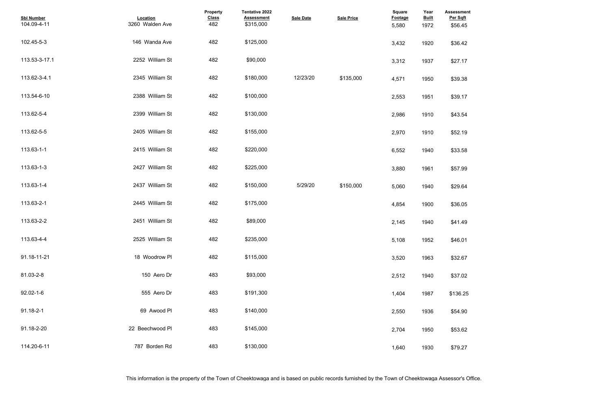| <b>Assessment</b><br>Per Sqft |  |  |  |
|-------------------------------|--|--|--|
| \$56.45                       |  |  |  |
| \$36.42                       |  |  |  |
| \$27.17                       |  |  |  |
| \$39.38                       |  |  |  |
| \$39.17                       |  |  |  |
| \$43.54                       |  |  |  |
| \$52.19                       |  |  |  |
| \$33.58                       |  |  |  |
| \$57.99                       |  |  |  |
| \$29.64                       |  |  |  |
| \$36.05                       |  |  |  |
| \$41.49                       |  |  |  |
| \$46.01                       |  |  |  |
| \$32.67                       |  |  |  |
| \$37.02                       |  |  |  |
| \$136.25                      |  |  |  |
| \$54.90                       |  |  |  |
| \$53.62                       |  |  |  |
| \$79.27                       |  |  |  |

| <b>Sbl Number</b><br>104.09-4-11 | Location<br>3260 Walden Ave | Property<br><b>Class</b><br>482 | Tentative 2022<br><b>Assessment</b><br>\$315,000 | <b>Sale Date</b> | <b>Sale Price</b> | <b>Square</b><br><b>Footage</b><br>5,580 | Year<br><b>Built</b><br>1972 | <b>Assessmer</b><br>Per Sqft<br>\$56.45 |
|----------------------------------|-----------------------------|---------------------------------|--------------------------------------------------|------------------|-------------------|------------------------------------------|------------------------------|-----------------------------------------|
| 102.45-5-3                       | 146 Wanda Ave               | 482                             | \$125,000                                        |                  |                   | 3,432                                    | 1920                         | \$36.42                                 |
| 113.53-3-17.1                    | 2252 William St             | 482                             | \$90,000                                         |                  |                   | 3,312                                    | 1937                         | \$27.17                                 |
| 113.62-3-4.1                     | 2345 William St             | 482                             | \$180,000                                        | 12/23/20         | \$135,000         | 4,571                                    | 1950                         | \$39.38                                 |
| 113.54-6-10                      | 2388 William St             | 482                             | \$100,000                                        |                  |                   | 2,553                                    | 1951                         | \$39.17                                 |
| 113.62-5-4                       | 2399 William St             | 482                             | \$130,000                                        |                  |                   | 2,986                                    | 1910                         | \$43.54                                 |
| 113.62-5-5                       | 2405 William St             | 482                             | \$155,000                                        |                  |                   | 2,970                                    | 1910                         | \$52.19                                 |
| 113.63-1-1                       | 2415 William St             | 482                             | \$220,000                                        |                  |                   | 6,552                                    | 1940                         | \$33.58                                 |
| 113.63-1-3                       | 2427 William St             | 482                             | \$225,000                                        |                  |                   | 3,880                                    | 1961                         | \$57.99                                 |
| 113.63-1-4                       | 2437 William St             | 482                             | \$150,000                                        | 5/29/20          | \$150,000         | 5,060                                    | 1940                         | \$29.64                                 |
| 113.63-2-1                       | 2445 William St             | 482                             | \$175,000                                        |                  |                   | 4,854                                    | 1900                         | \$36.05                                 |
| 113.63-2-2                       | 2451 William St             | 482                             | \$89,000                                         |                  |                   | 2,145                                    | 1940                         | \$41.49                                 |
| 113.63-4-4                       | 2525 William St             | 482                             | \$235,000                                        |                  |                   | 5,108                                    | 1952                         | \$46.01                                 |
| 91.18-11-21                      | 18 Woodrow PI               | 482                             | \$115,000                                        |                  |                   | 3,520                                    | 1963                         | \$32.67                                 |
| 81.03-2-8                        | 150 Aero Dr                 | 483                             | \$93,000                                         |                  |                   | 2,512                                    | 1940                         | \$37.02                                 |
| 92.02-1-6                        | 555 Aero Dr                 | 483                             | \$191,300                                        |                  |                   | 1,404                                    | 1987                         | \$136.25                                |
| 91.18-2-1                        | 69 Awood Pl                 | 483                             | \$140,000                                        |                  |                   | 2,550                                    | 1936                         | \$54.90                                 |
| 91.18-2-20                       | 22 Beechwood Pl             | 483                             | \$145,000                                        |                  |                   | 2,704                                    | 1950                         | \$53.62                                 |
| 114.20-6-11                      | 787 Borden Rd               | 483                             | \$130,000                                        |                  |                   | 1,640                                    | 1930                         | \$79.27                                 |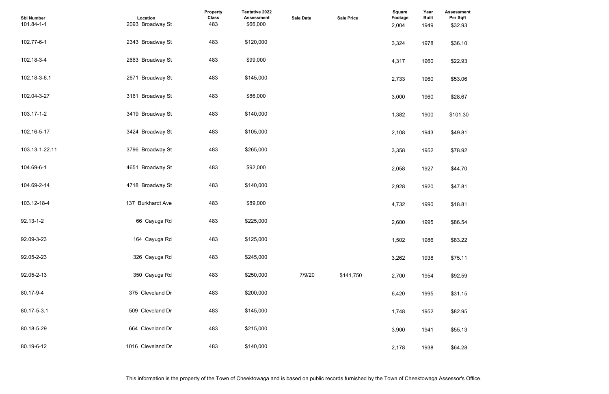| <b>Assessment</b><br>Per Sqft |  |  |
|-------------------------------|--|--|
| \$32.93                       |  |  |
| \$36.10                       |  |  |
| \$22.93                       |  |  |
| \$53.06                       |  |  |
| \$28.67                       |  |  |
| \$101.30                      |  |  |
| \$49.81                       |  |  |
| \$78.92                       |  |  |
| \$44.70                       |  |  |
| \$47.81                       |  |  |
| \$18.81                       |  |  |
| \$86.54                       |  |  |
| \$83.22                       |  |  |
| \$75.11                       |  |  |
| \$92.59                       |  |  |
| \$31.15                       |  |  |
| \$82.95                       |  |  |
| \$55.13                       |  |  |
| \$64.28                       |  |  |

| <b>Sbl Number</b><br>101.84-1-1 | Location<br>2093 Broadway St | Property<br><b>Class</b><br>483 | Tentative 2022<br><b>Assessment</b><br>\$66,000 | <b>Sale Date</b> | <b>Sale Price</b> | Square<br><b>Footage</b><br>2,004 | Year<br><b>Built</b><br>1949 | <b>Assessmer</b><br>Per Sqft<br>\$32.93 |
|---------------------------------|------------------------------|---------------------------------|-------------------------------------------------|------------------|-------------------|-----------------------------------|------------------------------|-----------------------------------------|
| 102.77-6-1                      | 2343 Broadway St             | 483                             | \$120,000                                       |                  |                   | 3,324                             | 1978                         | \$36.10                                 |
| 102.18-3-4                      | 2663 Broadway St             | 483                             | \$99,000                                        |                  |                   | 4,317                             | 1960                         | \$22.93                                 |
| 102.18-3-6.1                    | 2671 Broadway St             | 483                             | \$145,000                                       |                  |                   | 2,733                             | 1960                         | \$53.06                                 |
| 102.04-3-27                     | 3161 Broadway St             | 483                             | \$86,000                                        |                  |                   | 3,000                             | 1960                         | \$28.67                                 |
| 103.17-1-2                      | 3419 Broadway St             | 483                             | \$140,000                                       |                  |                   | 1,382                             | 1900                         | \$101.30                                |
| 102.16-5-17                     | 3424 Broadway St             | 483                             | \$105,000                                       |                  |                   | 2,108                             | 1943                         | \$49.81                                 |
| 103.13-1-22.11                  | 3796 Broadway St             | 483                             | \$265,000                                       |                  |                   | 3,358                             | 1952                         | \$78.92                                 |
| 104.69-6-1                      | 4651 Broadway St             | 483                             | \$92,000                                        |                  |                   | 2,058                             | 1927                         | \$44.70                                 |
| 104.69-2-14                     | 4718 Broadway St             | 483                             | \$140,000                                       |                  |                   | 2,928                             | 1920                         | \$47.81                                 |
| 103.12-18-4                     | 137 Burkhardt Ave            | 483                             | \$89,000                                        |                  |                   | 4,732                             | 1990                         | \$18.81                                 |
| $92.13 - 1 - 2$                 | 66 Cayuga Rd                 | 483                             | \$225,000                                       |                  |                   | 2,600                             | 1995                         | \$86.54                                 |
| 92.09-3-23                      | 164 Cayuga Rd                | 483                             | \$125,000                                       |                  |                   | 1,502                             | 1986                         | \$83.22                                 |
| 92.05-2-23                      | 326 Cayuga Rd                | 483                             | \$245,000                                       |                  |                   | 3,262                             | 1938                         | \$75.11                                 |
| 92.05-2-13                      | 350 Cayuga Rd                | 483                             | \$250,000                                       | 7/9/20           | \$141,750         | 2,700                             | 1954                         | \$92.59                                 |
| 80.17-9-4                       | 375 Cleveland Dr             | 483                             | \$200,000                                       |                  |                   | 6,420                             | 1995                         | \$31.15                                 |
| 80.17-5-3.1                     | 509 Cleveland Dr             | 483                             | \$145,000                                       |                  |                   | 1,748                             | 1952                         | \$82.95                                 |
| 80.18-5-29                      | 664 Cleveland Dr             | 483                             | \$215,000                                       |                  |                   | 3,900                             | 1941                         | \$55.13                                 |
| 80.19-6-12                      | 1016 Cleveland Dr            | 483                             | \$140,000                                       |                  |                   | 2,178                             | 1938                         | \$64.28                                 |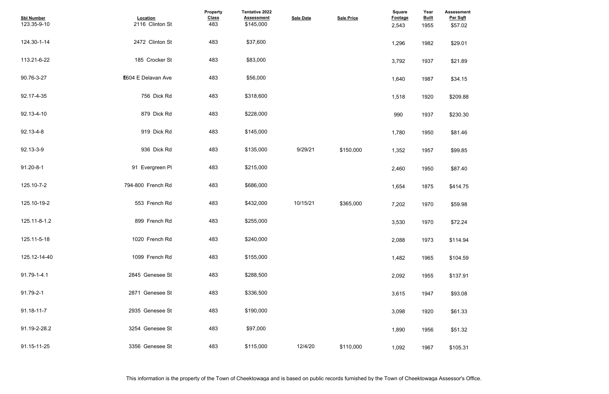| <b>Assessment</b><br>Per Sqft<br>\$57.02 |  |  |
|------------------------------------------|--|--|
| \$29.01                                  |  |  |
| \$21.89                                  |  |  |
| \$34.15                                  |  |  |
| \$209.88                                 |  |  |
| \$230.30                                 |  |  |
| \$81.46                                  |  |  |
| \$99.85                                  |  |  |
| \$87.40                                  |  |  |
| \$414.75                                 |  |  |
| \$59.98                                  |  |  |
| \$72.24                                  |  |  |
| \$114.94                                 |  |  |
| \$104.59                                 |  |  |
| \$137.91                                 |  |  |
| \$93.08                                  |  |  |
| \$61.33                                  |  |  |
| \$51.32                                  |  |  |
| \$105.31                                 |  |  |

| <b>Sbl Number</b><br>123.35-9-10 | Location<br>2116 Clinton St | Property<br><b>Class</b><br>483 | <b>Tentative 2022</b><br><b>Assessment</b><br>\$145,000 | <b>Sale Date</b> | <b>Sale Price</b> | <b>Square</b><br><b>Footage</b><br>2,543 | Year<br><b>Built</b><br>1955 | <b>Assessmer</b><br>Per Sqft<br>\$57.02 |
|----------------------------------|-----------------------------|---------------------------------|---------------------------------------------------------|------------------|-------------------|------------------------------------------|------------------------------|-----------------------------------------|
| 124.30-1-14                      | 2472 Clinton St             | 483                             | \$37,600                                                |                  |                   | 1,296                                    | 1982                         | \$29.01                                 |
| 113.21-6-22                      | 185 Crocker St              | 483                             | \$83,000                                                |                  |                   | 3,792                                    | 1937                         | \$21.89                                 |
| 90.76-3-27                       | E604 E Delavan Ave          | 483                             | \$56,000                                                |                  |                   | 1,640                                    | 1987                         | \$34.15                                 |
| 92.17-4-35                       | 756 Dick Rd                 | 483                             | \$318,600                                               |                  |                   | 1,518                                    | 1920                         | \$209.88                                |
| 92.13-4-10                       | 879 Dick Rd                 | 483                             | \$228,000                                               |                  |                   | 990                                      | 1937                         | \$230.30                                |
| 92.13-4-8                        | 919 Dick Rd                 | 483                             | \$145,000                                               |                  |                   | 1,780                                    | 1950                         | \$81.46                                 |
| 92.13-3-9                        | 936 Dick Rd                 | 483                             | \$135,000                                               | 9/29/21          | \$150,000         | 1,352                                    | 1957                         | \$99.85                                 |
| $91.20 - 8 - 1$                  | 91 Evergreen Pl             | 483                             | \$215,000                                               |                  |                   | 2,460                                    | 1950                         | \$87.40                                 |
| 125.10-7-2                       | 794-800 French Rd           | 483                             | \$686,000                                               |                  |                   | 1,654                                    | 1875                         | \$414.75                                |
| 125.10-19-2                      | 553 French Rd               | 483                             | \$432,000                                               | 10/15/21         | \$365.000         | 7,202                                    | 1970                         | \$59.98                                 |
| 125.11-8-1.2                     | 899 French Rd               | 483                             | \$255,000                                               |                  |                   | 3,530                                    | 1970                         | \$72.24                                 |
| 125.11-5-18                      | 1020 French Rd              | 483                             | \$240,000                                               |                  |                   | 2,088                                    | 1973                         | \$114.94                                |
| 125.12-14-40                     | 1099 French Rd              | 483                             | \$155,000                                               |                  |                   | 1,482                                    | 1965                         | \$104.59                                |
| 91.79-1-4.1                      | 2845 Genesee St             | 483                             | \$288,500                                               |                  |                   | 2,092                                    | 1955                         | \$137.91                                |
| 91.79-2-1                        | 2871 Genesee St             | 483                             | \$336,500                                               |                  |                   | 3,615                                    | 1947                         | \$93.08                                 |
| 91.18-11-7                       | 2935 Genesee St             | 483                             | \$190,000                                               |                  |                   | 3,098                                    | 1920                         | \$61.33                                 |
| 91.19-2-28.2                     | 3254 Genesee St             | 483                             | \$97,000                                                |                  |                   | 1,890                                    | 1956                         | \$51.32                                 |
| 91.15-11-25                      | 3356 Genesee St             | 483                             | \$115,000                                               | 12/4/20          | \$110,000         | 1,092                                    | 1967                         | \$105.31                                |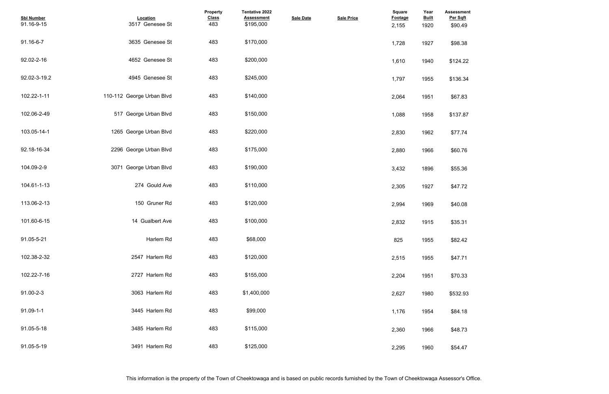| <b>Assessment</b><br>Per Sqft |  |  |  |
|-------------------------------|--|--|--|
| \$90.49                       |  |  |  |
| \$98.38                       |  |  |  |
| \$124.22                      |  |  |  |
| \$136.34                      |  |  |  |
| \$67.83                       |  |  |  |
| \$137.87                      |  |  |  |
| \$77.74                       |  |  |  |
| \$60.76                       |  |  |  |
| \$55.36                       |  |  |  |
| \$47.72                       |  |  |  |
| \$40.08                       |  |  |  |
| \$35.31                       |  |  |  |
| \$82.42                       |  |  |  |
| \$47.71                       |  |  |  |
| \$70.33                       |  |  |  |
| \$532.93                      |  |  |  |
| \$84.18                       |  |  |  |
| \$48.73                       |  |  |  |
| \$54.47                       |  |  |  |

| <b>Sbl Number</b><br>91.16-9-15 | Location<br>3517 Genesee St | Property<br><b>Class</b><br>483 | Tentative 2022<br><b>Assessment</b><br>\$195,000 | <b>Sale Date</b> | <b>Sale Price</b> | <b>Square</b><br>Footage<br>2,155 | Year<br><b>Built</b><br>1920 | <b>Assessmer</b><br>Per Sqft<br>\$90.49 |
|---------------------------------|-----------------------------|---------------------------------|--------------------------------------------------|------------------|-------------------|-----------------------------------|------------------------------|-----------------------------------------|
| 91.16-6-7                       | 3635 Genesee St             | 483                             | \$170,000                                        |                  |                   | 1,728                             | 1927                         | \$98.38                                 |
| 92.02-2-16                      | 4652 Genesee St             | 483                             | \$200,000                                        |                  |                   | 1,610                             | 1940                         | \$124.22                                |
| 92.02-3-19.2                    | 4945 Genesee St             | 483                             | \$245,000                                        |                  |                   | 1,797                             | 1955                         | \$136.34                                |
| 102.22-1-11                     | 110-112 George Urban Blvd   | 483                             | \$140,000                                        |                  |                   | 2,064                             | 1951                         | \$67.83                                 |
| 102.06-2-49                     | 517 George Urban Blvd       | 483                             | \$150,000                                        |                  |                   | 1,088                             | 1958                         | \$137.87                                |
| 103.05-14-1                     | 1265 George Urban Blvd      | 483                             | \$220,000                                        |                  |                   | 2,830                             | 1962                         | \$77.74                                 |
| 92.18-16-34                     | 2296 George Urban Blvd      | 483                             | \$175,000                                        |                  |                   | 2,880                             | 1966                         | \$60.76                                 |
| 104.09-2-9                      | 3071 George Urban Blvd      | 483                             | \$190,000                                        |                  |                   | 3,432                             | 1896                         | \$55.36                                 |
| 104.61-1-13                     | 274 Gould Ave               | 483                             | \$110,000                                        |                  |                   | 2,305                             | 1927                         | \$47.72                                 |
| 113.06-2-13                     | 150 Gruner Rd               | 483                             | \$120,000                                        |                  |                   | 2,994                             | 1969                         | \$40.08                                 |
| 101.60-6-15                     | 14 Gualbert Ave             | 483                             | \$100,000                                        |                  |                   | 2,832                             | 1915                         | \$35.31                                 |
| 91.05-5-21                      | Harlem Rd                   | 483                             | \$68,000                                         |                  |                   | 825                               | 1955                         | \$82.42                                 |
| 102.38-2-32                     | 2547 Harlem Rd              | 483                             | \$120,000                                        |                  |                   | 2,515                             | 1955                         | \$47.71                                 |
| 102.22-7-16                     | 2727 Harlem Rd              | 483                             | \$155,000                                        |                  |                   | 2,204                             | 1951                         | \$70.33                                 |
| 91.00-2-3                       | 3063 Harlem Rd              | 483                             | \$1,400,000                                      |                  |                   | 2,627                             | 1980                         | \$532.93                                |
| $91.09 - 1 - 1$                 | 3445 Harlem Rd              | 483                             | \$99,000                                         |                  |                   | 1,176                             | 1954                         | \$84.18                                 |
| 91.05-5-18                      | 3485 Harlem Rd              | 483                             | \$115,000                                        |                  |                   | 2,360                             | 1966                         | \$48.73                                 |
| 91.05-5-19                      | 3491 Harlem Rd              | 483                             | \$125,000                                        |                  |                   | 2,295                             | 1960                         | \$54.47                                 |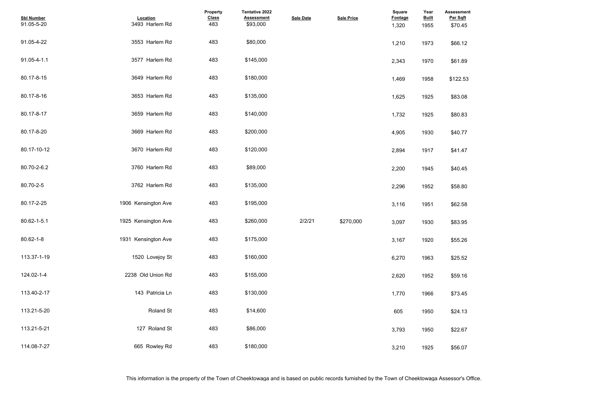| <b>Assessment</b><br>Per Sqft |  |  |  |
|-------------------------------|--|--|--|
| \$70.45                       |  |  |  |
| \$66.12                       |  |  |  |
| \$61.89                       |  |  |  |
| \$122.53                      |  |  |  |
| \$83.08                       |  |  |  |
| \$80.83                       |  |  |  |
| \$40.77                       |  |  |  |
| \$41.47                       |  |  |  |
| \$40.45                       |  |  |  |
| \$58.80                       |  |  |  |
| \$62.58                       |  |  |  |
| \$83.95                       |  |  |  |
| \$55.26                       |  |  |  |
| \$25.52                       |  |  |  |
| \$59.16                       |  |  |  |
| \$73.45                       |  |  |  |
| \$24.13                       |  |  |  |
| \$22.67                       |  |  |  |
| \$56.07                       |  |  |  |

| <b>Sbl Number</b><br>91.05-5-20 | Location<br>3493 Harlem Rd | Property<br><b>Class</b><br>483 | Tentative 2022<br><b>Assessment</b><br>\$93,000 | <b>Sale Date</b> | <b>Sale Price</b> | <b>Square</b><br>Footage<br>1,320 | Year<br><b>Built</b><br>1955 | <b>Assessmer</b><br>Per Sqft<br>\$70.45 |
|---------------------------------|----------------------------|---------------------------------|-------------------------------------------------|------------------|-------------------|-----------------------------------|------------------------------|-----------------------------------------|
| 91.05-4-22                      | 3553 Harlem Rd             | 483                             | \$80,000                                        |                  |                   | 1,210                             | 1973                         | \$66.12                                 |
| 91.05-4-1.1                     | 3577 Harlem Rd             | 483                             | \$145,000                                       |                  |                   | 2,343                             | 1970                         | \$61.89                                 |
| 80.17-8-15                      | 3649 Harlem Rd             | 483                             | \$180,000                                       |                  |                   | 1,469                             | 1958                         | \$122.53                                |
| 80.17-8-16                      | 3653 Harlem Rd             | 483                             | \$135,000                                       |                  |                   | 1,625                             | 1925                         | \$83.08                                 |
| 80.17-8-17                      | 3659 Harlem Rd             | 483                             | \$140,000                                       |                  |                   | 1,732                             | 1925                         | \$80.83                                 |
| 80.17-8-20                      | 3669 Harlem Rd             | 483                             | \$200,000                                       |                  |                   | 4,905                             | 1930                         | \$40.77                                 |
| 80.17-10-12                     | 3670 Harlem Rd             | 483                             | \$120,000                                       |                  |                   | 2,894                             | 1917                         | \$41.47                                 |
| 80.70-2-6.2                     | 3760 Harlem Rd             | 483                             | \$89,000                                        |                  |                   | 2,200                             | 1945                         | \$40.45                                 |
| 80.70-2-5                       | 3762 Harlem Rd             | 483                             | \$135,000                                       |                  |                   | 2,296                             | 1952                         | \$58.80                                 |
| 80.17-2-25                      | 1906 Kensington Ave        | 483                             | \$195,000                                       |                  |                   | 3,116                             | 1951                         | \$62.58                                 |
| 80.62-1-5.1                     | 1925 Kensington Ave        | 483                             | \$260,000                                       | 2/2/21           | \$270,000         | 3,097                             | 1930                         | \$83.95                                 |
| 80.62-1-8                       | 1931 Kensington Ave        | 483                             | \$175,000                                       |                  |                   | 3,167                             | 1920                         | \$55.26                                 |
| 113.37-1-19                     | 1520 Lovejoy St            | 483                             | \$160,000                                       |                  |                   | 6,270                             | 1963                         | \$25.52                                 |
| 124.02-1-4                      | 2238 Old Union Rd          | 483                             | \$155,000                                       |                  |                   | 2,620                             | 1952                         | \$59.16                                 |
| 113.40-2-17                     | 143 Patricia Ln            | 483                             | \$130,000                                       |                  |                   | 1,770                             | 1966                         | \$73.45                                 |
| 113.21-5-20                     | Roland St                  | 483                             | \$14,600                                        |                  |                   | 605                               | 1950                         | \$24.13                                 |
| 113.21-5-21                     | 127 Roland St              | 483                             | \$86,000                                        |                  |                   | 3,793                             | 1950                         | \$22.67                                 |
| 114.08-7-27                     | 665 Rowley Rd              | 483                             | \$180,000                                       |                  |                   | 3,210                             | 1925                         | \$56.07                                 |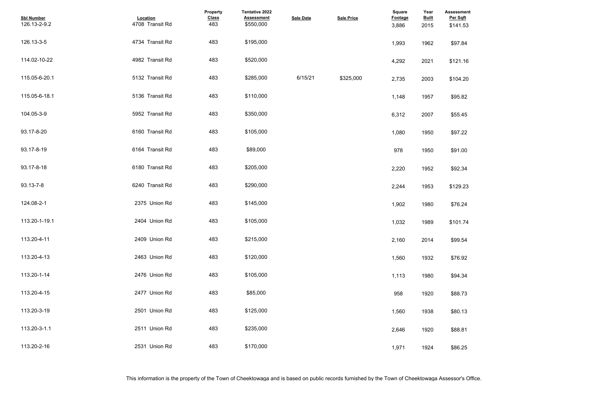| <b>Assessment</b><br>Per Sqft<br>\$141.53 |  |  |
|-------------------------------------------|--|--|
| \$97.84                                   |  |  |
| \$121.16                                  |  |  |
| \$104.20                                  |  |  |
| \$95.82                                   |  |  |
| \$55.45                                   |  |  |
| \$97.22                                   |  |  |
| \$91.00                                   |  |  |
| \$92.34                                   |  |  |
| \$129.23                                  |  |  |
| \$76.24                                   |  |  |
| \$101.74                                  |  |  |
| \$99.54                                   |  |  |
| \$76.92                                   |  |  |
| \$94.34                                   |  |  |
| \$88.73                                   |  |  |
| \$80.13                                   |  |  |
| \$88.81                                   |  |  |
| \$86.25                                   |  |  |

| <b>Sbl Number</b><br>126.13-2-9.2 | Location<br>4708 Transit Rd | Property<br><b>Class</b><br>483 | <b>Tentative 2022</b><br><b>Assessment</b><br>\$550,000 | <b>Sale Date</b> | <b>Sale Price</b> | <b>Square</b><br><b>Footage</b><br>3,886 | Year<br><b>Built</b><br>2015 | <b>Assessmer</b><br>Per Sqft<br>\$141.53 |
|-----------------------------------|-----------------------------|---------------------------------|---------------------------------------------------------|------------------|-------------------|------------------------------------------|------------------------------|------------------------------------------|
| 126.13-3-5                        | 4734 Transit Rd             | 483                             | \$195,000                                               |                  |                   | 1,993                                    | 1962                         | \$97.84                                  |
| 114.02-10-22                      | 4982 Transit Rd             | 483                             | \$520,000                                               |                  |                   | 4,292                                    | 2021                         | \$121.16                                 |
| 115.05-6-20.1                     | 5132 Transit Rd             | 483                             | \$285,000                                               | 6/15/21          | \$325,000         | 2,735                                    | 2003                         | \$104.20                                 |
| 115.05-6-18.1                     | 5136 Transit Rd             | 483                             | \$110,000                                               |                  |                   | 1,148                                    | 1957                         | \$95.82                                  |
| 104.05-3-9                        | 5952 Transit Rd             | 483                             | \$350,000                                               |                  |                   | 6,312                                    | 2007                         | \$55.45                                  |
| 93.17-8-20                        | 6160 Transit Rd             | 483                             | \$105,000                                               |                  |                   | 1,080                                    | 1950                         | \$97.22                                  |
| 93.17-8-19                        | 6164 Transit Rd             | 483                             | \$89,000                                                |                  |                   | 978                                      | 1950                         | \$91.00                                  |
| 93.17-8-18                        | 6180 Transit Rd             | 483                             | \$205,000                                               |                  |                   | 2,220                                    | 1952                         | \$92.34                                  |
| 93.13-7-8                         | 6240 Transit Rd             | 483                             | \$290,000                                               |                  |                   | 2,244                                    | 1953                         | \$129.23                                 |
| 124.08-2-1                        | 2375 Union Rd               | 483                             | \$145,000                                               |                  |                   | 1,902                                    | 1980                         | \$76.24                                  |
| 113.20-1-19.1                     | 2404 Union Rd               | 483                             | \$105,000                                               |                  |                   | 1,032                                    | 1989                         | \$101.74                                 |
| 113.20-4-11                       | 2409 Union Rd               | 483                             | \$215,000                                               |                  |                   | 2,160                                    | 2014                         | \$99.54                                  |
| 113.20-4-13                       | 2463 Union Rd               | 483                             | \$120,000                                               |                  |                   | 1,560                                    | 1932                         | \$76.92                                  |
| 113.20-1-14                       | 2476 Union Rd               | 483                             | \$105,000                                               |                  |                   | 1,113                                    | 1980                         | \$94.34                                  |
| 113.20-4-15                       | 2477 Union Rd               | 483                             | \$85,000                                                |                  |                   | 958                                      | 1920                         | \$88.73                                  |
| 113.20-3-19                       | 2501 Union Rd               | 483                             | \$125,000                                               |                  |                   | 1,560                                    | 1938                         | \$80.13                                  |
| 113.20-3-1.1                      | 2511 Union Rd               | 483                             | \$235,000                                               |                  |                   | 2,646                                    | 1920                         | \$88.81                                  |
| 113.20-2-16                       | 2531 Union Rd               | 483                             | \$170,000                                               |                  |                   | 1,971                                    | 1924                         | \$86.25                                  |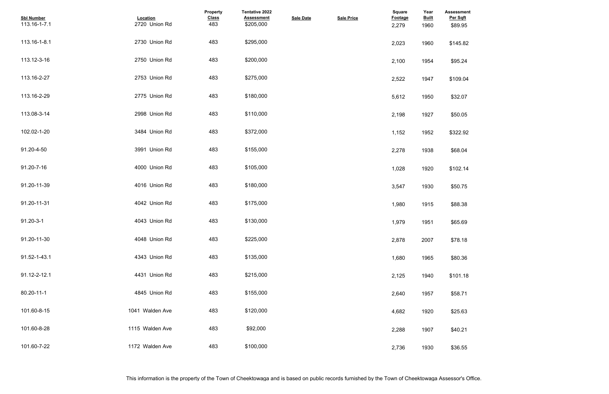| <b>Assessment</b><br>Per Sqft |  |  |  |
|-------------------------------|--|--|--|
| \$89.95                       |  |  |  |
| \$145.82                      |  |  |  |
|                               |  |  |  |
| \$95.24                       |  |  |  |
| \$109.04                      |  |  |  |
| \$32.07                       |  |  |  |
| \$50.05                       |  |  |  |
| \$322.92                      |  |  |  |
| \$68.04                       |  |  |  |
| \$102.14                      |  |  |  |
| \$50.75                       |  |  |  |
| \$88.38                       |  |  |  |
| \$65.69                       |  |  |  |
| \$78.18                       |  |  |  |
| \$80.36                       |  |  |  |
| \$101.18                      |  |  |  |
| \$58.71                       |  |  |  |
| \$25.63                       |  |  |  |
| \$40.21                       |  |  |  |
| \$36.55                       |  |  |  |

| <b>Sbl Number</b><br>113.16-1-7.1 | Location<br>2720 Union Rd | Property<br><b>Class</b><br>483 | <b>Tentative 2022</b><br><b>Assessment</b><br>\$205,000 | <b>Sale Date</b> | <b>Sale Price</b> | <b>Square</b><br>Footage<br>2,279 | Year<br><b>Built</b><br>1960 | <b>Assessmer</b><br>Per Sqft<br>\$89.95 |
|-----------------------------------|---------------------------|---------------------------------|---------------------------------------------------------|------------------|-------------------|-----------------------------------|------------------------------|-----------------------------------------|
| 113.16-1-8.1                      | 2730 Union Rd             | 483                             | \$295,000                                               |                  |                   | 2,023                             | 1960                         | \$145.82                                |
| 113.12-3-16                       | 2750 Union Rd             | 483                             | \$200,000                                               |                  |                   | 2,100                             | 1954                         | \$95.24                                 |
| 113.16-2-27                       | 2753 Union Rd             | 483                             | \$275,000                                               |                  |                   | 2,522                             | 1947                         | \$109.04                                |
| 113.16-2-29                       | 2775 Union Rd             | 483                             | \$180,000                                               |                  |                   | 5,612                             | 1950                         | \$32.07                                 |
| 113.08-3-14                       | 2998 Union Rd             | 483                             | \$110,000                                               |                  |                   | 2,198                             | 1927                         | \$50.05                                 |
| 102.02-1-20                       | 3484 Union Rd             | 483                             | \$372,000                                               |                  |                   | 1,152                             | 1952                         | \$322.92                                |
| 91.20-4-50                        | 3991 Union Rd             | 483                             | \$155,000                                               |                  |                   | 2,278                             | 1938                         | \$68.04                                 |
| 91.20-7-16                        | 4000 Union Rd             | 483                             | \$105,000                                               |                  |                   | 1,028                             | 1920                         | \$102.14                                |
| 91.20-11-39                       | 4016 Union Rd             | 483                             | \$180,000                                               |                  |                   | 3,547                             | 1930                         | \$50.75                                 |
| 91.20-11-31                       | 4042 Union Rd             | 483                             | \$175,000                                               |                  |                   | 1,980                             | 1915                         | \$88.38                                 |
| $91.20 - 3 - 1$                   | 4043 Union Rd             | 483                             | \$130,000                                               |                  |                   | 1,979                             | 1951                         | \$65.69                                 |
| 91.20-11-30                       | 4048 Union Rd             | 483                             | \$225,000                                               |                  |                   | 2,878                             | 2007                         | \$78.18                                 |
| 91.52-1-43.1                      | 4343 Union Rd             | 483                             | \$135,000                                               |                  |                   | 1,680                             | 1965                         | \$80.36                                 |
| 91.12-2-12.1                      | 4431 Union Rd             | 483                             | \$215,000                                               |                  |                   | 2,125                             | 1940                         | \$101.18                                |
| 80.20-11-1                        | 4845 Union Rd             | 483                             | \$155,000                                               |                  |                   | 2,640                             | 1957                         | \$58.71                                 |
| 101.60-8-15                       | 1041 Walden Ave           | 483                             | \$120,000                                               |                  |                   | 4,682                             | 1920                         | \$25.63                                 |
| 101.60-8-28                       | 1115 Walden Ave           | 483                             | \$92,000                                                |                  |                   | 2,288                             | 1907                         | \$40.21                                 |
| 101.60-7-22                       | 1172 Walden Ave           | 483                             | \$100,000                                               |                  |                   | 2,736                             | 1930                         | \$36.55                                 |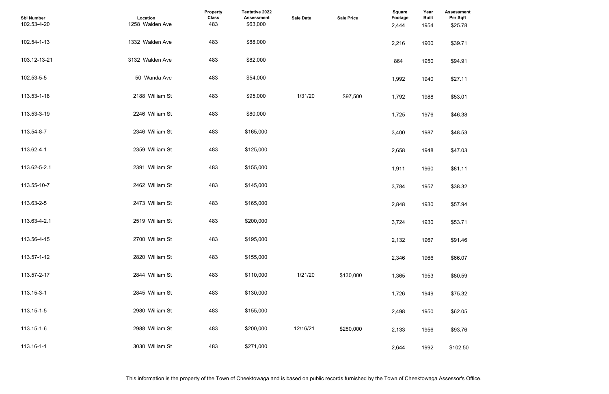| <b>Assessment</b><br>Per Sqft |  |  |  |
|-------------------------------|--|--|--|
| \$25.78                       |  |  |  |
| \$39.71                       |  |  |  |
| \$94.91                       |  |  |  |
| \$27.11                       |  |  |  |
| \$53.01                       |  |  |  |
| \$46.38                       |  |  |  |
| \$48.53                       |  |  |  |
| \$47.03                       |  |  |  |
| \$81.11                       |  |  |  |
| \$38.32                       |  |  |  |
| \$57.94                       |  |  |  |
| \$53.71                       |  |  |  |
| \$91.46                       |  |  |  |
| \$66.07                       |  |  |  |
| \$80.59                       |  |  |  |
| \$75.32                       |  |  |  |
| \$62.05                       |  |  |  |
| \$93.76                       |  |  |  |
| \$102.50                      |  |  |  |

| <b>Sbl Number</b><br>102.53-4-20 | Location<br>1258 Walden Ave | <b>Property</b><br><b>Class</b><br>483 | <b>Tentative 2022</b><br><b>Assessment</b><br>\$63,000 | <b>Sale Date</b> | <b>Sale Price</b> | Square<br><b>Footage</b><br>2,444 | Year<br><b>Built</b><br>1954 | <b>Assessmer</b><br>Per Sqft<br>\$25.78 |
|----------------------------------|-----------------------------|----------------------------------------|--------------------------------------------------------|------------------|-------------------|-----------------------------------|------------------------------|-----------------------------------------|
| 102.54-1-13                      | 1332 Walden Ave             | 483                                    | \$88,000                                               |                  |                   | 2,216                             | 1900                         | \$39.71                                 |
| 103.12-13-21                     | 3132 Walden Ave             | 483                                    | \$82,000                                               |                  |                   | 864                               | 1950                         | \$94.91                                 |
| 102.53-5-5                       | 50 Wanda Ave                | 483                                    | \$54,000                                               |                  |                   | 1,992                             | 1940                         | \$27.11                                 |
| 113.53-1-18                      | 2188 William St             | 483                                    | \$95,000                                               | 1/31/20          | \$97,500          | 1,792                             | 1988                         | \$53.01                                 |
| 113.53-3-19                      | 2246 William St             | 483                                    | \$80,000                                               |                  |                   | 1,725                             | 1976                         | \$46.38                                 |
| 113.54-8-7                       | 2346 William St             | 483                                    | \$165,000                                              |                  |                   | 3,400                             | 1987                         | \$48.53                                 |
| 113.62-4-1                       | 2359 William St             | 483                                    | \$125,000                                              |                  |                   | 2,658                             | 1948                         | \$47.03                                 |
| 113.62-5-2.1                     | 2391 William St             | 483                                    | \$155,000                                              |                  |                   | 1,911                             | 1960                         | \$81.11                                 |
| 113.55-10-7                      | 2462 William St             | 483                                    | \$145,000                                              |                  |                   | 3,784                             | 1957                         | \$38.32                                 |
| 113.63-2-5                       | 2473 William St             | 483                                    | \$165,000                                              |                  |                   | 2,848                             | 1930                         | \$57.94                                 |
| 113.63-4-2.1                     | 2519 William St             | 483                                    | \$200,000                                              |                  |                   | 3,724                             | 1930                         | \$53.71                                 |
| 113.56-4-15                      | 2700 William St             | 483                                    | \$195,000                                              |                  |                   | 2,132                             | 1967                         | \$91.46                                 |
| 113.57-1-12                      | 2820 William St             | 483                                    | \$155,000                                              |                  |                   | 2,346                             | 1966                         | \$66.07                                 |
| 113.57-2-17                      | 2844 William St             | 483                                    | \$110,000                                              | 1/21/20          | \$130,000         | 1,365                             | 1953                         | \$80.59                                 |
| 113.15-3-1                       | 2845 William St             | 483                                    | \$130,000                                              |                  |                   | 1,726                             | 1949                         | \$75.32                                 |
| 113.15-1-5                       | 2980 William St             | 483                                    | \$155,000                                              |                  |                   | 2,498                             | 1950                         | \$62.05                                 |
| 113.15-1-6                       | 2988 William St             | 483                                    | \$200,000                                              | 12/16/21         | \$280,000         | 2,133                             | 1956                         | \$93.76                                 |
| 113.16-1-1                       | 3030 William St             | 483                                    | \$271,000                                              |                  |                   | 2,644                             | 1992                         | \$102.50                                |

This information is the property of the Town of Cheektowaga and is based on public records furnished by the Town of Cheektowaga Assessor's Office.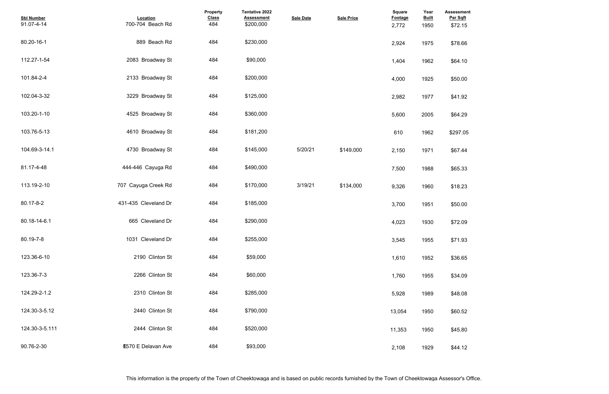| <b>Assessment</b><br>Per Sqft<br>\$72.15 |  |  |  |
|------------------------------------------|--|--|--|
| \$78.66                                  |  |  |  |
| \$64.10                                  |  |  |  |
| \$50.00                                  |  |  |  |
| \$41.92                                  |  |  |  |
| \$64.29                                  |  |  |  |
| \$297.05                                 |  |  |  |
| \$67.44                                  |  |  |  |
| \$65.33                                  |  |  |  |
| \$18.23                                  |  |  |  |
| \$50.00                                  |  |  |  |
| \$72.09                                  |  |  |  |
| \$71.93                                  |  |  |  |
| \$36.65                                  |  |  |  |
| \$34.09                                  |  |  |  |
| \$48.08                                  |  |  |  |
| \$60.52                                  |  |  |  |
| \$45.80                                  |  |  |  |
| \$44.12                                  |  |  |  |

| <b>Sbl Number</b><br>91.07-4-14 | Location<br>700-704 Beach Rd | Property<br><b>Class</b><br>484 | Tentative 2022<br><b>Assessment</b><br>\$200,000 | <b>Sale Date</b> | <b>Sale Price</b> | Square<br>Footage<br>2,772 | Year<br><b>Built</b><br>1950 | <b>Assessmer</b><br>Per Sqft<br>\$72.15 |
|---------------------------------|------------------------------|---------------------------------|--------------------------------------------------|------------------|-------------------|----------------------------|------------------------------|-----------------------------------------|
| 80.20-16-1                      | 889 Beach Rd                 | 484                             | \$230,000                                        |                  |                   | 2,924                      | 1975                         | \$78.66                                 |
| 112.27-1-54                     | 2083 Broadway St             | 484                             | \$90,000                                         |                  |                   | 1,404                      | 1962                         | \$64.10                                 |
| 101.84-2-4                      | 2133 Broadway St             | 484                             | \$200,000                                        |                  |                   | 4,000                      | 1925                         | \$50.00                                 |
| 102.04-3-32                     | 3229 Broadway St             | 484                             | \$125,000                                        |                  |                   | 2,982                      | 1977                         | \$41.92                                 |
| 103.20-1-10                     | 4525 Broadway St             | 484                             | \$360,000                                        |                  |                   | 5,600                      | 2005                         | \$64.29                                 |
| 103.76-5-13                     | 4610 Broadway St             | 484                             | \$181,200                                        |                  |                   | 610                        | 1962                         | \$297.05                                |
| 104.69-3-14.1                   | 4730 Broadway St             | 484                             | \$145,000                                        | 5/20/21          | \$149,000         | 2,150                      | 1971                         | \$67.44                                 |
| 81.17-4-48                      | 444-446 Cayuga Rd            | 484                             | \$490,000                                        |                  |                   | 7,500                      | 1988                         | \$65.33                                 |
| 113.19-2-10                     | 707 Cayuga Creek Rd          | 484                             | \$170,000                                        | 3/19/21          | \$134,000         | 9,326                      | 1960                         | \$18.23                                 |
| 80.17-8-2                       | 431-435 Cleveland Dr         | 484                             | \$185,000                                        |                  |                   | 3,700                      | 1951                         | \$50.00                                 |
| 80.18-14-6.1                    | 665 Cleveland Dr             | 484                             | \$290,000                                        |                  |                   | 4,023                      | 1930                         | \$72.09                                 |
| 80.19-7-8                       | 1031 Cleveland Dr            | 484                             | \$255,000                                        |                  |                   | 3,545                      | 1955                         | \$71.93                                 |
| 123.36-6-10                     | 2190 Clinton St              | 484                             | \$59,000                                         |                  |                   | 1,610                      | 1952                         | \$36.65                                 |
| 123.36-7-3                      | 2266 Clinton St              | 484                             | \$60,000                                         |                  |                   | 1,760                      | 1955                         | \$34.09                                 |
| 124.29-2-1.2                    | 2310 Clinton St              | 484                             | \$285,000                                        |                  |                   | 5,928                      | 1989                         | \$48.08                                 |
| 124.30-3-5.12                   | 2440 Clinton St              | 484                             | \$790,000                                        |                  |                   | 13,054                     | 1950                         | \$60.52                                 |
| 124.30-3-5.111                  | 2444 Clinton St              | 484                             | \$520,000                                        |                  |                   | 11,353                     | 1950                         | \$45.80                                 |
| 90.76-2-30                      | <b>E570 E Delavan Ave</b>    | 484                             | \$93,000                                         |                  |                   | 2,108                      | 1929                         | \$44.12                                 |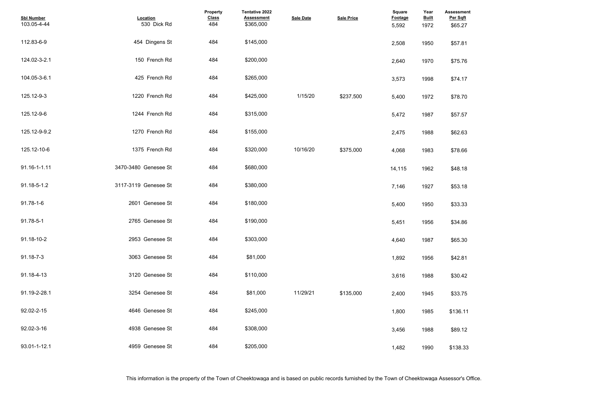| <b>Assessment</b><br>Per Sqft |  |  |  |
|-------------------------------|--|--|--|
| \$65.27                       |  |  |  |
|                               |  |  |  |
| \$57.81                       |  |  |  |
|                               |  |  |  |
| \$75.76                       |  |  |  |
|                               |  |  |  |
| \$74.17                       |  |  |  |
|                               |  |  |  |
| \$78.70                       |  |  |  |
|                               |  |  |  |
| \$57.57                       |  |  |  |
|                               |  |  |  |
| \$62.63                       |  |  |  |
| \$78.66                       |  |  |  |
|                               |  |  |  |
| \$48.18                       |  |  |  |
|                               |  |  |  |
| \$53.18                       |  |  |  |
|                               |  |  |  |
| \$33.33                       |  |  |  |
|                               |  |  |  |
| \$34.86                       |  |  |  |
|                               |  |  |  |
| \$65.30                       |  |  |  |
| \$42.81                       |  |  |  |
|                               |  |  |  |
| \$30.42                       |  |  |  |
|                               |  |  |  |
| \$33.75                       |  |  |  |
|                               |  |  |  |
| \$136.11                      |  |  |  |
|                               |  |  |  |
| \$89.12                       |  |  |  |
|                               |  |  |  |
| \$138.33                      |  |  |  |

| <b>Sbl Number</b><br>103.05-4-44 | <b>Location</b><br>530 Dick Rd | Property<br><b>Class</b><br>484 | Tentative 2022<br><b>Assessment</b><br>\$365,000 | <b>Sale Date</b> | <b>Sale Price</b> | <b>Square</b><br>Footage<br>5,592 | Year<br><b>Built</b><br>1972 | <b>Assessmer</b><br>Per Sqft<br>\$65.27 |
|----------------------------------|--------------------------------|---------------------------------|--------------------------------------------------|------------------|-------------------|-----------------------------------|------------------------------|-----------------------------------------|
| 112.83-6-9                       | 454 Dingens St                 | 484                             | \$145,000                                        |                  |                   | 2,508                             | 1950                         | \$57.81                                 |
| 124.02-3-2.1                     | 150 French Rd                  | 484                             | \$200,000                                        |                  |                   | 2,640                             | 1970                         | \$75.76                                 |
| 104.05-3-6.1                     | 425 French Rd                  | 484                             | \$265,000                                        |                  |                   | 3,573                             | 1998                         | \$74.17                                 |
| 125.12-9-3                       | 1220 French Rd                 | 484                             | \$425,000                                        | 1/15/20          | \$237,500         | 5,400                             | 1972                         | \$78.70                                 |
| 125.12-9-6                       | 1244 French Rd                 | 484                             | \$315,000                                        |                  |                   | 5,472                             | 1987                         | \$57.57                                 |
| 125.12-9-9.2                     | 1270 French Rd                 | 484                             | \$155,000                                        |                  |                   | 2,475                             | 1988                         | \$62.63                                 |
| 125.12-10-6                      | 1375 French Rd                 | 484                             | \$320,000                                        | 10/16/20         | \$375,000         | 4,068                             | 1983                         | \$78.66                                 |
| 91.16-1-1.11                     | 3470-3480 Genesee St           | 484                             | \$680,000                                        |                  |                   | 14,115                            | 1962                         | \$48.18                                 |
| 91.18-5-1.2                      | 3117-3119 Genesee St           | 484                             | \$380,000                                        |                  |                   | 7,146                             | 1927                         | \$53.18                                 |
| 91.78-1-6                        | 2601 Genesee St                | 484                             | \$180,000                                        |                  |                   | 5,400                             | 1950                         | \$33.33                                 |
| 91.78-5-1                        | 2765 Genesee St                | 484                             | \$190,000                                        |                  |                   | 5,451                             | 1956                         | \$34.86                                 |
| 91.18-10-2                       | 2953 Genesee St                | 484                             | \$303,000                                        |                  |                   | 4,640                             | 1987                         | \$65.30                                 |
| 91.18-7-3                        | 3063 Genesee St                | 484                             | \$81,000                                         |                  |                   | 1,892                             | 1956                         | \$42.81                                 |
| 91.18-4-13                       | 3120 Genesee St                | 484                             | \$110,000                                        |                  |                   | 3,616                             | 1988                         | \$30.42                                 |
| 91.19-2-28.1                     | 3254 Genesee St                | 484                             | \$81,000                                         | 11/29/21         | \$135.000         | 2,400                             | 1945                         | \$33.75                                 |
| 92.02-2-15                       | 4646 Genesee St                | 484                             | \$245,000                                        |                  |                   | 1,800                             | 1985                         | \$136.11                                |
| 92.02-3-16                       | 4938 Genesee St                | 484                             | \$308,000                                        |                  |                   | 3,456                             | 1988                         | \$89.12                                 |
| 93.01-1-12.1                     | 4959 Genesee St                | 484                             | \$205,000                                        |                  |                   | 1,482                             | 1990                         | \$138.33                                |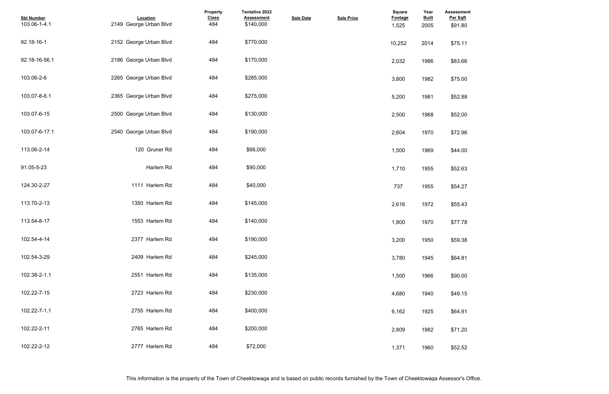| <b>Assessment</b><br>Per Sqft |  |  |  |
|-------------------------------|--|--|--|
| \$91.80                       |  |  |  |
|                               |  |  |  |
| \$75.11                       |  |  |  |
| \$83.66                       |  |  |  |
|                               |  |  |  |
| \$75.00                       |  |  |  |
|                               |  |  |  |
| \$52.88                       |  |  |  |
| \$52.00                       |  |  |  |
|                               |  |  |  |
| \$72.96                       |  |  |  |
|                               |  |  |  |
| \$44.00                       |  |  |  |
| \$52.63                       |  |  |  |
|                               |  |  |  |
| \$54.27                       |  |  |  |
| \$55.43                       |  |  |  |
|                               |  |  |  |
| \$77.78                       |  |  |  |
|                               |  |  |  |
| \$59.38                       |  |  |  |
| \$64.81                       |  |  |  |
|                               |  |  |  |
| \$90.00                       |  |  |  |
| \$49.15                       |  |  |  |
|                               |  |  |  |
| \$64.91                       |  |  |  |
|                               |  |  |  |
| \$71.20                       |  |  |  |
| \$52.52                       |  |  |  |
|                               |  |  |  |

| <b>Sbl Number</b><br>103.06-1-4.1 | Location<br>2149 George Urban Blvd | Property<br><b>Class</b><br>484 | Tentative 2022<br><b>Assessment</b><br>\$140,000 | <b>Sale Date</b> | <b>Sale Price</b> | <b>Square</b><br>Footage<br>1,525 | Year<br><b>Built</b><br>2005 | <b>Assessme</b><br>Per Sqft<br>\$91.80 |
|-----------------------------------|------------------------------------|---------------------------------|--------------------------------------------------|------------------|-------------------|-----------------------------------|------------------------------|----------------------------------------|
| 92.18-16-1                        | 2152 George Urban Blvd             | 484                             | \$770,000                                        |                  |                   | 10,252                            | 2014                         | \$75.11                                |
| 92.18-16-56.1                     | 2186 George Urban Blvd             | 484                             | \$170,000                                        |                  |                   | 2,032                             | 1986                         | \$83.66                                |
| 103.06-2-6                        | 2265 George Urban Blvd             | 484                             | \$285,000                                        |                  |                   | 3,800                             | 1982                         | \$75.00                                |
| 103.07-8-6.1                      | 2365 George Urban Blvd             | 484                             | \$275,000                                        |                  |                   | 5,200                             | 1981                         | \$52.88                                |
| 103.07-6-15                       | 2500 George Urban Blvd             | 484                             | \$130,000                                        |                  |                   | 2,500                             | 1968                         | \$52.00                                |
| 103.07-6-17.1                     | 2540 George Urban Blvd             | 484                             | \$190,000                                        |                  |                   | 2,604                             | 1970                         | \$72.96                                |
| 113.06-2-14                       | 120 Gruner Rd                      | 484                             | \$66,000                                         |                  |                   | 1,500                             | 1969                         | \$44.00                                |
| 91.05-5-23                        | Harlem Rd                          | 484                             | \$90,000                                         |                  |                   | 1,710                             | 1955                         | \$52.63                                |
| 124.30-2-27                       | 1111 Harlem Rd                     | 484                             | \$40,000                                         |                  |                   | 737                               | 1955                         | \$54.27                                |
| 113.70-2-13                       | 1350 Harlem Rd                     | 484                             | \$145,000                                        |                  |                   | 2,616                             | 1972                         | \$55.43                                |
| 113.54-8-17                       | 1553 Harlem Rd                     | 484                             | \$140,000                                        |                  |                   | 1,800                             | 1970                         | \$77.78                                |
| 102.54-4-14                       | 2377 Harlem Rd                     | 484                             | \$190,000                                        |                  |                   | 3,200                             | 1950                         | \$59.38                                |
| 102.54-3-29                       | 2409 Harlem Rd                     | 484                             | \$245,000                                        |                  |                   | 3,780                             | 1945                         | \$64.81                                |
| 102.38-2-1.1                      | 2551 Harlem Rd                     | 484                             | \$135,000                                        |                  |                   | 1,500                             | 1966                         | \$90.00                                |
| 102.22-7-15                       | 2723 Harlem Rd                     | 484                             | \$230,000                                        |                  |                   | 4,680                             | 1940                         | \$49.15                                |
| 102.22-7-1.1                      | 2755 Harlem Rd                     | 484                             | \$400,000                                        |                  |                   | 6,162                             | 1925                         | \$64.91                                |
| 102.22-2-11                       | 2765 Harlem Rd                     | 484                             | \$200,000                                        |                  |                   | 2,809                             | 1982                         | \$71.20                                |
| 102.22-2-12                       | 2777 Harlem Rd                     | 484                             | \$72,000                                         |                  |                   | 1,371                             | 1960                         | \$52.52                                |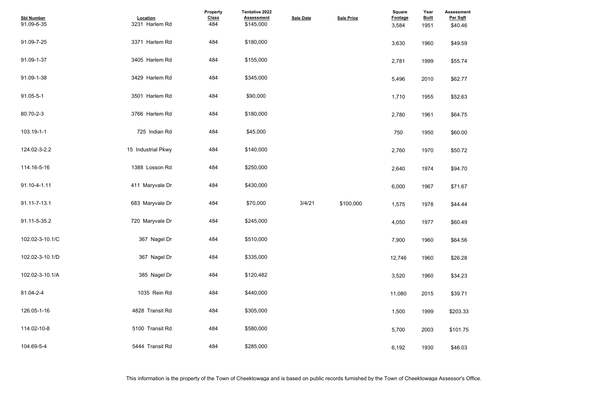| <b>Assessment</b><br>Per Sqft<br>\$40.46 |  |  |  |
|------------------------------------------|--|--|--|
|                                          |  |  |  |
| \$49.59                                  |  |  |  |
| \$55.74                                  |  |  |  |
| \$62.77                                  |  |  |  |
| \$52.63                                  |  |  |  |
| \$64.75                                  |  |  |  |
| \$60.00                                  |  |  |  |
| \$50.72                                  |  |  |  |
| \$94.70                                  |  |  |  |
| \$71.67                                  |  |  |  |
| \$44.44                                  |  |  |  |
| \$60.49                                  |  |  |  |
| \$64.56                                  |  |  |  |
| \$26.28                                  |  |  |  |
| \$34.23                                  |  |  |  |
| \$39.71                                  |  |  |  |
| \$203.33                                 |  |  |  |
| \$101.75                                 |  |  |  |
| \$46.03                                  |  |  |  |

| <b>Sbl Number</b><br>91.09-6-35 | Location<br>3231 Harlem Rd | <b>Property</b><br><b>Class</b><br>484 | <b>Tentative 2022</b><br><b>Assessment</b><br>\$145,000 | <b>Sale Date</b> | <b>Sale Price</b> | Square<br>Footage<br>3,584 | Year<br><b>Built</b><br>1951 | <b>Assessmer</b><br>Per Sqft<br>\$40.46 |
|---------------------------------|----------------------------|----------------------------------------|---------------------------------------------------------|------------------|-------------------|----------------------------|------------------------------|-----------------------------------------|
| 91.09-7-25                      | 3371 Harlem Rd             | 484                                    | \$180,000                                               |                  |                   | 3,630                      | 1960                         | \$49.59                                 |
| 91.09-1-37                      | 3405 Harlem Rd             | 484                                    | \$155,000                                               |                  |                   | 2,781                      | 1999                         | \$55.74                                 |
| 91.09-1-38                      | 3429 Harlem Rd             | 484                                    | \$345,000                                               |                  |                   | 5,496                      | 2010                         | \$62.77                                 |
| 91.05-5-1                       | 3501 Harlem Rd             | 484                                    | \$90,000                                                |                  |                   | 1,710                      | 1955                         | \$52.63                                 |
| 80.70-2-3                       | 3766 Harlem Rd             | 484                                    | \$180,000                                               |                  |                   | 2,780                      | 1961                         | \$64.75                                 |
| 103.19-1-1                      | 725 Indian Rd              | 484                                    | \$45,000                                                |                  |                   | 750                        | 1950                         | \$60.00                                 |
| 124.02-3-2.2                    | 15 Industrial Pkwy         | 484                                    | \$140,000                                               |                  |                   | 2,760                      | 1970                         | \$50.72                                 |
| 114.16-5-16                     | 1388 Losson Rd             | 484                                    | \$250,000                                               |                  |                   | 2,640                      | 1974                         | \$94.70                                 |
| 91.10-4-1.11                    | 411 Maryvale Dr            | 484                                    | \$430,000                                               |                  |                   | 6,000                      | 1967                         | \$71.67                                 |
| 91.11-7-13.1                    | 683 Maryvale Dr            | 484                                    | \$70,000                                                | 3/4/21           | \$100,000         | 1,575                      | 1978                         | \$44.44                                 |
| 91.11-5-35.2                    | 720 Maryvale Dr            | 484                                    | \$245,000                                               |                  |                   | 4,050                      | 1977                         | \$60.49                                 |
| 102.02-3-10.1/C                 | 367 Nagel Dr               | 484                                    | \$510,000                                               |                  |                   | 7,900                      | 1960                         | \$64.56                                 |
| 102.02-3-10.1/D                 | 367 Nagel Dr               | 484                                    | \$335,000                                               |                  |                   | 12,746                     | 1960                         | \$26.28                                 |
| 102.02-3-10.1/A                 | 385 Nagel Dr               | 484                                    | \$120,482                                               |                  |                   | 3,520                      | 1960                         | \$34.23                                 |
| 81.04-2-4                       | 1035 Rein Rd               | 484                                    | \$440,000                                               |                  |                   | 11,080                     | 2015                         | \$39.71                                 |
| 126.05-1-16                     | 4828 Transit Rd            | 484                                    | \$305,000                                               |                  |                   | 1,500                      | 1999                         | \$203.33                                |
| 114.02-10-8                     | 5100 Transit Rd            | 484                                    | \$580,000                                               |                  |                   | 5,700                      | 2003                         | \$101.75                                |
| 104.69-5-4                      | 5444 Transit Rd            | 484                                    | \$285,000                                               |                  |                   | 6,192                      | 1930                         | \$46.03                                 |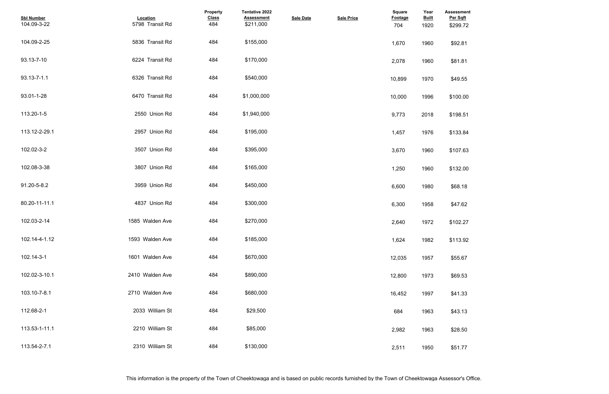| <b>Assessment</b><br>Per Sqft<br>\$299.72 |  |  |
|-------------------------------------------|--|--|
| \$92.81                                   |  |  |
| \$81.81                                   |  |  |
| \$49.55                                   |  |  |
| \$100.00                                  |  |  |
| \$198.51                                  |  |  |
| \$133.84                                  |  |  |
| \$107.63                                  |  |  |
| \$132.00                                  |  |  |
| \$68.18                                   |  |  |
| \$47.62                                   |  |  |
| \$102.27                                  |  |  |
| \$113.92                                  |  |  |
| \$55.67                                   |  |  |
| \$69.53                                   |  |  |
| \$41.33                                   |  |  |
| \$43.13                                   |  |  |
| \$28.50                                   |  |  |
| \$51.77                                   |  |  |

| <b>Sbl Number</b><br>104.09-3-22 | Location<br>5798 Transit Rd | Property<br><b>Class</b><br>484 | Tentative 2022<br><b>Assessment</b><br>\$211,000 | <b>Sale Date</b> | <b>Sale Price</b> | Square<br>Footage<br>704 | Year<br><b>Built</b><br>1920 | <b>Assessmer</b><br>Per Sqft<br>\$299.72 |
|----------------------------------|-----------------------------|---------------------------------|--------------------------------------------------|------------------|-------------------|--------------------------|------------------------------|------------------------------------------|
| 104.09-2-25                      | 5836 Transit Rd             | 484                             | \$155,000                                        |                  |                   | 1,670                    | 1960                         | \$92.81                                  |
| 93.13-7-10                       | 6224 Transit Rd             | 484                             | \$170,000                                        |                  |                   | 2,078                    | 1960                         | \$81.81                                  |
| 93.13-7-1.1                      | 6326 Transit Rd             | 484                             | \$540,000                                        |                  |                   | 10,899                   | 1970                         | \$49.55                                  |
| 93.01-1-28                       | 6470 Transit Rd             | 484                             | \$1,000,000                                      |                  |                   | 10,000                   | 1996                         | \$100.00                                 |
| 113.20-1-5                       | 2550 Union Rd               | 484                             | \$1,940,000                                      |                  |                   | 9,773                    | 2018                         | \$198.51                                 |
| 113.12-2-29.1                    | 2957 Union Rd               | 484                             | \$195,000                                        |                  |                   | 1,457                    | 1976                         | \$133.84                                 |
| 102.02-3-2                       | 3507 Union Rd               | 484                             | \$395,000                                        |                  |                   | 3,670                    | 1960                         | \$107.63                                 |
| 102.08-3-38                      | 3807 Union Rd               | 484                             | \$165,000                                        |                  |                   | 1,250                    | 1960                         | \$132.00                                 |
| 91.20-5-8.2                      | 3959 Union Rd               | 484                             | \$450,000                                        |                  |                   | 6,600                    | 1980                         | \$68.18                                  |
| 80.20-11-11.1                    | 4837 Union Rd               | 484                             | \$300,000                                        |                  |                   | 6,300                    | 1958                         | \$47.62                                  |
| 102.03-2-14                      | 1585 Walden Ave             | 484                             | \$270,000                                        |                  |                   | 2,640                    | 1972                         | \$102.27                                 |
| 102.14-4-1.12                    | 1593 Walden Ave             | 484                             | \$185,000                                        |                  |                   | 1,624                    | 1982                         | \$113.92                                 |
| 102.14-3-1                       | 1601 Walden Ave             | 484                             | \$670,000                                        |                  |                   | 12,035                   | 1957                         | \$55.67                                  |
| 102.02-3-10.1                    | 2410 Walden Ave             | 484                             | \$890,000                                        |                  |                   | 12,800                   | 1973                         | \$69.53                                  |
| 103.10-7-8.1                     | 2710 Walden Ave             | 484                             | \$680,000                                        |                  |                   | 16,452                   | 1997                         | \$41.33                                  |
| 112.68-2-1                       | 2033 William St             | 484                             | \$29,500                                         |                  |                   | 684                      | 1963                         | \$43.13                                  |
| 113.53-1-11.1                    | 2210 William St             | 484                             | \$85,000                                         |                  |                   | 2,982                    | 1963                         | \$28.50                                  |
| 113.54-2-7.1                     | 2310 William St             | 484                             | \$130,000                                        |                  |                   | 2,511                    | 1950                         | \$51.77                                  |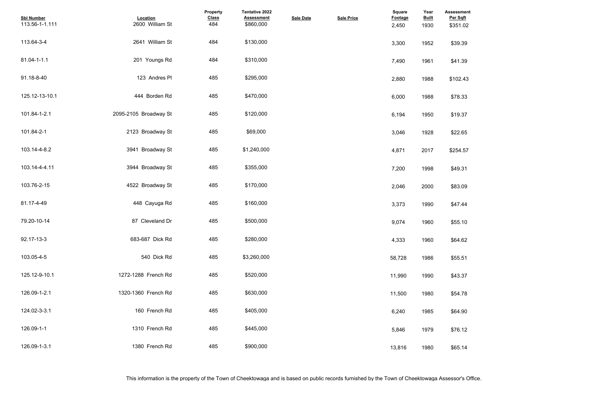| <b>Assessment</b><br>Per Sqft<br>\$351.02 |  |  |  |
|-------------------------------------------|--|--|--|
| \$39.39                                   |  |  |  |
| \$41.39                                   |  |  |  |
| \$102.43                                  |  |  |  |
| \$78.33                                   |  |  |  |
| \$19.37                                   |  |  |  |
| \$22.65                                   |  |  |  |
| \$254.57                                  |  |  |  |
| \$49.31                                   |  |  |  |
| \$83.09                                   |  |  |  |
| \$47.44                                   |  |  |  |
| \$55.10                                   |  |  |  |
| \$64.62                                   |  |  |  |
| \$55.51                                   |  |  |  |
| \$43.37                                   |  |  |  |
| \$54.78                                   |  |  |  |
| \$64.90                                   |  |  |  |
| \$76.12                                   |  |  |  |
| \$65.14                                   |  |  |  |

| <b>Sbl Number</b><br>113.56-1-1.111 | Location<br>2600 William St | <b>Property</b><br><b>Class</b><br>484 | Tentative 2022<br><b>Assessment</b><br>\$860,000 | <b>Sale Date</b> | <b>Sale Price</b> | Square<br><b>Footage</b><br>2,450 | Year<br><b>Built</b><br>1930 | <b>Assessmer</b><br>Per Sqft<br>\$351.02 |
|-------------------------------------|-----------------------------|----------------------------------------|--------------------------------------------------|------------------|-------------------|-----------------------------------|------------------------------|------------------------------------------|
| 113.64-3-4                          | 2641 William St             | 484                                    | \$130,000                                        |                  |                   | 3,300                             | 1952                         | \$39.39                                  |
| 81.04-1-1.1                         | 201 Youngs Rd               | 484                                    | \$310,000                                        |                  |                   | 7,490                             | 1961                         | \$41.39                                  |
| 91.18-8-40                          | 123 Andres PI               | 485                                    | \$295,000                                        |                  |                   | 2,880                             | 1988                         | \$102.43                                 |
| 125.12-13-10.1                      | 444 Borden Rd               | 485                                    | \$470,000                                        |                  |                   | 6,000                             | 1988                         | \$78.33                                  |
| 101.84-1-2.1                        | 2095-2105 Broadway St       | 485                                    | \$120,000                                        |                  |                   | 6,194                             | 1950                         | \$19.37                                  |
| 101.84-2-1                          | 2123 Broadway St            | 485                                    | \$69,000                                         |                  |                   | 3,046                             | 1928                         | \$22.65                                  |
| 103.14-4-8.2                        | 3941 Broadway St            | 485                                    | \$1,240,000                                      |                  |                   | 4,871                             | 2017                         | \$254.57                                 |
| 103.14-4-4.11                       | 3944 Broadway St            | 485                                    | \$355,000                                        |                  |                   | 7,200                             | 1998                         | \$49.31                                  |
| 103.76-2-15                         | 4522 Broadway St            | 485                                    | \$170,000                                        |                  |                   | 2,046                             | 2000                         | \$83.09                                  |
| 81.17-4-49                          | 448 Cayuga Rd               | 485                                    | \$160,000                                        |                  |                   | 3,373                             | 1990                         | \$47.44                                  |
| 79.20-10-14                         | 87 Cleveland Dr             | 485                                    | \$500,000                                        |                  |                   | 9,074                             | 1960                         | \$55.10                                  |
| 92.17-13-3                          | 683-687 Dick Rd             | 485                                    | \$280,000                                        |                  |                   | 4,333                             | 1960                         | \$64.62                                  |
| 103.05-4-5                          | 540 Dick Rd                 | 485                                    | \$3,260,000                                      |                  |                   | 58,728                            | 1986                         | \$55.51                                  |
| 125.12-9-10.1                       | 1272-1288 French Rd         | 485                                    | \$520,000                                        |                  |                   | 11,990                            | 1990                         | \$43.37                                  |
| 126.09-1-2.1                        | 1320-1360 French Rd         | 485                                    | \$630,000                                        |                  |                   | 11,500                            | 1980                         | \$54.78                                  |
| 124.02-3-3.1                        | 160 French Rd               | 485                                    | \$405,000                                        |                  |                   | 6,240                             | 1985                         | \$64.90                                  |
| 126.09-1-1                          | 1310 French Rd              | 485                                    | \$445,000                                        |                  |                   | 5,846                             | 1979                         | \$76.12                                  |
| 126.09-1-3.1                        | 1380 French Rd              | 485                                    | \$900,000                                        |                  |                   | 13,816                            | 1980                         | \$65.14                                  |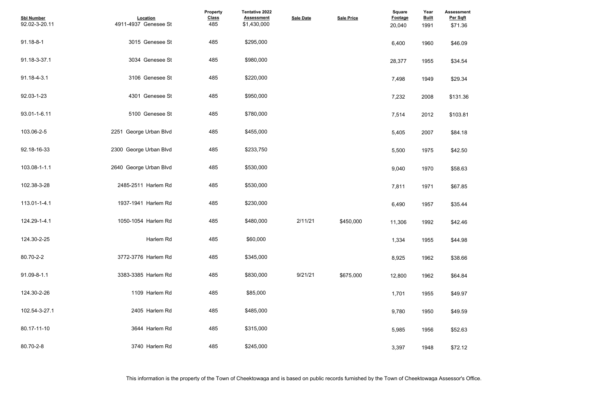| <b>Assessment</b><br>Per Sqft<br>\$71.36 |  |  |  |
|------------------------------------------|--|--|--|
|                                          |  |  |  |
| \$46.09                                  |  |  |  |
| \$34.54                                  |  |  |  |
| \$29.34                                  |  |  |  |
| \$131.36                                 |  |  |  |
| \$103.81                                 |  |  |  |
| \$84.18                                  |  |  |  |
| \$42.50                                  |  |  |  |
| \$58.63                                  |  |  |  |
| \$67.85                                  |  |  |  |
| \$35.44                                  |  |  |  |
| \$42.46                                  |  |  |  |
| \$44.98                                  |  |  |  |
| \$38.66                                  |  |  |  |
| \$64.84                                  |  |  |  |
| \$49.97                                  |  |  |  |
| \$49.59                                  |  |  |  |
| \$52.63                                  |  |  |  |
| \$72.12                                  |  |  |  |

| <b>Sbl Number</b><br>92.02-3-20.11 | Location<br>4911-4937 Genesee St | Property<br><b>Class</b><br>485 | Tentative 2022<br><b>Assessment</b><br>\$1,430,000 | <b>Sale Date</b> | <b>Sale Price</b> | Square<br>Footage<br>20,040 | Year<br><b>Built</b><br>1991 | <b>Assessmer</b><br>Per Sqft<br>\$71.36 |
|------------------------------------|----------------------------------|---------------------------------|----------------------------------------------------|------------------|-------------------|-----------------------------|------------------------------|-----------------------------------------|
| 91.18-8-1                          | 3015 Genesee St                  | 485                             | \$295,000                                          |                  |                   | 6,400                       | 1960                         | \$46.09                                 |
| 91.18-3-37.1                       | 3034 Genesee St                  | 485                             | \$980,000                                          |                  |                   | 28,377                      | 1955                         | \$34.54                                 |
| 91.18-4-3.1                        | 3106 Genesee St                  | 485                             | \$220,000                                          |                  |                   | 7,498                       | 1949                         | \$29.34                                 |
| 92.03-1-23                         | 4301 Genesee St                  | 485                             | \$950,000                                          |                  |                   | 7,232                       | 2008                         | \$131.36                                |
| 93.01-1-6.11                       | 5100 Genesee St                  | 485                             | \$780,000                                          |                  |                   | 7,514                       | 2012                         | \$103.81                                |
| 103.06-2-5                         | 2251 George Urban Blvd           | 485                             | \$455,000                                          |                  |                   | 5,405                       | 2007                         | \$84.18                                 |
| 92.18-16-33                        | 2300 George Urban Blvd           | 485                             | \$233,750                                          |                  |                   | 5,500                       | 1975                         | \$42.50                                 |
| 103.08-1-1.1                       | 2640 George Urban Blvd           | 485                             | \$530,000                                          |                  |                   | 9,040                       | 1970                         | \$58.63                                 |
| 102.38-3-28                        | 2485-2511 Harlem Rd              | 485                             | \$530,000                                          |                  |                   | 7,811                       | 1971                         | \$67.85                                 |
| 113.01-1-4.1                       | 1937-1941 Harlem Rd              | 485                             | \$230,000                                          |                  |                   | 6,490                       | 1957                         | \$35.44                                 |
| 124.29-1-4.1                       | 1050-1054 Harlem Rd              | 485                             | \$480,000                                          | 2/11/21          | \$450,000         | 11,306                      | 1992                         | \$42.46                                 |
| 124.30-2-25                        | Harlem Rd                        | 485                             | \$60,000                                           |                  |                   | 1,334                       | 1955                         | \$44.98                                 |
| 80.70-2-2                          | 3772-3776 Harlem Rd              | 485                             | \$345,000                                          |                  |                   | 8,925                       | 1962                         | \$38.66                                 |
| 91.09-8-1.1                        | 3383-3385 Harlem Rd              | 485                             | \$830,000                                          | 9/21/21          | \$675,000         | 12,800                      | 1962                         | \$64.84                                 |
| 124.30-2-26                        | 1109 Harlem Rd                   | 485                             | \$85,000                                           |                  |                   | 1,701                       | 1955                         | \$49.97                                 |
| 102.54-3-27.1                      | 2405 Harlem Rd                   | 485                             | \$485,000                                          |                  |                   | 9,780                       | 1950                         | \$49.59                                 |
| 80.17-11-10                        | 3644 Harlem Rd                   | 485                             | \$315,000                                          |                  |                   | 5,985                       | 1956                         | \$52.63                                 |
| 80.70-2-8                          | 3740 Harlem Rd                   | 485                             | \$245,000                                          |                  |                   | 3,397                       | 1948                         | \$72.12                                 |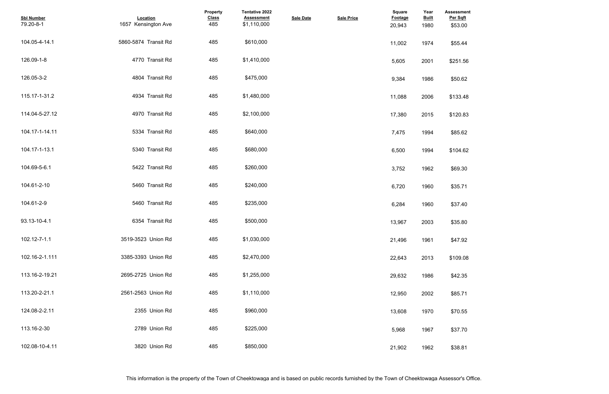| <b>Assessment</b><br>Per Sqft<br>\$53.00 |  |  |
|------------------------------------------|--|--|
| \$55.44                                  |  |  |
| \$251.56                                 |  |  |
| \$50.62                                  |  |  |
| \$133.48                                 |  |  |
| \$120.83                                 |  |  |
| \$85.62                                  |  |  |
| \$104.62                                 |  |  |
| \$69.30                                  |  |  |
| \$35.71                                  |  |  |
| \$37.40                                  |  |  |
| \$35.80                                  |  |  |
| \$47.92                                  |  |  |
| \$109.08                                 |  |  |
| \$42.35                                  |  |  |
| \$85.71                                  |  |  |
| \$70.55                                  |  |  |
| \$37.70                                  |  |  |
| \$38.81                                  |  |  |

| <b>Sbl Number</b><br>79.20-8-1 | Location<br>1657 Kensington Ave | Property<br><b>Class</b><br>485 | <b>Tentative 2022</b><br><b>Assessment</b><br>\$1,110,000 | <b>Sale Date</b> | <b>Sale Price</b> | <b>Square</b><br><b>Footage</b><br>20,943 | Year<br><b>Built</b><br>1980 | <b>Assessmer</b><br>Per Sqft<br>\$53.00 |
|--------------------------------|---------------------------------|---------------------------------|-----------------------------------------------------------|------------------|-------------------|-------------------------------------------|------------------------------|-----------------------------------------|
| 104.05-4-14.1                  | 5860-5874 Transit Rd            | 485                             | \$610,000                                                 |                  |                   | 11,002                                    | 1974                         | \$55.44                                 |
| 126.09-1-8                     | 4770 Transit Rd                 | 485                             | \$1,410,000                                               |                  |                   | 5,605                                     | 2001                         | \$251.56                                |
| 126.05-3-2                     | 4804 Transit Rd                 | 485                             | \$475,000                                                 |                  |                   | 9,384                                     | 1986                         | \$50.62                                 |
| 115.17-1-31.2                  | 4934 Transit Rd                 | 485                             | \$1,480,000                                               |                  |                   | 11,088                                    | 2006                         | \$133.48                                |
| 114.04-5-27.12                 | 4970 Transit Rd                 | 485                             | \$2,100,000                                               |                  |                   | 17,380                                    | 2015                         | \$120.83                                |
| 104.17-1-14.11                 | 5334 Transit Rd                 | 485                             | \$640,000                                                 |                  |                   | 7,475                                     | 1994                         | \$85.62                                 |
| 104.17-1-13.1                  | 5340 Transit Rd                 | 485                             | \$680,000                                                 |                  |                   | 6,500                                     | 1994                         | \$104.62                                |
| 104.69-5-6.1                   | 5422 Transit Rd                 | 485                             | \$260,000                                                 |                  |                   | 3,752                                     | 1962                         | \$69.30                                 |
| 104.61-2-10                    | 5460 Transit Rd                 | 485                             | \$240,000                                                 |                  |                   | 6,720                                     | 1960                         | \$35.71                                 |
| 104.61-2-9                     | 5460 Transit Rd                 | 485                             | \$235,000                                                 |                  |                   | 6,284                                     | 1960                         | \$37.40                                 |
| 93.13-10-4.1                   | 6354 Transit Rd                 | 485                             | \$500,000                                                 |                  |                   | 13,967                                    | 2003                         | \$35.80                                 |
| 102.12-7-1.1                   | 3519-3523 Union Rd              | 485                             | \$1,030,000                                               |                  |                   | 21,496                                    | 1961                         | \$47.92                                 |
| 102.16-2-1.111                 | 3385-3393 Union Rd              | 485                             | \$2,470,000                                               |                  |                   | 22,643                                    | 2013                         | \$109.08                                |
| 113.16-2-19.21                 | 2695-2725 Union Rd              | 485                             | \$1,255,000                                               |                  |                   | 29,632                                    | 1986                         | \$42.35                                 |
| 113.20-2-21.1                  | 2561-2563 Union Rd              | 485                             | \$1,110,000                                               |                  |                   | 12,950                                    | 2002                         | \$85.71                                 |
| 124.08-2-2.11                  | 2355 Union Rd                   | 485                             | \$960,000                                                 |                  |                   | 13,608                                    | 1970                         | \$70.55                                 |
| 113.16-2-30                    | 2789 Union Rd                   | 485                             | \$225,000                                                 |                  |                   | 5,968                                     | 1967                         | \$37.70                                 |
| 102.08-10-4.11                 | 3820 Union Rd                   | 485                             | \$850,000                                                 |                  |                   | 21,902                                    | 1962                         | \$38.81                                 |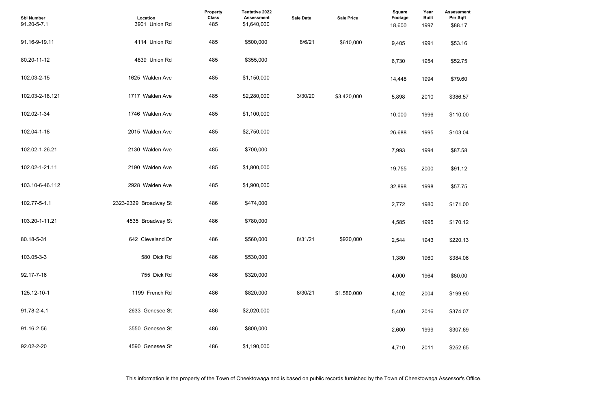| <b>Assessment</b><br>Per Sqft |  |  |
|-------------------------------|--|--|
| \$88.17                       |  |  |
| \$53.16                       |  |  |
| \$52.75                       |  |  |
| \$79.60                       |  |  |
| \$386.57                      |  |  |
| \$110.00                      |  |  |
| \$103.04                      |  |  |
| \$87.58                       |  |  |
| \$91.12                       |  |  |
| \$57.75                       |  |  |
| \$171.00                      |  |  |
| \$170.12                      |  |  |
| \$220.13                      |  |  |
| \$384.06                      |  |  |
| \$80.00                       |  |  |
| \$199.90                      |  |  |
| \$374.07                      |  |  |
| \$307.69                      |  |  |
| \$252.65                      |  |  |

| <b>Sbl Number</b><br>91.20-5-7.1 | Location<br>3901 Union Rd | Property<br><b>Class</b><br>485 | Tentative 2022<br><b>Assessment</b><br>\$1,640,000 | <b>Sale Date</b> | <b>Sale Price</b> | Square<br><b>Footage</b><br>18,600 | Year<br><b>Built</b><br>1997 | Assessmer<br>Per Sqft<br>\$88.17 |
|----------------------------------|---------------------------|---------------------------------|----------------------------------------------------|------------------|-------------------|------------------------------------|------------------------------|----------------------------------|
| 91.16-9-19.11                    | 4114 Union Rd             | 485                             | \$500,000                                          | 8/6/21           | \$610,000         | 9,405                              | 1991                         | \$53.16                          |
| 80.20-11-12                      | 4839 Union Rd             | 485                             | \$355,000                                          |                  |                   | 6,730                              | 1954                         | \$52.75                          |
| 102.03-2-15                      | 1625 Walden Ave           | 485                             | \$1,150,000                                        |                  |                   | 14,448                             | 1994                         | \$79.60                          |
| 102.03-2-18.121                  | 1717 Walden Ave           | 485                             | \$2,280,000                                        | 3/30/20          | \$3.420.000       | 5,898                              | 2010                         | \$386.57                         |
| 102.02-1-34                      | 1746 Walden Ave           | 485                             | \$1,100,000                                        |                  |                   | 10,000                             | 1996                         | \$110.00                         |
| 102.04-1-18                      | 2015 Walden Ave           | 485                             | \$2,750,000                                        |                  |                   | 26,688                             | 1995                         | \$103.04                         |
| 102.02-1-26.21                   | 2130 Walden Ave           | 485                             | \$700,000                                          |                  |                   | 7,993                              | 1994                         | \$87.58                          |
| 102.02-1-21.11                   | 2190 Walden Ave           | 485                             | \$1,800,000                                        |                  |                   | 19,755                             | 2000                         | \$91.12                          |
| 103.10-6-46.112                  | 2928 Walden Ave           | 485                             | \$1,900,000                                        |                  |                   | 32,898                             | 1998                         | \$57.75                          |
| 102.77-5-1.1                     | 2323-2329 Broadway St     | 486                             | \$474,000                                          |                  |                   | 2,772                              | 1980                         | \$171.00                         |
| 103.20-1-11.21                   | 4535 Broadway St          | 486                             | \$780,000                                          |                  |                   | 4,585                              | 1995                         | \$170.12                         |
| 80.18-5-31                       | 642 Cleveland Dr          | 486                             | \$560,000                                          | 8/31/21          | \$920,000         | 2,544                              | 1943                         | \$220.13                         |
| 103.05-3-3                       | 580 Dick Rd               | 486                             | \$530,000                                          |                  |                   | 1,380                              | 1960                         | \$384.06                         |
| 92.17-7-16                       | 755 Dick Rd               | 486                             | \$320,000                                          |                  |                   | 4,000                              | 1964                         | \$80.00                          |
| 125.12-10-1                      | 1199 French Rd            | 486                             | \$820,000                                          | 8/30/21          | \$1,580,000       | 4,102                              | 2004                         | \$199.90                         |
| 91.78-2-4.1                      | 2633 Genesee St           | 486                             | \$2,020,000                                        |                  |                   | 5,400                              | 2016                         | \$374.07                         |
| 91.16-2-56                       | 3550 Genesee St           | 486                             | \$800,000                                          |                  |                   | 2,600                              | 1999                         | \$307.69                         |
| 92.02-2-20                       | 4590 Genesee St           | 486                             | \$1,190,000                                        |                  |                   | 4,710                              | 2011                         | \$252.65                         |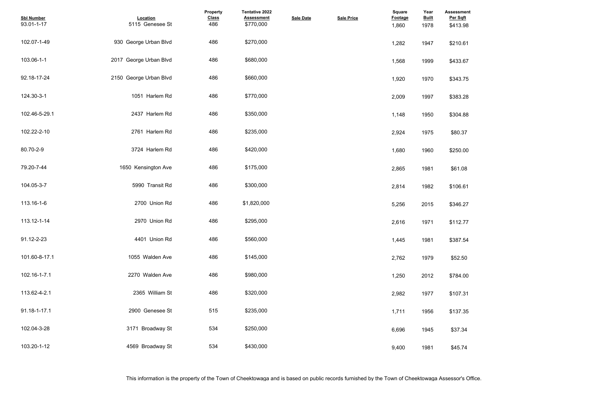| <b>Assessment</b><br>Per Sqft |  |  |  |
|-------------------------------|--|--|--|
| \$413.98                      |  |  |  |
| \$210.61                      |  |  |  |
| \$433.67                      |  |  |  |
| \$343.75                      |  |  |  |
| \$383.28                      |  |  |  |
| \$304.88                      |  |  |  |
| \$80.37                       |  |  |  |
| \$250.00                      |  |  |  |
| \$61.08                       |  |  |  |
| \$106.61                      |  |  |  |
| \$346.27                      |  |  |  |
| \$112.77                      |  |  |  |
| \$387.54                      |  |  |  |
| \$52.50                       |  |  |  |
| \$784.00                      |  |  |  |
| \$107.31                      |  |  |  |
| \$137.35                      |  |  |  |
| \$37.34                       |  |  |  |
| \$45.74                       |  |  |  |

| <b>Sbl Number</b><br>93.01-1-17 | Location<br>5115 Genesee St | Property<br><b>Class</b><br>486 | <b>Tentative 2022</b><br><b>Assessment</b><br>\$770,000 | <b>Sale Date</b> | <b>Sale Price</b> | <b>Square</b><br>Footage<br>1,860 | Year<br><b>Built</b><br>1978 | <b>Assessmer</b><br>Per Sqft<br>\$413.98 |
|---------------------------------|-----------------------------|---------------------------------|---------------------------------------------------------|------------------|-------------------|-----------------------------------|------------------------------|------------------------------------------|
| 102.07-1-49                     | 930 George Urban Blvd       | 486                             | \$270,000                                               |                  |                   | 1,282                             | 1947                         | \$210.61                                 |
| 103.06-1-1                      | 2017 George Urban Blvd      | 486                             | \$680,000                                               |                  |                   | 1,568                             | 1999                         | \$433.67                                 |
| 92.18-17-24                     | 2150 George Urban Blvd      | 486                             | \$660,000                                               |                  |                   | 1,920                             | 1970                         | \$343.75                                 |
| 124.30-3-1                      | 1051 Harlem Rd              | 486                             | \$770,000                                               |                  |                   | 2,009                             | 1997                         | \$383.28                                 |
| 102.46-5-29.1                   | 2437 Harlem Rd              | 486                             | \$350,000                                               |                  |                   | 1,148                             | 1950                         | \$304.88                                 |
| 102.22-2-10                     | 2761 Harlem Rd              | 486                             | \$235,000                                               |                  |                   | 2,924                             | 1975                         | \$80.37                                  |
| 80.70-2-9                       | 3724 Harlem Rd              | 486                             | \$420,000                                               |                  |                   | 1,680                             | 1960                         | \$250.00                                 |
| 79.20-7-44                      | 1650 Kensington Ave         | 486                             | \$175,000                                               |                  |                   | 2,865                             | 1981                         | \$61.08                                  |
| 104.05-3-7                      | 5990 Transit Rd             | 486                             | \$300,000                                               |                  |                   | 2,814                             | 1982                         | \$106.61                                 |
| 113.16-1-6                      | 2700 Union Rd               | 486                             | \$1,820,000                                             |                  |                   | 5,256                             | 2015                         | \$346.27                                 |
| 113.12-1-14                     | 2970 Union Rd               | 486                             | \$295,000                                               |                  |                   | 2,616                             | 1971                         | \$112.77                                 |
| 91.12-2-23                      | 4401 Union Rd               | 486                             | \$560,000                                               |                  |                   | 1,445                             | 1981                         | \$387.54                                 |
| 101.60-8-17.1                   | 1055 Walden Ave             | 486                             | \$145,000                                               |                  |                   | 2,762                             | 1979                         | \$52.50                                  |
| 102.16-1-7.1                    | 2270 Walden Ave             | 486                             | \$980,000                                               |                  |                   | 1,250                             | 2012                         | \$784.00                                 |
| 113.62-4-2.1                    | 2365 William St             | 486                             | \$320,000                                               |                  |                   | 2,982                             | 1977                         | \$107.31                                 |
| 91.18-1-17.1                    | 2900 Genesee St             | 515                             | \$235,000                                               |                  |                   | 1,711                             | 1956                         | \$137.35                                 |
| 102.04-3-28                     | 3171 Broadway St            | 534                             | \$250,000                                               |                  |                   | 6,696                             | 1945                         | \$37.34                                  |
| 103.20-1-12                     | 4569 Broadway St            | 534                             | \$430,000                                               |                  |                   | 9,400                             | 1981                         | \$45.74                                  |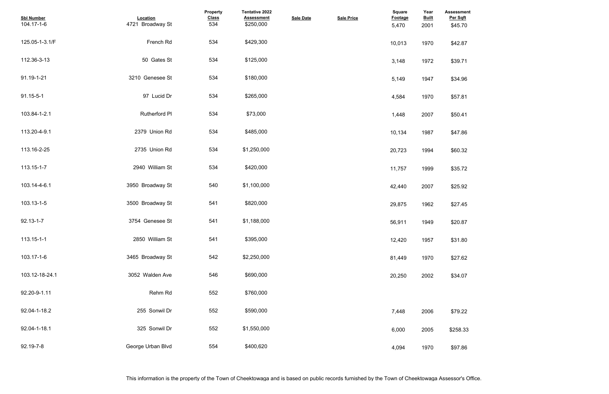| <b>Assessment</b><br>Per Sqft |  |  |  |
|-------------------------------|--|--|--|
| \$45.70                       |  |  |  |
| \$42.87                       |  |  |  |
| \$39.71                       |  |  |  |
| \$34.96                       |  |  |  |
| \$57.81                       |  |  |  |
| \$50.41                       |  |  |  |
| \$47.86                       |  |  |  |
| \$60.32                       |  |  |  |
| \$35.72                       |  |  |  |
| \$25.92                       |  |  |  |
| \$27.45                       |  |  |  |
| \$20.87                       |  |  |  |
| \$31.80                       |  |  |  |
| \$27.62                       |  |  |  |
| \$34.07                       |  |  |  |
|                               |  |  |  |
| \$79.22                       |  |  |  |
| \$258.33                      |  |  |  |
| \$97.86                       |  |  |  |

| <b>Sbl Number</b><br>104.17-1-6 | Location<br>4721 Broadway St | Property<br><b>Class</b><br>534 | <b>Tentative 2022</b><br><b>Assessment</b><br>\$250,000 | <b>Sale Date</b> | <b>Sale Price</b> | <b>Square</b><br>Footage<br>5,470 | Year<br><b>Built</b><br>2001 | <b>Assessmer</b><br>Per Sqft<br>\$45.70 |
|---------------------------------|------------------------------|---------------------------------|---------------------------------------------------------|------------------|-------------------|-----------------------------------|------------------------------|-----------------------------------------|
| 125.05-1-3.1/F                  | French Rd                    | 534                             | \$429,300                                               |                  |                   | 10,013                            | 1970                         | \$42.87                                 |
| 112.36-3-13                     | 50 Gates St                  | 534                             | \$125,000                                               |                  |                   | 3,148                             | 1972                         | \$39.71                                 |
| 91.19-1-21                      | 3210 Genesee St              | 534                             | \$180,000                                               |                  |                   | 5,149                             | 1947                         | \$34.96                                 |
| 91.15-5-1                       | 97 Lucid Dr                  | 534                             | \$265,000                                               |                  |                   | 4,584                             | 1970                         | \$57.81                                 |
| 103.84-1-2.1                    | Rutherford PI                | 534                             | \$73,000                                                |                  |                   | 1,448                             | 2007                         | \$50.41                                 |
| 113.20-4-9.1                    | 2379 Union Rd                | 534                             | \$485,000                                               |                  |                   | 10,134                            | 1987                         | \$47.86                                 |
| 113.16-2-25                     | 2735 Union Rd                | 534                             | \$1,250,000                                             |                  |                   | 20,723                            | 1994                         | \$60.32                                 |
| 113.15-1-7                      | 2940 William St              | 534                             | \$420,000                                               |                  |                   | 11,757                            | 1999                         | \$35.72                                 |
| 103.14-4-6.1                    | 3950 Broadway St             | 540                             | \$1,100,000                                             |                  |                   | 42,440                            | 2007                         | \$25.92                                 |
| 103.13-1-5                      | 3500 Broadway St             | 541                             | \$820,000                                               |                  |                   | 29,875                            | 1962                         | \$27.45                                 |
| $92.13 - 1 - 7$                 | 3754 Genesee St              | 541                             | \$1,188,000                                             |                  |                   | 56,911                            | 1949                         | \$20.87                                 |
| 113.15-1-1                      | 2850 William St              | 541                             | \$395,000                                               |                  |                   | 12,420                            | 1957                         | \$31.80                                 |
| 103.17-1-6                      | 3465 Broadway St             | 542                             | \$2,250,000                                             |                  |                   | 81,449                            | 1970                         | \$27.62                                 |
| 103.12-18-24.1                  | 3052 Walden Ave              | 546                             | \$690,000                                               |                  |                   | 20,250                            | 2002                         | \$34.07                                 |
| 92.20-9-1.11                    | Rehm Rd                      | 552                             | \$760,000                                               |                  |                   |                                   |                              |                                         |
| 92.04-1-18.2                    | 255 Sonwil Dr                | 552                             | \$590,000                                               |                  |                   | 7,448                             | 2006                         | \$79.22                                 |
| 92.04-1-18.1                    | 325 Sonwil Dr                | 552                             | \$1,550,000                                             |                  |                   | 6,000                             | 2005                         | \$258.33                                |
| 92.19-7-8                       | George Urban Blvd            | 554                             | \$400,620                                               |                  |                   | 4,094                             | 1970                         | \$97.86                                 |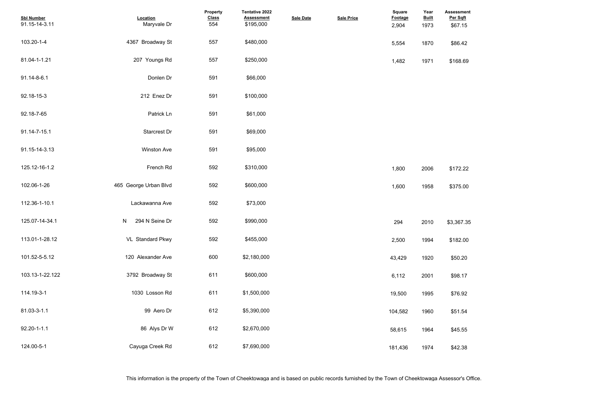| <b>Sbl Number</b><br>91.15-14-3.11 | Location<br>Maryvale Dr | Property<br><b>Class</b><br>554 | <b>Tentative 2022</b><br><b>Assessment</b><br>\$195,000 | <b>Sale Date</b> | <b>Sale Price</b> | Square<br><b>Footage</b><br>2,904 | Year<br><b>Built</b><br>1973 | <b>Assessment</b><br>Per Sqft<br>\$67.15 |
|------------------------------------|-------------------------|---------------------------------|---------------------------------------------------------|------------------|-------------------|-----------------------------------|------------------------------|------------------------------------------|
| 103.20-1-4                         | 4367 Broadway St        | 557                             | \$480,000                                               |                  |                   | 5,554                             | 1870                         | \$86.42                                  |
| 81.04-1-1.21                       | 207 Youngs Rd           | 557                             | \$250,000                                               |                  |                   | 1,482                             | 1971                         | \$168.69                                 |
| 91.14-8-6.1                        | Donlen Dr               | 591                             | \$66,000                                                |                  |                   |                                   |                              |                                          |
| 92.18-15-3                         | 212 Enez Dr             | 591                             | \$100,000                                               |                  |                   |                                   |                              |                                          |
| 92.18-7-65                         | Patrick Ln              | 591                             | \$61,000                                                |                  |                   |                                   |                              |                                          |
| 91.14-7-15.1                       | <b>Starcrest Dr</b>     | 591                             | \$69,000                                                |                  |                   |                                   |                              |                                          |
| 91.15-14-3.13                      | <b>Winston Ave</b>      | 591                             | \$95,000                                                |                  |                   |                                   |                              |                                          |
| 125.12-16-1.2                      | French Rd               | 592                             | \$310,000                                               |                  |                   | 1,800                             | 2006                         | \$172.22                                 |
| 102.06-1-26                        | 465 George Urban Blvd   | 592                             | \$600,000                                               |                  |                   | 1,600                             | 1958                         | \$375.00                                 |
| 112.36-1-10.1                      | Lackawanna Ave          | 592                             | \$73,000                                                |                  |                   |                                   |                              |                                          |
| 125.07-14-34.1                     | N 294 N Seine Dr        | 592                             | \$990,000                                               |                  |                   | 294                               | 2010                         | \$3,367.35                               |
| 113.01-1-28.12                     | VL Standard Pkwy        | 592                             | \$455,000                                               |                  |                   | 2,500                             | 1994                         | \$182.00                                 |
| 101.52-5-5.12                      | 120 Alexander Ave       | 600                             | \$2,180,000                                             |                  |                   | 43,429                            | 1920                         | \$50.20                                  |
| 103.13-1-22.122                    | 3792 Broadway St        | 611                             | \$600,000                                               |                  |                   | 6,112                             | 2001                         | \$98.17                                  |
| 114.19-3-1                         | 1030 Losson Rd          | 611                             | \$1,500,000                                             |                  |                   | 19,500                            | 1995                         | \$76.92                                  |
| 81.03-3-1.1                        | 99 Aero Dr              | 612                             | \$5,390,000                                             |                  |                   | 104,582                           | 1960                         | \$51.54                                  |
| $92.20 - 1 - 1.1$                  | 86 Alys Dr W            | 612                             | \$2,670,000                                             |                  |                   | 58,615                            | 1964                         | \$45.55                                  |
| 124.00-5-1                         | Cayuga Creek Rd         | 612                             | \$7,690,000                                             |                  |                   | 181,436                           | 1974                         | \$42.38                                  |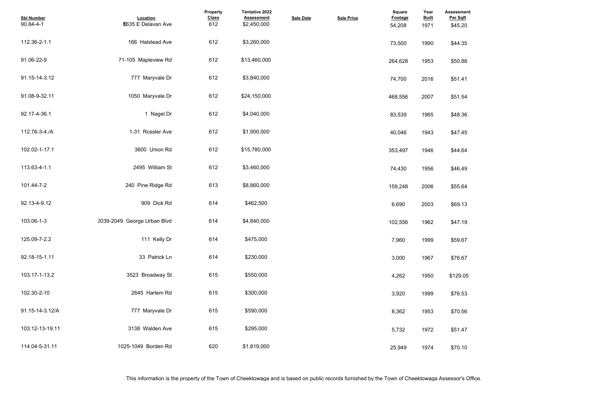| <b>Assessment</b><br>Per Sqft<br>\$45.20 |  |  |  |
|------------------------------------------|--|--|--|
| \$44.35                                  |  |  |  |
| \$50.86                                  |  |  |  |
| \$51.41                                  |  |  |  |
| \$51.54                                  |  |  |  |
| \$48.36                                  |  |  |  |
| \$47.45                                  |  |  |  |
| \$44.64                                  |  |  |  |
| \$46.49                                  |  |  |  |
| \$55.64                                  |  |  |  |
| \$69.13                                  |  |  |  |
| \$47.19                                  |  |  |  |
| \$59.67                                  |  |  |  |
| \$76.67                                  |  |  |  |
| \$129.05                                 |  |  |  |
| \$76.53                                  |  |  |  |
| \$70.56                                  |  |  |  |
| \$51.47                                  |  |  |  |
| \$70.10                                  |  |  |  |

| <b>Sbl Number</b><br>90.84-4-1 | Location<br><b>E635 E Delavan Ave</b> | Property<br><b>Class</b><br>612 | Tentative 2022<br><b>Assessment</b><br>\$2,450,000 | <b>Sale Date</b> | <b>Sale Price</b> | <b>Square</b><br>Footage<br>54,208 | Year<br><b>Built</b><br>1971 | Assessmen<br>Per Sqft<br>\$45.20 |
|--------------------------------|---------------------------------------|---------------------------------|----------------------------------------------------|------------------|-------------------|------------------------------------|------------------------------|----------------------------------|
| 112.36-2-1.1                   | 166 Halstead Ave                      | 612                             | \$3,260,000                                        |                  |                   | 73,500                             | 1990                         | \$44.35                          |
| 91.06-22-9                     | 71-105 Mapleview Rd                   | 612                             | \$13,460,000                                       |                  |                   | 264,628                            | 1953                         | \$50.86                          |
| 91.15-14-3.12                  | 777 Maryvale Dr                       | 612                             | \$3,840,000                                        |                  |                   | 74,700                             | 2016                         | \$51.41                          |
| 91.08-9-32.11                  | 1050 Maryvale Dr                      | 612                             | \$24,150,000                                       |                  |                   | 468,556                            | 2007                         | \$51.54                          |
| 92.17-4-36.1                   | 1 Nagel Dr                            | 612                             | \$4,040,000                                        |                  |                   | 83,539                             | 1965                         | \$48.36                          |
| 112.76-3-4./A                  | 1-31 Rossler Ave                      | 612                             | \$1,900,000                                        |                  |                   | 40,046                             | 1943                         | \$47.45                          |
| 102.02-1-17.1                  | 3600 Union Rd                         | 612                             | \$15,780,000                                       |                  |                   | 353,497                            | 1946                         | \$44.64                          |
| 113.63-4-1.1                   | 2495 William St                       | 612                             | \$3,460,000                                        |                  |                   | 74,430                             | 1956                         | \$46.49                          |
| 101.44-7-2                     | 240 Pine Ridge Rd                     | 613                             | \$8,860,000                                        |                  |                   | 159,248                            | 2006                         | \$55.64                          |
| 92.13-4-9.12                   | 909 Dick Rd                           | 614                             | \$462,500                                          |                  |                   | 6,690                              | 2003                         | \$69.13                          |
| 103.06-1-3                     | 2039-2049 George Urban Blvd           | 614                             | \$4,840,000                                        |                  |                   | 102,556                            | 1962                         | \$47.19                          |
| 125.09-7-2.2                   | 111 Kelly Dr                          | 614                             | \$475,000                                          |                  |                   | 7,960                              | 1999                         | \$59.67                          |
| 92.18-15-1.11                  | 33 Patrick Ln                         | 614                             | \$230,000                                          |                  |                   | 3,000                              | 1967                         | \$76.67                          |
| 103.17-1-13.2                  | 3523 Broadway St                      | 615                             | \$550,000                                          |                  |                   | 4,262                              | 1950                         | \$129.05                         |
| 102.30-2-10                    | 2645 Harlem Rd                        | 615                             | \$300,000                                          |                  |                   | 3,920                              | 1999                         | \$76.53                          |
| 91.15-14-3.12/A                | 777 Maryvale Dr                       | 615                             | \$590,000                                          |                  |                   | 8,362                              | 1953                         | \$70.56                          |
| 103.12-13-19.11                | 3138 Walden Ave                       | 615                             | \$295,000                                          |                  |                   | 5,732                              | 1972                         | \$51.47                          |
| 114.04-5-31.11                 | 1025-1049 Borden Rd                   | 620                             | \$1,819,000                                        |                  |                   | 25,949                             | 1974                         | \$70.10                          |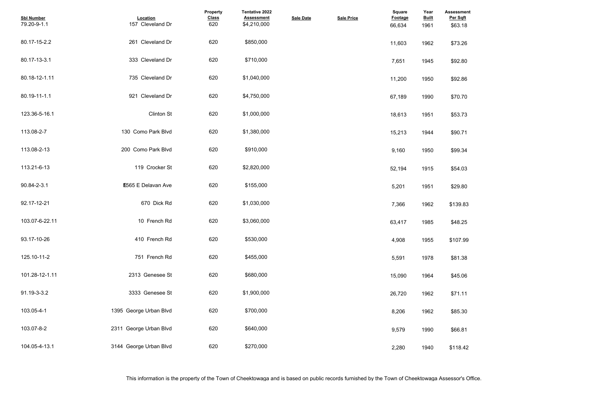| <b>Assessment</b><br>Per Sqft |  |  |  |
|-------------------------------|--|--|--|
| \$63.18                       |  |  |  |
| \$73.26                       |  |  |  |
| \$92.80                       |  |  |  |
| \$92.86                       |  |  |  |
| \$70.70                       |  |  |  |
| \$53.73                       |  |  |  |
| \$90.71                       |  |  |  |
| \$99.34                       |  |  |  |
| \$54.03                       |  |  |  |
| \$29.80                       |  |  |  |
| \$139.83                      |  |  |  |
| \$48.25                       |  |  |  |
| \$107.99                      |  |  |  |
| \$81.38                       |  |  |  |
| \$45.06                       |  |  |  |
| \$71.11                       |  |  |  |
| \$85.30                       |  |  |  |
| \$66.81                       |  |  |  |
| \$118.42                      |  |  |  |

| <b>Sbl Number</b><br>79.20-9-1.1 | Location<br>157 Cleveland Dr | <b>Property</b><br><b>Class</b><br>620 | <b>Tentative 2022</b><br><b>Assessment</b><br>\$4,210,000 | <b>Sale Date</b> | <b>Sale Price</b> | <b>Square</b><br>Footage<br>66,634 | Year<br><b>Built</b><br>1961 | <b>Assessmer</b><br>Per Sqft<br>\$63.18 |
|----------------------------------|------------------------------|----------------------------------------|-----------------------------------------------------------|------------------|-------------------|------------------------------------|------------------------------|-----------------------------------------|
| 80.17-15-2.2                     | 261 Cleveland Dr             | 620                                    | \$850,000                                                 |                  |                   | 11,603                             | 1962                         | \$73.26                                 |
| 80.17-13-3.1                     | 333 Cleveland Dr             | 620                                    | \$710,000                                                 |                  |                   | 7,651                              | 1945                         | \$92.80                                 |
| 80.18-12-1.11                    | 735 Cleveland Dr             | 620                                    | \$1,040,000                                               |                  |                   | 11,200                             | 1950                         | \$92.86                                 |
| 80.19-11-1.1                     | 921 Cleveland Dr             | 620                                    | \$4,750,000                                               |                  |                   | 67,189                             | 1990                         | \$70.70                                 |
| 123.36-5-16.1                    | <b>Clinton St</b>            | 620                                    | \$1,000,000                                               |                  |                   | 18,613                             | 1951                         | \$53.73                                 |
| 113.08-2-7                       | 130 Como Park Blvd           | 620                                    | \$1,380,000                                               |                  |                   | 15,213                             | 1944                         | \$90.71                                 |
| 113.08-2-13                      | 200 Como Park Blvd           | 620                                    | \$910,000                                                 |                  |                   | 9,160                              | 1950                         | \$99.34                                 |
| 113.21-6-13                      | 119 Crocker St               | 620                                    | \$2,820,000                                               |                  |                   | 52,194                             | 1915                         | \$54.03                                 |
| 90.84-2-3.1                      | <b>E565 E Delavan Ave</b>    | 620                                    | \$155,000                                                 |                  |                   | 5,201                              | 1951                         | \$29.80                                 |
| 92.17-12-21                      | 670 Dick Rd                  | 620                                    | \$1,030,000                                               |                  |                   | 7,366                              | 1962                         | \$139.83                                |
| 103.07-6-22.11                   | 10 French Rd                 | 620                                    | \$3,060,000                                               |                  |                   | 63,417                             | 1985                         | \$48.25                                 |
| 93.17-10-26                      | 410 French Rd                | 620                                    | \$530,000                                                 |                  |                   | 4,908                              | 1955                         | \$107.99                                |
| 125.10-11-2                      | 751 French Rd                | 620                                    | \$455,000                                                 |                  |                   | 5,591                              | 1978                         | \$81.38                                 |
| 101.28-12-1.11                   | 2313 Genesee St              | 620                                    | \$680,000                                                 |                  |                   | 15,090                             | 1964                         | \$45.06                                 |
| 91.19-3-3.2                      | 3333 Genesee St              | 620                                    | \$1,900,000                                               |                  |                   | 26,720                             | 1962                         | \$71.11                                 |
| 103.05-4-1                       | 1395 George Urban Blvd       | 620                                    | \$700,000                                                 |                  |                   | 8,206                              | 1962                         | \$85.30                                 |
| 103.07-8-2                       | 2311 George Urban Blvd       | 620                                    | \$640,000                                                 |                  |                   | 9,579                              | 1990                         | \$66.81                                 |
| 104.05-4-13.1                    | 3144 George Urban Blvd       | 620                                    | \$270,000                                                 |                  |                   | 2,280                              | 1940                         | \$118.42                                |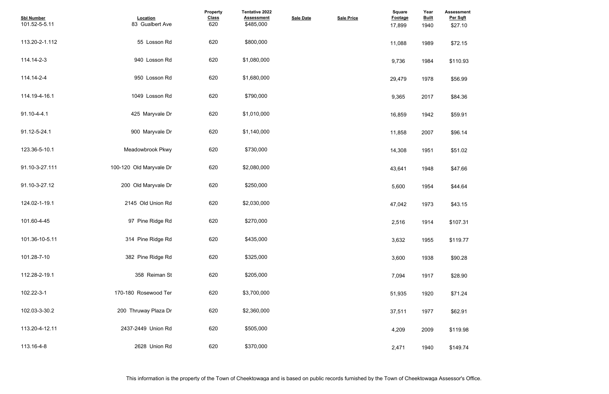| <b>Assessment</b><br>Per Sqft<br>\$27.10 |  |  |
|------------------------------------------|--|--|
| \$72.15                                  |  |  |
| \$110.93                                 |  |  |
| \$56.99                                  |  |  |
| \$84.36                                  |  |  |
| \$59.91                                  |  |  |
| \$96.14                                  |  |  |
| \$51.02                                  |  |  |
| \$47.66                                  |  |  |
| \$44.64                                  |  |  |
| \$43.15                                  |  |  |
| \$107.31                                 |  |  |
| \$119.77                                 |  |  |
| \$90.28                                  |  |  |
| \$28.90                                  |  |  |
| \$71.24                                  |  |  |
| \$62.91                                  |  |  |
| \$119.98                                 |  |  |
| \$149.74                                 |  |  |

| <b>Sbl Number</b><br>101.52-5-5.11 | Location<br>83 Gualbert Ave | Property<br><b>Class</b><br>620 | <b>Tentative 2022</b><br><b>Assessment</b><br>\$485,000 | <b>Sale Date</b> | <b>Sale Price</b> | <b>Square</b><br>Footage<br>17,899 | Year<br><b>Built</b><br>1940 | <b>Assessmer</b><br>Per Sqft<br>\$27.10 |
|------------------------------------|-----------------------------|---------------------------------|---------------------------------------------------------|------------------|-------------------|------------------------------------|------------------------------|-----------------------------------------|
| 113.20-2-1.112                     | 55 Losson Rd                | 620                             | \$800,000                                               |                  |                   | 11,088                             | 1989                         | \$72.15                                 |
| 114.14-2-3                         | 940 Losson Rd               | 620                             | \$1,080,000                                             |                  |                   | 9,736                              | 1984                         | \$110.93                                |
| 114.14-2-4                         | 950 Losson Rd               | 620                             | \$1,680,000                                             |                  |                   | 29,479                             | 1978                         | \$56.99                                 |
| 114.19-4-16.1                      | 1049 Losson Rd              | 620                             | \$790,000                                               |                  |                   | 9,365                              | 2017                         | \$84.36                                 |
| 91.10-4-4.1                        | 425 Maryvale Dr             | 620                             | \$1,010,000                                             |                  |                   | 16,859                             | 1942                         | \$59.91                                 |
| 91.12-5-24.1                       | 900 Maryvale Dr             | 620                             | \$1,140,000                                             |                  |                   | 11,858                             | 2007                         | \$96.14                                 |
| 123.36-5-10.1                      | Meadowbrook Pkwy            | 620                             | \$730,000                                               |                  |                   | 14,308                             | 1951                         | \$51.02                                 |
| 91.10-3-27.111                     | 100-120 Old Maryvale Dr     | 620                             | \$2,080,000                                             |                  |                   | 43,641                             | 1948                         | \$47.66                                 |
| 91.10-3-27.12                      | 200 Old Maryvale Dr         | 620                             | \$250,000                                               |                  |                   | 5,600                              | 1954                         | \$44.64                                 |
| 124.02-1-19.1                      | 2145 Old Union Rd           | 620                             | \$2,030,000                                             |                  |                   | 47,042                             | 1973                         | \$43.15                                 |
| 101.60-4-45                        | 97 Pine Ridge Rd            | 620                             | \$270,000                                               |                  |                   | 2,516                              | 1914                         | \$107.31                                |
| 101.36-10-5.11                     | 314 Pine Ridge Rd           | 620                             | \$435,000                                               |                  |                   | 3,632                              | 1955                         | \$119.77                                |
| 101.28-7-10                        | 382 Pine Ridge Rd           | 620                             | \$325,000                                               |                  |                   | 3,600                              | 1938                         | \$90.28                                 |
| 112.28-2-19.1                      | 358 Reiman St               | 620                             | \$205,000                                               |                  |                   | 7,094                              | 1917                         | \$28.90                                 |
| 102.22-3-1                         | 170-180 Rosewood Ter        | 620                             | \$3,700,000                                             |                  |                   | 51,935                             | 1920                         | \$71.24                                 |
| 102.03-3-30.2                      | 200 Thruway Plaza Dr        | 620                             | \$2,360,000                                             |                  |                   | 37,511                             | 1977                         | \$62.91                                 |
| 113.20-4-12.11                     | 2437-2449 Union Rd          | 620                             | \$505,000                                               |                  |                   | 4,209                              | 2009                         | \$119.98                                |
| 113.16-4-8                         | 2628 Union Rd               | 620                             | \$370,000                                               |                  |                   | 2,471                              | 1940                         | \$149.74                                |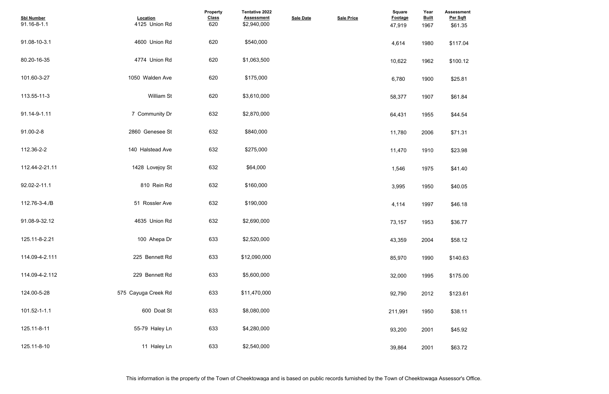| <b>Assessment</b><br>Per Sqft<br>\$61.35 |  |  |  |
|------------------------------------------|--|--|--|
| \$117.04                                 |  |  |  |
| \$100.12                                 |  |  |  |
| \$25.81                                  |  |  |  |
| \$61.84                                  |  |  |  |
| \$44.54                                  |  |  |  |
| \$71.31                                  |  |  |  |
| \$23.98                                  |  |  |  |
| \$41.40                                  |  |  |  |
| \$40.05                                  |  |  |  |
| \$46.18                                  |  |  |  |
| \$36.77                                  |  |  |  |
| \$58.12                                  |  |  |  |
| \$140.63                                 |  |  |  |
| \$175.00                                 |  |  |  |
| \$123.61                                 |  |  |  |
| \$38.11                                  |  |  |  |
| \$45.92                                  |  |  |  |
| \$63.72                                  |  |  |  |

| <b>Sbl Number</b><br>91.16-8-1.1 | Location<br>4125 Union Rd | Property<br><b>Class</b><br>620 | <b>Tentative 2022</b><br><b>Assessment</b><br>\$2,940,000 | <b>Sale Date</b> | <b>Sale Price</b> | <b>Square</b><br>Footage<br>47,919 | Year<br><b>Built</b><br>1967 | <b>Assessmer</b><br>Per Sqft<br>\$61.35 |
|----------------------------------|---------------------------|---------------------------------|-----------------------------------------------------------|------------------|-------------------|------------------------------------|------------------------------|-----------------------------------------|
| 91.08-10-3.1                     | 4600 Union Rd             | 620                             | \$540,000                                                 |                  |                   | 4,614                              | 1980                         | \$117.04                                |
| 80.20-16-35                      | 4774 Union Rd             | 620                             | \$1,063,500                                               |                  |                   | 10,622                             | 1962                         | \$100.12                                |
| 101.60-3-27                      | 1050 Walden Ave           | 620                             | \$175,000                                                 |                  |                   | 6,780                              | 1900                         | \$25.81                                 |
| 113.55-11-3                      | <b>William St</b>         | 620                             | \$3,610,000                                               |                  |                   | 58,377                             | 1907                         | \$61.84                                 |
| 91.14-9-1.11                     | 7 Community Dr            | 632                             | \$2,870,000                                               |                  |                   | 64,431                             | 1955                         | \$44.54                                 |
| 91.00-2-8                        | 2860 Genesee St           | 632                             | \$840,000                                                 |                  |                   | 11,780                             | 2006                         | \$71.31                                 |
| 112.36-2-2                       | 140 Halstead Ave          | 632                             | \$275,000                                                 |                  |                   | 11,470                             | 1910                         | \$23.98                                 |
| 112.44-2-21.11                   | 1428 Lovejoy St           | 632                             | \$64,000                                                  |                  |                   | 1,546                              | 1975                         | \$41.40                                 |
| 92.02-2-11.1                     | 810 Rein Rd               | 632                             | \$160,000                                                 |                  |                   | 3,995                              | 1950                         | \$40.05                                 |
| 112.76-3-4./B                    | 51 Rossler Ave            | 632                             | \$190,000                                                 |                  |                   | 4,114                              | 1997                         | \$46.18                                 |
| 91.08-9-32.12                    | 4635 Union Rd             | 632                             | \$2,690,000                                               |                  |                   | 73,157                             | 1953                         | \$36.77                                 |
| 125.11-8-2.21                    | 100 Ahepa Dr              | 633                             | \$2,520,000                                               |                  |                   | 43,359                             | 2004                         | \$58.12                                 |
| 114.09-4-2.111                   | 225 Bennett Rd            | 633                             | \$12,090,000                                              |                  |                   | 85,970                             | 1990                         | \$140.63                                |
| 114.09-4-2.112                   | 229 Bennett Rd            | 633                             | \$5,600,000                                               |                  |                   | 32,000                             | 1995                         | \$175.00                                |
| 124.00-5-28                      | 575 Cayuga Creek Rd       | 633                             | \$11,470,000                                              |                  |                   | 92,790                             | 2012                         | \$123.61                                |
| 101.52-1-1.1                     | 600 Doat St               | 633                             | \$8,080,000                                               |                  |                   | 211,991                            | 1950                         | \$38.11                                 |
| 125.11-8-11                      | 55-79 Haley Ln            | 633                             | \$4,280,000                                               |                  |                   | 93,200                             | 2001                         | \$45.92                                 |
| 125.11-8-10                      | 11 Haley Ln               | 633                             | \$2,540,000                                               |                  |                   | 39,864                             | 2001                         | \$63.72                                 |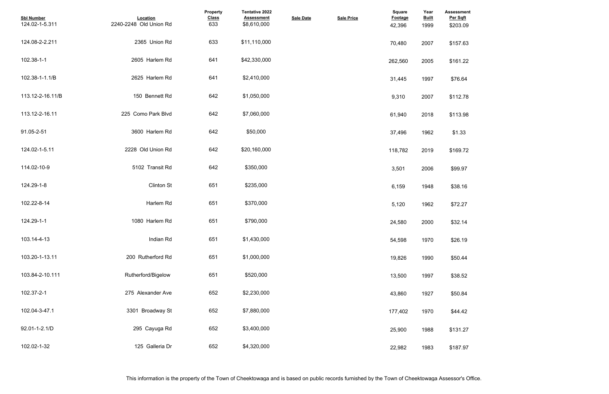| <b>Assessment</b><br>Per Sqft |  |  |  |
|-------------------------------|--|--|--|
| \$203.09                      |  |  |  |
| \$157.63                      |  |  |  |
| \$161.22                      |  |  |  |
| \$76.64                       |  |  |  |
| \$112.78                      |  |  |  |
| \$113.98                      |  |  |  |
| \$1.33                        |  |  |  |
| \$169.72                      |  |  |  |
| \$99.97                       |  |  |  |
| \$38.16                       |  |  |  |
| \$72.27                       |  |  |  |
| \$32.14                       |  |  |  |
| \$26.19                       |  |  |  |
| \$50.44                       |  |  |  |
| \$38.52                       |  |  |  |
| \$50.84                       |  |  |  |
| \$44.42                       |  |  |  |
| \$131.27                      |  |  |  |
| \$187.97                      |  |  |  |

| <b>Sbl Number</b><br>124.02-1-5.311 | Location<br>2240-2248 Old Union Rd | Property<br><b>Class</b><br>633 | <b>Tentative 2022</b><br><b>Assessment</b><br>\$8,610,000 | <b>Sale Date</b> | <b>Sale Price</b> | <b>Square</b><br>Footage<br>42,396 | Year<br><b>Built</b><br>1999 | <b>Assessmer</b><br>Per Sqft<br>\$203.09 |
|-------------------------------------|------------------------------------|---------------------------------|-----------------------------------------------------------|------------------|-------------------|------------------------------------|------------------------------|------------------------------------------|
| 124.08-2-2.211                      | 2365 Union Rd                      | 633                             | \$11,110,000                                              |                  |                   | 70,480                             | 2007                         | \$157.63                                 |
| 102.38-1-1                          | 2605 Harlem Rd                     | 641                             | \$42,330,000                                              |                  |                   | 262,560                            | 2005                         | \$161.22                                 |
| 102.38-1-1.1/B                      | 2625 Harlem Rd                     | 641                             | \$2,410,000                                               |                  |                   | 31,445                             | 1997                         | \$76.64                                  |
| 113.12-2-16.11/B                    | 150 Bennett Rd                     | 642                             | \$1,050,000                                               |                  |                   | 9,310                              | 2007                         | \$112.78                                 |
| 113.12-2-16.11                      | 225 Como Park Blvd                 | 642                             | \$7,060,000                                               |                  |                   | 61,940                             | 2018                         | \$113.98                                 |
| 91.05-2-51                          | 3600 Harlem Rd                     | 642                             | \$50,000                                                  |                  |                   | 37,496                             | 1962                         | \$1.33                                   |
| 124.02-1-5.11                       | 2228 Old Union Rd                  | 642                             | \$20,160,000                                              |                  |                   | 118,782                            | 2019                         | \$169.72                                 |
| 114.02-10-9                         | 5102 Transit Rd                    | 642                             | \$350,000                                                 |                  |                   | 3,501                              | 2006                         | \$99.97                                  |
| 124.29-1-8                          | <b>Clinton St</b>                  | 651                             | \$235,000                                                 |                  |                   | 6,159                              | 1948                         | \$38.16                                  |
| 102.22-8-14                         | Harlem Rd                          | 651                             | \$370,000                                                 |                  |                   | 5,120                              | 1962                         | \$72.27                                  |
| 124.29-1-1                          | 1080 Harlem Rd                     | 651                             | \$790,000                                                 |                  |                   | 24,580                             | 2000                         | \$32.14                                  |
| 103.14-4-13                         | Indian Rd                          | 651                             | \$1,430,000                                               |                  |                   | 54,598                             | 1970                         | \$26.19                                  |
| 103.20-1-13.11                      | 200 Rutherford Rd                  | 651                             | \$1,000,000                                               |                  |                   | 19,826                             | 1990                         | \$50.44                                  |
| 103.84-2-10.111                     | Rutherford/Bigelow                 | 651                             | \$520,000                                                 |                  |                   | 13,500                             | 1997                         | \$38.52                                  |
| 102.37-2-1                          | 275 Alexander Ave                  | 652                             | \$2,230,000                                               |                  |                   | 43,860                             | 1927                         | \$50.84                                  |
| 102.04-3-47.1                       | 3301 Broadway St                   | 652                             | \$7,880,000                                               |                  |                   | 177,402                            | 1970                         | \$44.42                                  |
| 92.01-1-2.1/D                       | 295 Cayuga Rd                      | 652                             | \$3,400,000                                               |                  |                   | 25,900                             | 1988                         | \$131.27                                 |
| 102.02-1-32                         | 125 Galleria Dr                    | 652                             | \$4,320,000                                               |                  |                   | 22,982                             | 1983                         | \$187.97                                 |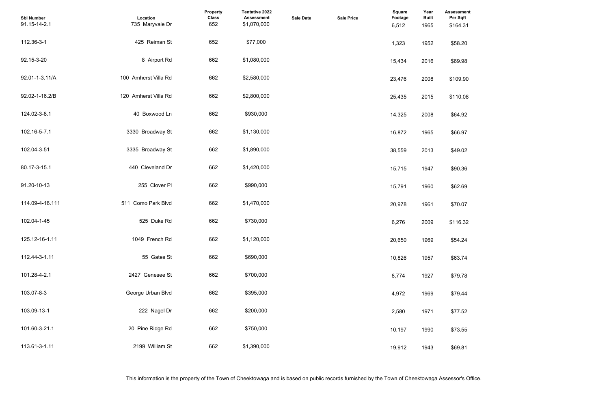| <b>Assessment</b><br>Per Sqft<br>\$164.31 |  |  |
|-------------------------------------------|--|--|
| \$58.20                                   |  |  |
| \$69.98                                   |  |  |
| \$109.90                                  |  |  |
| \$110.08                                  |  |  |
| \$64.92                                   |  |  |
| \$66.97                                   |  |  |
| \$49.02                                   |  |  |
| \$90.36                                   |  |  |
| \$62.69                                   |  |  |
| \$70.07                                   |  |  |
| \$116.32                                  |  |  |
| \$54.24                                   |  |  |
| \$63.74                                   |  |  |
| \$79.78                                   |  |  |
| \$79.44                                   |  |  |
| \$77.52                                   |  |  |
| \$73.55                                   |  |  |
| \$69.81                                   |  |  |

| <b>Sbl Number</b><br>91.15-14-2.1 | Location<br>735 Maryvale Dr | Property<br><b>Class</b><br>652 | <b>Tentative 2022</b><br><b>Assessment</b><br>\$1,070,000 | <b>Sale Date</b> | <b>Sale Price</b> | <b>Square</b><br>Footage<br>6,512 | Year<br><b>Built</b><br>1965 | <b>Assessmer</b><br>Per Sqft<br>\$164.31 |
|-----------------------------------|-----------------------------|---------------------------------|-----------------------------------------------------------|------------------|-------------------|-----------------------------------|------------------------------|------------------------------------------|
| 112.36-3-1                        | 425 Reiman St               | 652                             | \$77,000                                                  |                  |                   | 1,323                             | 1952                         | \$58.20                                  |
| 92.15-3-20                        | 8 Airport Rd                | 662                             | \$1,080,000                                               |                  |                   | 15,434                            | 2016                         | \$69.98                                  |
| 92.01-1-3.11/A                    | 100 Amherst Villa Rd        | 662                             | \$2,580,000                                               |                  |                   | 23,476                            | 2008                         | \$109.90                                 |
| 92.02-1-16.2/B                    | 120 Amherst Villa Rd        | 662                             | \$2,800,000                                               |                  |                   | 25,435                            | 2015                         | \$110.08                                 |
| 124.02-3-8.1                      | 40 Boxwood Ln               | 662                             | \$930,000                                                 |                  |                   | 14,325                            | 2008                         | \$64.92                                  |
| 102.16-5-7.1                      | 3330 Broadway St            | 662                             | \$1,130,000                                               |                  |                   | 16,872                            | 1965                         | \$66.97                                  |
| 102.04-3-51                       | 3335 Broadway St            | 662                             | \$1,890,000                                               |                  |                   | 38,559                            | 2013                         | \$49.02                                  |
| 80.17-3-15.1                      | 440 Cleveland Dr            | 662                             | \$1,420,000                                               |                  |                   | 15,715                            | 1947                         | \$90.36                                  |
| 91.20-10-13                       | 255 Clover PI               | 662                             | \$990,000                                                 |                  |                   | 15,791                            | 1960                         | \$62.69                                  |
| 114.09-4-16.111                   | 511 Como Park Blvd          | 662                             | \$1,470,000                                               |                  |                   | 20,978                            | 1961                         | \$70.07                                  |
| 102.04-1-45                       | 525 Duke Rd                 | 662                             | \$730,000                                                 |                  |                   | 6,276                             | 2009                         | \$116.32                                 |
| 125.12-16-1.11                    | 1049 French Rd              | 662                             | \$1,120,000                                               |                  |                   | 20,650                            | 1969                         | \$54.24                                  |
| 112.44-3-1.11                     | 55 Gates St                 | 662                             | \$690,000                                                 |                  |                   | 10,826                            | 1957                         | \$63.74                                  |
| 101.28-4-2.1                      | 2427 Genesee St             | 662                             | \$700,000                                                 |                  |                   | 8,774                             | 1927                         | \$79.78                                  |
| 103.07-8-3                        | George Urban Blvd           | 662                             | \$395,000                                                 |                  |                   | 4,972                             | 1969                         | \$79.44                                  |
| 103.09-13-1                       | 222 Nagel Dr                | 662                             | \$200,000                                                 |                  |                   | 2,580                             | 1971                         | \$77.52                                  |
| 101.60-3-21.1                     | 20 Pine Ridge Rd            | 662                             | \$750,000                                                 |                  |                   | 10,197                            | 1990                         | \$73.55                                  |
| 113.61-3-1.11                     | 2199 William St             | 662                             | \$1,390,000                                               |                  |                   | 19,912                            | 1943                         | \$69.81                                  |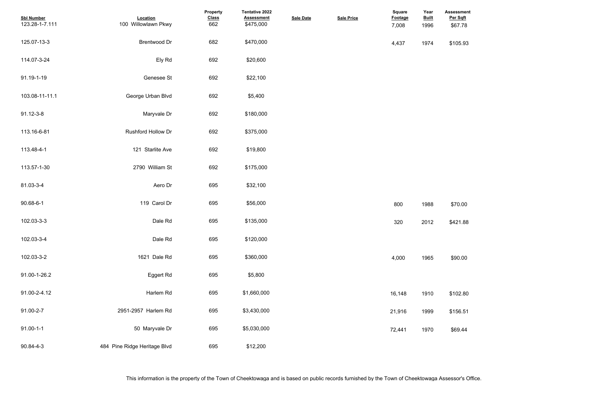**Assessment Per Sqft**

| <b>Sbl Number</b><br>123.28-1-7.111 | Location<br>100 Willowlawn Pkwy | Property<br><b>Class</b><br>662 | Tentative 2022<br><b>Assessment</b><br>\$475,000 | <b>Sale Date</b> | <b>Sale Price</b> | Square<br><b>Footage</b><br>7,008 | Year<br><b>Built</b><br>1996 | <b>Assessmer</b><br>Per Sqft<br>\$67.78 |
|-------------------------------------|---------------------------------|---------------------------------|--------------------------------------------------|------------------|-------------------|-----------------------------------|------------------------------|-----------------------------------------|
| 125.07-13-3                         | <b>Brentwood Dr</b>             | 682                             | \$470,000                                        |                  |                   | 4,437                             | 1974                         | \$105.93                                |
| 114.07-3-24                         | Ely Rd                          | 692                             | \$20,600                                         |                  |                   |                                   |                              |                                         |
| 91.19-1-19                          | Genesee St                      | 692                             | \$22,100                                         |                  |                   |                                   |                              |                                         |
| 103.08-11-11.1                      | George Urban Blvd               | 692                             | \$5,400                                          |                  |                   |                                   |                              |                                         |
| 91.12-3-8                           | Maryvale Dr                     | 692                             | \$180,000                                        |                  |                   |                                   |                              |                                         |
| 113.16-6-81                         | Rushford Hollow Dr              | 692                             | \$375,000                                        |                  |                   |                                   |                              |                                         |
| 113.48-4-1                          | 121 Starlite Ave                | 692                             | \$19,800                                         |                  |                   |                                   |                              |                                         |
| 113.57-1-30                         | 2790 William St                 | 692                             | \$175,000                                        |                  |                   |                                   |                              |                                         |
| 81.03-3-4                           | Aero Dr                         | 695                             | \$32,100                                         |                  |                   |                                   |                              |                                         |
| 90.68-6-1                           | 119 Carol Dr                    | 695                             | \$56,000                                         |                  |                   | 800                               | 1988                         | \$70.00                                 |
| 102.03-3-3                          | Dale Rd                         | 695                             | \$135,000                                        |                  |                   | 320                               | 2012                         | \$421.88                                |
| 102.03-3-4                          | Dale Rd                         | 695                             | \$120,000                                        |                  |                   |                                   |                              |                                         |
| 102.03-3-2                          | 1621 Dale Rd                    | 695                             | \$360,000                                        |                  |                   | 4,000                             | 1965                         | \$90.00                                 |
| 91.00-1-26.2                        | Eggert Rd                       | 695                             | \$5,800                                          |                  |                   |                                   |                              |                                         |
| 91.00-2-4.12                        | Harlem Rd                       | 695                             | \$1,660,000                                      |                  |                   | 16,148                            | 1910                         | \$102.80                                |
| 91.00-2-7                           | 2951-2957 Harlem Rd             | 695                             | \$3,430,000                                      |                  |                   | 21,916                            | 1999                         | \$156.51                                |
| $91.00 - 1 - 1$                     | 50 Maryvale Dr                  | 695                             | \$5,030,000                                      |                  |                   | 72,441                            | 1970                         | \$69.44                                 |
| 90.84-4-3                           | 484 Pine Ridge Heritage Blvd    | 695                             | \$12,200                                         |                  |                   |                                   |                              |                                         |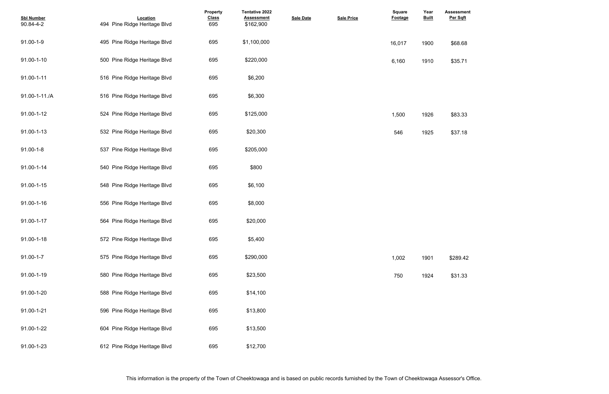## **Assessment Per Sqft**

| <b>Sbl Number</b><br>90.84-4-2 | Location<br>494 Pine Ridge Heritage Blvd | Property<br><b>Class</b><br>695 | <b>Tentative 2022</b><br><b>Assessment</b><br>\$162,900 | <b>Sale Date</b> | <b>Sale Price</b> | Square<br>Footage | Year<br><b>Built</b> | <b>Assessmer</b><br>Per Sqft |
|--------------------------------|------------------------------------------|---------------------------------|---------------------------------------------------------|------------------|-------------------|-------------------|----------------------|------------------------------|
| 91.00-1-9                      | 495 Pine Ridge Heritage Blvd             | 695                             | \$1,100,000                                             |                  |                   | 16,017            | 1900                 | \$68.68                      |
| 91.00-1-10                     | 500 Pine Ridge Heritage Blvd             | 695                             | \$220,000                                               |                  |                   | 6,160             | 1910                 | \$35.71                      |
| 91.00-1-11                     | 516 Pine Ridge Heritage Blvd             | 695                             | \$6,200                                                 |                  |                   |                   |                      |                              |
| 91.00-1-11./A                  | 516 Pine Ridge Heritage Blvd             | 695                             | \$6,300                                                 |                  |                   |                   |                      |                              |
| 91.00-1-12                     | 524 Pine Ridge Heritage Blvd             | 695                             | \$125,000                                               |                  |                   | 1,500             | 1926                 | \$83.33                      |
| 91.00-1-13                     | 532 Pine Ridge Heritage Blvd             | 695                             | \$20,300                                                |                  |                   | 546               | 1925                 | \$37.18                      |
| $91.00 - 1 - 8$                | 537 Pine Ridge Heritage Blvd             | 695                             | \$205,000                                               |                  |                   |                   |                      |                              |
| 91.00-1-14                     | 540 Pine Ridge Heritage Blvd             | 695                             | \$800                                                   |                  |                   |                   |                      |                              |
| 91.00-1-15                     | 548 Pine Ridge Heritage Blvd             | 695                             | \$6,100                                                 |                  |                   |                   |                      |                              |
| 91.00-1-16                     | 556 Pine Ridge Heritage Blvd             | 695                             | \$8,000                                                 |                  |                   |                   |                      |                              |
| 91.00-1-17                     | 564 Pine Ridge Heritage Blvd             | 695                             | \$20,000                                                |                  |                   |                   |                      |                              |
| 91.00-1-18                     | 572 Pine Ridge Heritage Blvd             | 695                             | \$5,400                                                 |                  |                   |                   |                      |                              |
| $91.00 - 1 - 7$                | 575 Pine Ridge Heritage Blvd             | 695                             | \$290,000                                               |                  |                   | 1,002             | 1901                 | \$289.42                     |
| 91.00-1-19                     | 580 Pine Ridge Heritage Blvd             | 695                             | \$23,500                                                |                  |                   | 750               | 1924                 | \$31.33                      |
| 91.00-1-20                     | 588 Pine Ridge Heritage Blvd             | 695                             | \$14,100                                                |                  |                   |                   |                      |                              |
| 91.00-1-21                     | 596 Pine Ridge Heritage Blvd             | 695                             | \$13,800                                                |                  |                   |                   |                      |                              |
| 91.00-1-22                     | 604 Pine Ridge Heritage Blvd             | 695                             | \$13,500                                                |                  |                   |                   |                      |                              |
| 91.00-1-23                     | 612 Pine Ridge Heritage Blvd             | 695                             | \$12,700                                                |                  |                   |                   |                      |                              |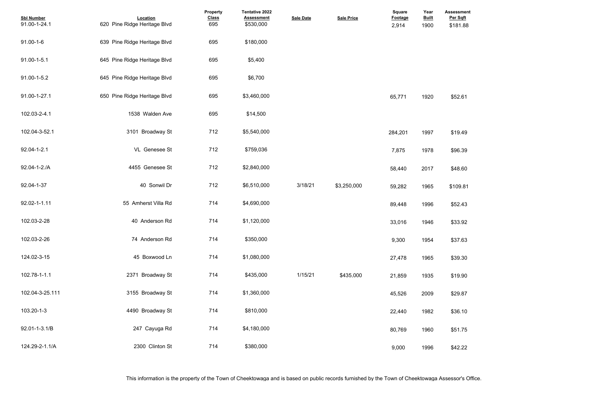- 
- 
- 
- 
- 
- 
- 
- 
- 
- 
- 
- 
- 

| <b>Sbl Number</b><br>91.00-1-24.1 | Location<br>620 Pine Ridge Heritage Blvd | Property<br><b>Class</b><br>695 | <b>Tentative 2022</b><br><b>Assessment</b><br>\$530,000 | <b>Sale Date</b> | <b>Sale Price</b> | Square<br>Footage<br>2,914 | Year<br><b>Built</b><br>1900 | <b>Assessmer</b><br>Per Sqft<br>\$181.88 |
|-----------------------------------|------------------------------------------|---------------------------------|---------------------------------------------------------|------------------|-------------------|----------------------------|------------------------------|------------------------------------------|
| $91.00 - 1 - 6$                   | 639 Pine Ridge Heritage Blvd             | 695                             | \$180,000                                               |                  |                   |                            |                              |                                          |
| 91.00-1-5.1                       | 645 Pine Ridge Heritage Blvd             | 695                             | \$5,400                                                 |                  |                   |                            |                              |                                          |
| 91.00-1-5.2                       | 645 Pine Ridge Heritage Blvd             | 695                             | \$6,700                                                 |                  |                   |                            |                              |                                          |
| 91.00-1-27.1                      | 650 Pine Ridge Heritage Blvd             | 695                             | \$3,460,000                                             |                  |                   | 65,771                     | 1920                         | \$52.61                                  |
| 102.03-2-4.1                      | 1538 Walden Ave                          | 695                             | \$14,500                                                |                  |                   |                            |                              |                                          |
| 102.04-3-52.1                     | 3101 Broadway St                         | 712                             | \$5,540,000                                             |                  |                   | 284,201                    | 1997                         | \$19.49                                  |
| 92.04-1-2.1                       | VL Genesee St                            | 712                             | \$759,036                                               |                  |                   | 7,875                      | 1978                         | \$96.39                                  |
| 92.04-1-2./A                      | 4455 Genesee St                          | 712                             | \$2,840,000                                             |                  |                   | 58,440                     | 2017                         | \$48.60                                  |
| 92.04-1-37                        | 40 Sonwil Dr                             | 712                             | \$6,510,000                                             | 3/18/21          | \$3,250,000       | 59,282                     | 1965                         | \$109.81                                 |
| 92.02-1-1.11                      | 55 Amherst Villa Rd                      | 714                             | \$4,690,000                                             |                  |                   | 89,448                     | 1996                         | \$52.43                                  |
| 102.03-2-28                       | 40 Anderson Rd                           | 714                             | \$1,120,000                                             |                  |                   | 33,016                     | 1946                         | \$33.92                                  |
| 102.03-2-26                       | 74 Anderson Rd                           | 714                             | \$350,000                                               |                  |                   | 9,300                      | 1954                         | \$37.63                                  |
| 124.02-3-15                       | 45 Boxwood Ln                            | 714                             | \$1,080,000                                             |                  |                   | 27,478                     | 1965                         | \$39.30                                  |
| 102.78-1-1.1                      | 2371 Broadway St                         | 714                             | \$435,000                                               | 1/15/21          | \$435,000         | 21,859                     | 1935                         | \$19.90                                  |
| 102.04-3-25.111                   | 3155 Broadway St                         | 714                             | \$1,360,000                                             |                  |                   | 45,526                     | 2009                         | \$29.87                                  |
| 103.20-1-3                        | 4490 Broadway St                         | 714                             | \$810,000                                               |                  |                   | 22,440                     | 1982                         | \$36.10                                  |
| 92.01-1-3.1/B                     | 247 Cayuga Rd                            | 714                             | \$4,180,000                                             |                  |                   | 80,769                     | 1960                         | \$51.75                                  |
| 124.29-2-1.1/A                    | 2300 Clinton St                          | 714                             | \$380,000                                               |                  |                   | 9,000                      | 1996                         | \$42.22                                  |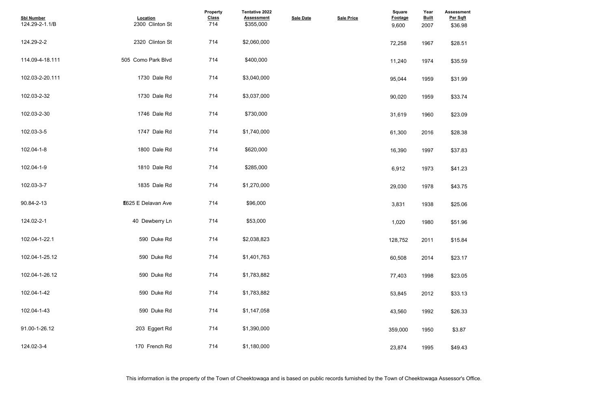| <b>Assessment</b><br>Per Sqft |  |  |  |
|-------------------------------|--|--|--|
| \$36.98                       |  |  |  |
| \$28.51                       |  |  |  |
| \$35.59                       |  |  |  |
| \$31.99                       |  |  |  |
| \$33.74                       |  |  |  |
| \$23.09                       |  |  |  |
| \$28.38                       |  |  |  |
| \$37.83                       |  |  |  |
| \$41.23                       |  |  |  |
| \$43.75                       |  |  |  |
| \$25.06                       |  |  |  |
| \$51.96                       |  |  |  |
| \$15.84                       |  |  |  |
| \$23.17                       |  |  |  |
| \$23.05                       |  |  |  |
| \$33.13                       |  |  |  |
| \$26.33                       |  |  |  |
| \$3.87                        |  |  |  |
| \$49.43                       |  |  |  |

| <b>Sbl Number</b><br>124.29-2-1.1/B | Location<br>2300 Clinton St | Property<br><b>Class</b><br>714 | Tentative 2022<br><b>Assessment</b><br>\$355,000 | <b>Sale Date</b> | <b>Sale Price</b> | <b>Square</b><br>Footage<br>9,600 | Year<br><b>Built</b><br>2007 | <b>Assessme</b><br>Per Sqft<br>\$36.98 |
|-------------------------------------|-----------------------------|---------------------------------|--------------------------------------------------|------------------|-------------------|-----------------------------------|------------------------------|----------------------------------------|
| 124.29-2-2                          | 2320 Clinton St             | 714                             | \$2,060,000                                      |                  |                   | 72,258                            | 1967                         | \$28.51                                |
| 114.09-4-18.111                     | 505 Como Park Blvd          | 714                             | \$400,000                                        |                  |                   | 11,240                            | 1974                         | \$35.59                                |
| 102.03-2-20.111                     | 1730 Dale Rd                | 714                             | \$3,040,000                                      |                  |                   | 95,044                            | 1959                         | \$31.99                                |
| 102.03-2-32                         | 1730 Dale Rd                | 714                             | \$3,037,000                                      |                  |                   | 90,020                            | 1959                         | \$33.74                                |
| 102.03-2-30                         | 1746 Dale Rd                | 714                             | \$730,000                                        |                  |                   | 31,619                            | 1960                         | \$23.09                                |
| 102.03-3-5                          | 1747 Dale Rd                | 714                             | \$1,740,000                                      |                  |                   | 61,300                            | 2016                         | \$28.38                                |
| 102.04-1-8                          | 1800 Dale Rd                | 714                             | \$620,000                                        |                  |                   | 16,390                            | 1997                         | \$37.83                                |
| 102.04-1-9                          | 1810 Dale Rd                | 714                             | \$285,000                                        |                  |                   | 6,912                             | 1973                         | \$41.23                                |
| 102.03-3-7                          | 1835 Dale Rd                | 714                             | \$1,270,000                                      |                  |                   | 29,030                            | 1978                         | \$43.75                                |
| 90.84-2-13                          | E625 E Delavan Ave          | 714                             | \$96,000                                         |                  |                   | 3,831                             | 1938                         | \$25.06                                |
| 124.02-2-1                          | 40 Dewberry Ln              | 714                             | \$53,000                                         |                  |                   | 1,020                             | 1980                         | \$51.96                                |
| 102.04-1-22.1                       | 590 Duke Rd                 | 714                             | \$2,038,823                                      |                  |                   | 128,752                           | 2011                         | \$15.84                                |
| 102.04-1-25.12                      | 590 Duke Rd                 | 714                             | \$1,401,763                                      |                  |                   | 60,508                            | 2014                         | \$23.17                                |
| 102.04-1-26.12                      | 590 Duke Rd                 | 714                             | \$1,783,882                                      |                  |                   | 77,403                            | 1998                         | \$23.05                                |
| 102.04-1-42                         | 590 Duke Rd                 | 714                             | \$1,783,882                                      |                  |                   | 53,845                            | 2012                         | \$33.13                                |
| 102.04-1-43                         | 590 Duke Rd                 | 714                             | \$1,147,058                                      |                  |                   | 43,560                            | 1992                         | \$26.33                                |
| 91.00-1-26.12                       | 203 Eggert Rd               | 714                             | \$1,390,000                                      |                  |                   | 359,000                           | 1950                         | \$3.87                                 |
| 124.02-3-4                          | 170 French Rd               | 714                             | \$1,180,000                                      |                  |                   | 23,874                            | 1995                         | \$49.43                                |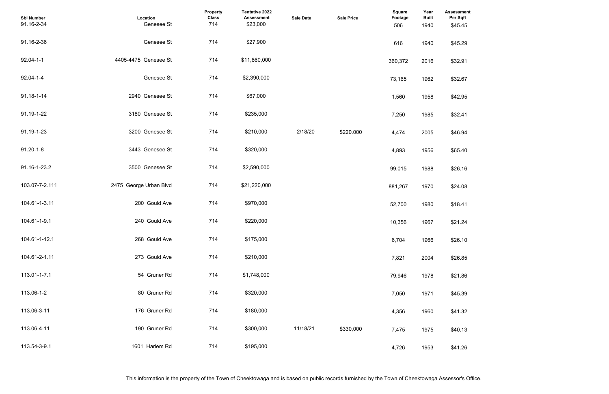| <b>Assessment</b><br>Per Sqft |  |  |  |
|-------------------------------|--|--|--|
| \$45.45                       |  |  |  |
| \$45.29                       |  |  |  |
| \$32.91                       |  |  |  |
| \$32.67                       |  |  |  |
| \$42.95                       |  |  |  |
| \$32.41                       |  |  |  |
| \$46.94                       |  |  |  |
| \$65.40                       |  |  |  |
| \$26.16                       |  |  |  |
| \$24.08                       |  |  |  |
| \$18.41                       |  |  |  |
| \$21.24                       |  |  |  |
| \$26.10                       |  |  |  |
| \$26.85                       |  |  |  |
| \$21.86                       |  |  |  |
| \$45.39                       |  |  |  |
| \$41.32                       |  |  |  |
| \$40.13                       |  |  |  |
| \$41.26                       |  |  |  |

| <b>Sbl Number</b><br>91.16-2-34 | Location<br>Genesee St | Property<br><b>Class</b><br>714 | Tentative 2022<br><b>Assessment</b><br>\$23,000 | <b>Sale Date</b> | <b>Sale Price</b> | <b>Square</b><br><b>Footage</b><br>506 | Year<br><b>Built</b><br>1940 | <b>Assessme</b><br>Per Sqft<br>\$45.45 |
|---------------------------------|------------------------|---------------------------------|-------------------------------------------------|------------------|-------------------|----------------------------------------|------------------------------|----------------------------------------|
| 91.16-2-36                      | Genesee St             | 714                             | \$27,900                                        |                  |                   | 616                                    | 1940                         | \$45.29                                |
| $92.04 - 1 - 1$                 | 4405-4475 Genesee St   | 714                             | \$11,860,000                                    |                  |                   | 360,372                                | 2016                         | \$32.91                                |
| 92.04-1-4                       | Genesee St             | 714                             | \$2,390,000                                     |                  |                   | 73,165                                 | 1962                         | \$32.67                                |
| 91.18-1-14                      | 2940 Genesee St        | 714                             | \$67,000                                        |                  |                   | 1,560                                  | 1958                         | \$42.95                                |
| 91.19-1-22                      | 3180 Genesee St        | 714                             | \$235,000                                       |                  |                   | 7,250                                  | 1985                         | \$32.41                                |
| 91.19-1-23                      | 3200 Genesee St        | 714                             | \$210,000                                       | 2/18/20          | \$220,000         | 4,474                                  | 2005                         | \$46.94                                |
| $91.20 - 1 - 8$                 | 3443 Genesee St        | 714                             | \$320,000                                       |                  |                   | 4,893                                  | 1956                         | \$65.40                                |
| 91.16-1-23.2                    | 3500 Genesee St        | 714                             | \$2,590,000                                     |                  |                   | 99,015                                 | 1988                         | \$26.16                                |
| 103.07-7-2.111                  | 2475 George Urban Blvd | 714                             | \$21,220,000                                    |                  |                   | 881,267                                | 1970                         | \$24.08                                |
| 104.61-1-3.11                   | 200 Gould Ave          | 714                             | \$970,000                                       |                  |                   | 52,700                                 | 1980                         | \$18.41                                |
| 104.61-1-9.1                    | 240 Gould Ave          | 714                             | \$220,000                                       |                  |                   | 10,356                                 | 1967                         | \$21.24                                |
| 104.61-1-12.1                   | 268 Gould Ave          | 714                             | \$175,000                                       |                  |                   | 6,704                                  | 1966                         | \$26.10                                |
| 104.61-2-1.11                   | 273 Gould Ave          | 714                             | \$210,000                                       |                  |                   | 7,821                                  | 2004                         | \$26.85                                |
| 113.01-1-7.1                    | 54 Gruner Rd           | 714                             | \$1,748,000                                     |                  |                   | 79,946                                 | 1978                         | \$21.86                                |
| 113.06-1-2                      | 80 Gruner Rd           | 714                             | \$320,000                                       |                  |                   | 7,050                                  | 1971                         | \$45.39                                |
| 113.06-3-11                     | 176 Gruner Rd          | 714                             | \$180,000                                       |                  |                   | 4,356                                  | 1960                         | \$41.32                                |
| 113.06-4-11                     | 190 Gruner Rd          | 714                             | \$300,000                                       | 11/18/21         | \$330,000         | 7,475                                  | 1975                         | \$40.13                                |
| 113.54-3-9.1                    | 1601 Harlem Rd         | 714                             | \$195,000                                       |                  |                   | 4,726                                  | 1953                         | \$41.26                                |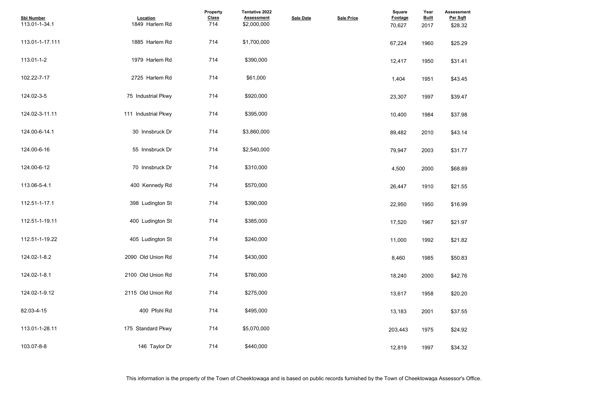| <b>Assessment</b><br>Per Sqft |  |  |  |
|-------------------------------|--|--|--|
| \$28.32                       |  |  |  |
| \$25.29                       |  |  |  |
| \$31.41                       |  |  |  |
| \$43.45                       |  |  |  |
| \$39.47                       |  |  |  |
| \$37.98                       |  |  |  |
| \$43.14                       |  |  |  |
| \$31.77                       |  |  |  |
| \$68.89                       |  |  |  |
| \$21.55                       |  |  |  |
| \$16.99                       |  |  |  |
| \$21.97                       |  |  |  |
| \$21.82                       |  |  |  |
| \$50.83                       |  |  |  |
| \$42.76                       |  |  |  |
| \$20.20                       |  |  |  |
| \$37.55                       |  |  |  |
| \$24.92                       |  |  |  |
| \$34.32                       |  |  |  |

| <b>Sbl Number</b><br>113.01-1-34.1 | Location<br>1849 Harlem Rd | Property<br><b>Class</b><br>714 | <b>Tentative 2022</b><br><b>Assessment</b><br>\$2,000,000 | <b>Sale Date</b> | <b>Sale Price</b> | <b>Square</b><br>Footage<br>70,627 | Year<br><b>Built</b><br>2017 | <b>Assessme</b><br>Per Sqft<br>\$28.32 |
|------------------------------------|----------------------------|---------------------------------|-----------------------------------------------------------|------------------|-------------------|------------------------------------|------------------------------|----------------------------------------|
| 113.01-1-17.111                    | 1885 Harlem Rd             | 714                             | \$1,700,000                                               |                  |                   | 67,224                             | 1960                         | \$25.29                                |
| 113.01-1-2                         | 1979 Harlem Rd             | 714                             | \$390,000                                                 |                  |                   | 12,417                             | 1950                         | \$31.41                                |
| 102.22-7-17                        | 2725 Harlem Rd             | 714                             | \$61,000                                                  |                  |                   | 1,404                              | 1951                         | \$43.45                                |
| 124.02-3-5                         | 75 Industrial Pkwy         | 714                             | \$920,000                                                 |                  |                   | 23,307                             | 1997                         | \$39.47                                |
| 124.02-3-11.11                     | 111 Industrial Pkwy        | 714                             | \$395,000                                                 |                  |                   | 10,400                             | 1984                         | \$37.98                                |
| 124.00-6-14.1                      | 30 Innsbruck Dr            | 714                             | \$3,860,000                                               |                  |                   | 89,482                             | 2010                         | \$43.14                                |
| 124.00-6-16                        | 55 Innsbruck Dr            | 714                             | \$2,540,000                                               |                  |                   | 79,947                             | 2003                         | \$31.77                                |
| 124.00-6-12                        | 70 Innsbruck Dr            | 714                             | \$310,000                                                 |                  |                   | 4,500                              | 2000                         | \$68.89                                |
| 113.06-5-4.1                       | 400 Kennedy Rd             | 714                             | \$570,000                                                 |                  |                   | 26,447                             | 1910                         | \$21.55                                |
| 112.51-1-17.1                      | 398 Ludington St           | 714                             | \$390,000                                                 |                  |                   | 22,950                             | 1950                         | \$16.99                                |
| 112.51-1-19.11                     | 400 Ludington St           | 714                             | \$385,000                                                 |                  |                   | 17,520                             | 1967                         | \$21.97                                |
| 112.51-1-19.22                     | 405 Ludington St           | 714                             | \$240,000                                                 |                  |                   | 11,000                             | 1992                         | \$21.82                                |
| 124.02-1-8.2                       | 2090 Old Union Rd          | 714                             | \$430,000                                                 |                  |                   | 8,460                              | 1985                         | \$50.83                                |
| 124.02-1-8.1                       | 2100 Old Union Rd          | 714                             | \$780,000                                                 |                  |                   | 18,240                             | 2000                         | \$42.76                                |
| 124.02-1-9.12                      | 2115 Old Union Rd          | 714                             | \$275,000                                                 |                  |                   | 13,617                             | 1958                         | \$20.20                                |
| 82.03-4-15                         | 400 Pfohl Rd               | 714                             | \$495,000                                                 |                  |                   | 13,183                             | 2001                         | \$37.55                                |
| 113.01-1-28.11                     | 175 Standard Pkwy          | 714                             | \$5,070,000                                               |                  |                   | 203,443                            | 1975                         | \$24.92                                |
| 103.07-8-8                         | 146 Taylor Dr              | 714                             | \$440,000                                                 |                  |                   | 12,819                             | 1997                         | \$34.32                                |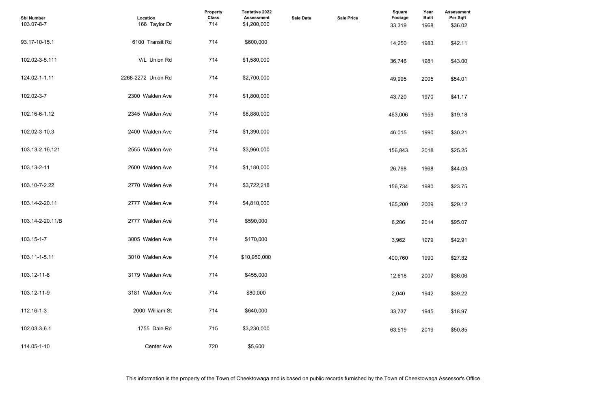| <b>Assessment</b><br>Per Sqft |  |  |  |
|-------------------------------|--|--|--|
| \$36.02                       |  |  |  |
| \$42.11                       |  |  |  |
| \$43.00                       |  |  |  |
| \$54.01                       |  |  |  |
| \$41.17                       |  |  |  |
| \$19.18                       |  |  |  |
| \$30.21                       |  |  |  |
| \$25.25                       |  |  |  |
| \$44.03                       |  |  |  |
| \$23.75                       |  |  |  |
| \$29.12                       |  |  |  |
| \$95.07                       |  |  |  |
| \$42.91                       |  |  |  |
| \$27.32                       |  |  |  |
| \$36.06                       |  |  |  |
| \$39.22                       |  |  |  |
| \$18.97                       |  |  |  |
| \$50.85                       |  |  |  |

| <b>Sbl Number</b><br>103.07-8-7 | Location<br>166 Taylor Dr | <b>Property</b><br><b>Class</b><br>714 | Tentative 2022<br><b>Assessment</b><br>\$1,200,000 | <b>Sale Date</b> | <b>Sale Price</b> | <b>Square</b><br>Footage<br>33,319 | Year<br><b>Built</b><br>1968 | <b>Assessme</b><br>Per Sqft<br>\$36.02 |
|---------------------------------|---------------------------|----------------------------------------|----------------------------------------------------|------------------|-------------------|------------------------------------|------------------------------|----------------------------------------|
| 93.17-10-15.1                   | 6100 Transit Rd           | 714                                    | \$600,000                                          |                  |                   | 14,250                             | 1983                         | \$42.11                                |
| 102.02-3-5.111                  | V/L Union Rd              | 714                                    | \$1,580,000                                        |                  |                   | 36,746                             | 1981                         | \$43.00                                |
| 124.02-1-1.11                   | 2268-2272 Union Rd        | 714                                    | \$2,700,000                                        |                  |                   | 49,995                             | 2005                         | \$54.01                                |
| 102.02-3-7                      | 2300 Walden Ave           | 714                                    | \$1,800,000                                        |                  |                   | 43,720                             | 1970                         | \$41.17                                |
| 102.16-6-1.12                   | 2345 Walden Ave           | 714                                    | \$8,880,000                                        |                  |                   | 463,006                            | 1959                         | \$19.18                                |
| 102.02-3-10.3                   | 2400 Walden Ave           | 714                                    | \$1,390,000                                        |                  |                   | 46,015                             | 1990                         | \$30.21                                |
| 103.13-2-16.121                 | 2555 Walden Ave           | 714                                    | \$3,960,000                                        |                  |                   | 156,843                            | 2018                         | \$25.25                                |
| 103.13-2-11                     | 2600 Walden Ave           | 714                                    | \$1,180,000                                        |                  |                   | 26,798                             | 1968                         | \$44.03                                |
| 103.10-7-2.22                   | 2770 Walden Ave           | 714                                    | \$3,722,218                                        |                  |                   | 156,734                            | 1980                         | \$23.75                                |
| 103.14-2-20.11                  | 2777 Walden Ave           | 714                                    | \$4,810,000                                        |                  |                   | 165,200                            | 2009                         | \$29.12                                |
| 103.14-2-20.11/B                | 2777 Walden Ave           | 714                                    | \$590,000                                          |                  |                   | 6,206                              | 2014                         | \$95.07                                |
| 103.15-1-7                      | 3005 Walden Ave           | 714                                    | \$170,000                                          |                  |                   | 3,962                              | 1979                         | \$42.91                                |
| 103.11-1-5.11                   | 3010 Walden Ave           | 714                                    | \$10,950,000                                       |                  |                   | 400,760                            | 1990                         | \$27.32                                |
| 103.12-11-8                     | 3179 Walden Ave           | 714                                    | \$455,000                                          |                  |                   | 12,618                             | 2007                         | \$36.06                                |
| 103.12-11-9                     | 3181 Walden Ave           | 714                                    | \$80,000                                           |                  |                   | 2,040                              | 1942                         | \$39.22                                |
| 112.16-1-3                      | 2000 William St           | 714                                    | \$640,000                                          |                  |                   | 33,737                             | 1945                         | \$18.97                                |
| 102.03-3-6.1                    | 1755 Dale Rd              | 715                                    | \$3,230,000                                        |                  |                   | 63,519                             | 2019                         | \$50.85                                |
| 114.05-1-10                     | Center Ave                | 720                                    | \$5,600                                            |                  |                   |                                    |                              |                                        |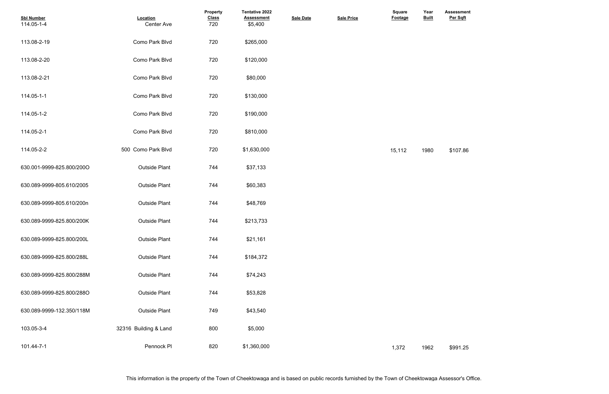| <b>Sbl Number</b><br>114.05-1-4 | Location<br>Center Ave | <b>Property</b><br><b>Class</b><br>720 | Tentative 2022<br><b>Assessment</b><br>\$5,400 | <b>Sale Date</b> | <b>Sale Price</b> | <b>Square</b><br><b>Footage</b> | Year<br><b>Built</b> | <b>Assessmer</b><br>Per Sqft |
|---------------------------------|------------------------|----------------------------------------|------------------------------------------------|------------------|-------------------|---------------------------------|----------------------|------------------------------|
| 113.08-2-19                     | Como Park Blvd         | 720                                    | \$265,000                                      |                  |                   |                                 |                      |                              |
| 113.08-2-20                     | Como Park Blvd         | 720                                    | \$120,000                                      |                  |                   |                                 |                      |                              |
| 113.08-2-21                     | Como Park Blvd         | 720                                    | \$80,000                                       |                  |                   |                                 |                      |                              |
| 114.05-1-1                      | Como Park Blvd         | 720                                    | \$130,000                                      |                  |                   |                                 |                      |                              |
| 114.05-1-2                      | Como Park Blvd         | 720                                    | \$190,000                                      |                  |                   |                                 |                      |                              |
| 114.05-2-1                      | Como Park Blvd         | 720                                    | \$810,000                                      |                  |                   |                                 |                      |                              |
| 114.05-2-2                      | 500 Como Park Blvd     | 720                                    | \$1,630,000                                    |                  |                   | 15,112                          | 1980                 | \$107.86                     |
| 630.001-9999-825.800/200O       | <b>Outside Plant</b>   | 744                                    | \$37,133                                       |                  |                   |                                 |                      |                              |
| 630.089-9999-805.610/2005       | <b>Outside Plant</b>   | 744                                    | \$60,383                                       |                  |                   |                                 |                      |                              |
| 630.089-9999-805.610/200n       | <b>Outside Plant</b>   | 744                                    | \$48,769                                       |                  |                   |                                 |                      |                              |
| 630.089-9999-825.800/200K       | <b>Outside Plant</b>   | 744                                    | \$213,733                                      |                  |                   |                                 |                      |                              |
| 630.089-9999-825.800/200L       | <b>Outside Plant</b>   | 744                                    | \$21,161                                       |                  |                   |                                 |                      |                              |
| 630.089-9999-825.800/288L       | <b>Outside Plant</b>   | 744                                    | \$184,372                                      |                  |                   |                                 |                      |                              |
| 630.089-9999-825.800/288M       | <b>Outside Plant</b>   | 744                                    | \$74,243                                       |                  |                   |                                 |                      |                              |
| 630.089-9999-825.800/288O       | <b>Outside Plant</b>   | 744                                    | \$53,828                                       |                  |                   |                                 |                      |                              |
| 630.089-9999-132.350/118M       | <b>Outside Plant</b>   | 749                                    | \$43,540                                       |                  |                   |                                 |                      |                              |
| 103.05-3-4                      | 32316 Building & Land  | 800                                    | \$5,000                                        |                  |                   |                                 |                      |                              |
| 101.44-7-1                      | Pennock PI             | 820                                    | \$1,360,000                                    |                  |                   | 1,372                           | 1962                 | \$991.25                     |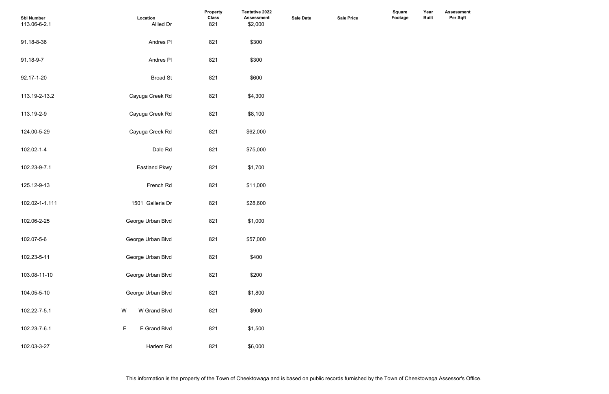| <b>Sbl Number</b><br>113.06-6-2.1 | Location<br>Allied Dr     | Property<br><b>Class</b><br>821 | Tentative 2022<br><b>Assessment</b><br>\$2,000 | <b>Sale Date</b> | <b>Sale Price</b> | Square<br>Footage | Year<br><b>Built</b> |
|-----------------------------------|---------------------------|---------------------------------|------------------------------------------------|------------------|-------------------|-------------------|----------------------|
| 91.18-8-36                        | Andres PI                 | 821                             | \$300                                          |                  |                   |                   |                      |
| 91.18-9-7                         | Andres PI                 | 821                             | \$300                                          |                  |                   |                   |                      |
| 92.17-1-20                        | <b>Broad St</b>           | 821                             | \$600                                          |                  |                   |                   |                      |
| 113.19-2-13.2                     | Cayuga Creek Rd           | 821                             | \$4,300                                        |                  |                   |                   |                      |
| 113.19-2-9                        | Cayuga Creek Rd           | 821                             | \$8,100                                        |                  |                   |                   |                      |
| 124.00-5-29                       | Cayuga Creek Rd           | 821                             | \$62,000                                       |                  |                   |                   |                      |
| 102.02-1-4                        | Dale Rd                   | 821                             | \$75,000                                       |                  |                   |                   |                      |
| 102.23-9-7.1                      | <b>Eastland Pkwy</b>      | 821                             | \$1,700                                        |                  |                   |                   |                      |
| 125.12-9-13                       | French Rd                 | 821                             | \$11,000                                       |                  |                   |                   |                      |
| 102.02-1-1.111                    | 1501 Galleria Dr          | 821                             | \$28,600                                       |                  |                   |                   |                      |
| 102.06-2-25                       | George Urban Blvd         | 821                             | \$1,000                                        |                  |                   |                   |                      |
| 102.07-5-6                        | George Urban Blvd         | 821                             | \$57,000                                       |                  |                   |                   |                      |
| 102.23-5-11                       | George Urban Blvd         | 821                             | \$400                                          |                  |                   |                   |                      |
| 103.08-11-10                      | George Urban Blvd         | 821                             | \$200                                          |                  |                   |                   |                      |
| 104.05-5-10                       | George Urban Blvd         | 821                             | \$1,800                                        |                  |                   |                   |                      |
| 102.22-7-5.1                      | W Grand Blvd<br>${\sf W}$ | 821                             | \$900                                          |                  |                   |                   |                      |
| 102.23-7-6.1                      | E Grand Blvd<br>E         | 821                             | \$1,500                                        |                  |                   |                   |                      |
| 102.03-3-27                       | Harlem Rd                 | 821                             | \$6,000                                        |                  |                   |                   |                      |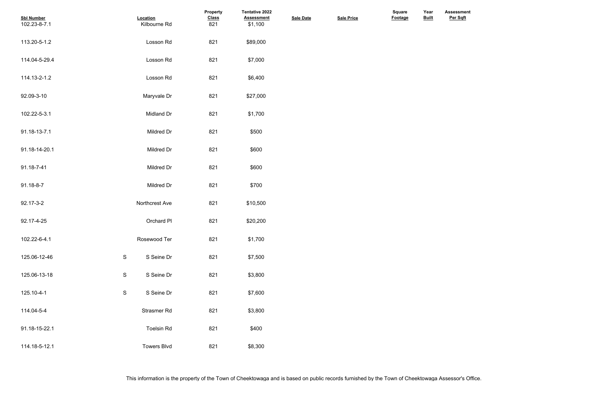| <b>Sbl Number</b><br>102.23-8-7.1 | Location<br>Kilbourne Rd    | Property<br><b>Class</b><br>821 | <b>Tentative 2022</b><br><b>Assessment</b><br>\$1,100 | <b>Sale Date</b> | <b>Sale Price</b> | Square<br>Footage | Year<br><b>Built</b> |  |
|-----------------------------------|-----------------------------|---------------------------------|-------------------------------------------------------|------------------|-------------------|-------------------|----------------------|--|
| 113.20-5-1.2                      | Losson Rd                   | 821                             | \$89,000                                              |                  |                   |                   |                      |  |
| 114.04-5-29.4                     | Losson Rd                   | 821                             | \$7,000                                               |                  |                   |                   |                      |  |
| 114.13-2-1.2                      | Losson Rd                   | 821                             | \$6,400                                               |                  |                   |                   |                      |  |
| 92.09-3-10                        | Maryvale Dr                 | 821                             | \$27,000                                              |                  |                   |                   |                      |  |
| 102.22-5-3.1                      | Midland Dr                  | 821                             | \$1,700                                               |                  |                   |                   |                      |  |
| 91.18-13-7.1                      | Mildred Dr                  | 821                             | \$500                                                 |                  |                   |                   |                      |  |
| 91.18-14-20.1                     | Mildred Dr                  | 821                             | \$600                                                 |                  |                   |                   |                      |  |
| 91.18-7-41                        | Mildred Dr                  | 821                             | \$600                                                 |                  |                   |                   |                      |  |
| 91.18-8-7                         | Mildred Dr                  | 821                             | \$700                                                 |                  |                   |                   |                      |  |
| 92.17-3-2                         | Northcrest Ave              | 821                             | \$10,500                                              |                  |                   |                   |                      |  |
| 92.17-4-25                        | Orchard PI                  | 821                             | \$20,200                                              |                  |                   |                   |                      |  |
| 102.22-6-4.1                      | Rosewood Ter                | 821                             | \$1,700                                               |                  |                   |                   |                      |  |
| 125.06-12-46                      | ${\mathsf S}$<br>S Seine Dr | 821                             | \$7,500                                               |                  |                   |                   |                      |  |
| 125.06-13-18                      | ${\sf S}$<br>S Seine Dr     | 821                             | \$3,800                                               |                  |                   |                   |                      |  |
| 125.10-4-1                        | ${\sf S}$<br>S Seine Dr     | 821                             | \$7,600                                               |                  |                   |                   |                      |  |
| 114.04-5-4                        | Strasmer Rd                 | 821                             | \$3,800                                               |                  |                   |                   |                      |  |
| 91.18-15-22.1                     | <b>Toelsin Rd</b>           | 821                             | \$400                                                 |                  |                   |                   |                      |  |
| 114.18-5-12.1                     | <b>Towers Blvd</b>          | 821                             | \$8,300                                               |                  |                   |                   |                      |  |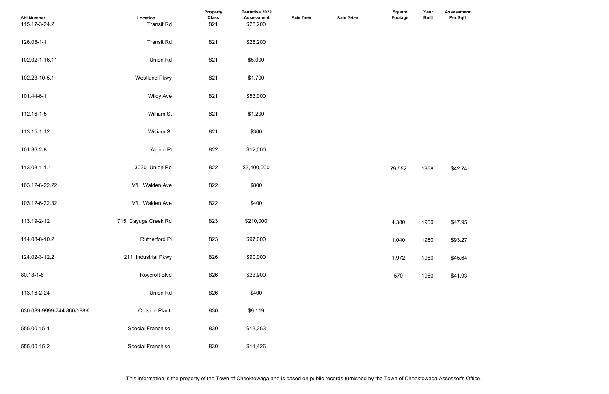| <b>Sbl Number</b><br>115.17-3-24.2 | Location<br><b>Transit Rd</b> | Property<br><b>Class</b><br>821 | Tentative 2022<br><b>Assessment</b><br>\$28,200 | <b>Sale Date</b> | <b>Sale Price</b> | <b>Square</b><br>Footage | Year<br><b>Built</b> | Assessme<br>Per Sqft |
|------------------------------------|-------------------------------|---------------------------------|-------------------------------------------------|------------------|-------------------|--------------------------|----------------------|----------------------|
| 126.05-1-1                         | <b>Transit Rd</b>             | 821                             | \$28,200                                        |                  |                   |                          |                      |                      |
| 102.02-1-16.11                     | Union Rd                      | 821                             | \$5,000                                         |                  |                   |                          |                      |                      |
| 102.23-10-5.1                      | <b>Westland Pkwy</b>          | 821                             | \$1,700                                         |                  |                   |                          |                      |                      |
| 101.44-6-1                         | <b>Wildy Ave</b>              | 821                             | \$53,000                                        |                  |                   |                          |                      |                      |
| 112.16-1-5                         | William St                    | 821                             | \$1,200                                         |                  |                   |                          |                      |                      |
| 113.15-1-12                        | William St                    | 821                             | \$300                                           |                  |                   |                          |                      |                      |
| 101.36-2-8                         | Alpine PI                     | 822                             | \$12,000                                        |                  |                   |                          |                      |                      |
| 113.08-1-1.1                       | 3030 Union Rd                 | 822                             | \$3,400,000                                     |                  |                   | 79,552                   | 1958                 | \$42.74              |
| 103.12-6-22.22                     | V/L Walden Ave                | 822                             | \$800                                           |                  |                   |                          |                      |                      |
| 103.12-6-22.32                     | V/L Walden Ave                | 822                             | \$400                                           |                  |                   |                          |                      |                      |
| 113.19-2-12                        | 715 Cayuga Creek Rd           | 823                             | \$210,000                                       |                  |                   | 4,380                    | 1950                 | \$47.95              |
| 114.08-8-10.2                      | <b>Rutherford PI</b>          | 823                             | \$97,000                                        |                  |                   | 1,040                    | 1950                 | \$93.27              |
| 124.02-3-12.2                      | 211 Industrial Pkwy           | 826                             | \$90,000                                        |                  |                   | 1,972                    | 1980                 | \$45.64              |
| 80.18-1-8                          | Roycroft Blvd                 | 826                             | \$23,900                                        |                  |                   | 570                      | 1960                 | \$41.93              |
| 113.16-2-24                        | Union Rd                      | 826                             | \$400                                           |                  |                   |                          |                      |                      |
| 630.089-9999-744.860/188K          | <b>Outside Plant</b>          | 830                             | \$9,119                                         |                  |                   |                          |                      |                      |
| 555.00-15-1                        | <b>Special Franchise</b>      | 830                             | \$13,253                                        |                  |                   |                          |                      |                      |
| 555.00-15-2                        | <b>Special Franchise</b>      | 830                             | \$11,426                                        |                  |                   |                          |                      |                      |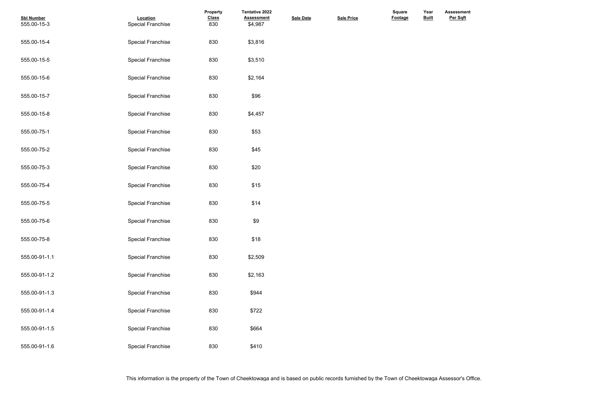| <b>Sbl Number</b> | Location                 | <b>Property</b><br><b>Class</b> | Tentative 2022<br><b>Assessment</b> | <b>Sale Date</b> | <b>Sale Price</b> | <b>Square</b><br><b>Footage</b> | Year<br><b>Built</b> |
|-------------------|--------------------------|---------------------------------|-------------------------------------|------------------|-------------------|---------------------------------|----------------------|
| 555.00-15-3       | <b>Special Franchise</b> | 830                             | \$4,987                             |                  |                   |                                 |                      |
| 555.00-15-4       | <b>Special Franchise</b> | 830                             | \$3,816                             |                  |                   |                                 |                      |
| 555.00-15-5       | <b>Special Franchise</b> | 830                             | \$3,510                             |                  |                   |                                 |                      |
| 555.00-15-6       | <b>Special Franchise</b> | 830                             | \$2,164                             |                  |                   |                                 |                      |
| 555.00-15-7       | <b>Special Franchise</b> | 830                             | \$96                                |                  |                   |                                 |                      |
| 555.00-15-8       | <b>Special Franchise</b> | 830                             | \$4,457                             |                  |                   |                                 |                      |
| 555.00-75-1       | <b>Special Franchise</b> | 830                             | \$53                                |                  |                   |                                 |                      |
| 555.00-75-2       | <b>Special Franchise</b> | 830                             | \$45                                |                  |                   |                                 |                      |
| 555.00-75-3       | <b>Special Franchise</b> | 830                             | \$20                                |                  |                   |                                 |                      |
| 555.00-75-4       | <b>Special Franchise</b> | 830                             | \$15                                |                  |                   |                                 |                      |
| 555.00-75-5       | <b>Special Franchise</b> | 830                             | \$14                                |                  |                   |                                 |                      |
| 555.00-75-6       | <b>Special Franchise</b> | 830                             | \$9                                 |                  |                   |                                 |                      |
| 555.00-75-8       | <b>Special Franchise</b> | 830                             | \$18                                |                  |                   |                                 |                      |
| 555.00-91-1.1     | <b>Special Franchise</b> | 830                             | \$2,509                             |                  |                   |                                 |                      |
| 555.00-91-1.2     | <b>Special Franchise</b> | 830                             | \$2,163                             |                  |                   |                                 |                      |
| 555.00-91-1.3     | <b>Special Franchise</b> | 830                             | \$944                               |                  |                   |                                 |                      |
| 555.00-91-1.4     | <b>Special Franchise</b> | 830                             | \$722                               |                  |                   |                                 |                      |
| 555.00-91-1.5     | <b>Special Franchise</b> | 830                             | \$664                               |                  |                   |                                 |                      |
| 555.00-91-1.6     | <b>Special Franchise</b> | 830                             | \$410                               |                  |                   |                                 |                      |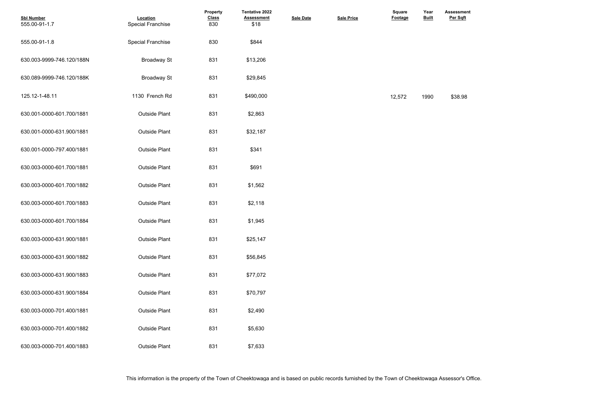| <b>Sbl Number</b><br>555.00-91-1.7 | Location<br><b>Special Franchise</b> | Property<br><b>Class</b><br>830 | <b>Tentative 2022</b><br><b>Assessment</b><br>\$18 | <b>Sale Date</b> | <b>Sale Price</b> | <b>Square</b><br>Footage | Year<br><b>Built</b> | <b>Assessme</b><br>Per Sqft |
|------------------------------------|--------------------------------------|---------------------------------|----------------------------------------------------|------------------|-------------------|--------------------------|----------------------|-----------------------------|
| 555.00-91-1.8                      | <b>Special Franchise</b>             | 830                             | \$844                                              |                  |                   |                          |                      |                             |
| 630.003-9999-746.120/188N          | <b>Broadway St</b>                   | 831                             | \$13,206                                           |                  |                   |                          |                      |                             |
| 630.089-9999-746.120/188K          | <b>Broadway St</b>                   | 831                             | \$29,845                                           |                  |                   |                          |                      |                             |
| 125.12-1-48.11                     | 1130 French Rd                       | 831                             | \$490,000                                          |                  |                   | 12,572                   | 1990                 | \$38.98                     |
| 630.001-0000-601.700/1881          | <b>Outside Plant</b>                 | 831                             | \$2,863                                            |                  |                   |                          |                      |                             |
| 630.001-0000-631.900/1881          | <b>Outside Plant</b>                 | 831                             | \$32,187                                           |                  |                   |                          |                      |                             |
| 630.001-0000-797.400/1881          | <b>Outside Plant</b>                 | 831                             | \$341                                              |                  |                   |                          |                      |                             |
| 630.003-0000-601.700/1881          | <b>Outside Plant</b>                 | 831                             | \$691                                              |                  |                   |                          |                      |                             |
| 630.003-0000-601.700/1882          | <b>Outside Plant</b>                 | 831                             | \$1,562                                            |                  |                   |                          |                      |                             |
| 630.003-0000-601.700/1883          | <b>Outside Plant</b>                 | 831                             | \$2,118                                            |                  |                   |                          |                      |                             |
| 630.003-0000-601.700/1884          | <b>Outside Plant</b>                 | 831                             | \$1,945                                            |                  |                   |                          |                      |                             |
| 630.003-0000-631.900/1881          | <b>Outside Plant</b>                 | 831                             | \$25,147                                           |                  |                   |                          |                      |                             |
| 630.003-0000-631.900/1882          | <b>Outside Plant</b>                 | 831                             | \$56,845                                           |                  |                   |                          |                      |                             |
| 630.003-0000-631.900/1883          | <b>Outside Plant</b>                 | 831                             | \$77,072                                           |                  |                   |                          |                      |                             |
| 630.003-0000-631.900/1884          | <b>Outside Plant</b>                 | 831                             | \$70,797                                           |                  |                   |                          |                      |                             |
| 630.003-0000-701.400/1881          | <b>Outside Plant</b>                 | 831                             | \$2,490                                            |                  |                   |                          |                      |                             |
| 630.003-0000-701.400/1882          | <b>Outside Plant</b>                 | 831                             | \$5,630                                            |                  |                   |                          |                      |                             |
| 630.003-0000-701.400/1883          | <b>Outside Plant</b>                 | 831                             | \$7,633                                            |                  |                   |                          |                      |                             |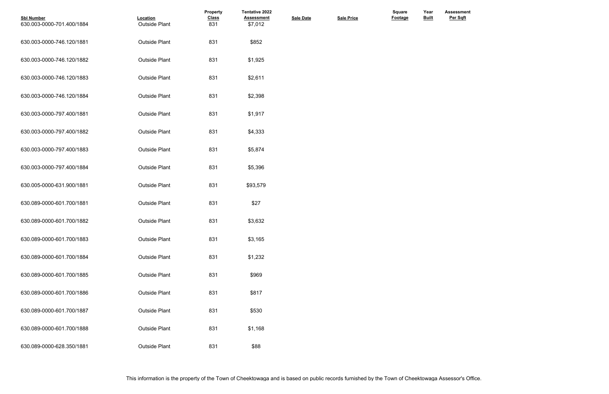| <b>Sbl Number</b><br>630.003-0000-701.400/1884 | Location<br><b>Outside Plant</b> | Property<br><b>Class</b><br>831 | <b>Tentative 2022</b><br><b>Assessment</b><br>\$7,012 | <b>Sale Date</b> | <b>Sale Price</b> | <b>Square</b><br>Footage | Year<br><b>Built</b> |
|------------------------------------------------|----------------------------------|---------------------------------|-------------------------------------------------------|------------------|-------------------|--------------------------|----------------------|
| 630.003-0000-746.120/1881                      | <b>Outside Plant</b>             | 831                             | \$852                                                 |                  |                   |                          |                      |
| 630.003-0000-746.120/1882                      | <b>Outside Plant</b>             | 831                             | \$1,925                                               |                  |                   |                          |                      |
| 630.003-0000-746.120/1883                      | <b>Outside Plant</b>             | 831                             | \$2,611                                               |                  |                   |                          |                      |
| 630.003-0000-746.120/1884                      | <b>Outside Plant</b>             | 831                             | \$2,398                                               |                  |                   |                          |                      |
| 630.003-0000-797.400/1881                      | <b>Outside Plant</b>             | 831                             | \$1,917                                               |                  |                   |                          |                      |
| 630.003-0000-797.400/1882                      | <b>Outside Plant</b>             | 831                             | \$4,333                                               |                  |                   |                          |                      |
| 630.003-0000-797.400/1883                      | <b>Outside Plant</b>             | 831                             | \$5,874                                               |                  |                   |                          |                      |
| 630.003-0000-797.400/1884                      | <b>Outside Plant</b>             | 831                             | \$5,396                                               |                  |                   |                          |                      |
| 630.005-0000-631.900/1881                      | <b>Outside Plant</b>             | 831                             | \$93,579                                              |                  |                   |                          |                      |
| 630.089-0000-601.700/1881                      | <b>Outside Plant</b>             | 831                             | \$27                                                  |                  |                   |                          |                      |
| 630.089-0000-601.700/1882                      | <b>Outside Plant</b>             | 831                             | \$3,632                                               |                  |                   |                          |                      |
| 630.089-0000-601.700/1883                      | <b>Outside Plant</b>             | 831                             | \$3,165                                               |                  |                   |                          |                      |
| 630.089-0000-601.700/1884                      | <b>Outside Plant</b>             | 831                             | \$1,232                                               |                  |                   |                          |                      |
| 630.089-0000-601.700/1885                      | <b>Outside Plant</b>             | 831                             | \$969                                                 |                  |                   |                          |                      |
| 630.089-0000-601.700/1886                      | <b>Outside Plant</b>             | 831                             | \$817                                                 |                  |                   |                          |                      |
| 630.089-0000-601.700/1887                      | <b>Outside Plant</b>             | 831                             | \$530                                                 |                  |                   |                          |                      |
| 630.089-0000-601.700/1888                      | <b>Outside Plant</b>             | 831                             | \$1,168                                               |                  |                   |                          |                      |
| 630.089-0000-628.350/1881                      | <b>Outside Plant</b>             | 831                             | \$88                                                  |                  |                   |                          |                      |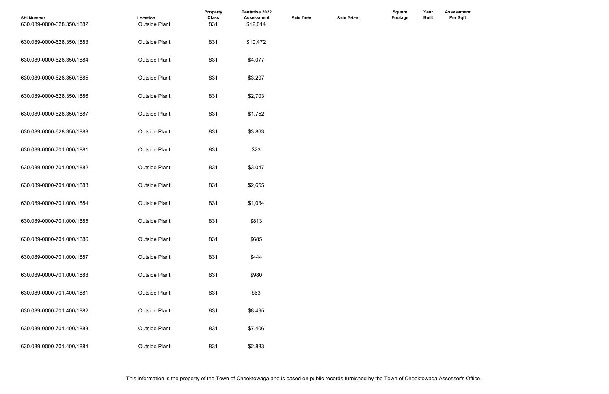| <b>Sbl Number</b><br>630.089-0000-628.350/1882 | Location<br><b>Outside Plant</b> | Property<br><b>Class</b><br>831 | <b>Tentative 2022</b><br><b>Assessment</b><br>\$12,014 | <b>Sale Date</b> | <b>Sale Price</b> | Square<br><b>Footage</b> | Year<br><b>Built</b> |
|------------------------------------------------|----------------------------------|---------------------------------|--------------------------------------------------------|------------------|-------------------|--------------------------|----------------------|
| 630.089-0000-628.350/1883                      | <b>Outside Plant</b>             | 831                             | \$10,472                                               |                  |                   |                          |                      |
| 630.089-0000-628.350/1884                      | <b>Outside Plant</b>             | 831                             | \$4,077                                                |                  |                   |                          |                      |
| 630.089-0000-628.350/1885                      | <b>Outside Plant</b>             | 831                             | \$3,207                                                |                  |                   |                          |                      |
| 630.089-0000-628.350/1886                      | <b>Outside Plant</b>             | 831                             | \$2,703                                                |                  |                   |                          |                      |
| 630.089-0000-628.350/1887                      | <b>Outside Plant</b>             | 831                             | \$1,752                                                |                  |                   |                          |                      |
| 630.089-0000-628.350/1888                      | <b>Outside Plant</b>             | 831                             | \$3,863                                                |                  |                   |                          |                      |
| 630.089-0000-701.000/1881                      | <b>Outside Plant</b>             | 831                             | \$23                                                   |                  |                   |                          |                      |
| 630.089-0000-701.000/1882                      | <b>Outside Plant</b>             | 831                             | \$3,047                                                |                  |                   |                          |                      |
| 630.089-0000-701.000/1883                      | <b>Outside Plant</b>             | 831                             | \$2,655                                                |                  |                   |                          |                      |
| 630.089-0000-701.000/1884                      | <b>Outside Plant</b>             | 831                             | \$1,034                                                |                  |                   |                          |                      |
| 630.089-0000-701.000/1885                      | <b>Outside Plant</b>             | 831                             | \$813                                                  |                  |                   |                          |                      |
| 630.089-0000-701.000/1886                      | <b>Outside Plant</b>             | 831                             | \$685                                                  |                  |                   |                          |                      |
| 630.089-0000-701.000/1887                      | <b>Outside Plant</b>             | 831                             | \$444                                                  |                  |                   |                          |                      |
| 630.089-0000-701.000/1888                      | <b>Outside Plant</b>             | 831                             | \$980                                                  |                  |                   |                          |                      |
| 630.089-0000-701.400/1881                      | <b>Outside Plant</b>             | 831                             | \$63                                                   |                  |                   |                          |                      |
| 630.089-0000-701.400/1882                      | <b>Outside Plant</b>             | 831                             | \$8,495                                                |                  |                   |                          |                      |
| 630.089-0000-701.400/1883                      | <b>Outside Plant</b>             | 831                             | \$7,406                                                |                  |                   |                          |                      |
| 630.089-0000-701.400/1884                      | <b>Outside Plant</b>             | 831                             | \$2,883                                                |                  |                   |                          |                      |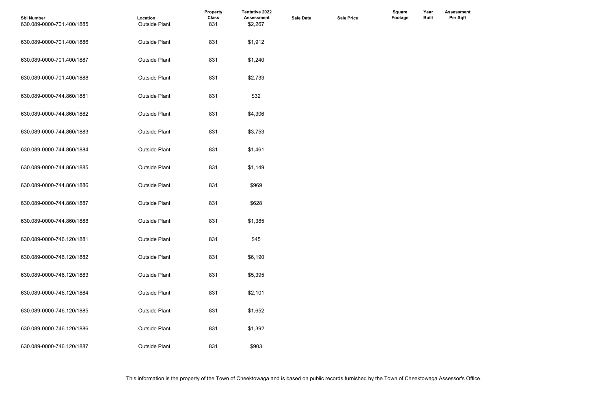| <b>Sbl Number</b><br>630.089-0000-701.400/1885 | Location<br><b>Outside Plant</b> | Property<br><b>Class</b><br>831 | <b>Tentative 2022</b><br><b>Assessment</b><br>\$2,267 | <b>Sale Date</b> | <b>Sale Price</b> | <b>Square</b><br>Footage | Year<br><b>Built</b> |
|------------------------------------------------|----------------------------------|---------------------------------|-------------------------------------------------------|------------------|-------------------|--------------------------|----------------------|
| 630.089-0000-701.400/1886                      | <b>Outside Plant</b>             | 831                             | \$1,912                                               |                  |                   |                          |                      |
| 630.089-0000-701.400/1887                      | <b>Outside Plant</b>             | 831                             | \$1,240                                               |                  |                   |                          |                      |
| 630.089-0000-701.400/1888                      | <b>Outside Plant</b>             | 831                             | \$2,733                                               |                  |                   |                          |                      |
| 630.089-0000-744.860/1881                      | <b>Outside Plant</b>             | 831                             | \$32                                                  |                  |                   |                          |                      |
| 630.089-0000-744.860/1882                      | <b>Outside Plant</b>             | 831                             | \$4,306                                               |                  |                   |                          |                      |
| 630.089-0000-744.860/1883                      | <b>Outside Plant</b>             | 831                             | \$3,753                                               |                  |                   |                          |                      |
| 630.089-0000-744.860/1884                      | <b>Outside Plant</b>             | 831                             | \$1,461                                               |                  |                   |                          |                      |
| 630.089-0000-744.860/1885                      | <b>Outside Plant</b>             | 831                             | \$1,149                                               |                  |                   |                          |                      |
| 630.089-0000-744.860/1886                      | <b>Outside Plant</b>             | 831                             | \$969                                                 |                  |                   |                          |                      |
| 630.089-0000-744.860/1887                      | <b>Outside Plant</b>             | 831                             | \$628                                                 |                  |                   |                          |                      |
| 630.089-0000-744.860/1888                      | <b>Outside Plant</b>             | 831                             | \$1,385                                               |                  |                   |                          |                      |
| 630.089-0000-746.120/1881                      | <b>Outside Plant</b>             | 831                             | \$45                                                  |                  |                   |                          |                      |
| 630.089-0000-746.120/1882                      | <b>Outside Plant</b>             | 831                             | \$6,190                                               |                  |                   |                          |                      |
| 630.089-0000-746.120/1883                      | <b>Outside Plant</b>             | 831                             | \$5,395                                               |                  |                   |                          |                      |
| 630.089-0000-746.120/1884                      | <b>Outside Plant</b>             | 831                             | \$2,101                                               |                  |                   |                          |                      |
| 630.089-0000-746.120/1885                      | <b>Outside Plant</b>             | 831                             | \$1,652                                               |                  |                   |                          |                      |
| 630.089-0000-746.120/1886                      | <b>Outside Plant</b>             | 831                             | \$1,392                                               |                  |                   |                          |                      |
| 630.089-0000-746.120/1887                      | <b>Outside Plant</b>             | 831                             | \$903                                                 |                  |                   |                          |                      |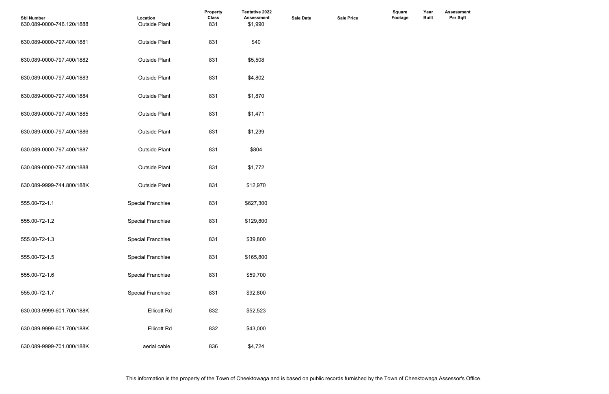| <b>Sbl Number</b><br>630.089-0000-746.120/1888 | Location<br><b>Outside Plant</b> | Property<br><b>Class</b><br>831 | <b>Tentative 2022</b><br><b>Assessment</b><br>\$1,990 | <b>Sale Date</b> | <b>Sale Price</b> | <b>Square</b><br>Footage | Year<br><b>Built</b> |
|------------------------------------------------|----------------------------------|---------------------------------|-------------------------------------------------------|------------------|-------------------|--------------------------|----------------------|
| 630.089-0000-797.400/1881                      | <b>Outside Plant</b>             | 831                             | \$40                                                  |                  |                   |                          |                      |
| 630.089-0000-797.400/1882                      | <b>Outside Plant</b>             | 831                             | \$5,508                                               |                  |                   |                          |                      |
| 630.089-0000-797.400/1883                      | <b>Outside Plant</b>             | 831                             | \$4,802                                               |                  |                   |                          |                      |
| 630.089-0000-797.400/1884                      | <b>Outside Plant</b>             | 831                             | \$1,870                                               |                  |                   |                          |                      |
| 630.089-0000-797.400/1885                      | <b>Outside Plant</b>             | 831                             | \$1,471                                               |                  |                   |                          |                      |
| 630.089-0000-797.400/1886                      | <b>Outside Plant</b>             | 831                             | \$1,239                                               |                  |                   |                          |                      |
| 630.089-0000-797.400/1887                      | <b>Outside Plant</b>             | 831                             | \$804                                                 |                  |                   |                          |                      |
| 630.089-0000-797.400/1888                      | <b>Outside Plant</b>             | 831                             | \$1,772                                               |                  |                   |                          |                      |
| 630.089-9999-744.800/188K                      | <b>Outside Plant</b>             | 831                             | \$12,970                                              |                  |                   |                          |                      |
| 555.00-72-1.1                                  | <b>Special Franchise</b>         | 831                             | \$627,300                                             |                  |                   |                          |                      |
| 555.00-72-1.2                                  | <b>Special Franchise</b>         | 831                             | \$129,800                                             |                  |                   |                          |                      |
| 555.00-72-1.3                                  | <b>Special Franchise</b>         | 831                             | \$39,800                                              |                  |                   |                          |                      |
| 555.00-72-1.5                                  | <b>Special Franchise</b>         | 831                             | \$165,800                                             |                  |                   |                          |                      |
| 555.00-72-1.6                                  | <b>Special Franchise</b>         | 831                             | \$59,700                                              |                  |                   |                          |                      |
| 555.00-72-1.7                                  | <b>Special Franchise</b>         | 831                             | \$92,800                                              |                  |                   |                          |                      |
| 630.003-9999-601.700/188K                      | <b>Ellicott Rd</b>               | 832                             | \$52,523                                              |                  |                   |                          |                      |
| 630.089-9999-601.700/188K                      | <b>Ellicott Rd</b>               | 832                             | \$43,000                                              |                  |                   |                          |                      |
| 630.089-9999-701.000/188K                      | aerial cable                     | 836                             | \$4,724                                               |                  |                   |                          |                      |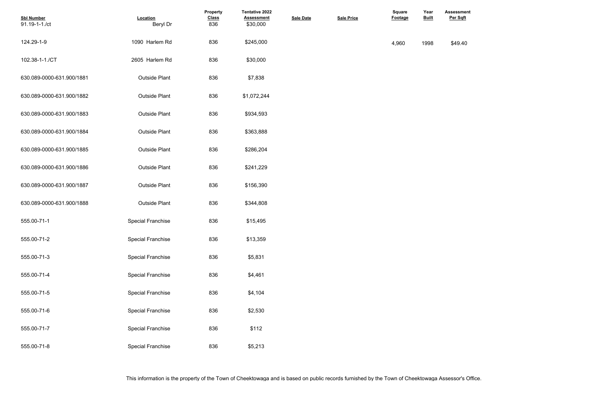| <b>Sbl Number</b><br>91.19-1-1./ct | Location<br>Beryl Dr     | Property<br><b>Class</b><br>836 | Tentative 2022<br><b>Assessment</b><br>\$30,000 | <b>Sale Date</b> | <b>Sale Price</b> | <b>Square</b><br>Footage | Year<br><b>Built</b> | <b>Assessme</b><br>Per Sqft |
|------------------------------------|--------------------------|---------------------------------|-------------------------------------------------|------------------|-------------------|--------------------------|----------------------|-----------------------------|
| 124.29-1-9                         | 1090 Harlem Rd           | 836                             | \$245,000                                       |                  |                   | 4,960                    | 1998                 | \$49.40                     |
| 102.38-1-1./CT                     | 2605 Harlem Rd           | 836                             | \$30,000                                        |                  |                   |                          |                      |                             |
| 630.089-0000-631.900/1881          | <b>Outside Plant</b>     | 836                             | \$7,838                                         |                  |                   |                          |                      |                             |
| 630.089-0000-631.900/1882          | <b>Outside Plant</b>     | 836                             | \$1,072,244                                     |                  |                   |                          |                      |                             |
| 630.089-0000-631.900/1883          | <b>Outside Plant</b>     | 836                             | \$934,593                                       |                  |                   |                          |                      |                             |
| 630.089-0000-631.900/1884          | <b>Outside Plant</b>     | 836                             | \$363,888                                       |                  |                   |                          |                      |                             |
| 630.089-0000-631.900/1885          | <b>Outside Plant</b>     | 836                             | \$286,204                                       |                  |                   |                          |                      |                             |
| 630.089-0000-631.900/1886          | <b>Outside Plant</b>     | 836                             | \$241,229                                       |                  |                   |                          |                      |                             |
| 630.089-0000-631.900/1887          | <b>Outside Plant</b>     | 836                             | \$156,390                                       |                  |                   |                          |                      |                             |
| 630.089-0000-631.900/1888          | <b>Outside Plant</b>     | 836                             | \$344,808                                       |                  |                   |                          |                      |                             |
| 555.00-71-1                        | <b>Special Franchise</b> | 836                             | \$15,495                                        |                  |                   |                          |                      |                             |
| 555.00-71-2                        | <b>Special Franchise</b> | 836                             | \$13,359                                        |                  |                   |                          |                      |                             |
| 555.00-71-3                        | <b>Special Franchise</b> | 836                             | \$5,831                                         |                  |                   |                          |                      |                             |
| 555.00-71-4                        | <b>Special Franchise</b> | 836                             | \$4,461                                         |                  |                   |                          |                      |                             |
| 555.00-71-5                        | <b>Special Franchise</b> | 836                             | \$4,104                                         |                  |                   |                          |                      |                             |
| 555.00-71-6                        | <b>Special Franchise</b> | 836                             | \$2,530                                         |                  |                   |                          |                      |                             |
| 555.00-71-7                        | <b>Special Franchise</b> | 836                             | \$112                                           |                  |                   |                          |                      |                             |
| 555.00-71-8                        | <b>Special Franchise</b> | 836                             | \$5,213                                         |                  |                   |                          |                      |                             |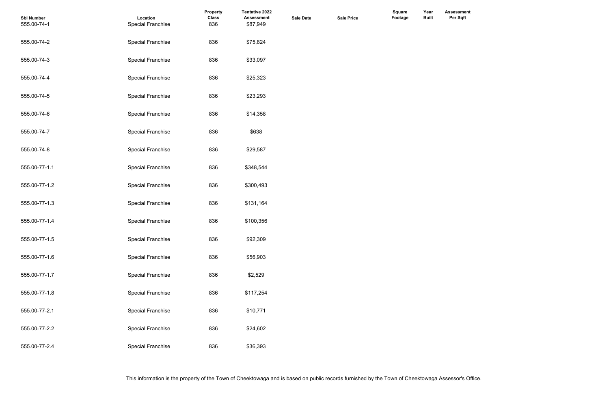| <b>Sbl Number</b><br>555.00-74-1 | Location<br><b>Special Franchise</b> | Property<br><b>Class</b><br>836 | <b>Tentative 2022</b><br><b>Assessment</b><br>\$87,949 | <b>Sale Date</b> | <b>Sale Price</b> | Square<br><b>Footage</b> | Year<br><b>Built</b> |  |
|----------------------------------|--------------------------------------|---------------------------------|--------------------------------------------------------|------------------|-------------------|--------------------------|----------------------|--|
| 555.00-74-2                      | <b>Special Franchise</b>             | 836                             | \$75,824                                               |                  |                   |                          |                      |  |
| 555.00-74-3                      | <b>Special Franchise</b>             | 836                             | \$33,097                                               |                  |                   |                          |                      |  |
| 555.00-74-4                      | <b>Special Franchise</b>             | 836                             | \$25,323                                               |                  |                   |                          |                      |  |
| 555.00-74-5                      | <b>Special Franchise</b>             | 836                             | \$23,293                                               |                  |                   |                          |                      |  |
| 555.00-74-6                      | <b>Special Franchise</b>             | 836                             | \$14,358                                               |                  |                   |                          |                      |  |
| 555.00-74-7                      | <b>Special Franchise</b>             | 836                             | \$638                                                  |                  |                   |                          |                      |  |
| 555.00-74-8                      | <b>Special Franchise</b>             | 836                             | \$29,587                                               |                  |                   |                          |                      |  |
| 555.00-77-1.1                    | <b>Special Franchise</b>             | 836                             | \$348,544                                              |                  |                   |                          |                      |  |
| 555.00-77-1.2                    | <b>Special Franchise</b>             | 836                             | \$300,493                                              |                  |                   |                          |                      |  |
| 555.00-77-1.3                    | <b>Special Franchise</b>             | 836                             | \$131,164                                              |                  |                   |                          |                      |  |
| 555.00-77-1.4                    | <b>Special Franchise</b>             | 836                             | \$100,356                                              |                  |                   |                          |                      |  |
| 555.00-77-1.5                    | <b>Special Franchise</b>             | 836                             | \$92,309                                               |                  |                   |                          |                      |  |
| 555.00-77-1.6                    | <b>Special Franchise</b>             | 836                             | \$56,903                                               |                  |                   |                          |                      |  |
| 555.00-77-1.7                    | <b>Special Franchise</b>             | 836                             | \$2,529                                                |                  |                   |                          |                      |  |
| 555.00-77-1.8                    | <b>Special Franchise</b>             | 836                             | \$117,254                                              |                  |                   |                          |                      |  |
| 555.00-77-2.1                    | <b>Special Franchise</b>             | 836                             | \$10,771                                               |                  |                   |                          |                      |  |
| 555.00-77-2.2                    | <b>Special Franchise</b>             | 836                             | \$24,602                                               |                  |                   |                          |                      |  |
| 555.00-77-2.4                    | <b>Special Franchise</b>             | 836                             | \$36,393                                               |                  |                   |                          |                      |  |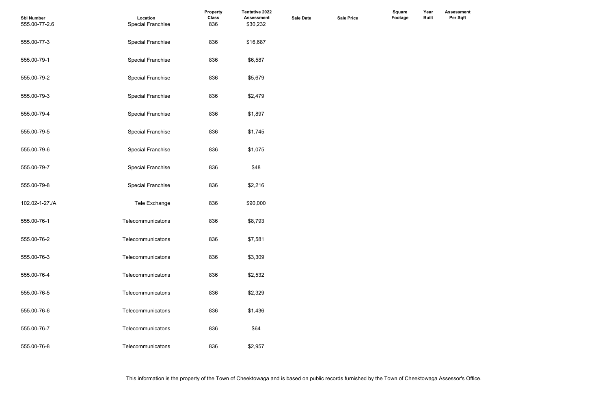| <b>Sbl Number</b><br>555.00-77-2.6 | Location<br><b>Special Franchise</b> | Property<br><b>Class</b><br>836 | <b>Tentative 2022</b><br><b>Assessment</b><br>\$30,232 | <b>Sale Date</b> | <b>Sale Price</b> | <b>Square</b><br>Footage | Year<br><b>Built</b> |
|------------------------------------|--------------------------------------|---------------------------------|--------------------------------------------------------|------------------|-------------------|--------------------------|----------------------|
| 555.00-77-3                        | <b>Special Franchise</b>             | 836                             | \$16,687                                               |                  |                   |                          |                      |
| 555.00-79-1                        | <b>Special Franchise</b>             | 836                             | \$6,587                                                |                  |                   |                          |                      |
| 555.00-79-2                        | <b>Special Franchise</b>             | 836                             | \$5,679                                                |                  |                   |                          |                      |
| 555.00-79-3                        | <b>Special Franchise</b>             | 836                             | \$2,479                                                |                  |                   |                          |                      |
| 555.00-79-4                        | <b>Special Franchise</b>             | 836                             | \$1,897                                                |                  |                   |                          |                      |
| 555.00-79-5                        | <b>Special Franchise</b>             | 836                             | \$1,745                                                |                  |                   |                          |                      |
| 555.00-79-6                        | <b>Special Franchise</b>             | 836                             | \$1,075                                                |                  |                   |                          |                      |
| 555.00-79-7                        | <b>Special Franchise</b>             | 836                             | \$48                                                   |                  |                   |                          |                      |
| 555.00-79-8                        | <b>Special Franchise</b>             | 836                             | \$2,216                                                |                  |                   |                          |                      |
| 102.02-1-27./A                     | Tele Exchange                        | 836                             | \$90,000                                               |                  |                   |                          |                      |
| 555.00-76-1                        | Telecommunicatons                    | 836                             | \$8,793                                                |                  |                   |                          |                      |
| 555.00-76-2                        | Telecommunicatons                    | 836                             | \$7,581                                                |                  |                   |                          |                      |
| 555.00-76-3                        | Telecommunicatons                    | 836                             | \$3,309                                                |                  |                   |                          |                      |
| 555.00-76-4                        | Telecommunicatons                    | 836                             | \$2,532                                                |                  |                   |                          |                      |
| 555.00-76-5                        | Telecommunicatons                    | 836                             | \$2,329                                                |                  |                   |                          |                      |
| 555.00-76-6                        | Telecommunicatons                    | 836                             | \$1,436                                                |                  |                   |                          |                      |
| 555.00-76-7                        | Telecommunicatons                    | 836                             | \$64                                                   |                  |                   |                          |                      |
| 555.00-76-8                        | Telecommunicatons                    | 836                             | \$2,957                                                |                  |                   |                          |                      |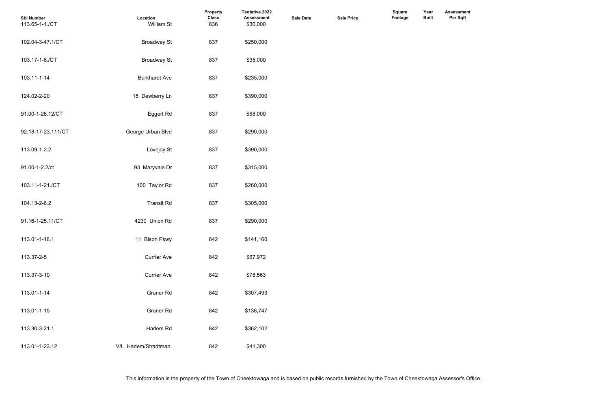| <b>Sbl Number</b><br>113.65-1-1./CT | Location<br>William St | <b>Property</b><br><b>Class</b><br>836 | <b>Tentative 2022</b><br><b>Assessment</b><br>\$30,000 | <b>Sale Date</b> | <b>Sale Price</b> | <b>Square</b><br>Footage | Year<br><b>Built</b> |  |
|-------------------------------------|------------------------|----------------------------------------|--------------------------------------------------------|------------------|-------------------|--------------------------|----------------------|--|
| 102.04-3-47.1/CT                    | <b>Broadway St</b>     | 837                                    | \$250,000                                              |                  |                   |                          |                      |  |
| 103.17-1-6./CT                      | <b>Broadway St</b>     | 837                                    | \$35,000                                               |                  |                   |                          |                      |  |
| 103.11-1-14                         | <b>Burkhardt Ave</b>   | 837                                    | \$235,000                                              |                  |                   |                          |                      |  |
| 124.02-2-20                         | 15 Dewberry Ln         | 837                                    | \$390,000                                              |                  |                   |                          |                      |  |
| 91.00-1-26.12/CT                    | Eggert Rd              | 837                                    | \$68,000                                               |                  |                   |                          |                      |  |
| 92.18-17-23.111/CT                  | George Urban Blvd      | 837                                    | \$290,000                                              |                  |                   |                          |                      |  |
| 113.09-1-2.2                        | Lovejoy St             | 837                                    | \$390,000                                              |                  |                   |                          |                      |  |
| 91.00-1-2.2/ct                      | 93 Maryvale Dr         | 837                                    | \$315,000                                              |                  |                   |                          |                      |  |
| 103.11-1-21./CT                     | 100 Taylor Rd          | 837                                    | \$260,000                                              |                  |                   |                          |                      |  |
| 104.13-2-6.2                        | <b>Transit Rd</b>      | 837                                    | \$305,000                                              |                  |                   |                          |                      |  |
| 91.16-1-25.11/CT                    | 4230 Union Rd          | 837                                    | \$290,000                                              |                  |                   |                          |                      |  |
| 113.01-1-16.1                       | 11 Bison Pkwy          | 842                                    | \$141,160                                              |                  |                   |                          |                      |  |
| 113.37-2-5                          | <b>Currier Ave</b>     | 842                                    | \$67,972                                               |                  |                   |                          |                      |  |
| 113.37-3-10                         | <b>Currier Ave</b>     | 842                                    | \$78,563                                               |                  |                   |                          |                      |  |
| 113.01-1-14                         | <b>Gruner Rd</b>       | 842                                    | \$307,493                                              |                  |                   |                          |                      |  |
| 113.01-1-15                         | <b>Gruner Rd</b>       | 842                                    | \$138,747                                              |                  |                   |                          |                      |  |
| 113.30-3-21.1                       | Harlem Rd              | 842                                    | \$362,102                                              |                  |                   |                          |                      |  |
| 113.01-1-23.12                      | V/L Harlem/Stradtman   | 842                                    | \$41,300                                               |                  |                   |                          |                      |  |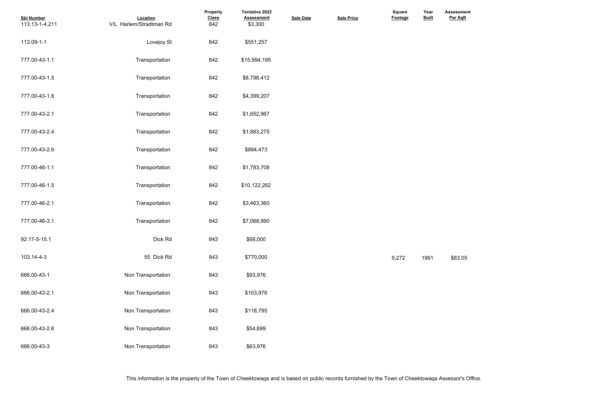| <b>Sbl Number</b><br>113.13-1-4.211 | Location<br>V/L Harlem/Stradtman Rd | Property<br><b>Class</b><br>842 | Tentative 2022<br><b>Assessment</b><br>\$3,300 | <b>Sale Date</b> | <b>Sale Price</b> | <b>Square</b><br>Footage | Year<br><b>Built</b> | Assessme<br>Per Sqft |
|-------------------------------------|-------------------------------------|---------------------------------|------------------------------------------------|------------------|-------------------|--------------------------|----------------------|----------------------|
| 113.09-1-1                          | Lovejoy St                          | 842                             | \$551,257                                      |                  |                   |                          |                      |                      |
| 777.00-43-1.1                       | Transportation                      | 842                             | \$15,994,195                                   |                  |                   |                          |                      |                      |
| 777.00-43-1.5                       | Transportation                      | 842                             | \$8,798,412                                    |                  |                   |                          |                      |                      |
| 777.00-43-1.6                       | Transportation                      | 842                             | \$4,399,207                                    |                  |                   |                          |                      |                      |
| 777.00-43-2.1                       | Transportation                      | 842                             | \$1,652,967                                    |                  |                   |                          |                      |                      |
| 777.00-43-2.4                       | Transportation                      | 842                             | \$1,883,275                                    |                  |                   |                          |                      |                      |
| 777.00-43-2.6                       | Transportation                      | 842                             | \$894,473                                      |                  |                   |                          |                      |                      |
| 777.00-46-1.1                       | Transportation                      | 842                             | \$1,783,708                                    |                  |                   |                          |                      |                      |
| 777.00-46-1.5                       | Transportation                      | 842                             | \$10,122,262                                   |                  |                   |                          |                      |                      |
| 777.00-46-2.1                       | Transportation                      | 842                             | \$3,463,360                                    |                  |                   |                          |                      |                      |
| 777.00-46-3.1                       | Transportation                      | 842                             | \$7,068,990                                    |                  |                   |                          |                      |                      |
| 92.17-5-15.1                        | Dick Rd                             | 843                             | \$68,000                                       |                  |                   |                          |                      |                      |
| 103.14-4-3                          | 55 Dick Rd                          | 843                             | \$770,000                                      |                  |                   | 9,272                    | 1991                 | \$83.05              |
| 666.00-43-1                         | Non Transportation                  | 843                             | \$93,976                                       |                  |                   |                          |                      |                      |
| 666.00-43-2.1                       | Non Transportation                  | 843                             | \$103,976                                      |                  |                   |                          |                      |                      |
| 666.00-43-2.4                       | Non Transportation                  | 843                             | \$118,795                                      |                  |                   |                          |                      |                      |
| 666.00-43-2.6                       | Non Transportation                  | 843                             | \$54,699                                       |                  |                   |                          |                      |                      |
| 666.00-43-3                         | Non Transportation                  | 843                             | \$63,976                                       |                  |                   |                          |                      |                      |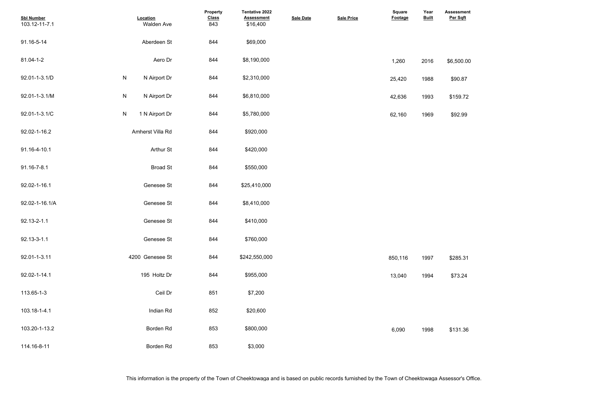| <b>Sbl Number</b><br>103.12-11-7.1 | Location<br>Walden Ave         | Property<br><b>Class</b><br>843 | Tentative 2022<br><b>Assessment</b><br>\$16,400 | <b>Sale Date</b> | <b>Sale Price</b> | <b>Square</b><br><b>Footage</b> | Year<br><b>Built</b> | <b>Assessment</b><br>Per Sqft |
|------------------------------------|--------------------------------|---------------------------------|-------------------------------------------------|------------------|-------------------|---------------------------------|----------------------|-------------------------------|
| 91.16-5-14                         | Aberdeen St                    | 844                             | \$69,000                                        |                  |                   |                                 |                      |                               |
| 81.04-1-2                          | Aero Dr                        | 844                             | \$8,190,000                                     |                  |                   | 1,260                           | 2016                 | \$6,500.00                    |
| 92.01-1-3.1/D                      | ${\sf N}$<br>N Airport Dr      | 844                             | \$2,310,000                                     |                  |                   | 25,420                          | 1988                 | \$90.87                       |
| 92.01-1-3.1/M                      | ${\sf N}$<br>N Airport Dr      | 844                             | \$6,810,000                                     |                  |                   | 42,636                          | 1993                 | \$159.72                      |
| 92.01-1-3.1/C                      | $\mathsf{N}$<br>1 N Airport Dr | 844                             | \$5,780,000                                     |                  |                   | 62,160                          | 1969                 | \$92.99                       |
| 92.02-1-16.2                       | Amherst Villa Rd               | 844                             | \$920,000                                       |                  |                   |                                 |                      |                               |
| 91.16-4-10.1                       | <b>Arthur St</b>               | 844                             | \$420,000                                       |                  |                   |                                 |                      |                               |
| 91.16-7-8.1                        | <b>Broad St</b>                | 844                             | \$550,000                                       |                  |                   |                                 |                      |                               |
| 92.02-1-16.1                       | Genesee St                     | 844                             | \$25,410,000                                    |                  |                   |                                 |                      |                               |
| 92.02-1-16.1/A                     | Genesee St                     | 844                             | \$8,410,000                                     |                  |                   |                                 |                      |                               |
| 92.13-2-1.1                        | Genesee St                     | 844                             | \$410,000                                       |                  |                   |                                 |                      |                               |
| 92.13-3-1.1                        | Genesee St                     | 844                             | \$760,000                                       |                  |                   |                                 |                      |                               |
| 92.01-1-3.11                       | 4200 Genesee St                | 844                             | \$242,550,000                                   |                  |                   | 850,116                         | 1997                 | \$285.31                      |
| 92.02-1-14.1                       | 195 Holtz Dr                   | 844                             | \$955,000                                       |                  |                   | 13,040                          | 1994                 | \$73.24                       |
| 113.65-1-3                         | Ceil Dr                        | 851                             | \$7,200                                         |                  |                   |                                 |                      |                               |
| 103.18-1-4.1                       | Indian Rd                      | 852                             | \$20,600                                        |                  |                   |                                 |                      |                               |
| 103.20-1-13.2                      | Borden Rd                      | 853                             | \$800,000                                       |                  |                   | 6,090                           | 1998                 | \$131.36                      |
| 114.16-8-11                        | Borden Rd                      | 853                             | \$3,000                                         |                  |                   |                                 |                      |                               |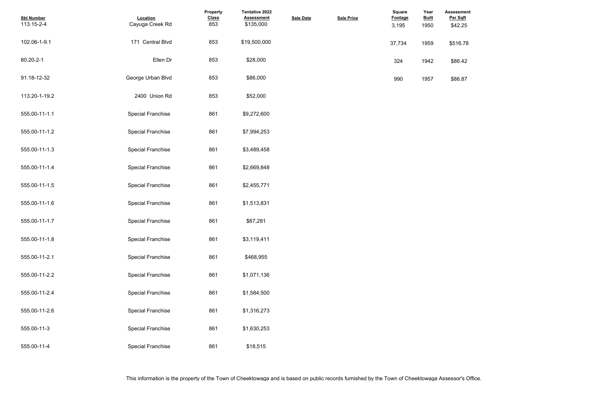| <b>Sbl Number</b><br>113.15-2-4 | Location<br>Cayuga Creek Rd | Property<br><b>Class</b><br>853 | Tentative 2022<br><b>Assessment</b><br>\$135,000 | <b>Sale Date</b> | <b>Sale Price</b> | Square<br><b>Footage</b><br>3,195 | Year<br><b>Built</b><br>1950 | <b>Assessmer</b><br>Per Sqft<br>\$42.25 |
|---------------------------------|-----------------------------|---------------------------------|--------------------------------------------------|------------------|-------------------|-----------------------------------|------------------------------|-----------------------------------------|
| 102.06-1-9.1                    | 171 Central Blvd            | 853                             | \$19,500,000                                     |                  |                   | 37,734                            | 1959                         | \$516.78                                |
| 80.20-2-1                       | Ellen Dr                    | 853                             | \$28,000                                         |                  |                   | 324                               | 1942                         | \$86.42                                 |
| 91.18-12-32                     | George Urban Blvd           | 853                             | \$86,000                                         |                  |                   | 990                               | 1957                         | \$86.87                                 |
| 113.20-1-19.2                   | 2400 Union Rd               | 853                             | \$52,000                                         |                  |                   |                                   |                              |                                         |
| 555.00-11-1.1                   | <b>Special Franchise</b>    | 861                             | \$9,272,600                                      |                  |                   |                                   |                              |                                         |
| 555.00-11-1.2                   | <b>Special Franchise</b>    | 861                             | \$7,994,253                                      |                  |                   |                                   |                              |                                         |
| 555.00-11-1.3                   | <b>Special Franchise</b>    | 861                             | \$3,489,458                                      |                  |                   |                                   |                              |                                         |
| 555.00-11-1.4                   | <b>Special Franchise</b>    | 861                             | \$2,669,848                                      |                  |                   |                                   |                              |                                         |
| 555.00-11-1.5                   | <b>Special Franchise</b>    | 861                             | \$2,455,771                                      |                  |                   |                                   |                              |                                         |
| 555.00-11-1.6                   | <b>Special Franchise</b>    | 861                             | \$1,513,831                                      |                  |                   |                                   |                              |                                         |
| 555.00-11-1.7                   | <b>Special Franchise</b>    | 861                             | \$67,281                                         |                  |                   |                                   |                              |                                         |
| 555.00-11-1.8                   | <b>Special Franchise</b>    | 861                             | \$3,119,411                                      |                  |                   |                                   |                              |                                         |
| 555.00-11-2.1                   | <b>Special Franchise</b>    | 861                             | \$468,955                                        |                  |                   |                                   |                              |                                         |
| 555.00-11-2.2                   | <b>Special Franchise</b>    | 861                             | \$1,071,136                                      |                  |                   |                                   |                              |                                         |
| 555.00-11-2.4                   | <b>Special Franchise</b>    | 861                             | \$1,584,500                                      |                  |                   |                                   |                              |                                         |
| 555.00-11-2.6                   | <b>Special Franchise</b>    | 861                             | \$1,316,273                                      |                  |                   |                                   |                              |                                         |
| 555.00-11-3                     | <b>Special Franchise</b>    | 861                             | \$1,630,253                                      |                  |                   |                                   |                              |                                         |
| 555.00-11-4                     | <b>Special Franchise</b>    | 861                             | \$18,515                                         |                  |                   |                                   |                              |                                         |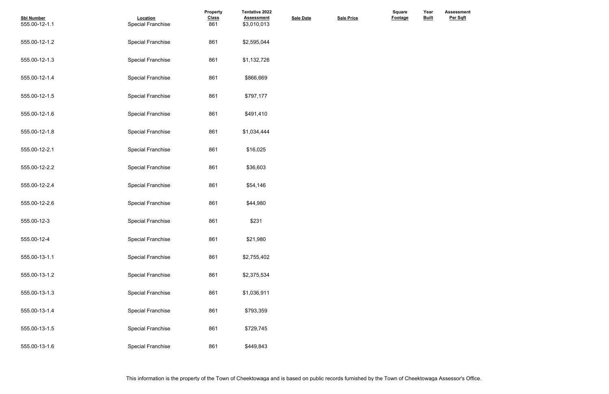| <b>Sbl Number</b><br>555.00-12-1.1 | Location<br><b>Special Franchise</b> | Property<br><b>Class</b><br>861 | <b>Tentative 2022</b><br><b>Assessment</b><br>\$3,010,013 | <b>Sale Date</b> | <b>Sale Price</b> | Square<br><b>Footage</b> | Year<br><b>Built</b> |  |
|------------------------------------|--------------------------------------|---------------------------------|-----------------------------------------------------------|------------------|-------------------|--------------------------|----------------------|--|
| 555.00-12-1.2                      | <b>Special Franchise</b>             | 861                             | \$2,595,044                                               |                  |                   |                          |                      |  |
| 555.00-12-1.3                      | <b>Special Franchise</b>             | 861                             | \$1,132,726                                               |                  |                   |                          |                      |  |
| 555.00-12-1.4                      | <b>Special Franchise</b>             | 861                             | \$866,669                                                 |                  |                   |                          |                      |  |
| 555.00-12-1.5                      | <b>Special Franchise</b>             | 861                             | \$797,177                                                 |                  |                   |                          |                      |  |
| 555.00-12-1.6                      | <b>Special Franchise</b>             | 861                             | \$491,410                                                 |                  |                   |                          |                      |  |
| 555.00-12-1.8                      | <b>Special Franchise</b>             | 861                             | \$1,034,444                                               |                  |                   |                          |                      |  |
| 555.00-12-2.1                      | <b>Special Franchise</b>             | 861                             | \$16,025                                                  |                  |                   |                          |                      |  |
| 555.00-12-2.2                      | <b>Special Franchise</b>             | 861                             | \$36,603                                                  |                  |                   |                          |                      |  |
| 555.00-12-2.4                      | <b>Special Franchise</b>             | 861                             | \$54,146                                                  |                  |                   |                          |                      |  |
| 555.00-12-2.6                      | <b>Special Franchise</b>             | 861                             | \$44,980                                                  |                  |                   |                          |                      |  |
| 555.00-12-3                        | <b>Special Franchise</b>             | 861                             | \$231                                                     |                  |                   |                          |                      |  |
| 555.00-12-4                        | <b>Special Franchise</b>             | 861                             | \$21,980                                                  |                  |                   |                          |                      |  |
| 555.00-13-1.1                      | <b>Special Franchise</b>             | 861                             | \$2,755,402                                               |                  |                   |                          |                      |  |
| 555.00-13-1.2                      | <b>Special Franchise</b>             | 861                             | \$2,375,534                                               |                  |                   |                          |                      |  |
| 555.00-13-1.3                      | <b>Special Franchise</b>             | 861                             | \$1,036,911                                               |                  |                   |                          |                      |  |
| 555.00-13-1.4                      | <b>Special Franchise</b>             | 861                             | \$793,359                                                 |                  |                   |                          |                      |  |
| 555.00-13-1.5                      | <b>Special Franchise</b>             | 861                             | \$729,745                                                 |                  |                   |                          |                      |  |
| 555.00-13-1.6                      | <b>Special Franchise</b>             | 861                             | \$449,843                                                 |                  |                   |                          |                      |  |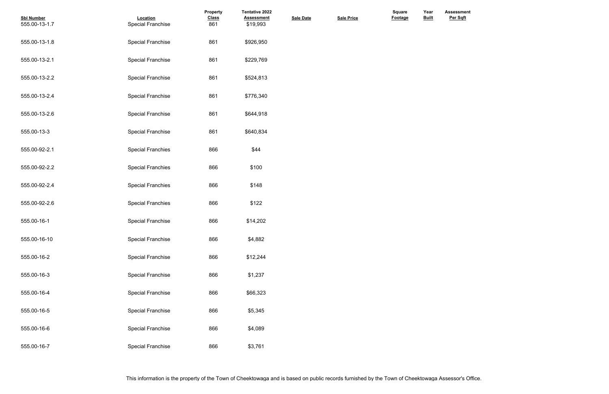| <b>Sbl Number</b><br>555.00-13-1.7 | Location<br><b>Special Franchise</b> | Property<br><b>Class</b><br>861 | <b>Tentative 2022</b><br><b>Assessment</b><br>\$19,993 | <b>Sale Date</b> | <b>Sale Price</b> | Square<br>Footage | Year<br><b>Built</b> |  |
|------------------------------------|--------------------------------------|---------------------------------|--------------------------------------------------------|------------------|-------------------|-------------------|----------------------|--|
| 555.00-13-1.8                      | <b>Special Franchise</b>             | 861                             | \$926,950                                              |                  |                   |                   |                      |  |
| 555.00-13-2.1                      | <b>Special Franchise</b>             | 861                             | \$229,769                                              |                  |                   |                   |                      |  |
| 555.00-13-2.2                      | <b>Special Franchise</b>             | 861                             | \$524,813                                              |                  |                   |                   |                      |  |
| 555.00-13-2.4                      | <b>Special Franchise</b>             | 861                             | \$776,340                                              |                  |                   |                   |                      |  |
| 555.00-13-2.6                      | <b>Special Franchise</b>             | 861                             | \$644,918                                              |                  |                   |                   |                      |  |
| 555.00-13-3                        | <b>Special Franchise</b>             | 861                             | \$640,834                                              |                  |                   |                   |                      |  |
| 555.00-92-2.1                      | <b>Special Franchies</b>             | 866                             | \$44                                                   |                  |                   |                   |                      |  |
| 555.00-92-2.2                      | <b>Special Franchies</b>             | 866                             | \$100                                                  |                  |                   |                   |                      |  |
| 555.00-92-2.4                      | <b>Special Franchies</b>             | 866                             | \$148                                                  |                  |                   |                   |                      |  |
| 555.00-92-2.6                      | <b>Special Franchies</b>             | 866                             | \$122                                                  |                  |                   |                   |                      |  |
| 555.00-16-1                        | <b>Special Franchise</b>             | 866                             | \$14,202                                               |                  |                   |                   |                      |  |
| 555.00-16-10                       | <b>Special Franchise</b>             | 866                             | \$4,882                                                |                  |                   |                   |                      |  |
| 555.00-16-2                        | <b>Special Franchise</b>             | 866                             | \$12,244                                               |                  |                   |                   |                      |  |
| 555.00-16-3                        | <b>Special Franchise</b>             | 866                             | \$1,237                                                |                  |                   |                   |                      |  |
| 555.00-16-4                        | <b>Special Franchise</b>             | 866                             | \$66,323                                               |                  |                   |                   |                      |  |
| 555.00-16-5                        | <b>Special Franchise</b>             | 866                             | \$5,345                                                |                  |                   |                   |                      |  |
| 555.00-16-6                        | <b>Special Franchise</b>             | 866                             | \$4,089                                                |                  |                   |                   |                      |  |
| 555.00-16-7                        | <b>Special Franchise</b>             | 866                             | \$3,761                                                |                  |                   |                   |                      |  |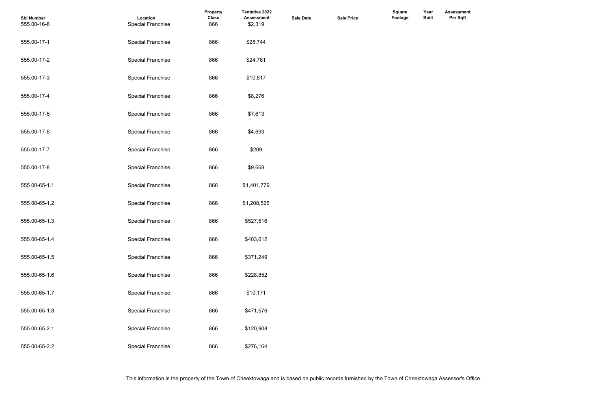| <b>Sbl Number</b><br>555.00-16-8 | Location<br><b>Special Franchise</b> | Property<br><b>Class</b><br>866 | Tentative 2022<br><b>Assessment</b><br>\$2,319 | <b>Sale Date</b> | <b>Sale Price</b> | Square<br>Footage | Year<br><b>Built</b> |  |
|----------------------------------|--------------------------------------|---------------------------------|------------------------------------------------|------------------|-------------------|-------------------|----------------------|--|
| 555.00-17-1                      | <b>Special Franchise</b>             | 866                             | \$28,744                                       |                  |                   |                   |                      |  |
| 555.00-17-2                      | <b>Special Franchise</b>             | 866                             | \$24,781                                       |                  |                   |                   |                      |  |
| 555.00-17-3                      | <b>Special Franchise</b>             | 866                             | \$10,817                                       |                  |                   |                   |                      |  |
| 555.00-17-4                      | <b>Special Franchise</b>             | 866                             | \$8,276                                        |                  |                   |                   |                      |  |
| 555.00-17-5                      | <b>Special Franchise</b>             | 866                             | \$7,613                                        |                  |                   |                   |                      |  |
| 555.00-17-6                      | <b>Special Franchise</b>             | 866                             | \$4,693                                        |                  |                   |                   |                      |  |
| 555.00-17-7                      | <b>Special Franchise</b>             | 866                             | \$209                                          |                  |                   |                   |                      |  |
| 555.00-17-8                      | <b>Special Franchise</b>             | 866                             | \$9,668                                        |                  |                   |                   |                      |  |
| 555.00-65-1.1                    | <b>Special Franchise</b>             | 866                             | \$1,401,779                                    |                  |                   |                   |                      |  |
| 555.00-65-1.2                    | <b>Special Franchise</b>             | 866                             | \$1,208,526                                    |                  |                   |                   |                      |  |
| 555.00-65-1.3                    | <b>Special Franchise</b>             | 866                             | \$527,516                                      |                  |                   |                   |                      |  |
| 555.00-65-1.4                    | <b>Special Franchise</b>             | 866                             | \$403,612                                      |                  |                   |                   |                      |  |
| 555.00-65-1.5                    | <b>Special Franchise</b>             | 866                             | \$371,249                                      |                  |                   |                   |                      |  |
| 555.00-65-1.6                    | <b>Special Franchise</b>             | 866                             | \$228,852                                      |                  |                   |                   |                      |  |
| 555.00-65-1.7                    | <b>Special Franchise</b>             | 866                             | \$10,171                                       |                  |                   |                   |                      |  |
| 555.00-65-1.8                    | <b>Special Franchise</b>             | 866                             | \$471,576                                      |                  |                   |                   |                      |  |
| 555.00-65-2.1                    | <b>Special Franchise</b>             | 866                             | \$120,908                                      |                  |                   |                   |                      |  |
| 555.00-65-2.2                    | Special Franchise                    | 866                             | \$276,164                                      |                  |                   |                   |                      |  |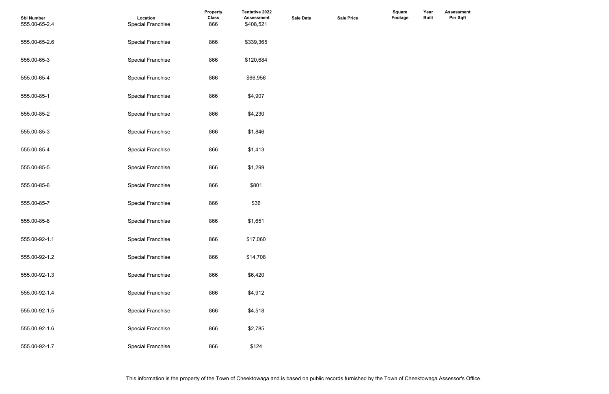| <b>Sbl Number</b><br>555.00-65-2.4 | Location<br><b>Special Franchise</b> | <b>Property</b><br><b>Class</b><br>866 | <b>Tentative 2022</b><br><b>Assessment</b><br>\$408,521 | <b>Sale Date</b> | <b>Sale Price</b> | <b>Square</b><br>Footage | Year<br><b>Built</b> |
|------------------------------------|--------------------------------------|----------------------------------------|---------------------------------------------------------|------------------|-------------------|--------------------------|----------------------|
| 555.00-65-2.6                      | <b>Special Franchise</b>             | 866                                    | \$339,365                                               |                  |                   |                          |                      |
| 555.00-65-3                        | <b>Special Franchise</b>             | 866                                    | \$120,684                                               |                  |                   |                          |                      |
| 555.00-65-4                        | <b>Special Franchise</b>             | 866                                    | \$66,956                                                |                  |                   |                          |                      |
| 555.00-85-1                        | <b>Special Franchise</b>             | 866                                    | \$4,907                                                 |                  |                   |                          |                      |
| 555.00-85-2                        | <b>Special Franchise</b>             | 866                                    | \$4,230                                                 |                  |                   |                          |                      |
| 555.00-85-3                        | <b>Special Franchise</b>             | 866                                    | \$1,846                                                 |                  |                   |                          |                      |
| 555.00-85-4                        | <b>Special Franchise</b>             | 866                                    | \$1,413                                                 |                  |                   |                          |                      |
| 555.00-85-5                        | <b>Special Franchise</b>             | 866                                    | \$1,299                                                 |                  |                   |                          |                      |
| 555.00-85-6                        | <b>Special Franchise</b>             | 866                                    | \$801                                                   |                  |                   |                          |                      |
| 555.00-85-7                        | <b>Special Franchise</b>             | 866                                    | \$36                                                    |                  |                   |                          |                      |
| 555.00-85-8                        | <b>Special Franchise</b>             | 866                                    | \$1,651                                                 |                  |                   |                          |                      |
| 555.00-92-1.1                      | <b>Special Franchise</b>             | 866                                    | \$17,060                                                |                  |                   |                          |                      |
| 555.00-92-1.2                      | <b>Special Franchise</b>             | 866                                    | \$14,708                                                |                  |                   |                          |                      |
| 555.00-92-1.3                      | Special Franchise                    | 866                                    | \$6,420                                                 |                  |                   |                          |                      |
| 555.00-92-1.4                      | <b>Special Franchise</b>             | 866                                    | \$4,912                                                 |                  |                   |                          |                      |
| 555.00-92-1.5                      | <b>Special Franchise</b>             | 866                                    | \$4,518                                                 |                  |                   |                          |                      |
| 555.00-92-1.6                      | <b>Special Franchise</b>             | 866                                    | \$2,785                                                 |                  |                   |                          |                      |
| 555.00-92-1.7                      | <b>Special Franchise</b>             | 866                                    | \$124                                                   |                  |                   |                          |                      |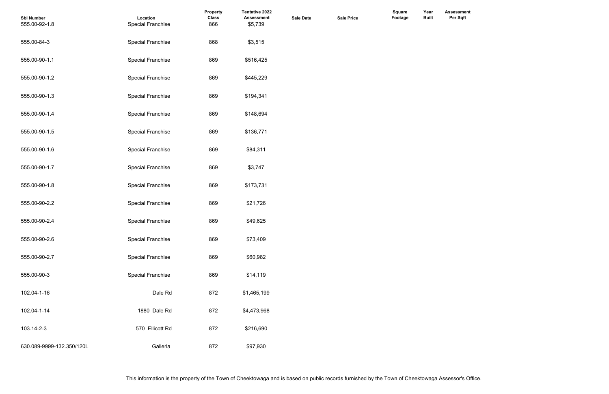| <b>Sbl Number</b><br>555.00-92-1.8 | Location<br><b>Special Franchise</b> | Property<br><b>Class</b><br>866 | <b>Tentative 2022</b><br><b>Assessment</b><br>\$5,739 | <b>Sale Date</b> | <b>Sale Price</b> | Square<br>Footage | Year<br><b>Built</b> |
|------------------------------------|--------------------------------------|---------------------------------|-------------------------------------------------------|------------------|-------------------|-------------------|----------------------|
| 555.00-84-3                        | <b>Special Franchise</b>             | 868                             | \$3,515                                               |                  |                   |                   |                      |
| 555.00-90-1.1                      | <b>Special Franchise</b>             | 869                             | \$516,425                                             |                  |                   |                   |                      |
| 555.00-90-1.2                      | <b>Special Franchise</b>             | 869                             | \$445,229                                             |                  |                   |                   |                      |
| 555.00-90-1.3                      | <b>Special Franchise</b>             | 869                             | \$194,341                                             |                  |                   |                   |                      |
| 555.00-90-1.4                      | <b>Special Franchise</b>             | 869                             | \$148,694                                             |                  |                   |                   |                      |
| 555.00-90-1.5                      | <b>Special Franchise</b>             | 869                             | \$136,771                                             |                  |                   |                   |                      |
| 555.00-90-1.6                      | <b>Special Franchise</b>             | 869                             | \$84,311                                              |                  |                   |                   |                      |
| 555.00-90-1.7                      | <b>Special Franchise</b>             | 869                             | \$3,747                                               |                  |                   |                   |                      |
| 555.00-90-1.8                      | <b>Special Franchise</b>             | 869                             | \$173,731                                             |                  |                   |                   |                      |
| 555.00-90-2.2                      | <b>Special Franchise</b>             | 869                             | \$21,726                                              |                  |                   |                   |                      |
| 555.00-90-2.4                      | <b>Special Franchise</b>             | 869                             | \$49,625                                              |                  |                   |                   |                      |
| 555.00-90-2.6                      | <b>Special Franchise</b>             | 869                             | \$73,409                                              |                  |                   |                   |                      |
| 555.00-90-2.7                      | <b>Special Franchise</b>             | 869                             | \$60,982                                              |                  |                   |                   |                      |
| 555.00-90-3                        | <b>Special Franchise</b>             | 869                             | \$14,119                                              |                  |                   |                   |                      |
| 102.04-1-16                        | Dale Rd                              | 872                             | \$1,465,199                                           |                  |                   |                   |                      |
| 102.04-1-14                        | 1880 Dale Rd                         | 872                             | \$4,473,968                                           |                  |                   |                   |                      |
| 103.14-2-3                         | 570 Ellicott Rd                      | 872                             | \$216,690                                             |                  |                   |                   |                      |
| 630.089-9999-132.350/120L          | Galleria                             | 872                             | \$97,930                                              |                  |                   |                   |                      |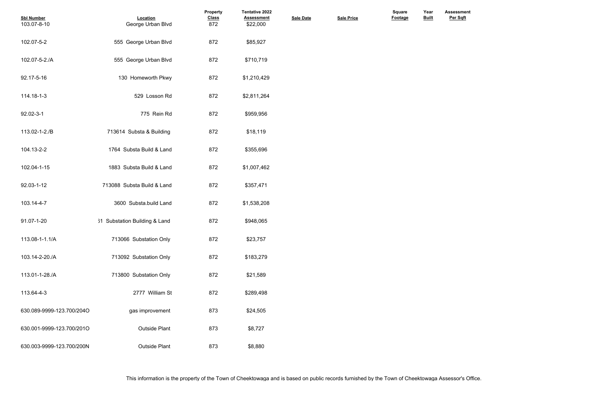| <b>Sbl Number</b><br>103.07-8-10 | Location<br>George Urban Blvd | <b>Property</b><br><b>Class</b><br>872 | Tentative 2022<br><b>Assessment</b><br>\$22,000 | <b>Sale Date</b> | <b>Sale Price</b> | Square<br><b>Footage</b> | Year<br><b>Built</b> |  |
|----------------------------------|-------------------------------|----------------------------------------|-------------------------------------------------|------------------|-------------------|--------------------------|----------------------|--|
| 102.07-5-2                       | 555 George Urban Blvd         | 872                                    | \$85,927                                        |                  |                   |                          |                      |  |
| 102.07-5-2./A                    | 555 George Urban Blvd         | 872                                    | \$710,719                                       |                  |                   |                          |                      |  |
| 92.17-5-16                       | 130 Homeworth Pkwy            | 872                                    | \$1,210,429                                     |                  |                   |                          |                      |  |
| 114.18-1-3                       | 529 Losson Rd                 | 872                                    | \$2,811,264                                     |                  |                   |                          |                      |  |
| 92.02-3-1                        | 775 Rein Rd                   | 872                                    | \$959,956                                       |                  |                   |                          |                      |  |
| 113.02-1-2./B                    | 713614 Substa & Building      | 872                                    | \$18,119                                        |                  |                   |                          |                      |  |
| 104.13-2-2                       | 1764 Substa Build & Land      | 872                                    | \$355,696                                       |                  |                   |                          |                      |  |
| 102.04-1-15                      | 1883 Substa Build & Land      | 872                                    | \$1,007,462                                     |                  |                   |                          |                      |  |
| 92.03-1-12                       | 713088 Substa Build & Land    | 872                                    | \$357,471                                       |                  |                   |                          |                      |  |
| 103.14-4-7                       | 3600 Substa.build Land        | 872                                    | \$1,538,208                                     |                  |                   |                          |                      |  |
| 91.07-1-20                       | 31 Substation Building & Land | 872                                    | \$948,065                                       |                  |                   |                          |                      |  |
| 113.08-1-1.1/A                   | 713066 Substation Only        | 872                                    | \$23,757                                        |                  |                   |                          |                      |  |
| 103.14-2-20./A                   | 713092 Substation Only        | 872                                    | \$183,279                                       |                  |                   |                          |                      |  |
| 113.01-1-28./A                   | 713800 Substation Only        | 872                                    | \$21,589                                        |                  |                   |                          |                      |  |
| 113.64-4-3                       | 2777 William St               | 872                                    | \$289,498                                       |                  |                   |                          |                      |  |
| 630.089-9999-123.700/204O        | gas improvement               | 873                                    | \$24,505                                        |                  |                   |                          |                      |  |
| 630.001-9999-123.700/201O        | <b>Outside Plant</b>          | 873                                    | \$8,727                                         |                  |                   |                          |                      |  |
| 630.003-9999-123.700/200N        | <b>Outside Plant</b>          | 873                                    | \$8,880                                         |                  |                   |                          |                      |  |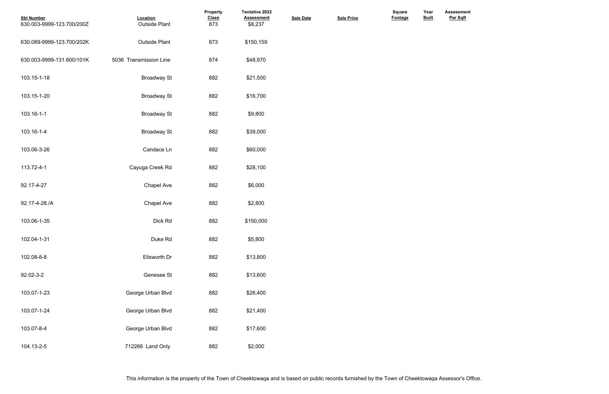| <b>Sbl Number</b><br>630.003-9999-123.700/200Z | Location<br><b>Outside Plant</b> | Property<br><b>Class</b><br>873 | Tentative 2022<br><b>Assessment</b><br>\$8,237 | <b>Sale Date</b> | <b>Sale Price</b> | <b>Square</b><br>Footage | Year<br><b>Built</b> |  |
|------------------------------------------------|----------------------------------|---------------------------------|------------------------------------------------|------------------|-------------------|--------------------------|----------------------|--|
| 630.089-9999-123.700/202K                      | <b>Outside Plant</b>             | 873                             | \$150,159                                      |                  |                   |                          |                      |  |
| 630.003-9999-131.600/101K                      | 5036 Transmission Line           | 874                             | \$48,970                                       |                  |                   |                          |                      |  |
| 103.15-1-18                                    | <b>Broadway St</b>               | 882                             | \$21,500                                       |                  |                   |                          |                      |  |
| 103.15-1-20                                    | <b>Broadway St</b>               | 882                             | \$16,700                                       |                  |                   |                          |                      |  |
| 103.16-1-1                                     | <b>Broadway St</b>               | 882                             | \$9,800                                        |                  |                   |                          |                      |  |
| 103.16-1-4                                     | <b>Broadway St</b>               | 882                             | \$39,000                                       |                  |                   |                          |                      |  |
| 103.06-3-26                                    | Candace Ln                       | 882                             | \$60,000                                       |                  |                   |                          |                      |  |
| 113.72-4-1                                     | Cayuga Creek Rd                  | 882                             | \$28,100                                       |                  |                   |                          |                      |  |
| 92.17-4-27                                     | Chapel Ave                       | 882                             | \$6,000                                        |                  |                   |                          |                      |  |
| 92.17-4-28./A                                  | Chapel Ave                       | 882                             | \$2,800                                        |                  |                   |                          |                      |  |
| 103.06-1-35                                    | Dick Rd                          | 882                             | \$150,000                                      |                  |                   |                          |                      |  |
| 102.04-1-31                                    | Duke Rd                          | 882                             | \$5,800                                        |                  |                   |                          |                      |  |
| 102.08-8-8                                     | Ellsworth Dr                     | 882                             | \$13,800                                       |                  |                   |                          |                      |  |
| 92.02-3-2                                      | Genesee St                       | 882                             | \$13,600                                       |                  |                   |                          |                      |  |
| 103.07-1-23                                    | George Urban Blvd                | 882                             | \$26,400                                       |                  |                   |                          |                      |  |
| 103.07-1-24                                    | George Urban Blvd                | 882                             | \$21,400                                       |                  |                   |                          |                      |  |
| 103.07-8-4                                     | George Urban Blvd                | 882                             | \$17,600                                       |                  |                   |                          |                      |  |
| 104.13-2-5                                     | 712266 Land Only                 | 882                             | \$2,000                                        |                  |                   |                          |                      |  |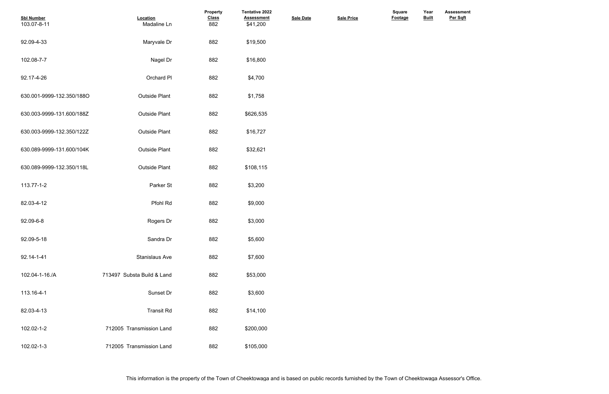| <b>Sbl Number</b><br>103.07-8-11 | Location<br>Madaline Ln    | Property<br><b>Class</b><br>882 | Tentative 2022<br><b>Assessment</b><br>\$41,200 | <b>Sale Date</b> | <b>Sale Price</b> | Square<br>Footage | Year<br><b>Built</b> |  |
|----------------------------------|----------------------------|---------------------------------|-------------------------------------------------|------------------|-------------------|-------------------|----------------------|--|
| 92.09-4-33                       | Maryvale Dr                | 882                             | \$19,500                                        |                  |                   |                   |                      |  |
| 102.08-7-7                       | Nagel Dr                   | 882                             | \$16,800                                        |                  |                   |                   |                      |  |
| 92.17-4-26                       | Orchard PI                 | 882                             | \$4,700                                         |                  |                   |                   |                      |  |
| 630.001-9999-132.350/188O        | <b>Outside Plant</b>       | 882                             | \$1,758                                         |                  |                   |                   |                      |  |
| 630.003-9999-131.600/188Z        | <b>Outside Plant</b>       | 882                             | \$626,535                                       |                  |                   |                   |                      |  |
| 630.003-9999-132.350/122Z        | <b>Outside Plant</b>       | 882                             | \$16,727                                        |                  |                   |                   |                      |  |
| 630.089-9999-131.600/104K        | <b>Outside Plant</b>       | 882                             | \$32,621                                        |                  |                   |                   |                      |  |
| 630.089-9999-132.350/118L        | <b>Outside Plant</b>       | 882                             | \$108,115                                       |                  |                   |                   |                      |  |
| 113.77-1-2                       | Parker St                  | 882                             | \$3,200                                         |                  |                   |                   |                      |  |
| 82.03-4-12                       | Pfohl Rd                   | 882                             | \$9,000                                         |                  |                   |                   |                      |  |
| 92.09-6-8                        | Rogers Dr                  | 882                             | \$3,000                                         |                  |                   |                   |                      |  |
| 92.09-5-18                       | Sandra Dr                  | 882                             | \$5,600                                         |                  |                   |                   |                      |  |
| 92.14-1-41                       | <b>Stanislaus Ave</b>      | 882                             | \$7,600                                         |                  |                   |                   |                      |  |
| 102.04-1-16./A                   | 713497 Substa Build & Land | 882                             | \$53,000                                        |                  |                   |                   |                      |  |
| 113.16-4-1                       | Sunset Dr                  | 882                             | \$3,600                                         |                  |                   |                   |                      |  |
| 82.03-4-13                       | <b>Transit Rd</b>          | 882                             | \$14,100                                        |                  |                   |                   |                      |  |
| 102.02-1-2                       | 712005 Transmission Land   | 882                             | \$200,000                                       |                  |                   |                   |                      |  |
| 102.02-1-3                       | 712005 Transmission Land   | 882                             | \$105,000                                       |                  |                   |                   |                      |  |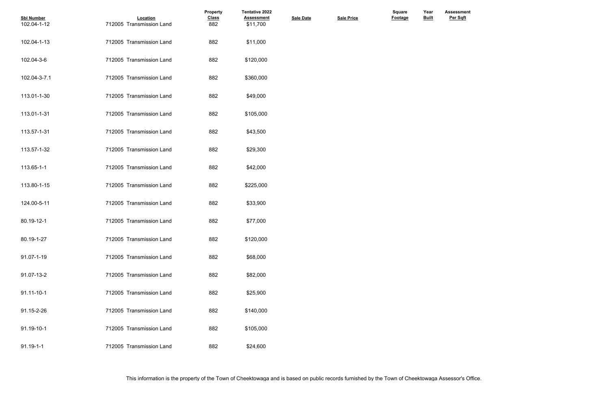| <b>Sbl Number</b><br>102.04-1-12 | Location<br>712005 Transmission Land | <b>Property</b><br><b>Class</b><br>882 | <b>Tentative 2022</b><br><b>Assessment</b><br>\$11,700 | <b>Sale Date</b> | <b>Sale Price</b> | Square<br>Footage | Year<br><b>Built</b> |
|----------------------------------|--------------------------------------|----------------------------------------|--------------------------------------------------------|------------------|-------------------|-------------------|----------------------|
| 102.04-1-13                      | 712005 Transmission Land             | 882                                    | \$11,000                                               |                  |                   |                   |                      |
| 102.04-3-6                       | 712005 Transmission Land             | 882                                    | \$120,000                                              |                  |                   |                   |                      |
| 102.04-3-7.1                     | 712005 Transmission Land             | 882                                    | \$360,000                                              |                  |                   |                   |                      |
| 113.01-1-30                      | 712005 Transmission Land             | 882                                    | \$49,000                                               |                  |                   |                   |                      |
| 113.01-1-31                      | 712005 Transmission Land             | 882                                    | \$105,000                                              |                  |                   |                   |                      |
| 113.57-1-31                      | 712005 Transmission Land             | 882                                    | \$43,500                                               |                  |                   |                   |                      |
| 113.57-1-32                      | 712005 Transmission Land             | 882                                    | \$29,300                                               |                  |                   |                   |                      |
| 113.65-1-1                       | 712005 Transmission Land             | 882                                    | \$42,000                                               |                  |                   |                   |                      |
| 113.80-1-15                      | 712005 Transmission Land             | 882                                    | \$225,000                                              |                  |                   |                   |                      |
| 124.00-5-11                      | 712005 Transmission Land             | 882                                    | \$33,900                                               |                  |                   |                   |                      |
| 80.19-12-1                       | 712005 Transmission Land             | 882                                    | \$77,000                                               |                  |                   |                   |                      |
| 80.19-1-27                       | 712005 Transmission Land             | 882                                    | \$120,000                                              |                  |                   |                   |                      |
| 91.07-1-19                       | 712005 Transmission Land             | 882                                    | \$68,000                                               |                  |                   |                   |                      |
| 91.07-13-2                       | 712005 Transmission Land             | 882                                    | \$82,000                                               |                  |                   |                   |                      |
| 91.11-10-1                       | 712005 Transmission Land             | 882                                    | \$25,900                                               |                  |                   |                   |                      |
| 91.15-2-26                       | 712005 Transmission Land             | 882                                    | \$140,000                                              |                  |                   |                   |                      |
| 91.19-10-1                       | 712005 Transmission Land             | 882                                    | \$105,000                                              |                  |                   |                   |                      |
| $91.19 - 1 - 1$                  | 712005 Transmission Land             | 882                                    | \$24,600                                               |                  |                   |                   |                      |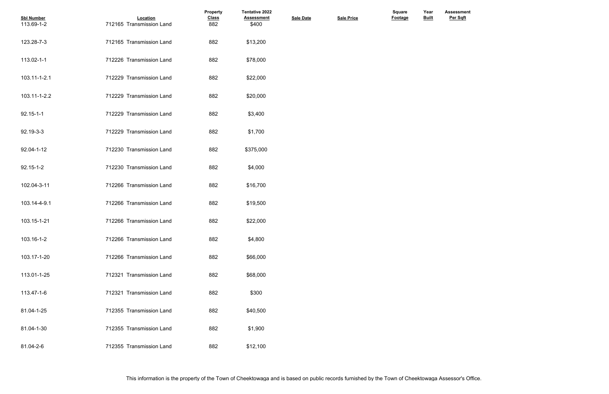| <b>Sbl Number</b><br>113.69-1-2 | Location<br>712165 Transmission Land | Property<br><b>Class</b><br>882 | <b>Tentative 2022</b><br><b>Assessment</b><br>\$400 | <b>Sale Date</b> | <b>Sale Price</b> | <b>Square</b><br>Footage | Year<br><b>Built</b> |
|---------------------------------|--------------------------------------|---------------------------------|-----------------------------------------------------|------------------|-------------------|--------------------------|----------------------|
| 123.28-7-3                      | 712165 Transmission Land             | 882                             | \$13,200                                            |                  |                   |                          |                      |
| 113.02-1-1                      | 712226 Transmission Land             | 882                             | \$78,000                                            |                  |                   |                          |                      |
| 103.11-1-2.1                    | 712229 Transmission Land             | 882                             | \$22,000                                            |                  |                   |                          |                      |
| 103.11-1-2.2                    | 712229 Transmission Land             | 882                             | \$20,000                                            |                  |                   |                          |                      |
| $92.15 - 1 - 1$                 | 712229 Transmission Land             | 882                             | \$3,400                                             |                  |                   |                          |                      |
| 92.19-3-3                       | 712229 Transmission Land             | 882                             | \$1,700                                             |                  |                   |                          |                      |
| 92.04-1-12                      | 712230 Transmission Land             | 882                             | \$375,000                                           |                  |                   |                          |                      |
| 92.15-1-2                       | 712230 Transmission Land             | 882                             | \$4,000                                             |                  |                   |                          |                      |
| 102.04-3-11                     | 712266 Transmission Land             | 882                             | \$16,700                                            |                  |                   |                          |                      |
| 103.14-4-9.1                    | 712266 Transmission Land             | 882                             | \$19,500                                            |                  |                   |                          |                      |
| 103.15-1-21                     | 712266 Transmission Land             | 882                             | \$22,000                                            |                  |                   |                          |                      |
| 103.16-1-2                      | 712266 Transmission Land             | 882                             | \$4,800                                             |                  |                   |                          |                      |
| 103.17-1-20                     | 712266 Transmission Land             | 882                             | \$66,000                                            |                  |                   |                          |                      |
| 113.01-1-25                     | 712321 Transmission Land             | 882                             | \$68,000                                            |                  |                   |                          |                      |
| 113.47-1-6                      | 712321 Transmission Land             | 882                             | \$300                                               |                  |                   |                          |                      |
| 81.04-1-25                      | 712355 Transmission Land             | 882                             | \$40,500                                            |                  |                   |                          |                      |
| 81.04-1-30                      | 712355 Transmission Land             | 882                             | \$1,900                                             |                  |                   |                          |                      |
| 81.04-2-6                       | 712355 Transmission Land             | 882                             | \$12,100                                            |                  |                   |                          |                      |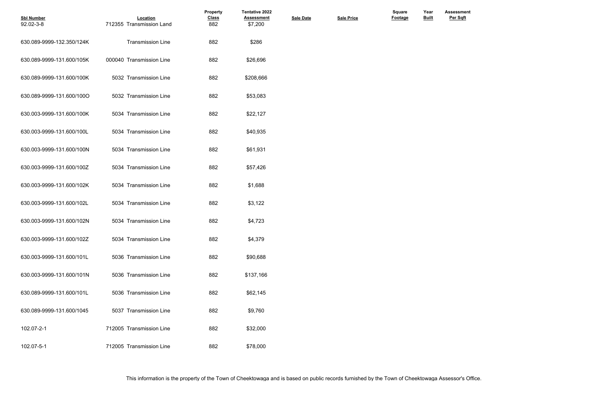| <b>Sbl Number</b><br>92.02-3-8 | Location<br>712355 Transmission Land | Property<br><b>Class</b><br>882 | <b>Tentative 2022</b><br><b>Assessment</b><br>\$7,200 | <b>Sale Date</b> | <b>Sale Price</b> | Square<br>Footage | Year<br><b>Built</b> |
|--------------------------------|--------------------------------------|---------------------------------|-------------------------------------------------------|------------------|-------------------|-------------------|----------------------|
| 630.089-9999-132.350/124K      | <b>Transmission Line</b>             | 882                             | \$286                                                 |                  |                   |                   |                      |
| 630.089-9999-131.600/105K      | 000040 Transmission Line             | 882                             | \$26,696                                              |                  |                   |                   |                      |
| 630.089-9999-131.600/100K      | 5032 Transmission Line               | 882                             | \$208,666                                             |                  |                   |                   |                      |
| 630.089-9999-131.600/100O      | 5032 Transmission Line               | 882                             | \$53,083                                              |                  |                   |                   |                      |
| 630.003-9999-131.600/100K      | 5034 Transmission Line               | 882                             | \$22,127                                              |                  |                   |                   |                      |
| 630.003-9999-131.600/100L      | 5034 Transmission Line               | 882                             | \$40,935                                              |                  |                   |                   |                      |
| 630.003-9999-131.600/100N      | 5034 Transmission Line               | 882                             | \$61,931                                              |                  |                   |                   |                      |
| 630.003-9999-131.600/100Z      | 5034 Transmission Line               | 882                             | \$57,426                                              |                  |                   |                   |                      |
| 630.003-9999-131.600/102K      | 5034 Transmission Line               | 882                             | \$1,688                                               |                  |                   |                   |                      |
| 630.003-9999-131.600/102L      | 5034 Transmission Line               | 882                             | \$3,122                                               |                  |                   |                   |                      |
| 630.003-9999-131.600/102N      | 5034 Transmission Line               | 882                             | \$4,723                                               |                  |                   |                   |                      |
| 630.003-9999-131.600/102Z      | 5034 Transmission Line               | 882                             | \$4,379                                               |                  |                   |                   |                      |
| 630.003-9999-131.600/101L      | 5036 Transmission Line               | 882                             | \$90,688                                              |                  |                   |                   |                      |
| 630.003-9999-131.600/101N      | 5036 Transmission Line               | 882                             | \$137,166                                             |                  |                   |                   |                      |
| 630.089-9999-131.600/101L      | 5036 Transmission Line               | 882                             | \$62,145                                              |                  |                   |                   |                      |
| 630.089-9999-131.600/1045      | 5037 Transmission Line               | 882                             | \$9,760                                               |                  |                   |                   |                      |
| 102.07-2-1                     | 712005 Transmission Line             | 882                             | \$32,000                                              |                  |                   |                   |                      |
| 102.07-5-1                     | 712005 Transmission Line             | 882                             | \$78,000                                              |                  |                   |                   |                      |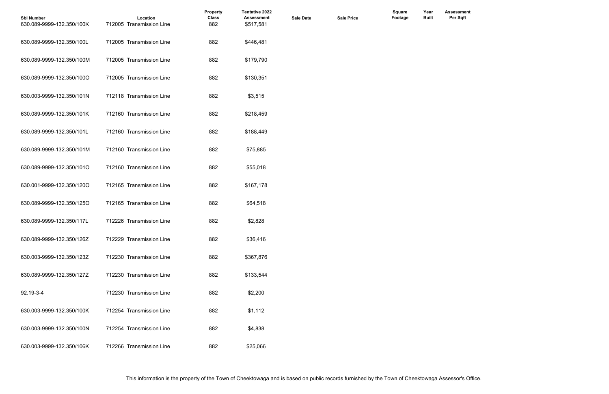| <b>Sbl Number</b><br>630.089-9999-132.350/100K | Location<br>712005 Transmission Line | Property<br><b>Class</b><br>882 | <b>Tentative 2022</b><br><b>Assessment</b><br>\$517,581 | <b>Sale Date</b> | <b>Sale Price</b> | Square<br><b>Footage</b> | Year<br><b>Built</b> |  |
|------------------------------------------------|--------------------------------------|---------------------------------|---------------------------------------------------------|------------------|-------------------|--------------------------|----------------------|--|
| 630.089-9999-132.350/100L                      | 712005 Transmission Line             | 882                             | \$446,481                                               |                  |                   |                          |                      |  |
| 630.089-9999-132.350/100M                      | 712005 Transmission Line             | 882                             | \$179,790                                               |                  |                   |                          |                      |  |
| 630.089-9999-132.350/100O                      | 712005 Transmission Line             | 882                             | \$130,351                                               |                  |                   |                          |                      |  |
| 630.003-9999-132.350/101N                      | 712118 Transmission Line             | 882                             | \$3,515                                                 |                  |                   |                          |                      |  |
| 630.089-9999-132.350/101K                      | 712160 Transmission Line             | 882                             | \$218,459                                               |                  |                   |                          |                      |  |
| 630.089-9999-132.350/101L                      | 712160 Transmission Line             | 882                             | \$188,449                                               |                  |                   |                          |                      |  |
| 630.089-9999-132.350/101M                      | 712160 Transmission Line             | 882                             | \$75,885                                                |                  |                   |                          |                      |  |
| 630.089-9999-132.350/101O                      | 712160 Transmission Line             | 882                             | \$55,018                                                |                  |                   |                          |                      |  |
| 630.001-9999-132.350/120O                      | 712165 Transmission Line             | 882                             | \$167,178                                               |                  |                   |                          |                      |  |
| 630.089-9999-132.350/125O                      | 712165 Transmission Line             | 882                             | \$64,518                                                |                  |                   |                          |                      |  |
| 630.089-9999-132.350/117L                      | 712226 Transmission Line             | 882                             | \$2,828                                                 |                  |                   |                          |                      |  |
| 630.089-9999-132.350/126Z                      | 712229 Transmission Line             | 882                             | \$36,416                                                |                  |                   |                          |                      |  |
| 630.003-9999-132.350/123Z                      | 712230 Transmission Line             | 882                             | \$367,876                                               |                  |                   |                          |                      |  |
| 630.089-9999-132.350/127Z                      | 712230 Transmission Line             | 882                             | \$133,544                                               |                  |                   |                          |                      |  |
| 92.19-3-4                                      | 712230 Transmission Line             | 882                             | \$2,200                                                 |                  |                   |                          |                      |  |
| 630.003-9999-132.350/100K                      | 712254 Transmission Line             | 882                             | \$1,112                                                 |                  |                   |                          |                      |  |
| 630.003-9999-132.350/100N                      | 712254 Transmission Line             | 882                             | \$4,838                                                 |                  |                   |                          |                      |  |
| 630.003-9999-132.350/106K                      | 712266 Transmission Line             | 882                             | \$25,066                                                |                  |                   |                          |                      |  |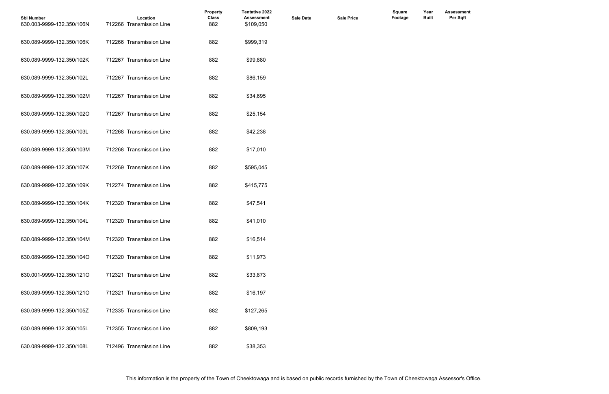| <b>Sbl Number</b><br>630.003-9999-132.350/106N | Location<br>712266 Transmission Line | Property<br><b>Class</b><br>882 | Tentative 2022<br><b>Assessment</b><br>\$109,050 | <b>Sale Date</b> | <b>Sale Price</b> | <b>Square</b><br><b>Footage</b> | Year<br><b>Built</b> |  |
|------------------------------------------------|--------------------------------------|---------------------------------|--------------------------------------------------|------------------|-------------------|---------------------------------|----------------------|--|
| 630.089-9999-132.350/106K                      | 712266 Transmission Line             | 882                             | \$999,319                                        |                  |                   |                                 |                      |  |
| 630.089-9999-132.350/102K                      | 712267 Transmission Line             | 882                             | \$99,880                                         |                  |                   |                                 |                      |  |
| 630.089-9999-132.350/102L                      | 712267 Transmission Line             | 882                             | \$86,159                                         |                  |                   |                                 |                      |  |
| 630.089-9999-132.350/102M                      | 712267 Transmission Line             | 882                             | \$34,695                                         |                  |                   |                                 |                      |  |
| 630.089-9999-132.350/102O                      | 712267 Transmission Line             | 882                             | \$25,154                                         |                  |                   |                                 |                      |  |
| 630.089-9999-132.350/103L                      | 712268 Transmission Line             | 882                             | \$42,238                                         |                  |                   |                                 |                      |  |
| 630.089-9999-132.350/103M                      | 712268 Transmission Line             | 882                             | \$17,010                                         |                  |                   |                                 |                      |  |
| 630.089-9999-132.350/107K                      | 712269 Transmission Line             | 882                             | \$595,045                                        |                  |                   |                                 |                      |  |
| 630.089-9999-132.350/109K                      | 712274 Transmission Line             | 882                             | \$415,775                                        |                  |                   |                                 |                      |  |
| 630.089-9999-132.350/104K                      | 712320 Transmission Line             | 882                             | \$47,541                                         |                  |                   |                                 |                      |  |
| 630.089-9999-132.350/104L                      | 712320 Transmission Line             | 882                             | \$41,010                                         |                  |                   |                                 |                      |  |
| 630.089-9999-132.350/104M                      | 712320 Transmission Line             | 882                             | \$16,514                                         |                  |                   |                                 |                      |  |
| 630.089-9999-132.350/104O                      | 712320 Transmission Line             | 882                             | \$11,973                                         |                  |                   |                                 |                      |  |
| 630.001-9999-132.350/121O                      | 712321 Transmission Line             | 882                             | \$33,873                                         |                  |                   |                                 |                      |  |
| 630.089-9999-132.350/121O                      | 712321 Transmission Line             | 882                             | \$16,197                                         |                  |                   |                                 |                      |  |
| 630.089-9999-132.350/105Z                      | 712335 Transmission Line             | 882                             | \$127,265                                        |                  |                   |                                 |                      |  |
| 630.089-9999-132.350/105L                      | 712355 Transmission Line             | 882                             | \$809,193                                        |                  |                   |                                 |                      |  |
| 630.089-9999-132.350/108L                      | 712496 Transmission Line             | 882                             | \$38,353                                         |                  |                   |                                 |                      |  |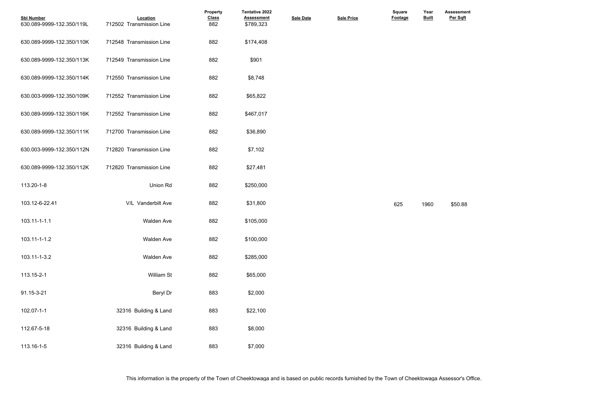| <b>Sbl Number</b><br>630.089-9999-132.350/119L | Location<br>712502 Transmission Line | <b>Property</b><br><b>Class</b><br>882 | <b>Tentative 2022</b><br><b>Assessment</b><br>\$789,323 | <b>Sale Date</b> | <b>Sale Price</b> | Square<br><b>Footage</b> | Year<br><b>Built</b> | <b>Assessme</b><br>Per Sqft |
|------------------------------------------------|--------------------------------------|----------------------------------------|---------------------------------------------------------|------------------|-------------------|--------------------------|----------------------|-----------------------------|
| 630.089-9999-132.350/110K                      | 712548 Transmission Line             | 882                                    | \$174,408                                               |                  |                   |                          |                      |                             |
| 630.089-9999-132.350/113K                      | 712549 Transmission Line             | 882                                    | \$901                                                   |                  |                   |                          |                      |                             |
| 630.089-9999-132.350/114K                      | 712550 Transmission Line             | 882                                    | \$8,748                                                 |                  |                   |                          |                      |                             |
| 630.003-9999-132.350/109K                      | 712552 Transmission Line             | 882                                    | \$65,822                                                |                  |                   |                          |                      |                             |
| 630.089-9999-132.350/116K                      | 712552 Transmission Line             | 882                                    | \$467,017                                               |                  |                   |                          |                      |                             |
| 630.089-9999-132.350/111K                      | 712700 Transmission Line             | 882                                    | \$36,890                                                |                  |                   |                          |                      |                             |
| 630.003-9999-132.350/112N                      | 712820 Transmission Line             | 882                                    | \$7,102                                                 |                  |                   |                          |                      |                             |
| 630.089-9999-132.350/112K                      | 712820 Transmission Line             | 882                                    | \$27,481                                                |                  |                   |                          |                      |                             |
| 113.20-1-8                                     | Union Rd                             | 882                                    | \$250,000                                               |                  |                   |                          |                      |                             |
| 103.12-6-22.41                                 | V/L Vanderbilt Ave                   | 882                                    | \$31,800                                                |                  |                   | 625                      | 1960                 | \$50.88                     |
| 103.11-1-1.1                                   | <b>Walden Ave</b>                    | 882                                    | \$105,000                                               |                  |                   |                          |                      |                             |
| 103.11-1-1.2                                   | Walden Ave                           | 882                                    | \$100,000                                               |                  |                   |                          |                      |                             |
| 103.11-1-3.2                                   | Walden Ave                           | 882                                    | \$285,000                                               |                  |                   |                          |                      |                             |
| 113.15-2-1                                     | William St                           | 882                                    | \$65,000                                                |                  |                   |                          |                      |                             |
| 91.15-3-21                                     | Beryl Dr                             | 883                                    | \$2,000                                                 |                  |                   |                          |                      |                             |
| 102.07-1-1                                     | 32316 Building & Land                | 883                                    | \$22,100                                                |                  |                   |                          |                      |                             |
| 112.67-5-18                                    | 32316 Building & Land                | 883                                    | \$8,000                                                 |                  |                   |                          |                      |                             |
| 113.16-1-5                                     | 32316 Building & Land                | 883                                    | \$7,000                                                 |                  |                   |                          |                      |                             |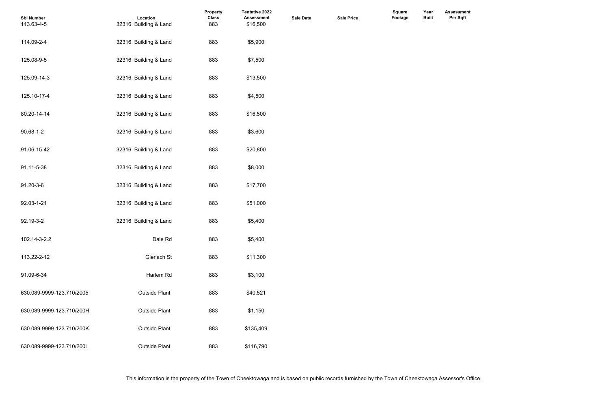| <b>Sbl Number</b>         | Location              | Property            | Tentative 2022<br><b>Assessment</b> |                  | <b>Sale Price</b> | Square<br><b>Footage</b> | Year<br><b>Built</b> |
|---------------------------|-----------------------|---------------------|-------------------------------------|------------------|-------------------|--------------------------|----------------------|
| 113.63-4-5                | 32316 Building & Land | <b>Class</b><br>883 | \$16,500                            | <b>Sale Date</b> |                   |                          |                      |
| 114.09-2-4                | 32316 Building & Land | 883                 | \$5,900                             |                  |                   |                          |                      |
| 125.08-9-5                | 32316 Building & Land | 883                 | \$7,500                             |                  |                   |                          |                      |
| 125.09-14-3               | 32316 Building & Land | 883                 | \$13,500                            |                  |                   |                          |                      |
| 125.10-17-4               | 32316 Building & Land | 883                 | \$4,500                             |                  |                   |                          |                      |
| 80.20-14-14               | 32316 Building & Land | 883                 | \$16,500                            |                  |                   |                          |                      |
| 90.68-1-2                 | 32316 Building & Land | 883                 | \$3,600                             |                  |                   |                          |                      |
| 91.06-15-42               | 32316 Building & Land | 883                 | \$20,800                            |                  |                   |                          |                      |
| 91.11-5-38                | 32316 Building & Land | 883                 | \$8,000                             |                  |                   |                          |                      |
| 91.20-3-6                 | 32316 Building & Land | 883                 | \$17,700                            |                  |                   |                          |                      |
| 92.03-1-21                | 32316 Building & Land | 883                 | \$51,000                            |                  |                   |                          |                      |
| 92.19-3-2                 | 32316 Building & Land | 883                 | \$5,400                             |                  |                   |                          |                      |
| 102.14-3-2.2              | Dale Rd               | 883                 | \$5,400                             |                  |                   |                          |                      |
| 113.22-2-12               | Gierlach St           | 883                 | \$11,300                            |                  |                   |                          |                      |
| 91.09-6-34                | Harlem Rd             | 883                 | \$3,100                             |                  |                   |                          |                      |
| 630.089-9999-123.710/2005 | <b>Outside Plant</b>  | 883                 | \$40,521                            |                  |                   |                          |                      |
| 630.089-9999-123.710/200H | <b>Outside Plant</b>  | 883                 | \$1,150                             |                  |                   |                          |                      |
| 630.089-9999-123.710/200K | <b>Outside Plant</b>  | 883                 | \$135,409                           |                  |                   |                          |                      |
| 630.089-9999-123.710/200L | Outside Plant         | 883                 | \$116,790                           |                  |                   |                          |                      |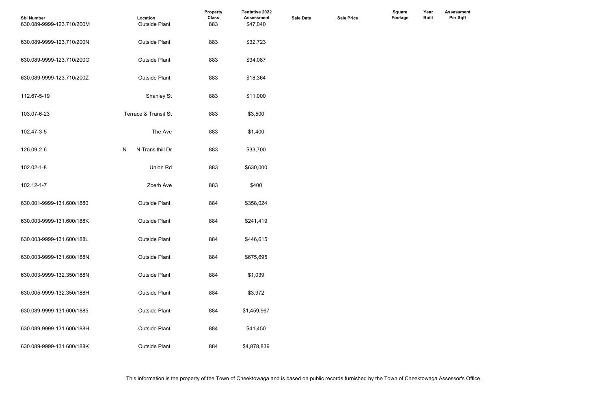| <b>Sbl Number</b><br>630.089-9999-123.710/200M | Location<br><b>Outside Plant</b> | <b>Property</b><br><b>Class</b><br>883 | Tentative 2022<br><b>Assessment</b><br>\$47,040 | <b>Sale Date</b> | <b>Sale Price</b> | <b>Square</b><br>Footage | Year<br><b>Built</b> |  |
|------------------------------------------------|----------------------------------|----------------------------------------|-------------------------------------------------|------------------|-------------------|--------------------------|----------------------|--|
| 630.089-9999-123.710/200N                      | <b>Outside Plant</b>             | 883                                    | \$32,723                                        |                  |                   |                          |                      |  |
| 630.089-9999-123.710/200O                      | <b>Outside Plant</b>             | 883                                    | \$34,087                                        |                  |                   |                          |                      |  |
| 630.089-9999-123.710/200Z                      | <b>Outside Plant</b>             | 883                                    | \$18,364                                        |                  |                   |                          |                      |  |
| 112.67-5-19                                    | <b>Shanley St</b>                | 883                                    | \$11,000                                        |                  |                   |                          |                      |  |
| 103.07-6-23                                    | Terrace & Transit St             | 883                                    | \$3,500                                         |                  |                   |                          |                      |  |
| 102.47-3-5                                     | The Ave                          | 883                                    | \$1,400                                         |                  |                   |                          |                      |  |
| 126.09-2-6                                     | N Transithill Dr<br>N            | 883                                    | \$33,700                                        |                  |                   |                          |                      |  |
| 102.02-1-8                                     | Union Rd                         | 883                                    | \$630,000                                       |                  |                   |                          |                      |  |
| 102.12-1-7                                     | Zoerb Ave                        | 883                                    | \$400                                           |                  |                   |                          |                      |  |
| 630.001-9999-131.600/1880                      | <b>Outside Plant</b>             | 884                                    | \$358,024                                       |                  |                   |                          |                      |  |
| 630.003-9999-131.600/188K                      | <b>Outside Plant</b>             | 884                                    | \$241,419                                       |                  |                   |                          |                      |  |
| 630.003-9999-131.600/188L                      | <b>Outside Plant</b>             | 884                                    | \$446,615                                       |                  |                   |                          |                      |  |
| 630.003-9999-131.600/188N                      | <b>Outside Plant</b>             | 884                                    | \$675,695                                       |                  |                   |                          |                      |  |
| 630.003-9999-132.350/188N                      | <b>Outside Plant</b>             | 884                                    | \$1,039                                         |                  |                   |                          |                      |  |
| 630.005-9999-132.350/188H                      | <b>Outside Plant</b>             | 884                                    | \$3,972                                         |                  |                   |                          |                      |  |
| 630.089-9999-131.600/1885                      | <b>Outside Plant</b>             | 884                                    | \$1,459,967                                     |                  |                   |                          |                      |  |
| 630.089-9999-131.600/188H                      | <b>Outside Plant</b>             | 884                                    | \$41,450                                        |                  |                   |                          |                      |  |
| 630.089-9999-131.600/188K                      | Outside Plant                    | 884                                    | \$4,878,839                                     |                  |                   |                          |                      |  |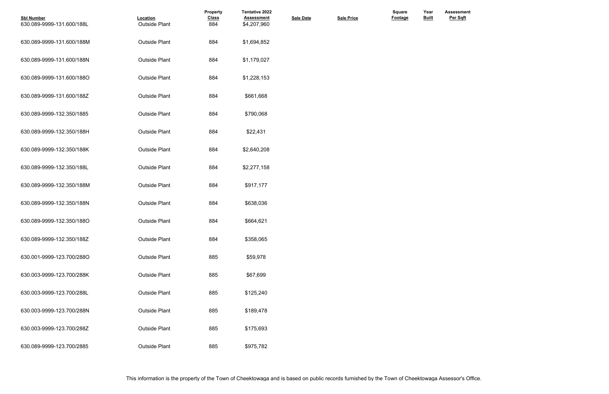| <b>Sbl Number</b><br>630.089-9999-131.600/188L | Location<br><b>Outside Plant</b> | Property<br><b>Class</b><br>884 | <b>Tentative 2022</b><br><b>Assessment</b><br>\$4,207,960 | <b>Sale Date</b> | <b>Sale Price</b> | Square<br>Footage | Year<br><b>Built</b> |  |
|------------------------------------------------|----------------------------------|---------------------------------|-----------------------------------------------------------|------------------|-------------------|-------------------|----------------------|--|
| 630.089-9999-131.600/188M                      | <b>Outside Plant</b>             | 884                             | \$1,694,852                                               |                  |                   |                   |                      |  |
| 630.089-9999-131.600/188N                      | <b>Outside Plant</b>             | 884                             | \$1,179,027                                               |                  |                   |                   |                      |  |
| 630.089-9999-131.600/188O                      | <b>Outside Plant</b>             | 884                             | \$1,228,153                                               |                  |                   |                   |                      |  |
| 630.089-9999-131.600/188Z                      | <b>Outside Plant</b>             | 884                             | \$661,668                                                 |                  |                   |                   |                      |  |
| 630.089-9999-132.350/1885                      | <b>Outside Plant</b>             | 884                             | \$790,068                                                 |                  |                   |                   |                      |  |
| 630.089-9999-132.350/188H                      | <b>Outside Plant</b>             | 884                             | \$22,431                                                  |                  |                   |                   |                      |  |
| 630.089-9999-132.350/188K                      | <b>Outside Plant</b>             | 884                             | \$2,640,208                                               |                  |                   |                   |                      |  |
| 630.089-9999-132.350/188L                      | <b>Outside Plant</b>             | 884                             | \$2,277,158                                               |                  |                   |                   |                      |  |
| 630.089-9999-132.350/188M                      | <b>Outside Plant</b>             | 884                             | \$917,177                                                 |                  |                   |                   |                      |  |
| 630.089-9999-132.350/188N                      | <b>Outside Plant</b>             | 884                             | \$638,036                                                 |                  |                   |                   |                      |  |
| 630.089-9999-132.350/188O                      | <b>Outside Plant</b>             | 884                             | \$664,621                                                 |                  |                   |                   |                      |  |
| 630.089-9999-132.350/188Z                      | <b>Outside Plant</b>             | 884                             | \$358,065                                                 |                  |                   |                   |                      |  |
| 630.001-9999-123.700/288O                      | <b>Outside Plant</b>             | 885                             | \$59,978                                                  |                  |                   |                   |                      |  |
| 630.003-9999-123.700/288K                      | <b>Outside Plant</b>             | 885                             | \$67,699                                                  |                  |                   |                   |                      |  |
| 630.003-9999-123.700/288L                      | <b>Outside Plant</b>             | 885                             | \$125,240                                                 |                  |                   |                   |                      |  |
| 630.003-9999-123.700/288N                      | <b>Outside Plant</b>             | 885                             | \$189,478                                                 |                  |                   |                   |                      |  |
| 630.003-9999-123.700/288Z                      | <b>Outside Plant</b>             | 885                             | \$175,693                                                 |                  |                   |                   |                      |  |
| 630.089-9999-123.700/2885                      | <b>Outside Plant</b>             | 885                             | \$975,782                                                 |                  |                   |                   |                      |  |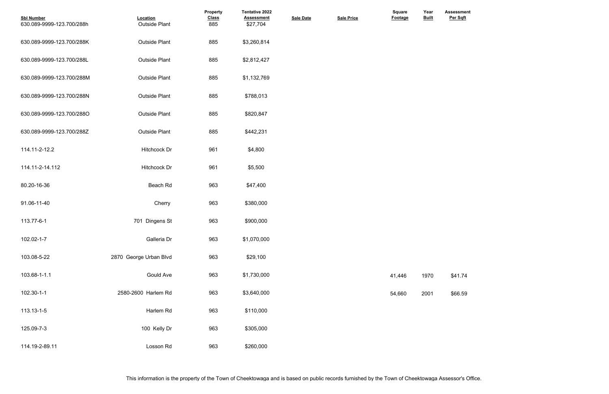| <b>Sbl Number</b><br>630.089-9999-123.700/288h | Location<br><b>Outside Plant</b> | Property<br><b>Class</b><br>885 | <b>Tentative 2022</b><br><b>Assessment</b><br>\$27,704 | <b>Sale Date</b> | <b>Sale Price</b> | Square<br>Footage | Year<br><b>Built</b> | <b>Assessme</b><br>Per Sqft |
|------------------------------------------------|----------------------------------|---------------------------------|--------------------------------------------------------|------------------|-------------------|-------------------|----------------------|-----------------------------|
| 630.089-9999-123.700/288K                      | <b>Outside Plant</b>             | 885                             | \$3,260,814                                            |                  |                   |                   |                      |                             |
| 630.089-9999-123.700/288L                      | <b>Outside Plant</b>             | 885                             | \$2,812,427                                            |                  |                   |                   |                      |                             |
| 630.089-9999-123.700/288M                      | <b>Outside Plant</b>             | 885                             | \$1,132,769                                            |                  |                   |                   |                      |                             |
| 630.089-9999-123.700/288N                      | <b>Outside Plant</b>             | 885                             | \$788,013                                              |                  |                   |                   |                      |                             |
| 630.089-9999-123.700/288O                      | <b>Outside Plant</b>             | 885                             | \$820,847                                              |                  |                   |                   |                      |                             |
| 630.089-9999-123.700/288Z                      | <b>Outside Plant</b>             | 885                             | \$442,231                                              |                  |                   |                   |                      |                             |
| 114.11-2-12.2                                  | Hitchcock Dr                     | 961                             | \$4,800                                                |                  |                   |                   |                      |                             |
| 114.11-2-14.112                                | Hitchcock Dr                     | 961                             | \$5,500                                                |                  |                   |                   |                      |                             |
| 80.20-16-36                                    | Beach Rd                         | 963                             | \$47,400                                               |                  |                   |                   |                      |                             |
| 91.06-11-40                                    | Cherry                           | 963                             | \$380,000                                              |                  |                   |                   |                      |                             |
| 113.77-6-1                                     | 701 Dingens St                   | 963                             | \$900,000                                              |                  |                   |                   |                      |                             |
| 102.02-1-7                                     | Galleria Dr                      | 963                             | \$1,070,000                                            |                  |                   |                   |                      |                             |
| 103.08-5-22                                    | 2870 George Urban Blvd           | 963                             | \$29,100                                               |                  |                   |                   |                      |                             |
| 103.68-1-1.1                                   | Gould Ave                        | 963                             | \$1,730,000                                            |                  |                   | 41,446            | 1970                 | \$41.74                     |
| 102.30-1-1                                     | 2580-2600 Harlem Rd              | 963                             | \$3,640,000                                            |                  |                   | 54,660            | 2001                 | \$66.59                     |
| 113.13-1-5                                     | Harlem Rd                        | 963                             | \$110,000                                              |                  |                   |                   |                      |                             |
| 125.09-7-3                                     | 100 Kelly Dr                     | 963                             | \$305,000                                              |                  |                   |                   |                      |                             |
| 114.19-2-89.11                                 | Losson Rd                        | 963                             | \$260,000                                              |                  |                   |                   |                      |                             |